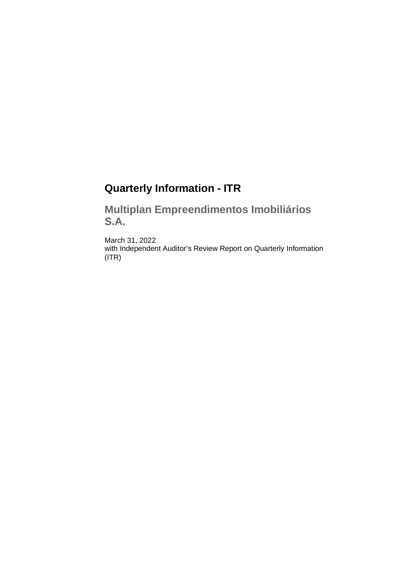# **Quarterly Information - ITR**

**Multiplan Empreendimentos Imobiliários S.A.**

March 31, 2022 with Independent Auditor's Review Report on Quarterly Information (ITR)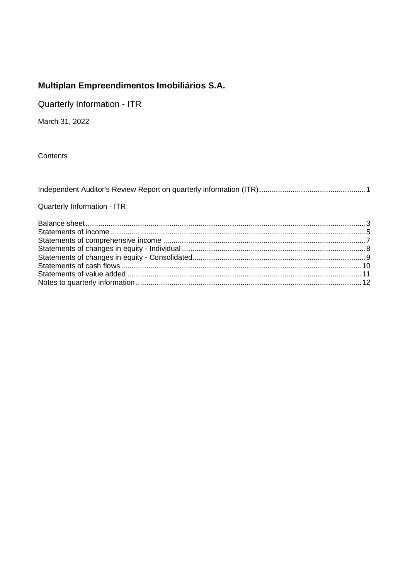Quarterly Information - ITR

March 31, 2022

Contents

| Quarterly Information - ITR                                                                                                                                                                                                        |  |
|------------------------------------------------------------------------------------------------------------------------------------------------------------------------------------------------------------------------------------|--|
|                                                                                                                                                                                                                                    |  |
| $\bullet$ . The contract of the contract of the contract of the contract of the contract of the contract of the contract of the contract of the contract of the contract of the contract of the contract of the contract of the co |  |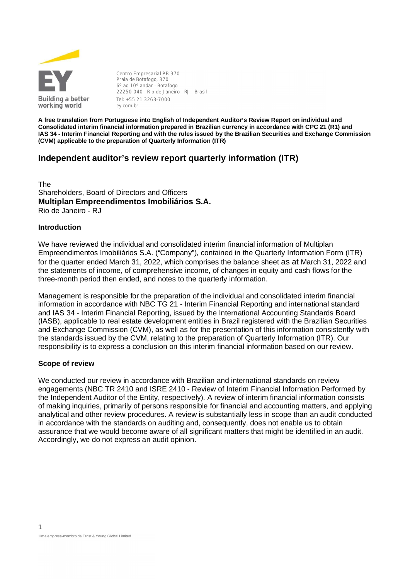

**Centro Empresarial PB 370** Praia de Botafogo, 370 6º ao 10º andar - Botafogo 22250-040 - Rio de Janeiro - RJ - Brasil Tel: +55 21 3263-7000 ey.com.br

**A free translation from Portuguese into English of Independent Auditor's Review Report on individual and Consolidated interim financial information prepared in Brazilian currency in accordance with CPC 21 (R1) and IAS 34 - Interim Financial Reporting and with the rules issued by the Brazilian Securities and Exchange Commission (CVM) applicable to the preparation of Quarterly Information (ITR)**

#### **Independent auditor's review report quarterly information (ITR)**

The Shareholders, Board of Directors and Officers **Multiplan Empreendimentos Imobiliários S.A.** Rio de Janeiro - RJ

#### **Introduction**

We have reviewed the individual and consolidated interim financial information of Multiplan Empreendimentos Imobiliários S.A. ("Company"), contained in the Quarterly Information Form (ITR) for the quarter ended March 31, 2022, which comprises the balance sheet as at March 31, 2022 and the statements of income, of comprehensive income, of changes in equity and cash flows for the three-month period then ended, and notes to the quarterly information.

Management is responsible for the preparation of the individual and consolidated interim financial information in accordance with NBC TG 21 - Interim Financial Reporting and international standard and IAS 34 - Interim Financial Reporting, issued by the International Accounting Standards Board (IASB), applicable to real estate development entities in Brazil registered with the Brazilian Securities and Exchange Commission (CVM), as well as for the presentation of this information consistently with the standards issued by the CVM, relating to the preparation of Quarterly Information (ITR). Our responsibility is to express a conclusion on this interim financial information based on our review.

#### **Scope of review**

We conducted our review in accordance with Brazilian and international standards on review engagements (NBC TR 2410 and ISRE 2410 - Review of Interim Financial Information Performed by the Independent Auditor of the Entity, respectively). A review of interim financial information consists of making inquiries, primarily of persons responsible for financial and accounting matters, and applying analytical and other review procedures. A review is substantially less in scope than an audit conducted in accordance with the standards on auditing and, consequently, does not enable us to obtain assurance that we would become aware of all significant matters that might be identified in an audit. Accordingly, we do not express an audit opinion.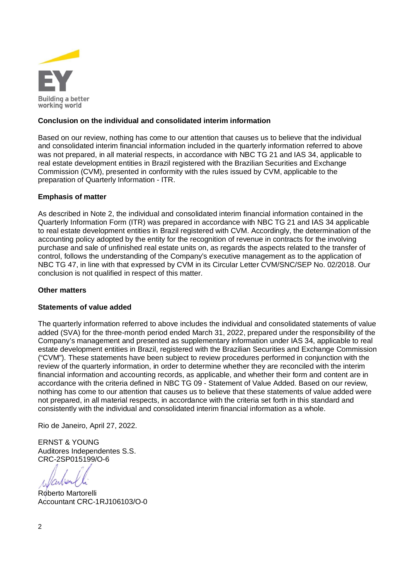

#### **Conclusion on the individual and consolidated interim information**

Based on our review, nothing has come to our attention that causes us to believe that the individual and consolidated interim financial information included in the quarterly information referred to above was not prepared, in all material respects, in accordance with NBC TG 21 and IAS 34, applicable to real estate development entities in Brazil registered with the Brazilian Securities and Exchange Commission (CVM), presented in conformity with the rules issued by CVM, applicable to the preparation of Quarterly Information - ITR.

#### **Emphasis of matter**

As described in Note 2, the individual and consolidated interim financial information contained in the Quarterly Information Form (ITR) was prepared in accordance with NBC TG 21 and IAS 34 applicable to real estate development entities in Brazil registered with CVM. Accordingly, the determination of the accounting policy adopted by the entity for the recognition of revenue in contracts for the involving purchase and sale of unfinished real estate units on, as regards the aspects related to the transfer of control, follows the understanding of the Company's executive management as to the application of NBC TG 47, in line with that expressed by CVM in its Circular Letter CVM/SNC/SEP No. 02/2018. Our conclusion is not qualified in respect of this matter.

#### **Other matters**

#### **Statements of value added**

The quarterly information referred to above includes the individual and consolidated statements of value added (SVA) for the three-month period ended March 31, 2022, prepared under the responsibility of the Company's management and presented as supplementary information under IAS 34, applicable to real estate development entities in Brazil, registered with the Brazilian Securities and Exchange Commission ("CVM"). These statements have been subject to review procedures performed in conjunction with the review of the quarterly information, in order to determine whether they are reconciled with the interim financial information and accounting records, as applicable, and whether their form and content are in accordance with the criteria defined in NBC TG 09 - Statement of Value Added. Based on our review, nothing has come to our attention that causes us to believe that these statements of value added were not prepared, in all material respects, in accordance with the criteria set forth in this standard and consistently with the individual and consolidated interim financial information as a whole.

Rio de Janeiro, April 27, 2022.

ERNST & YOUNG Auditores Independentes S.S. CRC-2SP015199/O-6

Roberto Martorelli Accountant CRC-1RJ106103/O-0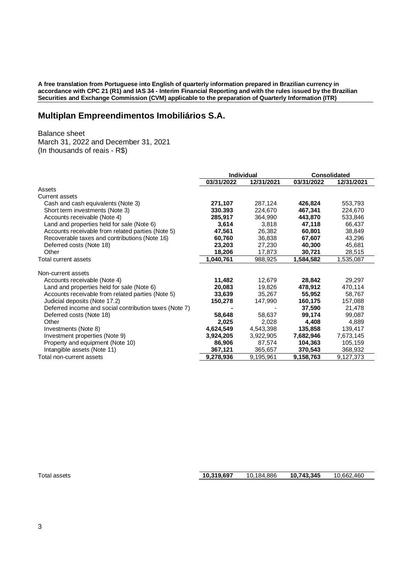**A free translation from Portuguese into English of quarterly information prepared in Brazilian currency in accordance with CPC 21 (R1) and IAS 34 - Interim Financial Reporting and with the rules issued by the Brazilian Securities and Exchange Commission (CVM) applicable to the preparation of Quarterly Information (ITR)**

## **Multiplan Empreendimentos Imobiliários S.A.**

Balance sheet

March 31, 2022 and December 31, 2021 (In thousands of reais - R\$)

|                                                        | <b>Individual</b> |            |            | <b>Consolidated</b> |
|--------------------------------------------------------|-------------------|------------|------------|---------------------|
|                                                        | 03/31/2022        | 12/31/2021 | 03/31/2022 | 12/31/2021          |
| Assets                                                 |                   |            |            |                     |
| Current assets                                         |                   |            |            |                     |
| Cash and cash equivalents (Note 3)                     | 271,107           | 287,124    | 426,824    | 553,793             |
| Short term investments (Note 3)                        | 330.393           | 224,670    | 467,341    | 224,670             |
| Accounts receivable (Note 4)                           | 285,917           | 364,990    | 443,870    | 533,846             |
| Land and properties held for sale (Note 6)             | 3,614             | 3,818      | 47,118     | 66,437              |
| Accounts receivable from related parties (Note 5)      | 47,561            | 26,382     | 60,801     | 38,849              |
| Recoverable taxes and contributions (Note 16)          | 60,760            | 36,838     | 67,607     | 43,296              |
| Deferred costs (Note 18)                               | 23,203            | 27,230     | 40,300     | 45,681              |
| Other                                                  | 18,206            | 17,873     | 30,721     | 28,515              |
| Total current assets                                   | 1,040,761         | 988,925    | 1,584,582  | 1,535,087           |
| Non-current assets                                     |                   |            |            |                     |
| Accounts receivable (Note 4)                           | 11,482            | 12,679     | 28,842     | 29,297              |
| Land and properties held for sale (Note 6)             | 20,083            | 19,826     | 478,912    | 470,114             |
| Accounts receivable from related parties (Note 5)      | 33,639            | 35,267     | 55,952     | 58,767              |
| Judicial deposits (Note 17.2)                          | 150,278           | 147,990    | 160,175    | 157,088             |
| Deferred income and social contribution taxes (Note 7) |                   |            | 37,590     | 21,478              |
| Deferred costs (Note 18)                               | 58,648            | 58,637     | 99,174     | 99,087              |
| Other                                                  | 2,025             | 2,028      | 4,408      | 4,889               |
| Investments (Note 8)                                   | 4,624,549         | 4,543,398  | 135,858    | 139,417             |
| Investment properties (Note 9)                         | 3,924,205         | 3,922,905  | 7,682,946  | 7,673,145           |
| Property and equipment (Note 10)                       | 86,906            | 87,574     | 104,363    | 105,159             |
| Intangible assets (Note 11)                            | 367,121           | 365,657    | 370,543    | 368,932             |
| Total non-current assets                               | 9,278,936         | 9,195,961  | 9,158,763  | 9,127,373           |

Total assets **10,319,697** 10,184,886 **10,743,345** 10,662,460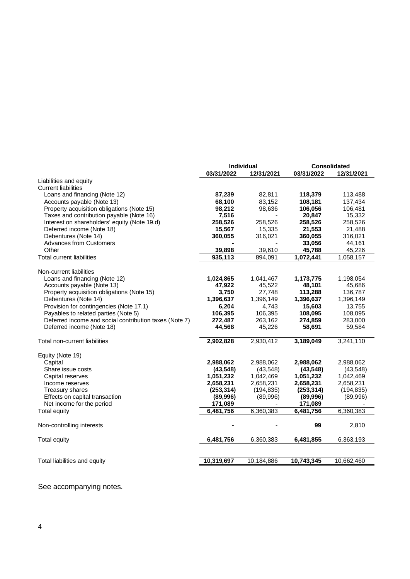|                                                        | Individual |            | <b>Consolidated</b> |            |  |
|--------------------------------------------------------|------------|------------|---------------------|------------|--|
|                                                        | 03/31/2022 | 12/31/2021 | 03/31/2022          | 12/31/2021 |  |
| Liabilities and equity                                 |            |            |                     |            |  |
| <b>Current liabilities</b>                             |            |            |                     |            |  |
| Loans and financing (Note 12)                          | 87,239     | 82,811     | 118,379             | 113,488    |  |
| Accounts payable (Note 13)                             | 68,100     | 83,152     | 108,181             | 137,434    |  |
| Property acquisition obligations (Note 15)             | 98,212     | 98,636     | 106,056             | 106,481    |  |
| Taxes and contribution payable (Note 16)               | 7,516      |            | 20,847              | 15,332     |  |
| Interest on shareholders' equity (Note 19.d)           | 258,526    | 258,526    | 258,526             | 258,526    |  |
| Deferred income (Note 18)                              | 15,567     | 15,335     | 21,553              | 21,488     |  |
| Debentures (Note 14)                                   | 360,055    | 316,021    | 360,055             | 316,021    |  |
| <b>Advances from Customers</b>                         |            |            | 33,056              | 44,161     |  |
| Other                                                  | 39,898     | 39,610     | 45,788              | 45,226     |  |
| <b>Total current liabilities</b>                       | 935,113    | 894,091    | 1,072,441           | 1,058,157  |  |
|                                                        |            |            |                     |            |  |
| Non-current liabilities                                |            |            |                     |            |  |
| Loans and financing (Note 12)                          | 1,024,865  | 1,041,467  | 1,173,775           | 1,198,054  |  |
| Accounts payable (Note 13)                             | 47,922     | 45,522     | 48,101              | 45,686     |  |
| Property acquisition obligations (Note 15)             | 3,750      | 27,748     | 113,288             | 136,787    |  |
| Debentures (Note 14)                                   | 1,396,637  | 1,396,149  | 1,396,637           | 1,396,149  |  |
| Provision for contingencies (Note 17.1)                | 6,204      | 4,743      | 15,603              | 13,755     |  |
| Payables to related parties (Note 5)                   | 106,395    | 106,395    | 108,095             | 108,095    |  |
| Deferred income and social contribution taxes (Note 7) | 272,487    | 263,162    | 274,859             | 283,000    |  |
| Deferred income (Note 18)                              | 44,568     | 45,226     | 58,691              | 59,584     |  |
| Total non-current liabilities                          | 2,902,828  | 2,930,412  | 3,189,049           | 3,241,110  |  |
|                                                        |            |            |                     |            |  |
| Equity (Note 19)                                       |            |            |                     |            |  |
| Capital                                                | 2,988,062  | 2,988,062  | 2,988,062           | 2,988,062  |  |
| Share issue costs                                      | (43, 548)  | (43, 548)  | (43, 548)           | (43, 548)  |  |
| Capital reserves                                       | 1,051,232  | 1,042,469  | 1,051,232           | 1,042,469  |  |
| Income reserves                                        | 2,658,231  | 2,658,231  | 2,658,231           | 2,658,231  |  |
| <b>Treasury shares</b>                                 | (253, 314) | (194, 835) | (253, 314)          | (194, 835) |  |
| Effects on capital transaction                         | (89,996)   | (89,996)   | (89,996)            | (89,996)   |  |
| Net income for the period                              | 171,089    |            | 171,089             |            |  |
| <b>Total equity</b>                                    | 6,481,756  | 6,360,383  | 6,481,756           | 6,360,383  |  |
| Non-controlling interests                              |            |            | 99                  | 2,810      |  |
|                                                        |            |            |                     |            |  |
| <b>Total equity</b>                                    | 6,481,756  | 6,360,383  | 6,481,855           | 6,363,193  |  |
|                                                        |            |            |                     |            |  |
| Total liabilities and equity                           | 10,319,697 | 10,184,886 | 10,743,345          | 10,662,460 |  |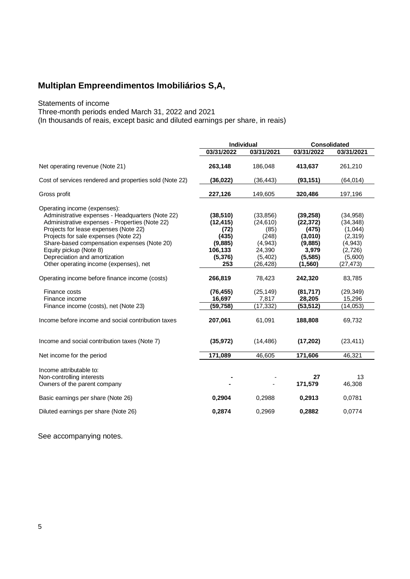Statements of income

Three-month periods ended March 31, 2022 and 2021

(In thousands of reais, except basic and diluted earnings per share, in reais)

|                                                                                                                                                                                                                                                                                                                                                                         | Individual                                                                       |                                                                                       | <b>Consolidated</b>                                                                    |                                                                                             |  |
|-------------------------------------------------------------------------------------------------------------------------------------------------------------------------------------------------------------------------------------------------------------------------------------------------------------------------------------------------------------------------|----------------------------------------------------------------------------------|---------------------------------------------------------------------------------------|----------------------------------------------------------------------------------------|---------------------------------------------------------------------------------------------|--|
|                                                                                                                                                                                                                                                                                                                                                                         | 03/31/2022                                                                       | 03/31/2021                                                                            | 03/31/2022                                                                             | 03/31/2021                                                                                  |  |
| Net operating revenue (Note 21)                                                                                                                                                                                                                                                                                                                                         | 263,148                                                                          | 186,048                                                                               | 413,637                                                                                | 261,210                                                                                     |  |
| Cost of services rendered and properties sold (Note 22)                                                                                                                                                                                                                                                                                                                 | (36,022)                                                                         | (36, 443)                                                                             | (93, 151)                                                                              | (64, 014)                                                                                   |  |
| Gross profit                                                                                                                                                                                                                                                                                                                                                            | 227,126                                                                          | 149,605                                                                               | 320,486                                                                                | 197,196                                                                                     |  |
| Operating income (expenses):<br>Administrative expenses - Headquarters (Note 22)<br>Administrative expenses - Properties (Note 22)<br>Projects for lease expenses (Note 22)<br>Projects for sale expenses (Note 22)<br>Share-based compensation expenses (Note 20)<br>Equity pickup (Note 8)<br>Depreciation and amortization<br>Other operating income (expenses), net | (38, 510)<br>(12, 415)<br>(72)<br>(435)<br>(9,885)<br>106,133<br>(5, 376)<br>253 | (33, 856)<br>(24, 610)<br>(85)<br>(248)<br>(4,943)<br>24,390<br>(5, 402)<br>(26, 428) | (39, 258)<br>(22, 372)<br>(475)<br>(3,010)<br>(9,885)<br>3,979<br>(5, 585)<br>(1, 560) | (34, 958)<br>(34, 348)<br>(1,044)<br>(2,319)<br>(4, 943)<br>(2,726)<br>(5,600)<br>(27, 473) |  |
| Operating income before finance income (costs)                                                                                                                                                                                                                                                                                                                          | 266,819                                                                          | 78,423                                                                                | 242,320                                                                                | 83,785                                                                                      |  |
| Finance costs<br>Finance income<br>Finance income (costs), net (Note 23)                                                                                                                                                                                                                                                                                                | (76, 455)<br>16,697<br>(59,758)                                                  | (25, 149)<br>7,817<br>(17, 332)                                                       | (81,717)<br>28,205<br>(53, 512)                                                        | (29, 349)<br>15,296<br>(14, 053)                                                            |  |
| Income before income and social contribution taxes                                                                                                                                                                                                                                                                                                                      | 207,061                                                                          | 61,091                                                                                | 188,808                                                                                | 69,732                                                                                      |  |
| Income and social contribution taxes (Note 7)                                                                                                                                                                                                                                                                                                                           | (35, 972)                                                                        | (14, 486)                                                                             | (17,202)                                                                               | (23, 411)                                                                                   |  |
| Net income for the period                                                                                                                                                                                                                                                                                                                                               | 171,089                                                                          | 46,605                                                                                | 171,606                                                                                | 46,321                                                                                      |  |
| Income attributable to:<br>Non-controlling interests<br>Owners of the parent company                                                                                                                                                                                                                                                                                    |                                                                                  |                                                                                       | 27<br>171,579                                                                          | 13<br>46,308                                                                                |  |
| Basic earnings per share (Note 26)                                                                                                                                                                                                                                                                                                                                      | 0,2904                                                                           | 0,2988                                                                                | 0,2913                                                                                 | 0,0781                                                                                      |  |
| Diluted earnings per share (Note 26)                                                                                                                                                                                                                                                                                                                                    | 0,2874                                                                           | 0,2969                                                                                | 0,2882                                                                                 | 0,0774                                                                                      |  |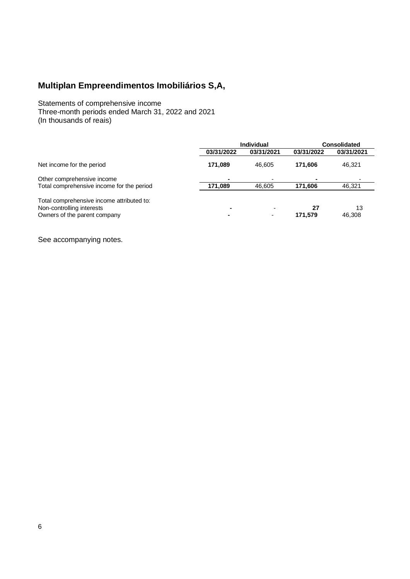Statements of comprehensive income Three-month periods ended March 31, 2022 and 2021 (In thousands of reais)

|                                           |            | Individual | <b>Consolidated</b> |            |  |
|-------------------------------------------|------------|------------|---------------------|------------|--|
|                                           | 03/31/2022 | 03/31/2021 | 03/31/2022          | 03/31/2021 |  |
| Net income for the period                 | 171.089    | 46.605     | 171.606             | 46,321     |  |
| Other comprehensive income                |            |            |                     |            |  |
| Total comprehensive income for the period | 171.089    | 46.605     | 171.606             | 46,321     |  |
| Total comprehensive income attributed to: |            |            |                     |            |  |
| Non-controlling interests                 |            | -          | 27                  | 13         |  |
| Owners of the parent company              |            |            | 171.579             | 46.308     |  |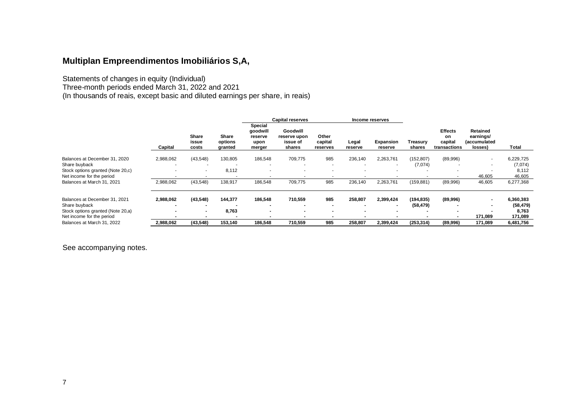Statements of changes in equity (Individual)

Three-month periods ended March 31, 2022 and 2021

(In thousands of reais, except basic and diluted earnings per share, in reais)

|                                   |           |                                |                             |                                                         | <b>Capital reserves</b>                        |                              |                  | Income reserves          |                          |                                                 |                                                  |           |
|-----------------------------------|-----------|--------------------------------|-----------------------------|---------------------------------------------------------|------------------------------------------------|------------------------------|------------------|--------------------------|--------------------------|-------------------------------------------------|--------------------------------------------------|-----------|
|                                   | Capital   | <b>Share</b><br>issue<br>costs | Share<br>options<br>granted | <b>Special</b><br>goodwill<br>reserve<br>upon<br>merger | Goodwill<br>reserve upon<br>issue of<br>shares | Other<br>capital<br>reserves | Legal<br>reserve | Expansion<br>reserve     | Treasury<br>shares       | <b>Effects</b><br>on<br>capital<br>transactions | Retained<br>earnings/<br>(accumulated<br>losses) | Total     |
| Balances at December 31, 2020     | 2,988,062 | (43,548)                       | 130,805                     | 186,548                                                 | 709,775                                        | 985                          | 236,140          | 2,263,761                | (152, 807)               | (89,996)                                        | ٠                                                | 6,229,725 |
| Share buyback                     |           | $\overline{\phantom{a}}$       |                             |                                                         | $\overline{\phantom{a}}$                       | $\overline{\phantom{a}}$     |                  | $\overline{\phantom{a}}$ | (7,074)                  |                                                 | $\sim$                                           | (7,074)   |
| Stock options granted (Note 20,c) |           | $\overline{\phantom{a}}$       | 8,112                       |                                                         | $\overline{\phantom{a}}$                       |                              |                  | $\overline{\phantom{a}}$ | $\overline{\phantom{a}}$ |                                                 | $\overline{\phantom{a}}$                         | 8,112     |
| Net income for the period         |           | $\overline{\phantom{a}}$       |                             |                                                         |                                                |                              |                  |                          |                          |                                                 | 46,605                                           | 46,605    |
| Balances at March 31, 2021        | 2,988,062 | (43,548)                       | 138,917                     | 186,548                                                 | 709,775                                        | 985                          | 236,140          | 2,263,761                | (159, 881)               | (89,996)                                        | 46,605                                           | 6,277,368 |
| Balances at December 31, 2021     | 2,988,062 | (43,548)                       | 144,377                     | 186,548                                                 | 710,559                                        | 985                          | 258,807          | 2,399,424                | (194, 835)               | (89,996)                                        | $\blacksquare$                                   | 6,360,383 |
| Share buyback                     |           |                                |                             |                                                         | $\overline{\phantom{a}}$                       |                              |                  | $\overline{\phantom{a}}$ | (58, 479)                |                                                 | $\blacksquare$                                   | (58, 479) |
| Stock options granted (Note 20,a) |           |                                | 8,763                       |                                                         | $\blacksquare$                                 |                              |                  |                          |                          |                                                 |                                                  | 8,763     |
| Net income for the period         |           |                                |                             |                                                         | $\overline{\phantom{a}}$                       |                              |                  |                          |                          |                                                 | 171,089                                          | 171.089   |
| Balances at March 31, 2022        | 2,988,062 | (43,548)                       | 153,140                     | 186,548                                                 | 710.559                                        | 985                          | 258,807          | 2,399,424                | (253, 314)               | (89,996)                                        | 171,089                                          | 6,481,756 |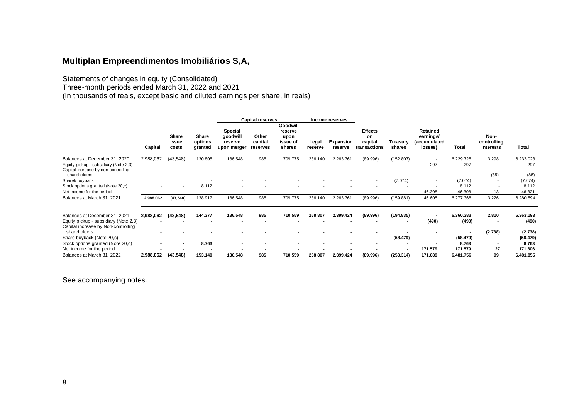Statements of changes in equity (Consolidated)

Three-month periods ended March 31, 2022 and 2021

(In thousands of reais, except basic and diluted earnings per share, in reais)

|                                                                              |           |                          |                             |                                               | <b>Capital reserves</b>      |                                                   |                          | Income reserves             |                                                 |                    |                                                          |                          |                                  |           |
|------------------------------------------------------------------------------|-----------|--------------------------|-----------------------------|-----------------------------------------------|------------------------------|---------------------------------------------------|--------------------------|-----------------------------|-------------------------------------------------|--------------------|----------------------------------------------------------|--------------------------|----------------------------------|-----------|
|                                                                              | Capital   | Share<br>issue<br>costs  | Share<br>options<br>granted | Special<br>goodwill<br>reserve<br>upon merger | Other<br>capital<br>reserves | Goodwill<br>reserve<br>upon<br>issue of<br>shares | Legal<br>reserve         | <b>Expansion</b><br>reserve | <b>Effects</b><br>on<br>capital<br>transactions | Treasury<br>shares | Retained<br>earnings/<br><i>(accumulated)</i><br>losses) | Total                    | Non-<br>controlling<br>interests | Total     |
| Balances at December 31, 2020                                                | 2,988,062 | (43, 548)                | 130.805                     | 186.548                                       | 985                          | 709.775                                           | 236.140                  | 2.263.761                   | (89.996)                                        | (152.807)          |                                                          | 6.229.725                | 3.298                            | 6.233.023 |
| Equity pickup - subsidiary (Note 2,3)<br>Capital increase by non-controlling |           |                          | $\overline{\phantom{a}}$    |                                               |                              |                                                   |                          |                             |                                                 |                    | 297                                                      | 297                      | $\overline{\phantom{a}}$         | 297       |
| shareholders                                                                 |           |                          |                             |                                               |                              |                                                   |                          |                             |                                                 |                    |                                                          |                          | (85)                             | (85)      |
| Sharek buyback                                                               |           |                          |                             | $\overline{\phantom{a}}$                      |                              |                                                   |                          |                             | $\overline{\phantom{a}}$                        | (7.074)            |                                                          | (7.074)                  | $\overline{\phantom{a}}$         | (7.074)   |
| Stock options granted (Note 20,c)                                            |           | $\overline{\phantom{a}}$ | 8.112                       | $\overline{\phantom{a}}$                      |                              | $\blacksquare$                                    |                          |                             | $\overline{\phantom{a}}$                        |                    |                                                          | 8.112                    | $\overline{\phantom{a}}$         | 8.112     |
| Net income for the period                                                    |           |                          |                             |                                               |                              |                                                   |                          |                             |                                                 |                    | 46.308                                                   | 46.308                   | 13                               | 46.321    |
| Balances at March 31, 2021                                                   | 2,988,062 | (43, 548)                | 138.917                     | 186.548                                       | 985                          | 709.775                                           | 236.140                  | 2.263.761                   | (89.996)                                        | (159.881)          | 46.605                                                   | 6.277.368                | 3.226                            | 6.280.594 |
| Balances at December 31, 2021                                                | 2,988,062 | (43,548)                 | 144.377                     | 186.548                                       | 985                          | 710.559                                           | 258.807                  | 2.399.424                   | (89.996)                                        | (194.835)          |                                                          | 6.360.383                | 2.810                            | 6.363.193 |
| Equity pickup - subsidiary (Note 2,3)<br>Capital increase by Non-controlling |           |                          | $\overline{\phantom{a}}$    |                                               |                              |                                                   |                          |                             |                                                 | $\blacksquare$     | (490)                                                    | (490)                    | ٠                                | (490)     |
| shareholders                                                                 |           |                          | $\blacksquare$              | $\blacksquare$                                |                              |                                                   |                          | ۰                           | $\blacksquare$                                  |                    |                                                          | $\overline{\phantom{a}}$ | (2.738)                          | (2.738)   |
| Share buyback (Note 20,c)                                                    |           |                          |                             | $\blacksquare$                                |                              | $\overline{\phantom{a}}$                          | $\overline{\phantom{a}}$ | $\blacksquare$              | ٠                                               | (58.479)           |                                                          | (58.479)                 | ٠                                | (58.479)  |
| Stock options granted (Note 20,c)                                            |           |                          | 8.763                       | $\blacksquare$                                |                              | $\,$                                              |                          |                             | $\overline{\phantom{a}}$                        |                    |                                                          | 8.763                    | $\overline{\phantom{a}}$         | 8.763     |
| Net income for the period                                                    |           |                          | $\blacksquare$              | $\blacksquare$                                |                              | ۰.                                                |                          | ۰                           | $\overline{\phantom{a}}$                        | $\blacksquare$     | 171.579                                                  | 171.579                  | 27                               | 171.606   |
| Balances at March 31, 2022                                                   | 2,988,062 | (43, 548)                | 153.140                     | 186.548                                       | 985                          | 710.559                                           | 258.807                  | 2.399.424                   | (89.996)                                        | (253.314)          | 171.089                                                  | 6.481.756                | 99                               | 6.481.855 |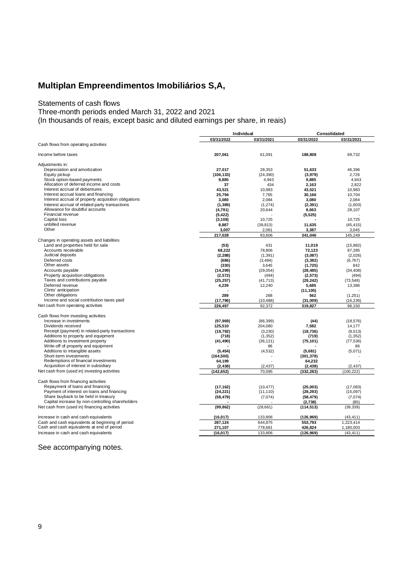#### Statements of cash flows

Three-month periods ended March 31, 2022 and 2021

(In thousands of reais, except basic and diluted earnings per share, in reais)

|                                                      |            | Individual |            | Consolidated |
|------------------------------------------------------|------------|------------|------------|--------------|
|                                                      | 03/31/2022 | 03/31/2021 | 03/31/2022 | 03/31/2021   |
| Cash flows from operating activities                 |            |            |            |              |
|                                                      |            |            |            |              |
| Income before taxes                                  | 207,061    | 61,091     | 188,808    | 69,732       |
| Adjustments in:                                      |            |            |            |              |
| Depreciation and amortization                        | 27.017     | 28.353     | 51,633     | 46.396       |
| Equity pickup                                        | (106, 133) | (24, 390)  | (3,979)    | 2,726        |
| Stock option-based payments                          | 9,885      | 4,943      | 9,885      | 4,943        |
| Allocation of deferred income and costs              | 37         | 434        | 2,163      | 2,822        |
| Interest accrual of debentures                       | 43.521     | 10.983     | 43.521     | 10.983       |
|                                                      |            |            |            |              |
| Interest accrual loans and financing                 | 25,794     | 7,765      | 30,166     | 10.704       |
| Interest accrual of property acquisition obligations | 3,080      | 2,084      | 3,080      | 2,084        |
| Interest accrual of related-party transactions       | (1, 389)   | (1, 274)   | (2, 391)   | (1,603)      |
| Allowance for doubtful accounts                      | (4,791)    | 20,644     | 8,663      | 28,107       |
| Financial revenue                                    | (5, 422)   |            | (5, 525)   |              |
| Capital loss                                         | (3, 108)   | 10,725     |            | 10,725       |
| unbilled revenue                                     | 8,887      | (39, 813)  | 11,635     | (45, 415)    |
| Other                                                | 3,007      | 2,061      | 3,387      | 3,045        |
|                                                      | 217,028    | 83,606     | 341,046    | 145,249      |
| Changes in operating assets and liabilities          |            |            |            |              |
| Land and properties held for sale                    | (53)       | 431        | 11.019     | (15, 882)    |
| Accounts receivable                                  | 68,222     | 78,806     | 72,123     | 87,285       |
| Judicial deposits                                    | (2, 288)   | (1, 391)   | (3,087)    | (2,026)      |
| Deferred costs                                       | (686)      | (3, 484)   | (3, 382)   | (6, 767)     |
| Other assets                                         | (330)      | 3,645      | (1,725)    | 842          |
| Accounts payable                                     | (14, 299)  | (29, 054)  | (28, 485)  | (34, 408)    |
| Property acquisition obligations                     | (2,572)    | (494)      | (2, 573)   | (494)        |
| Taxes and contributions payable                      | (25, 257)  | (41, 713)  | (29, 242)  | (73, 548)    |
| Deferred revenue                                     | 4,239      | 12,240     | 5,685      | 13,386       |
| Clints' anticipation                                 |            |            | (11, 105)  |              |
| Other obligations                                    | 289        | 268        | 562        |              |
| Income and social contribution taxes paid            |            |            |            | (1,251)      |
|                                                      | (17, 796)  | (10, 488)  | (31,009)   | (16, 236)    |
| Net cash from operating activities                   | 226.497    | 92,372     | 319,827    | 96,150       |
| Cash flows from investing activities                 |            |            |            |              |
| Increase in investments                              | (97, 969)  | (86, 399)  | (44)       | (18, 576)    |
| Dividends received                                   | 125,510    | 204,080    | 7.582      | 14,177       |
| Receipt (payment) in related-party transactions      | (19, 792)  | (3, 230)   | (18, 736)  | (9, 513)     |
| Additions to property and equipment                  | (718)      | (1, 352)   | (719)      | (1, 352)     |
| Additions to investment property                     | (41, 490)  | (36, 121)  | (75, 101)  | (77, 536)    |
| Write-off of property and equipment                  |            | 86         |            | 86           |
| Additions to intangible assets                       | (5, 454)   | (4, 532)   | (5,681)    | (5,071)      |
| Short-term investments                               | (164, 500) |            | (301, 378) |              |
| Redemptions of financial investments                 | 64,199     |            | 64,232     |              |
| Acquisition of interest in subsidiary                | (2, 438)   | (2, 437)   | (2, 438)   | (2, 437)     |
| Net cash from (used in) investing activities         | (142, 652) | 70,095     | (332, 283) | (100, 222)   |
|                                                      |            |            |            |              |
| Cash flows from financing activities                 |            |            |            |              |
| Repayment of loans and financing                     | (17, 162)  | (10, 477)  | (25,003)   | (17,083)     |
| Payment of interest on loans and financing           | (24, 221)  | (11, 110)  | (28, 293)  | (15,097)     |
| Share buyback to be held in treasury                 | (58, 479)  | (7,074)    | (58, 479)  | (7,074)      |
| Capital increase by non-controlling shareholders     |            |            | (2,738)    | (85)         |
| Net cash from (used in) financing activities         | (99, 862)  | (28, 661)  | (114, 513) | (39, 339)    |
|                                                      |            |            |            |              |
| Increase in cash and cash equivalents                | (16, 017)  | 133,806    | (126, 969) | (43, 411)    |
| Cash and cash equivalents at beginning of period     | 287,124    | 644,875    | 553,793    | 1,223,414    |
| Cash and cash equivalents at end of period           | 271,107    | 778,681    | 426,824    | 1,180,003    |
| Increase in cash and cash equivalents                | (16, 017)  | 133,806    | (126, 969) | (43, 411)    |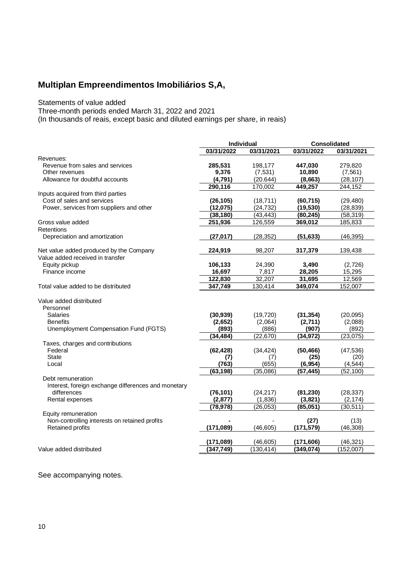Statements of value added

Three-month periods ended March 31, 2022 and 2021

(In thousands of reais, except basic and diluted earnings per share, in reais)

| 03/31/2022<br>03/31/2021<br>03/31/2022<br>03/31/2021<br>Revenue from sales and services<br>285,531<br>198,177<br>447,030<br>279,820<br>9,376<br>(7, 531)<br>10,890<br>Other revenues<br>(7, 561)<br>(4,791)<br>(20.644)<br>(8,663)<br>(28, 107)<br>Allowance for doubtful accounts<br>290,116<br>170,002<br>449,257<br>244,152<br>Cost of sales and services<br>(26, 105)<br>(18, 711)<br>(60, 715)<br>(29, 480)<br>Power, services from suppliers and other<br>(12,075)<br>(24, 732)<br>(19, 530)<br>(28, 839)<br>(80, 245)<br>(38, 180)<br>(43, 443)<br>(58, 319)<br>251,936<br>126,559<br>369,012<br>185,833<br>Depreciation and amortization<br>(27, 017)<br>(28, 352)<br>(51, 633)<br>(46, 395)<br>Net value added produced by the Company<br>224,919<br>98.207<br>317,379<br>139,438<br>Equity pickup<br>24,390<br>106,133<br>3,490<br>(2,726)<br>16,697<br>28,205<br>15,295<br>Finance income<br>7,817<br>12,569<br>122,830<br>32,207<br>31,695<br>347,749<br>349,074<br>130,414<br>152,007<br>Personnel<br><b>Salaries</b><br>(30, 939)<br>(19, 720)<br>(31, 354)<br>(20,095)<br><b>Benefits</b><br>(2,711)<br>(2,088)<br>(2,652)<br>(2,064)<br>Unemployment Compensation Fund (FGTS)<br>(886)<br>(892)<br>(893)<br>(907)<br>(22, 670)<br>(23, 075)<br>(34, 484)<br>(34, 972)<br>Taxes, charges and contributions<br>Federal<br>(62, 428)<br>(34, 424)<br>(50, 466)<br>(47, 536)<br><b>State</b><br>(25)<br>(20)<br>(7)<br>(7)<br>(763)<br>(655)<br>Local<br>(6, 954)<br>(4, 544)<br>(63, 198)<br>(35,086)<br>(57, 445)<br>(52, 100)<br>Debt remuneration<br>Interest, foreign exchange differences and monetary<br>differences<br>(76, 101)<br>(81, 230)<br>(28, 337)<br>(24, 217)<br>Rental expenses<br>(2, 877)<br>(1,836)<br>(3,821)<br>(2, 174)<br>(30, 511)<br>(78, 978)<br>(26, 053)<br>(85,051)<br>Equity remuneration<br>Non-controlling interests on retained profits<br>(13)<br>(27)<br><b>Retained profits</b><br>(171, 089)<br>(46.605)<br>(171, 579)<br>(46, 308)<br>(46, 321)<br>(171, 089)<br>(46, 605)<br>(171, 606)<br>Value added distributed<br>(347,749)<br>(130, 414)<br>(349, 074)<br>(152,007) |                                     | <b>Individual</b> |  | <b>Consolidated</b> |
|--------------------------------------------------------------------------------------------------------------------------------------------------------------------------------------------------------------------------------------------------------------------------------------------------------------------------------------------------------------------------------------------------------------------------------------------------------------------------------------------------------------------------------------------------------------------------------------------------------------------------------------------------------------------------------------------------------------------------------------------------------------------------------------------------------------------------------------------------------------------------------------------------------------------------------------------------------------------------------------------------------------------------------------------------------------------------------------------------------------------------------------------------------------------------------------------------------------------------------------------------------------------------------------------------------------------------------------------------------------------------------------------------------------------------------------------------------------------------------------------------------------------------------------------------------------------------------------------------------------------------------------------------------------------------------------------------------------------------------------------------------------------------------------------------------------------------------------------------------------------------------------------------------------------------------------------------------------------------------------------------------------------------------------------------------------------------------------------------------------------------------|-------------------------------------|-------------------|--|---------------------|
|                                                                                                                                                                                                                                                                                                                                                                                                                                                                                                                                                                                                                                                                                                                                                                                                                                                                                                                                                                                                                                                                                                                                                                                                                                                                                                                                                                                                                                                                                                                                                                                                                                                                                                                                                                                                                                                                                                                                                                                                                                                                                                                                |                                     |                   |  |                     |
|                                                                                                                                                                                                                                                                                                                                                                                                                                                                                                                                                                                                                                                                                                                                                                                                                                                                                                                                                                                                                                                                                                                                                                                                                                                                                                                                                                                                                                                                                                                                                                                                                                                                                                                                                                                                                                                                                                                                                                                                                                                                                                                                | Revenues:                           |                   |  |                     |
|                                                                                                                                                                                                                                                                                                                                                                                                                                                                                                                                                                                                                                                                                                                                                                                                                                                                                                                                                                                                                                                                                                                                                                                                                                                                                                                                                                                                                                                                                                                                                                                                                                                                                                                                                                                                                                                                                                                                                                                                                                                                                                                                |                                     |                   |  |                     |
|                                                                                                                                                                                                                                                                                                                                                                                                                                                                                                                                                                                                                                                                                                                                                                                                                                                                                                                                                                                                                                                                                                                                                                                                                                                                                                                                                                                                                                                                                                                                                                                                                                                                                                                                                                                                                                                                                                                                                                                                                                                                                                                                |                                     |                   |  |                     |
|                                                                                                                                                                                                                                                                                                                                                                                                                                                                                                                                                                                                                                                                                                                                                                                                                                                                                                                                                                                                                                                                                                                                                                                                                                                                                                                                                                                                                                                                                                                                                                                                                                                                                                                                                                                                                                                                                                                                                                                                                                                                                                                                |                                     |                   |  |                     |
|                                                                                                                                                                                                                                                                                                                                                                                                                                                                                                                                                                                                                                                                                                                                                                                                                                                                                                                                                                                                                                                                                                                                                                                                                                                                                                                                                                                                                                                                                                                                                                                                                                                                                                                                                                                                                                                                                                                                                                                                                                                                                                                                |                                     |                   |  |                     |
|                                                                                                                                                                                                                                                                                                                                                                                                                                                                                                                                                                                                                                                                                                                                                                                                                                                                                                                                                                                                                                                                                                                                                                                                                                                                                                                                                                                                                                                                                                                                                                                                                                                                                                                                                                                                                                                                                                                                                                                                                                                                                                                                | Inputs acquired from third parties  |                   |  |                     |
|                                                                                                                                                                                                                                                                                                                                                                                                                                                                                                                                                                                                                                                                                                                                                                                                                                                                                                                                                                                                                                                                                                                                                                                                                                                                                                                                                                                                                                                                                                                                                                                                                                                                                                                                                                                                                                                                                                                                                                                                                                                                                                                                |                                     |                   |  |                     |
|                                                                                                                                                                                                                                                                                                                                                                                                                                                                                                                                                                                                                                                                                                                                                                                                                                                                                                                                                                                                                                                                                                                                                                                                                                                                                                                                                                                                                                                                                                                                                                                                                                                                                                                                                                                                                                                                                                                                                                                                                                                                                                                                |                                     |                   |  |                     |
|                                                                                                                                                                                                                                                                                                                                                                                                                                                                                                                                                                                                                                                                                                                                                                                                                                                                                                                                                                                                                                                                                                                                                                                                                                                                                                                                                                                                                                                                                                                                                                                                                                                                                                                                                                                                                                                                                                                                                                                                                                                                                                                                |                                     |                   |  |                     |
|                                                                                                                                                                                                                                                                                                                                                                                                                                                                                                                                                                                                                                                                                                                                                                                                                                                                                                                                                                                                                                                                                                                                                                                                                                                                                                                                                                                                                                                                                                                                                                                                                                                                                                                                                                                                                                                                                                                                                                                                                                                                                                                                | Gross value added                   |                   |  |                     |
|                                                                                                                                                                                                                                                                                                                                                                                                                                                                                                                                                                                                                                                                                                                                                                                                                                                                                                                                                                                                                                                                                                                                                                                                                                                                                                                                                                                                                                                                                                                                                                                                                                                                                                                                                                                                                                                                                                                                                                                                                                                                                                                                | <b>Retentions</b>                   |                   |  |                     |
|                                                                                                                                                                                                                                                                                                                                                                                                                                                                                                                                                                                                                                                                                                                                                                                                                                                                                                                                                                                                                                                                                                                                                                                                                                                                                                                                                                                                                                                                                                                                                                                                                                                                                                                                                                                                                                                                                                                                                                                                                                                                                                                                |                                     |                   |  |                     |
|                                                                                                                                                                                                                                                                                                                                                                                                                                                                                                                                                                                                                                                                                                                                                                                                                                                                                                                                                                                                                                                                                                                                                                                                                                                                                                                                                                                                                                                                                                                                                                                                                                                                                                                                                                                                                                                                                                                                                                                                                                                                                                                                |                                     |                   |  |                     |
|                                                                                                                                                                                                                                                                                                                                                                                                                                                                                                                                                                                                                                                                                                                                                                                                                                                                                                                                                                                                                                                                                                                                                                                                                                                                                                                                                                                                                                                                                                                                                                                                                                                                                                                                                                                                                                                                                                                                                                                                                                                                                                                                | Value added received in transfer    |                   |  |                     |
|                                                                                                                                                                                                                                                                                                                                                                                                                                                                                                                                                                                                                                                                                                                                                                                                                                                                                                                                                                                                                                                                                                                                                                                                                                                                                                                                                                                                                                                                                                                                                                                                                                                                                                                                                                                                                                                                                                                                                                                                                                                                                                                                |                                     |                   |  |                     |
|                                                                                                                                                                                                                                                                                                                                                                                                                                                                                                                                                                                                                                                                                                                                                                                                                                                                                                                                                                                                                                                                                                                                                                                                                                                                                                                                                                                                                                                                                                                                                                                                                                                                                                                                                                                                                                                                                                                                                                                                                                                                                                                                |                                     |                   |  |                     |
|                                                                                                                                                                                                                                                                                                                                                                                                                                                                                                                                                                                                                                                                                                                                                                                                                                                                                                                                                                                                                                                                                                                                                                                                                                                                                                                                                                                                                                                                                                                                                                                                                                                                                                                                                                                                                                                                                                                                                                                                                                                                                                                                |                                     |                   |  |                     |
|                                                                                                                                                                                                                                                                                                                                                                                                                                                                                                                                                                                                                                                                                                                                                                                                                                                                                                                                                                                                                                                                                                                                                                                                                                                                                                                                                                                                                                                                                                                                                                                                                                                                                                                                                                                                                                                                                                                                                                                                                                                                                                                                | Total value added to be distributed |                   |  |                     |
|                                                                                                                                                                                                                                                                                                                                                                                                                                                                                                                                                                                                                                                                                                                                                                                                                                                                                                                                                                                                                                                                                                                                                                                                                                                                                                                                                                                                                                                                                                                                                                                                                                                                                                                                                                                                                                                                                                                                                                                                                                                                                                                                | Value added distributed             |                   |  |                     |
|                                                                                                                                                                                                                                                                                                                                                                                                                                                                                                                                                                                                                                                                                                                                                                                                                                                                                                                                                                                                                                                                                                                                                                                                                                                                                                                                                                                                                                                                                                                                                                                                                                                                                                                                                                                                                                                                                                                                                                                                                                                                                                                                |                                     |                   |  |                     |
|                                                                                                                                                                                                                                                                                                                                                                                                                                                                                                                                                                                                                                                                                                                                                                                                                                                                                                                                                                                                                                                                                                                                                                                                                                                                                                                                                                                                                                                                                                                                                                                                                                                                                                                                                                                                                                                                                                                                                                                                                                                                                                                                |                                     |                   |  |                     |
|                                                                                                                                                                                                                                                                                                                                                                                                                                                                                                                                                                                                                                                                                                                                                                                                                                                                                                                                                                                                                                                                                                                                                                                                                                                                                                                                                                                                                                                                                                                                                                                                                                                                                                                                                                                                                                                                                                                                                                                                                                                                                                                                |                                     |                   |  |                     |
|                                                                                                                                                                                                                                                                                                                                                                                                                                                                                                                                                                                                                                                                                                                                                                                                                                                                                                                                                                                                                                                                                                                                                                                                                                                                                                                                                                                                                                                                                                                                                                                                                                                                                                                                                                                                                                                                                                                                                                                                                                                                                                                                |                                     |                   |  |                     |
|                                                                                                                                                                                                                                                                                                                                                                                                                                                                                                                                                                                                                                                                                                                                                                                                                                                                                                                                                                                                                                                                                                                                                                                                                                                                                                                                                                                                                                                                                                                                                                                                                                                                                                                                                                                                                                                                                                                                                                                                                                                                                                                                |                                     |                   |  |                     |
|                                                                                                                                                                                                                                                                                                                                                                                                                                                                                                                                                                                                                                                                                                                                                                                                                                                                                                                                                                                                                                                                                                                                                                                                                                                                                                                                                                                                                                                                                                                                                                                                                                                                                                                                                                                                                                                                                                                                                                                                                                                                                                                                |                                     |                   |  |                     |
|                                                                                                                                                                                                                                                                                                                                                                                                                                                                                                                                                                                                                                                                                                                                                                                                                                                                                                                                                                                                                                                                                                                                                                                                                                                                                                                                                                                                                                                                                                                                                                                                                                                                                                                                                                                                                                                                                                                                                                                                                                                                                                                                |                                     |                   |  |                     |
|                                                                                                                                                                                                                                                                                                                                                                                                                                                                                                                                                                                                                                                                                                                                                                                                                                                                                                                                                                                                                                                                                                                                                                                                                                                                                                                                                                                                                                                                                                                                                                                                                                                                                                                                                                                                                                                                                                                                                                                                                                                                                                                                |                                     |                   |  |                     |
|                                                                                                                                                                                                                                                                                                                                                                                                                                                                                                                                                                                                                                                                                                                                                                                                                                                                                                                                                                                                                                                                                                                                                                                                                                                                                                                                                                                                                                                                                                                                                                                                                                                                                                                                                                                                                                                                                                                                                                                                                                                                                                                                |                                     |                   |  |                     |
|                                                                                                                                                                                                                                                                                                                                                                                                                                                                                                                                                                                                                                                                                                                                                                                                                                                                                                                                                                                                                                                                                                                                                                                                                                                                                                                                                                                                                                                                                                                                                                                                                                                                                                                                                                                                                                                                                                                                                                                                                                                                                                                                |                                     |                   |  |                     |
|                                                                                                                                                                                                                                                                                                                                                                                                                                                                                                                                                                                                                                                                                                                                                                                                                                                                                                                                                                                                                                                                                                                                                                                                                                                                                                                                                                                                                                                                                                                                                                                                                                                                                                                                                                                                                                                                                                                                                                                                                                                                                                                                |                                     |                   |  |                     |
|                                                                                                                                                                                                                                                                                                                                                                                                                                                                                                                                                                                                                                                                                                                                                                                                                                                                                                                                                                                                                                                                                                                                                                                                                                                                                                                                                                                                                                                                                                                                                                                                                                                                                                                                                                                                                                                                                                                                                                                                                                                                                                                                |                                     |                   |  |                     |
|                                                                                                                                                                                                                                                                                                                                                                                                                                                                                                                                                                                                                                                                                                                                                                                                                                                                                                                                                                                                                                                                                                                                                                                                                                                                                                                                                                                                                                                                                                                                                                                                                                                                                                                                                                                                                                                                                                                                                                                                                                                                                                                                |                                     |                   |  |                     |
|                                                                                                                                                                                                                                                                                                                                                                                                                                                                                                                                                                                                                                                                                                                                                                                                                                                                                                                                                                                                                                                                                                                                                                                                                                                                                                                                                                                                                                                                                                                                                                                                                                                                                                                                                                                                                                                                                                                                                                                                                                                                                                                                |                                     |                   |  |                     |
|                                                                                                                                                                                                                                                                                                                                                                                                                                                                                                                                                                                                                                                                                                                                                                                                                                                                                                                                                                                                                                                                                                                                                                                                                                                                                                                                                                                                                                                                                                                                                                                                                                                                                                                                                                                                                                                                                                                                                                                                                                                                                                                                |                                     |                   |  |                     |
|                                                                                                                                                                                                                                                                                                                                                                                                                                                                                                                                                                                                                                                                                                                                                                                                                                                                                                                                                                                                                                                                                                                                                                                                                                                                                                                                                                                                                                                                                                                                                                                                                                                                                                                                                                                                                                                                                                                                                                                                                                                                                                                                |                                     |                   |  |                     |
|                                                                                                                                                                                                                                                                                                                                                                                                                                                                                                                                                                                                                                                                                                                                                                                                                                                                                                                                                                                                                                                                                                                                                                                                                                                                                                                                                                                                                                                                                                                                                                                                                                                                                                                                                                                                                                                                                                                                                                                                                                                                                                                                |                                     |                   |  |                     |
|                                                                                                                                                                                                                                                                                                                                                                                                                                                                                                                                                                                                                                                                                                                                                                                                                                                                                                                                                                                                                                                                                                                                                                                                                                                                                                                                                                                                                                                                                                                                                                                                                                                                                                                                                                                                                                                                                                                                                                                                                                                                                                                                |                                     |                   |  |                     |
|                                                                                                                                                                                                                                                                                                                                                                                                                                                                                                                                                                                                                                                                                                                                                                                                                                                                                                                                                                                                                                                                                                                                                                                                                                                                                                                                                                                                                                                                                                                                                                                                                                                                                                                                                                                                                                                                                                                                                                                                                                                                                                                                |                                     |                   |  |                     |
|                                                                                                                                                                                                                                                                                                                                                                                                                                                                                                                                                                                                                                                                                                                                                                                                                                                                                                                                                                                                                                                                                                                                                                                                                                                                                                                                                                                                                                                                                                                                                                                                                                                                                                                                                                                                                                                                                                                                                                                                                                                                                                                                |                                     |                   |  |                     |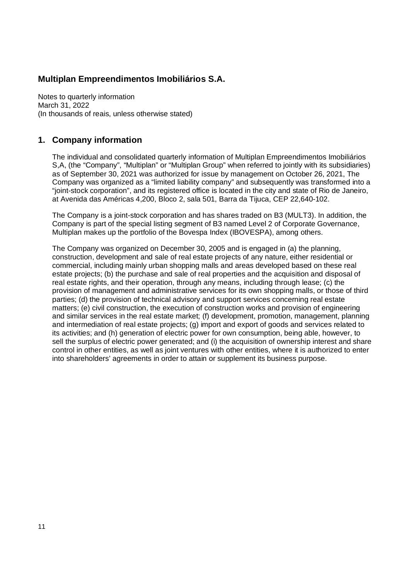Notes to quarterly information March 31, 2022 (In thousands of reais, unless otherwise stated)

#### **1. Company information**

The individual and consolidated quarterly information of Multiplan Empreendimentos Imobiliários S,A, (the "Company", "Multiplan" or "Multiplan Group" when referred to jointly with its subsidiaries) as of September 30, 2021 was authorized for issue by management on October 26, 2021, The Company was organized as a "limited liability company" and subsequently was transformed into a "joint-stock corporation", and its registered office is located in the city and state of Rio de Janeiro, at Avenida das Américas 4,200, Bloco 2, sala 501, Barra da Tijuca, CEP 22,640-102.

The Company is a joint-stock corporation and has shares traded on B3 (MULT3). In addition, the Company is part of the special listing segment of B3 named Level 2 of Corporate Governance, Multiplan makes up the portfolio of the Bovespa Index (IBOVESPA), among others.

The Company was organized on December 30, 2005 and is engaged in (a) the planning, construction, development and sale of real estate projects of any nature, either residential or commercial, including mainly urban shopping malls and areas developed based on these real estate projects; (b) the purchase and sale of real properties and the acquisition and disposal of real estate rights, and their operation, through any means, including through lease; (c) the provision of management and administrative services for its own shopping malls, or those of third parties; (d) the provision of technical advisory and support services concerning real estate matters; (e) civil construction, the execution of construction works and provision of engineering and similar services in the real estate market; (f) development, promotion, management, planning and intermediation of real estate projects; (g) import and export of goods and services related to its activities; and (h) generation of electric power for own consumption, being able, however, to sell the surplus of electric power generated; and (i) the acquisition of ownership interest and share control in other entities, as well as joint ventures with other entities, where it is authorized to enter into shareholders' agreements in order to attain or supplement its business purpose.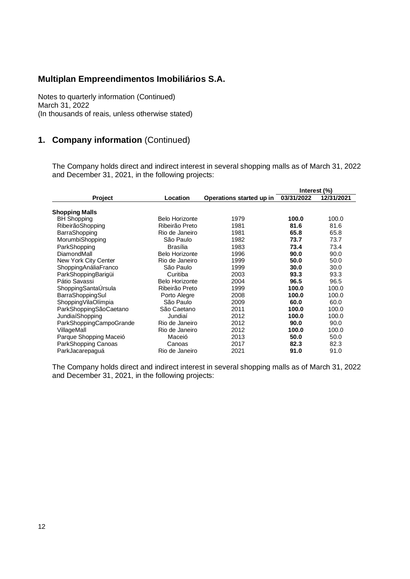Notes to quarterly information (Continued) March 31, 2022 (In thousands of reais, unless otherwise stated)

## **1. Company information** (Continued)

The Company holds direct and indirect interest in several shopping malls as of March 31, 2022 and December 31, 2021, in the following projects:

|                         |                       |                          | Interest (%) |            |
|-------------------------|-----------------------|--------------------------|--------------|------------|
| <b>Project</b>          | Location              | Operations started up in | 03/31/2022   | 12/31/2021 |
| Shopping Malls          |                       |                          |              |            |
| <b>BH Shopping</b>      | <b>Belo Horizonte</b> | 1979                     | 100.0        | 100.0      |
| RibeirãoShopping        | Ribeirão Preto        | 1981                     | 81.6         | 81.6       |
| BarraShopping           | Rio de Janeiro        | 1981                     | 65.8         | 65.8       |
| MorumbiShopping         | São Paulo             | 1982                     | 73.7         | 73.7       |
| ParkShopping            | Brasília              | 1983                     | 73.4         | 73.4       |
| DiamondMall             | <b>Belo Horizonte</b> | 1996                     | 90.0         | 90.0       |
| New York City Center    | Rio de Janeiro        | 1999                     | 50.0         | 50.0       |
| ShoppingAnáliaFranco    | São Paulo             | 1999                     | 30.0         | 30.0       |
| ParkShoppingBarigüi     | Curitiba              | 2003                     | 93.3         | 93.3       |
| Pátio Savassi           | <b>Belo Horizonte</b> | 2004                     | 96.5         | 96.5       |
| ShoppingSantaUrsula     | Ribeirão Preto        | 1999                     | 100.0        | 100.0      |
| BarraShoppingSul        | Porto Alegre          | 2008                     | 100.0        | 100.0      |
| ShoppingVilaOlímpia     | São Paulo             | 2009                     | 60.0         | 60.0       |
| ParkShoppingSãoCaetano  | São Caetano           | 2011                     | 100.0        | 100.0      |
| JundiaíShopping         | Jundiaí               | 2012                     | 100.0        | 100.0      |
| ParkShoppingCampoGrande | Rio de Janeiro        | 2012                     | 90.0         | 90.0       |
| VillageMall             | Rio de Janeiro        | 2012                     | 100.0        | 100.0      |
| Parque Shopping Maceió  | Maceió                | 2013                     | 50.0         | 50.0       |
| ParkShopping Canoas     | Canoas                | 2017                     | 82.3         | 82.3       |
| ParkJacarepaguá         | Rio de Janeiro        | 2021                     | 91.0         | 91.0       |

The Company holds direct and indirect interest in several shopping malls as of March 31, 2022 and December 31, 2021, in the following projects: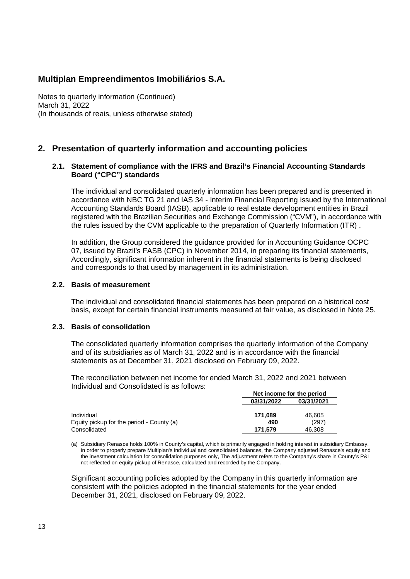Notes to quarterly information (Continued) March 31, 2022 (In thousands of reais, unless otherwise stated)

#### **2. Presentation of quarterly information and accounting policies**

#### **2.1. Statement of compliance with the IFRS and Brazil's Financial Accounting Standards Board ("CPC") standards**

The individual and consolidated quarterly information has been prepared and is presented in accordance with NBC TG 21 and IAS 34 - Interim Financial Reporting issued by the International Accounting Standards Board (IASB), applicable to real estate development entities in Brazil registered with the Brazilian Securities and Exchange Commission ("CVM"), in accordance with the rules issued by the CVM applicable to the preparation of Quarterly Information (ITR) .

In addition, the Group considered the guidance provided for in Accounting Guidance OCPC 07, issued by Brazil's FASB (CPC) in November 2014, in preparing its financial statements, Accordingly, significant information inherent in the financial statements is being disclosed and corresponds to that used by management in its administration.

#### **2.2. Basis of measurement**

The individual and consolidated financial statements has been prepared on a historical cost basis, except for certain financial instruments measured at fair value, as disclosed in Note 25.

#### **2.3. Basis of consolidation**

The consolidated quarterly information comprises the quarterly information of the Company and of its subsidiaries as of March 31, 2022 and is in accordance with the financial statements as at December 31, 2021 disclosed on February 09, 2022.

The reconciliation between net income for ended March 31, 2022 and 2021 between Individual and Consolidated is as follows:

|                                           | Net income for the period |            |
|-------------------------------------------|---------------------------|------------|
|                                           | 03/31/2022                | 03/31/2021 |
| Individual                                | 171.089                   | 46,605     |
| Equity pickup for the period - County (a) | 490                       | (297)      |
| Consolidated                              | 171.579                   | 46.308     |

(a) Subsidiary Renasce holds 100% in County's capital, which is primarily engaged in holding interest in subsidiary Embassy, In order to properly prepare Multiplan's individual and consolidated balances, the Company adjusted Renasce's equity and the investment calculation for consolidation purposes only, The adjustment refers to the Company's share in County's P&L not reflected on equity pickup of Renasce, calculated and recorded by the Company.

Significant accounting policies adopted by the Company in this quarterly information are consistent with the policies adopted in the financial statements for the year ended December 31, 2021, disclosed on February 09, 2022.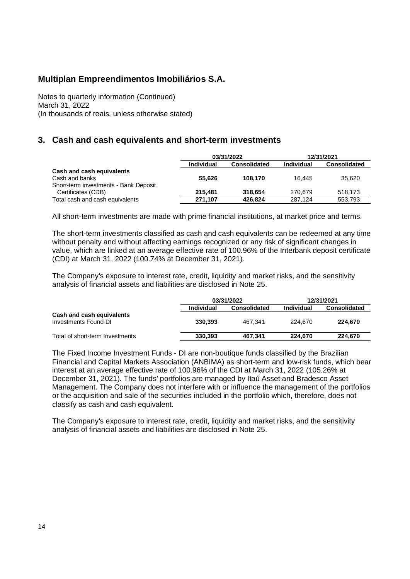Notes to quarterly information (Continued) March 31, 2022 (In thousands of reais, unless otherwise stated)

#### **3. Cash and cash equivalents and short-term investments**

|                                       |            | 03/31/2022          | 12/31/2021        |                     |  |
|---------------------------------------|------------|---------------------|-------------------|---------------------|--|
|                                       | Individual | <b>Consolidated</b> | <b>Individual</b> | <b>Consolidated</b> |  |
| Cash and cash equivalents             |            |                     |                   |                     |  |
| Cash and banks                        | 55.626     | 108.170             | 16.445            | 35.620              |  |
| Short-term investments - Bank Deposit |            |                     |                   |                     |  |
| Certificates (CDB)                    | 215.481    | 318.654             | 270.679           | 518.173             |  |
| Total cash and cash equivalents       | 271.107    | 426,824             | 287.124           | 553,793             |  |

All short-term investments are made with prime financial institutions, at market price and terms.

The short-term investments classified as cash and cash equivalents can be redeemed at any time without penalty and without affecting earnings recognized or any risk of significant changes in value, which are linked at an average effective rate of 100.96% of the Interbank deposit certificate (CDI) at March 31, 2022 (100.74% at December 31, 2021).

The Company's exposure to interest rate, credit, liquidity and market risks, and the sensitivity analysis of financial assets and liabilities are disclosed in Note 25.

|                                                   |                   | 03/31/2022          |            | 12/31/2021          |
|---------------------------------------------------|-------------------|---------------------|------------|---------------------|
|                                                   | <b>Individual</b> | <b>Consolidated</b> | Individual | <b>Consolidated</b> |
| Cash and cash equivalents<br>Investments Found DI | 330.393           | 467.341             | 224.670    | 224.670             |
| Total of short-term Investments                   | 330.393           | 467.341             | 224.670    | 224.670             |

The Fixed Income Investment Funds - DI are non-boutique funds classified by the Brazilian Financial and Capital Markets Association (ANBIMA) as short-term and low-risk funds, which bear interest at an average effective rate of 100.96% of the CDI at March 31, 2022 (105.26% at December 31, 2021). The funds' portfolios are managed by Itaú Asset and Bradesco Asset Management. The Company does not interfere with or influence the management of the portfolios or the acquisition and sale of the securities included in the portfolio which, therefore, does not classify as cash and cash equivalent.

The Company's exposure to interest rate, credit, liquidity and market risks, and the sensitivity analysis of financial assets and liabilities are disclosed in Note 25.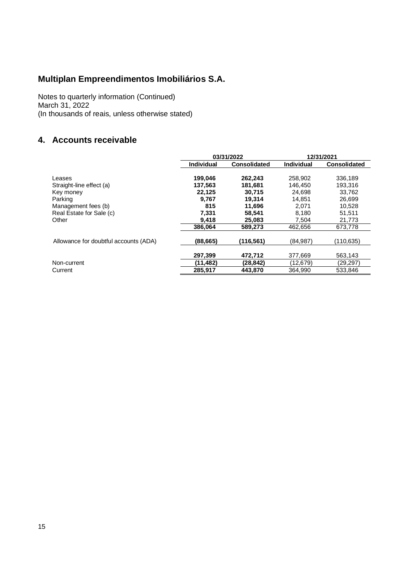Notes to quarterly information (Continued) March 31, 2022 (In thousands of reais, unless otherwise stated)

### **4. Accounts receivable**

|                                       |                   | 03/31/2022          |            | 12/31/2021          |
|---------------------------------------|-------------------|---------------------|------------|---------------------|
|                                       | <b>Individual</b> | <b>Consolidated</b> | Individual | <b>Consolidated</b> |
| Leases                                | 199,046           | 262,243             | 258,902    | 336,189             |
| Straight-line effect (a)              | 137,563           | 181,681             | 146,450    | 193,316             |
| Key money                             | 22,125            | 30,715              | 24,698     | 33,762              |
| Parking                               | 9,767             | 19.314              | 14.851     | 26,699              |
| Management fees (b)                   | 815               | 11.696              | 2.071      | 10.528              |
| Real Estate for Sale (c)              | 7.331             | 58,541              | 8.180      | 51,511              |
| Other                                 | 9.418             | 25,083              | 7.504      | 21,773              |
|                                       | 386.064           | 589.273             | 462,656    | 673,778             |
| Allowance for doubtful accounts (ADA) | (88,665)          | (116,561)           | (84, 987)  | (110,635)           |
|                                       | 297,399           | 472,712             | 377,669    | 563,143             |
| Non-current                           | (11,482)          | (28,842)            | (12,679)   | (29,297)            |
| Current                               | 285,917           | 443,870             | 364.990    | 533,846             |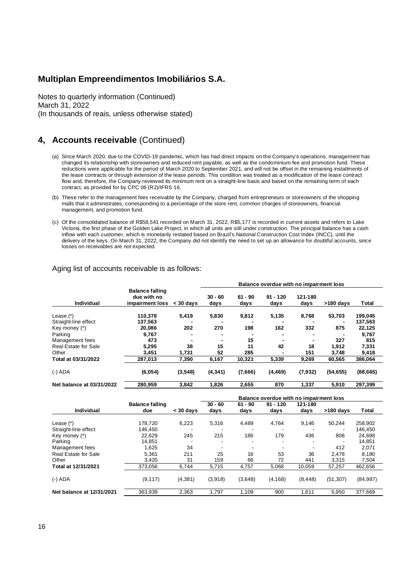Notes to quarterly information (Continued) March 31, 2022 (In thousands of reais, unless otherwise stated)

#### **4, Accounts receivable** (Continued)

- (a) Since March 2020, due to the COVID-19 pandemic, which has had direct impacts on the Company's operations, management has changed its relationship with storeowners and reduced rent payable, as well as the condominium fee and promotion fund. These reductions were applicable for the period of March 2020 to September 2021, and will not be offset in the remaining installments of the lease contracts or through extension of the lease periods. This condition was treated as a modification of the lease contract flow and, therefore, the Company reviewed its minimum rent on a straight-line basis and based on the remaining term of each contract, as provided for by CPC 06 (R2)/IFRS 16.
- (b) These refer to the management fees receivable by the Company, charged from entrepreneurs or storeowners of the shopping malls that it administrates, corresponding to a percentage of the store rent, common charges of storeowners, financial management, and promotion fund.
- (c) Of the consolidated balance of R\$58,541 recorded on March 31, 2022, R\$5,177 is recorded in current assets and refers to Lake Victoria, the first phase of the Golden Lake Project, in which all units are still under construction. The principal balance has a cash inflow with each customer, which is monetarily restated based on Brazil's National Construction Cost Index (INCC), until the delivery of the keys. On March 31, 2022, the Company did not identify the need to set up an allowance for doubtful accounts, since losses on receivables are not expected.

|                           |                                                          |             | Balance overdue with no impairment loss |                   |                    |                 |           |              |  |  |
|---------------------------|----------------------------------------------------------|-------------|-----------------------------------------|-------------------|--------------------|-----------------|-----------|--------------|--|--|
| <b>Individual</b>         | <b>Balance falling</b><br>due with no<br>impairment loss | $<$ 30 davs | $30 - 60$<br>days                       | $61 - 90$<br>days | $91 - 120$<br>days | 121-180<br>days | >180 days | <b>Total</b> |  |  |
| Lease (*)                 | 110,378                                                  | 5,419       | 5,830                                   | 9,812             | 5,135              | 8,768           | 53,703    | 199,045      |  |  |
| Straight-line effect      | 137.563                                                  |             |                                         | -                 |                    |                 |           | 137.563      |  |  |
| Key money (*)             | 20.086                                                   | 202         | 270                                     | 198               | 162                | 332             | 875       | 22,125       |  |  |
| Parking                   | 9.767                                                    |             |                                         |                   |                    |                 |           | 9,767        |  |  |
| Management fees           | 473                                                      |             |                                         | 15                |                    |                 | 327       | 815          |  |  |
| Real Estate for Sale      | 5,295                                                    | 38          | 15                                      | 11                | 42                 | 18              | 1.912     | 7,331        |  |  |
| Other                     | 3.451                                                    | 1.731       | 52                                      | 285               |                    | 151             | 3.748     | 9,418        |  |  |
| Total at 03/31/2022       | 287,013                                                  | 7,390       | 6,167                                   | 10,321            | 5,339              | 9,269           | 60,565    | 386,064      |  |  |
| $(-)$ ADA                 | (6,054)                                                  | (3,548)     | (4, 341)                                | (7,666)           | (4, 469)           | (7.932)         | (54, 655) | (88, 665)    |  |  |
| Net balance at 03/31/2022 | 280,959                                                  | 3.842       | 1,826                                   | 2,655             | 870                | 1.337           | 5,910     | 297.399      |  |  |

#### Aging list of accounts receivable is as follows:

|                             |                        |             | Balance overdue with no impairment loss |           |            |          |           |              |  |
|-----------------------------|------------------------|-------------|-----------------------------------------|-----------|------------|----------|-----------|--------------|--|
|                             | <b>Balance falling</b> |             | $30 - 60$                               | $61 - 90$ | $91 - 120$ | 121-180  |           |              |  |
| <b>Individual</b>           | due                    | $<$ 30 days | days                                    | days      | days       | days     | >180 days | <b>Total</b> |  |
| Lease (*)                   | 178.720                | 6,223       | 5,316                                   | 4.489     | 4,764      | 9,146    | 50.244    | 258,902      |  |
| Straight-line effect        | 146.450                |             |                                         |           |            |          |           | 146,450      |  |
| Key money (*)               | 22.629                 | 245         | 215                                     | 186       | 179        | 436      | 808       | 24,698       |  |
| Parking                     | 14.851                 |             |                                         |           |            |          |           | 14,851       |  |
| Management fees             | 1.625                  | 34          |                                         |           |            |          | 412       | 2,071        |  |
| <b>Real Estate for Sale</b> | 5.361                  | 211         | 25                                      | 16        | 53         | 36       | 2.478     | 8,180        |  |
| Other                       | 3,420                  | 31          | 159                                     | 66        | 72         | 441      | 3,315     | 7,504        |  |
| Total at 12/31/2021         | 373.056                | 6.744       | 5,715                                   | 4.757     | 5,068      | 10.059   | 57,257    | 462,656      |  |
| $(-)$ ADA                   | (9, 117)               | (4, 381)    | (3,918)                                 | (3,648)   | (4, 168)   | (8, 448) | (51, 307) | (84, 987)    |  |
| Net balance at 12/31/2021   | 363,939                | 2,363       | 1,797                                   | 1,109     | 900        | 1,611    | 5,950     | 377,669      |  |
|                             |                        |             |                                         |           |            |          |           |              |  |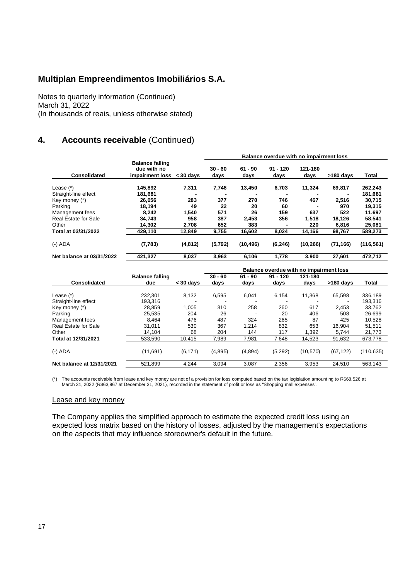Notes to quarterly information (Continued) March 31, 2022 (In thousands of reais, unless otherwise stated)

## **4. Accounts receivable** (Continued)

|                           |                                                          |             | Balance overdue with no impairment loss |                   |                    |                 |             |              |  |
|---------------------------|----------------------------------------------------------|-------------|-----------------------------------------|-------------------|--------------------|-----------------|-------------|--------------|--|
| Consolidated              | <b>Balance falling</b><br>due with no<br>impairment loss | $<$ 30 days | $30 - 60$<br>days                       | $61 - 90$<br>days | $91 - 120$<br>days | 121-180<br>days | $>180$ days | <b>Total</b> |  |
| Lease $(*)$               | 145,892                                                  | 7,311       | 7,746                                   | 13,450            | 6,703              | 11,324          | 69,817      | 262,243      |  |
| Straight-line effect      | 181.681                                                  |             |                                         |                   |                    |                 |             | 181,681      |  |
| Key money (*)             | 26,056                                                   | 283         | 377                                     | 270               | 746                | 467             | 2.516       | 30,715       |  |
| Parking                   | 18,194                                                   | 49          | 22                                      | 20                | 60                 |                 | 970         | 19,315       |  |
| Management fees           | 8,242                                                    | 1,540       | 571                                     | 26                | 159                | 637             | 522         | 11,697       |  |
| Real Estate for Sale      | 34,743                                                   | 958         | 387                                     | 2.453             | 356                | 1,518           | 18,126      | 58,541       |  |
| Other                     | 14.302                                                   | 2.708       | 652                                     | 383               |                    | 220             | 6.816       | 25,081       |  |
| Total at 03/31/2022       | 429.110                                                  | 12.849      | 9,755                                   | 16.602            | 8,024              | 14.166          | 98,767      | 589.273      |  |
| $(-)$ ADA                 | (7,783)                                                  | (4, 812)    | (5,792)                                 | (10, 496)         | (6, 246)           | (10, 266)       | (71, 166)   | (116, 561)   |  |
| Net balance at 03/31/2022 | 421,327                                                  | 8,037       | 3,963                                   | 6,106             | 1.778              | 3,900           | 27.601      | 472.712      |  |

|                           |                        |             | Balance overdue with no impairment loss |           |            |           |             |            |
|---------------------------|------------------------|-------------|-----------------------------------------|-----------|------------|-----------|-------------|------------|
|                           | <b>Balance falling</b> |             | $30 - 60$                               | $61 - 90$ | $91 - 120$ | 121-180   |             |            |
| Consolidated              | due                    | $<$ 30 days | days                                    | days      | days       | days      | $>180$ davs | Total      |
| Lease $(*)$               | 232.301                | 8,132       | 6,595                                   | 6,041     | 6,154      | 11.368    | 65.598      | 336,189    |
| Straight-line effect      | 193.316                |             |                                         |           |            |           |             | 193,316    |
| Key money (*)             | 28.859                 | 1.005       | 310                                     | 258       | 260        | 617       | 2.453       | 33.762     |
| Parking                   | 25.535                 | 204         | 26                                      |           | 20         | 406       | 508         | 26,699     |
| Management fees           | 8.464                  | 476         | 487                                     | 324       | 265        | 87        | 425         | 10.528     |
| Real Estate for Sale      | 31,011                 | 530         | 367                                     | 1,214     | 832        | 653       | 16.904      | 51,511     |
| Other                     | 14.104                 | 68          | 204                                     | 144       | 117        | 1.392     | 5.744       | 21.773     |
| Total at 12/31/2021       | 533.590                | 10.415      | 7.989                                   | 7,981     | 7,648      | 14,523    | 91,632      | 673,778    |
| $(-)$ ADA                 | (11, 691)              | (6, 171)    | (4,895)                                 | (4,894)   | (5,292)    | (10, 570) | (67, 122)   | (110, 635) |
| Net balance at 12/31/2021 | 521,899                | 4.244       | 3.094                                   | 3,087     | 2,356      | 3,953     | 24,510      | 563,143    |

The accounts receivable from lease and key money are net of a provision for loss computed based on the tax legislation amounting to R\$68,526 at (\*)<br>March 31, 2022 (R\$63,967 at December 31, 2021), recorded in the statement

#### Lease and key money

The Company applies the simplified approach to estimate the expected credit loss using an expected loss matrix based on the history of losses, adjusted by the management's expectations on the aspects that may influence storeowner's default in the future.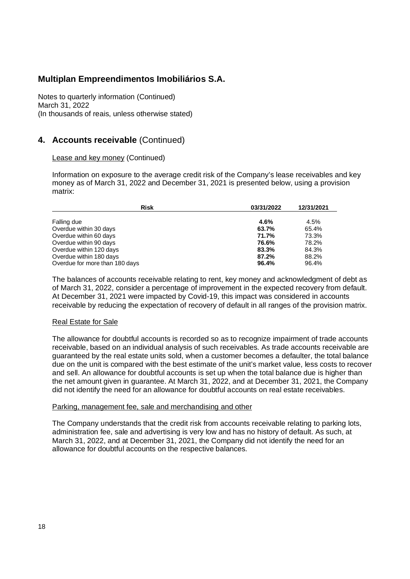Notes to quarterly information (Continued) March 31, 2022 (In thousands of reais, unless otherwise stated)

#### **4. Accounts receivable** (Continued)

#### Lease and key money (Continued)

Information on exposure to the average credit risk of the Company's lease receivables and key money as of March 31, 2022 and December 31, 2021 is presented below, using a provision matrix:

| <b>Risk</b>                    | 03/31/2022 | 12/31/2021 |
|--------------------------------|------------|------------|
| Falling due                    | 4.6%       | 4.5%       |
| Overdue within 30 days         | 63.7%      | 65.4%      |
| Overdue within 60 days         | 71.7%      | 73.3%      |
| Overdue within 90 days         | 76.6%      | 78.2%      |
| Overdue within 120 days        | 83.3%      | 84.3%      |
| Overdue within 180 days        | 87.2%      | 88.2%      |
| Overdue for more than 180 days | 96.4%      | 96.4%      |

The balances of accounts receivable relating to rent, key money and acknowledgment of debt as of March 31, 2022, consider a percentage of improvement in the expected recovery from default. At December 31, 2021 were impacted by Covid-19, this impact was considered in accounts receivable by reducing the expectation of recovery of default in all ranges of the provision matrix.

#### Real Estate for Sale

The allowance for doubtful accounts is recorded so as to recognize impairment of trade accounts receivable, based on an individual analysis of such receivables. As trade accounts receivable are guaranteed by the real estate units sold, when a customer becomes a defaulter, the total balance due on the unit is compared with the best estimate of the unit's market value, less costs to recover and sell. An allowance for doubtful accounts is set up when the total balance due is higher than the net amount given in guarantee. At March 31, 2022, and at December 31, 2021, the Company did not identify the need for an allowance for doubtful accounts on real estate receivables.

#### Parking, management fee, sale and merchandising and other

The Company understands that the credit risk from accounts receivable relating to parking lots, administration fee, sale and advertising is very low and has no history of default. As such, at March 31, 2022, and at December 31, 2021, the Company did not identify the need for an allowance for doubtful accounts on the respective balances.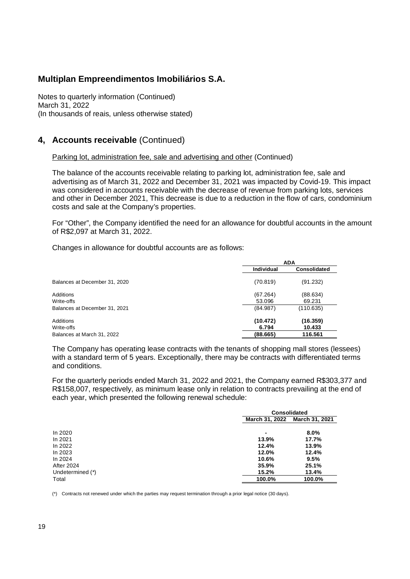Notes to quarterly information (Continued) March 31, 2022 (In thousands of reais, unless otherwise stated)

#### **4, Accounts receivable** (Continued)

#### Parking lot, administration fee, sale and advertising and other (Continued)

The balance of the accounts receivable relating to parking lot, administration fee, sale and advertising as of March 31, 2022 and December 31, 2021 was impacted by Covid-19. This impact was considered in accounts receivable with the decrease of revenue from parking lots, services and other in December 2021, This decrease is due to a reduction in the flow of cars, condominium costs and sale at the Company's properties.

For "Other", the Company identified the need for an allowance for doubtful accounts in the amount of R\$2,097 at March 31, 2022.

Changes in allowance for doubtful accounts are as follows:

|                               | <b>ADA</b>         |                     |  |
|-------------------------------|--------------------|---------------------|--|
|                               | <b>Individual</b>  | <b>Consolidated</b> |  |
| Balances at December 31, 2020 | (70.819)           | (91.232)            |  |
| Additions<br>Write-offs       | (67.264)<br>53.096 | (88.634)<br>69.231  |  |
| Balances at December 31, 2021 | (84.987)           | (110.635)           |  |
| Additions<br>Write-offs       | (10.472)<br>6.794  | (16.359)<br>10.433  |  |
| Balances at March 31, 2022    | (88.665)           | 116.561             |  |

The Company has operating lease contracts with the tenants of shopping mall stores (lessees) with a standard term of 5 years. Exceptionally, there may be contracts with differentiated terms and conditions.

For the quarterly periods ended March 31, 2022 and 2021, the Company earned R\$303,377 and R\$158,007, respectively, as minimum lease only in relation to contracts prevailing at the end of each year, which presented the following renewal schedule:

|                  |                | <b>Consolidated</b> |  |  |  |
|------------------|----------------|---------------------|--|--|--|
|                  | March 31, 2022 | March 31, 2021      |  |  |  |
| In 2020          | -              | 8.0%                |  |  |  |
| In 2021          | 13.9%          | 17.7%               |  |  |  |
| In 2022          | 12.4%          | 13.9%               |  |  |  |
| In 2023          | 12.0%          | 12.4%               |  |  |  |
| In 2024          | 10.6%          | 9.5%                |  |  |  |
| After 2024       | 35.9%          | 25.1%               |  |  |  |
| Undetermined (*) | 15.2%          | 13.4%               |  |  |  |
| Total            | 100.0%         | 100.0%              |  |  |  |

(\*) Contracts not renewed under which the parties may request termination through a prior legal notice (30 days).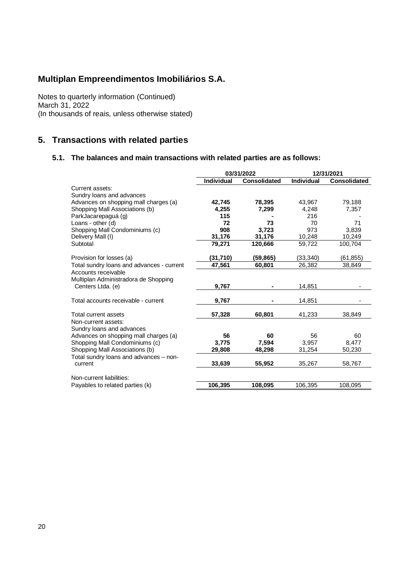Notes to quarterly information (Continued) March 31, 2022 (In thousands of reais, unless otherwise stated)

## **5. Transactions with related parties**

#### **5.1. The balances and main transactions with related parties are as follows:**

| <b>Individual</b><br><b>Individual</b><br><b>Consolidated</b><br><b>Consolidated</b><br>Current assets:<br>Sundry loans and advances<br>Advances on shopping mall charges (a)<br>78,395<br>79,188<br>42,745<br>43,967<br>Shopping Mall Associations (b)<br>4,255<br>4,248<br>7,299<br>7,357<br>216<br>ParkJacarepaguá (g)<br>115<br>Loans - other $(d)$<br>72<br>73<br>70<br>71<br>908<br>3.723<br>3.839<br>Shopping Mall Condominiums (c)<br>973<br>31,176<br>Delivery Mall (I)<br>31,176<br>10,248<br>10,249<br>79,271<br>120.666<br>59,722<br>100.704<br>Subtotal<br>(31, 710)<br>(33,340)<br>Provision for losses (a)<br>(59,865)<br>(61, 855)<br>Total sundry loans and advances - current<br>47,561<br>60,801<br>26,382<br>38,849<br>Accounts receivable<br>Multiplan Administradora de Shopping<br>Centers Ltda. (e)<br>9,767<br>14,851<br>9,767<br>14,851<br>Total accounts receivable - current<br>57,328<br>60,801<br>41,233<br>38,849<br>Total current assets<br>Non-current assets:<br>Sundry loans and advances<br>Advances on shopping mall charges (a)<br>56<br>60<br>56<br>60<br>Shopping Mall Condominiums (c)<br>7,594<br>3,775<br>3,957<br>8,477<br>Shopping Mall Associations (b)<br>29,808<br>48,298<br>31,254<br>50,230<br>Total sundry loans and advances - non-<br>33,639<br>55,952<br>35,267<br>58,767<br>current<br>Non-current liabilities:<br>106,395<br>108,095<br>106,395<br>108,095<br>Payables to related parties (k) | 03/31/2022 |  | 12/31/2021 |  |
|-------------------------------------------------------------------------------------------------------------------------------------------------------------------------------------------------------------------------------------------------------------------------------------------------------------------------------------------------------------------------------------------------------------------------------------------------------------------------------------------------------------------------------------------------------------------------------------------------------------------------------------------------------------------------------------------------------------------------------------------------------------------------------------------------------------------------------------------------------------------------------------------------------------------------------------------------------------------------------------------------------------------------------------------------------------------------------------------------------------------------------------------------------------------------------------------------------------------------------------------------------------------------------------------------------------------------------------------------------------------------------------------------------------------------------------------------------|------------|--|------------|--|
|                                                                                                                                                                                                                                                                                                                                                                                                                                                                                                                                                                                                                                                                                                                                                                                                                                                                                                                                                                                                                                                                                                                                                                                                                                                                                                                                                                                                                                                       |            |  |            |  |
|                                                                                                                                                                                                                                                                                                                                                                                                                                                                                                                                                                                                                                                                                                                                                                                                                                                                                                                                                                                                                                                                                                                                                                                                                                                                                                                                                                                                                                                       |            |  |            |  |
|                                                                                                                                                                                                                                                                                                                                                                                                                                                                                                                                                                                                                                                                                                                                                                                                                                                                                                                                                                                                                                                                                                                                                                                                                                                                                                                                                                                                                                                       |            |  |            |  |
|                                                                                                                                                                                                                                                                                                                                                                                                                                                                                                                                                                                                                                                                                                                                                                                                                                                                                                                                                                                                                                                                                                                                                                                                                                                                                                                                                                                                                                                       |            |  |            |  |
|                                                                                                                                                                                                                                                                                                                                                                                                                                                                                                                                                                                                                                                                                                                                                                                                                                                                                                                                                                                                                                                                                                                                                                                                                                                                                                                                                                                                                                                       |            |  |            |  |
|                                                                                                                                                                                                                                                                                                                                                                                                                                                                                                                                                                                                                                                                                                                                                                                                                                                                                                                                                                                                                                                                                                                                                                                                                                                                                                                                                                                                                                                       |            |  |            |  |
|                                                                                                                                                                                                                                                                                                                                                                                                                                                                                                                                                                                                                                                                                                                                                                                                                                                                                                                                                                                                                                                                                                                                                                                                                                                                                                                                                                                                                                                       |            |  |            |  |
|                                                                                                                                                                                                                                                                                                                                                                                                                                                                                                                                                                                                                                                                                                                                                                                                                                                                                                                                                                                                                                                                                                                                                                                                                                                                                                                                                                                                                                                       |            |  |            |  |
|                                                                                                                                                                                                                                                                                                                                                                                                                                                                                                                                                                                                                                                                                                                                                                                                                                                                                                                                                                                                                                                                                                                                                                                                                                                                                                                                                                                                                                                       |            |  |            |  |
|                                                                                                                                                                                                                                                                                                                                                                                                                                                                                                                                                                                                                                                                                                                                                                                                                                                                                                                                                                                                                                                                                                                                                                                                                                                                                                                                                                                                                                                       |            |  |            |  |
|                                                                                                                                                                                                                                                                                                                                                                                                                                                                                                                                                                                                                                                                                                                                                                                                                                                                                                                                                                                                                                                                                                                                                                                                                                                                                                                                                                                                                                                       |            |  |            |  |
|                                                                                                                                                                                                                                                                                                                                                                                                                                                                                                                                                                                                                                                                                                                                                                                                                                                                                                                                                                                                                                                                                                                                                                                                                                                                                                                                                                                                                                                       |            |  |            |  |
|                                                                                                                                                                                                                                                                                                                                                                                                                                                                                                                                                                                                                                                                                                                                                                                                                                                                                                                                                                                                                                                                                                                                                                                                                                                                                                                                                                                                                                                       |            |  |            |  |
|                                                                                                                                                                                                                                                                                                                                                                                                                                                                                                                                                                                                                                                                                                                                                                                                                                                                                                                                                                                                                                                                                                                                                                                                                                                                                                                                                                                                                                                       |            |  |            |  |
|                                                                                                                                                                                                                                                                                                                                                                                                                                                                                                                                                                                                                                                                                                                                                                                                                                                                                                                                                                                                                                                                                                                                                                                                                                                                                                                                                                                                                                                       |            |  |            |  |
|                                                                                                                                                                                                                                                                                                                                                                                                                                                                                                                                                                                                                                                                                                                                                                                                                                                                                                                                                                                                                                                                                                                                                                                                                                                                                                                                                                                                                                                       |            |  |            |  |
|                                                                                                                                                                                                                                                                                                                                                                                                                                                                                                                                                                                                                                                                                                                                                                                                                                                                                                                                                                                                                                                                                                                                                                                                                                                                                                                                                                                                                                                       |            |  |            |  |
|                                                                                                                                                                                                                                                                                                                                                                                                                                                                                                                                                                                                                                                                                                                                                                                                                                                                                                                                                                                                                                                                                                                                                                                                                                                                                                                                                                                                                                                       |            |  |            |  |
|                                                                                                                                                                                                                                                                                                                                                                                                                                                                                                                                                                                                                                                                                                                                                                                                                                                                                                                                                                                                                                                                                                                                                                                                                                                                                                                                                                                                                                                       |            |  |            |  |
|                                                                                                                                                                                                                                                                                                                                                                                                                                                                                                                                                                                                                                                                                                                                                                                                                                                                                                                                                                                                                                                                                                                                                                                                                                                                                                                                                                                                                                                       |            |  |            |  |
|                                                                                                                                                                                                                                                                                                                                                                                                                                                                                                                                                                                                                                                                                                                                                                                                                                                                                                                                                                                                                                                                                                                                                                                                                                                                                                                                                                                                                                                       |            |  |            |  |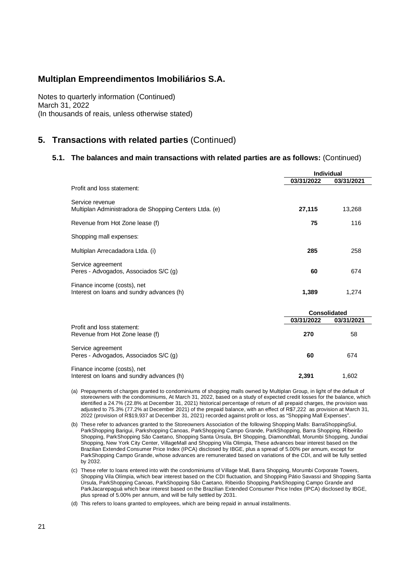Notes to quarterly information (Continued) March 31, 2022 (In thousands of reais, unless otherwise stated)

#### **5. Transactions with related parties** (Continued)

#### **5.1. The balances and main transactions with related parties are as follows:** (Continued)

|        | 03/31/2021 |
|--------|------------|
|        |            |
| 27,115 | 13,268     |
| 75     | 116        |
|        |            |
| 285    | 258        |
| 60     | 674        |
| 1,389  | 1,274      |
|        | 03/31/2022 |

|                                                                          | <b>Consolidated</b> |            |  |  |
|--------------------------------------------------------------------------|---------------------|------------|--|--|
|                                                                          | 03/31/2022          | 03/31/2021 |  |  |
| Profit and loss statement:<br>Revenue from Hot Zone lease (f)            | 270                 | 58         |  |  |
| Service agreement<br>Peres - Advogados, Associados S/C (g)               | 60                  | 674        |  |  |
| Finance income (costs), net<br>Interest on loans and sundry advances (h) | 2.391               | 1.602      |  |  |

(a) Prepayments of charges granted to condominiums of shopping malls owned by Multiplan Group, in light of the default of storeowners with the condominiums, At March 31, 2022, based on a study of expected credit losses for the balance, which identified a 24.7% (22.8% at December 31, 2021) historical percentage of return of all prepaid charges, the provision was adjusted to 75.3% (77.2% at December 2021) of the prepaid balance, with an effect of R\$7,222 as provision at March 31, 2022 (provision of R\$19,937 at December 31, 2021) recorded against profit or loss, as "Shopping Mall Expenses".

(b) These refer to advances granted to the Storeowners Association of the following Shopping Malls: BarraShoppingSul, ParkShopping Barigui, Parkshopping Canoas, ParkShopping Campo Grande, ParkShopping, Barra Shopping, Ribeirão Shopping, ParkShopping São Caetano, Shopping Santa Úrsula, BH Shopping, DiamondMall, Morumbi Shopping, Jundiaí Shopping, New York City Center, VillageMall and Shopping Vila Olimpia, These advances bear interest based on the Brazilian Extended Consumer Price Index (IPCA) disclosed by IBGE, plus a spread of 5.00% per annum, except for ParkShopping Campo Grande, whose advances are remunerated based on variations of the CDI, and will be fully settled by 2032.

(c) These refer to loans entered into with the condominiums of Village Mall, Barra Shopping, Morumbi Corporate Towers, Shopping Vila Olímpia, which bear interest based on the CDI fluctuation, and Shopping Pátio Savassi and Shopping Santa Úrsula, ParkShopping Canoas, ParkShopping São Caetano, Ribeirão Shopping,ParkShopping Campo Grande and ParkJacarepaguá which bear interest based on the Brazilian Extended Consumer Price Index (IPCA) disclosed by IBGE, plus spread of 5.00% per annum, and will be fully settled by 2031.

(d) This refers to loans granted to employees, which are being repaid in annual installments.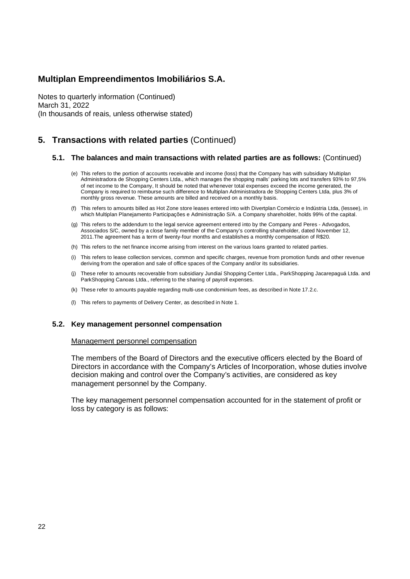Notes to quarterly information (Continued) March 31, 2022 (In thousands of reais, unless otherwise stated)

### **5. Transactions with related parties** (Continued)

#### **5.1. The balances and main transactions with related parties are as follows:** (Continued)

- (e) This refers to the portion of accounts receivable and income (loss) that the Company has with subsidiary Multiplan Administradora de Shopping Centers Ltda., which manages the shopping malls' parking lots and transfers 93% to 97,5% of net income to the Company, It should be noted that whenever total expenses exceed the income generated, the Company is required to reimburse such difference to Multiplan Administradora de Shopping Centers Ltda, plus 3% of monthly gross revenue. These amounts are billed and received on a monthly basis.
- (f) This refers to amounts billed as Hot Zone store leases entered into with Divertplan Comércio e Indústria Ltda, (lessee), in which Multiplan Planejamento Participações e Administração S/A. a Company shareholder, holds 99% of the capital.
- (g) This refers to the addendum to the legal service agreement entered into by the Company and Peres Advogados, Associados S/C, owned by a close family member of the Company's controlling shareholder, dated November 12, 2011.The agreement has a term of twenty-four months and establishes a monthly compensation of R\$20.
- (h) This refers to the net finance income arising from interest on the various loans granted to related parties.
- (i) This refers to lease collection services, common and specific charges, revenue from promotion funds and other revenue deriving from the operation and sale of office spaces of the Company and/or its subsidiaries.
- (j) These refer to amounts recoverable from subsidiary Jundiaí Shopping Center Ltda., ParkShopping Jacarepaguá Ltda. and ParkShopping Canoas Ltda., referring to the sharing of payroll expenses.
- (k) These refer to amounts payable regarding multi-use condominium fees, as described in Note 17.2.c.
- (l) This refers to payments of Delivery Center, as described in Note 1.

#### **5.2. Key management personnel compensation**

#### Management personnel compensation

The members of the Board of Directors and the executive officers elected by the Board of Directors in accordance with the Company's Articles of Incorporation, whose duties involve decision making and control over the Company's activities, are considered as key management personnel by the Company.

The key management personnel compensation accounted for in the statement of profit or loss by category is as follows: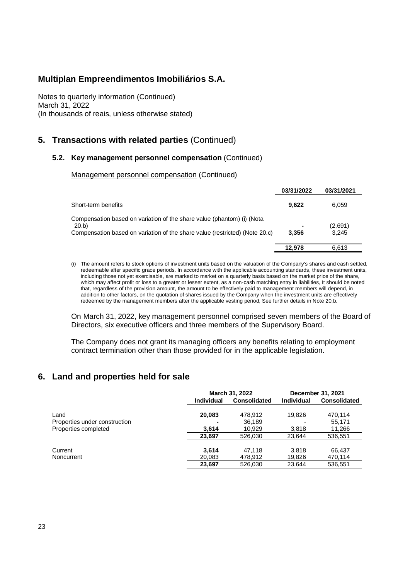Notes to quarterly information (Continued) March 31, 2022 (In thousands of reais, unless otherwise stated)

### **5. Transactions with related parties** (Continued)

#### **5.2. Key management personnel compensation** (Continued)

Management personnel compensation (Continued)

|                                                                             | 03/31/2022 | 03/31/2021 |
|-----------------------------------------------------------------------------|------------|------------|
| Short-term benefits                                                         | 9.622      | 6.059      |
| Compensation based on variation of the share value (phantom) (i) (Nota      |            |            |
| 20.b)                                                                       |            | (2,691)    |
| Compensation based on variation of the share value (restricted) (Note 20.c) | 3.356      | 3.245      |
|                                                                             | 12.978     | 6.613      |

(i) The amount refers to stock options of investment units based on the valuation of the Company's shares and cash settled, redeemable after specific grace periods. In accordance with the applicable accounting standards, these investment units, including those not yet exercisable, are marked to market on a quarterly basis based on the market price of the share, which may affect profit or loss to a greater or lesser extent, as a non-cash matching entry in liabilities, It should be noted that, regardless of the provision amount, the amount to be effectively paid to management members will depend, in addition to other factors, on the quotation of shares issued by the Company when the investment units are effectively redeemed by the management members after the applicable vesting period, See further details in Note 20,b.

On March 31, 2022, key management personnel comprised seven members of the Board of Directors, six executive officers and three members of the Supervisory Board.

The Company does not grant its managing officers any benefits relating to employment contract termination other than those provided for in the applicable legislation.

#### **6. Land and properties held for sale**

|                               |                   | March 31, 2022      | December 31, 2021 |                     |  |
|-------------------------------|-------------------|---------------------|-------------------|---------------------|--|
|                               | <b>Individual</b> | <b>Consolidated</b> | <b>Individual</b> | <b>Consolidated</b> |  |
| Land                          | 20,083            | 478,912             | 19.826            | 470.114             |  |
| Properties under construction |                   | 36,189              |                   | 55.171              |  |
| Properties completed          | 3.614             | 10,929              | 3,818             | 11,266              |  |
|                               | 23,697            | 526,030             | 23.644            | 536,551             |  |
| Current                       | 3.614             | 47.118              | 3.818             | 66.437              |  |
| Noncurrent                    | 20.083            | 478.912             | 19.826            | 470.114             |  |
|                               | 23,697            | 526,030             | 23,644            | 536,551             |  |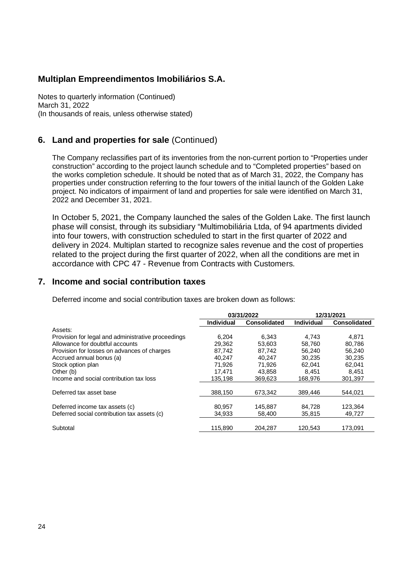Notes to quarterly information (Continued) March 31, 2022 (In thousands of reais, unless otherwise stated)

#### **6. Land and properties for sale** (Continued)

The Company reclassifies part of its inventories from the non-current portion to "Properties under construction" according to the project launch schedule and to "Completed properties" based on the works completion schedule. It should be noted that as of March 31, 2022, the Company has properties under construction referring to the four towers of the initial launch of the Golden Lake project. No indicators of impairment of land and properties for sale were identified on March 31, 2022 and December 31, 2021.

In October 5, 2021, the Company launched the sales of the Golden Lake. The first launch phase will consist, through its subsidiary "Multimobiliária Ltda, of 94 apartments divided into four towers, with construction scheduled to start in the first quarter of 2022 and delivery in 2024. Multiplan started to recognize sales revenue and the cost of properties related to the project during the first quarter of 2022, when all the conditions are met in accordance with CPC 47 - Revenue from Contracts with Customers.

#### **7. Income and social contribution taxes**

Deferred income and social contribution taxes are broken down as follows:

|                                                    |                   | 03/31/2022          |                   | 12/31/2021          |
|----------------------------------------------------|-------------------|---------------------|-------------------|---------------------|
|                                                    | <b>Individual</b> | <b>Consolidated</b> | <b>Individual</b> | <b>Consolidated</b> |
| Assets:                                            |                   |                     |                   |                     |
| Provision for legal and administrative proceedings | 6,204             | 6,343               | 4.743             | 4.871               |
| Allowance for doubtful accounts                    | 29.362            | 53.603              | 58.760            | 80.786              |
| Provision for losses on advances of charges        | 87,742            | 87.742              | 56,240            | 56,240              |
| Accrued annual bonus (a)                           | 40.247            | 40.247              | 30.235            | 30,235              |
| Stock option plan                                  | 71,926            | 71,926              | 62.041            | 62,041              |
| Other (b)                                          | 17.471            | 43.858              | 8.451             | 8.451               |
| Income and social contribution tax loss            | 135,198           | 369.623             | 168,976           | 301,397             |
| Deferred tax asset base                            | 388.150           | 673.342             | 389,446           | 544.021             |
| Deferred income tax assets (c)                     | 80.957            | 145.887             | 84,728            | 123,364             |
| Deferred social contribution tax assets (c)        | 34,933            | 58,400              | 35,815            | 49,727              |
| Subtotal                                           | 115.890           | 204.287             | 120.543           | 173.091             |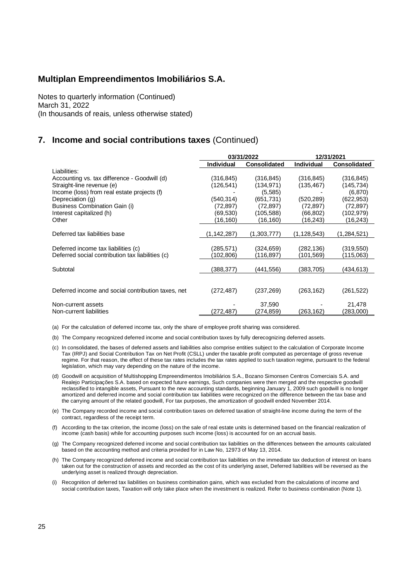Notes to quarterly information (Continued) March 31, 2022 (In thousands of reais, unless otherwise stated)

### **7. Income and social contributions taxes** (Continued)

|                                                    |                   | 03/31/2022          | 12/31/2021        |                     |  |
|----------------------------------------------------|-------------------|---------------------|-------------------|---------------------|--|
|                                                    | <b>Individual</b> | <b>Consolidated</b> | <b>Individual</b> | <b>Consolidated</b> |  |
| Liabilities:                                       |                   |                     |                   |                     |  |
| Accounting vs. tax difference - Goodwill (d)       | (316, 845)        | (316, 845)          | (316, 845)        | (316,845)           |  |
| Straight-line revenue (e)                          | (126, 541)        | (134, 971)          | (135, 467)        | (145, 734)          |  |
| Income (loss) from real estate projects (f)        |                   | (5,585)             |                   | (6, 870)            |  |
| Depreciation (g)                                   | (540, 314)        | (651, 731)          | (520, 289)        | (622, 953)          |  |
| Business Combination Gain (i)                      | (72,897)          | (72, 897)           | (72,897)          | (72, 897)           |  |
| Interest capitalized (h)                           | (69,530)          | (105, 588)          | (66,802)          | (102, 979)          |  |
| Other                                              | (16,160)          | (16,160)            | (16,243)          | (16,243)            |  |
|                                                    |                   |                     |                   |                     |  |
| Deferred tax liabilities base                      | (1,142,287)       | (1,303,777)         | (1,128,543)       | (1,284,521)         |  |
|                                                    |                   |                     |                   |                     |  |
| Deferred income tax liabilities (c)                | (285,571)         | (324,659)           | (282,136)         | (319,550)           |  |
| Deferred social contribution tax liabilities (c)   | (102,806)         | (116,897)           | (101,569)         | (115,063)           |  |
|                                                    |                   |                     |                   |                     |  |
| Subtotal                                           | (388,377)         | (441,556)           | (383, 705)        | (434,613)           |  |
|                                                    |                   |                     |                   |                     |  |
|                                                    |                   |                     |                   |                     |  |
| Deferred income and social contribution taxes, net | (272, 487)        | (237, 269)          | (263, 162)        | (261, 522)          |  |
|                                                    |                   |                     |                   |                     |  |
| Non-current assets                                 |                   | 37,590              |                   | 21,478              |  |
| Non-current liabilities                            | (272,487)         | (274,859)           | (263,162)         | (283,000)           |  |

(a) For the calculation of deferred income tax, only the share of employee profit sharing was considered.

(b) The Company recognized deferred income and social contribution taxes by fully derecognizing deferred assets.

- (c) In consolidated, the bases of deferred assets and liabilities also comprise entities subject to the calculation of Corporate Income Tax (IRPJ) and Social Contribution Tax on Net Profit (CSLL) under the taxable profit computed as percentage of gross revenue regime. For that reason, the effect of these tax rates includes the tax rates applied to such taxation regime, pursuant to the federal legislation, which may vary depending on the nature of the income.
- (d) Goodwill on acquisition of Multishopping Empreendimentos Imobiliários S.A., Bozano Simonsen Centros Comerciais S.A. and Realejo Participações S.A. based on expected future earnings, Such companies were then merged and the respective goodwill reclassified to intangible assets, Pursuant to the new accounting standards, beginning January 1, 2009 such goodwill is no longer amortized and deferred income and social contribution tax liabilities were recognized on the difference between the tax base and the carrying amount of the related goodwill, For tax purposes, the amortization of goodwill ended November 2014.
- (e) The Company recorded income and social contribution taxes on deferred taxation of straight-line income during the term of the contract, regardless of the receipt term.
- (f) According to the tax criterion, the income (loss) on the sale of real estate units is determined based on the financial realization of income (cash basis) while for accounting purposes such income (loss) is accounted for on an accrual basis.
- (g) The Company recognized deferred income and social contribution tax liabilities on the differences between the amounts calculated based on the accounting method and criteria provided for in Law No, 12973 of May 13, 2014.
- (h) The Company recognized deferred income and social contribution tax liabilities on the immediate tax deduction of interest on loans taken out for the construction of assets and recorded as the cost of its underlying asset, Deferred liabilities will be reversed as the underlying asset is realized through depreciation.
- (i) Recognition of deferred tax liabilities on business combination gains, which was excluded from the calculations of income and social contribution taxes, Taxation will only take place when the investment is realized. Refer to business combination (Note 1).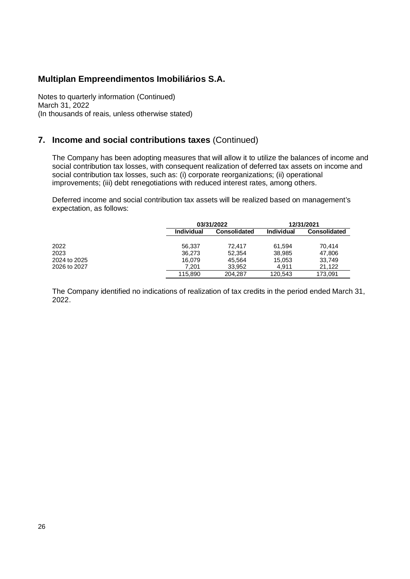Notes to quarterly information (Continued) March 31, 2022 (In thousands of reais, unless otherwise stated)

#### **7. Income and social contributions taxes** (Continued)

The Company has been adopting measures that will allow it to utilize the balances of income and social contribution tax losses, with consequent realization of deferred tax assets on income and social contribution tax losses, such as: (i) corporate reorganizations; (ii) operational improvements; (iii) debt renegotiations with reduced interest rates, among others.

Deferred income and social contribution tax assets will be realized based on management's expectation, as follows:

|              |                   | 03/31/2022          | 12/31/2021 |                     |  |
|--------------|-------------------|---------------------|------------|---------------------|--|
|              | <b>Individual</b> | <b>Consolidated</b> | Individual | <b>Consolidated</b> |  |
|              |                   |                     |            |                     |  |
| 2022         | 56.337            | 72.417              | 61.594     | 70.414              |  |
| 2023         | 36.273            | 52.354              | 38,985     | 47.806              |  |
| 2024 to 2025 | 16.079            | 45.564              | 15,053     | 33.749              |  |
| 2026 to 2027 | 7.201             | 33.952              | 4.911      | 21.122              |  |
|              | 115,890           | 204,287             | 120,543    | 173.091             |  |

The Company identified no indications of realization of tax credits in the period ended March 31, 2022.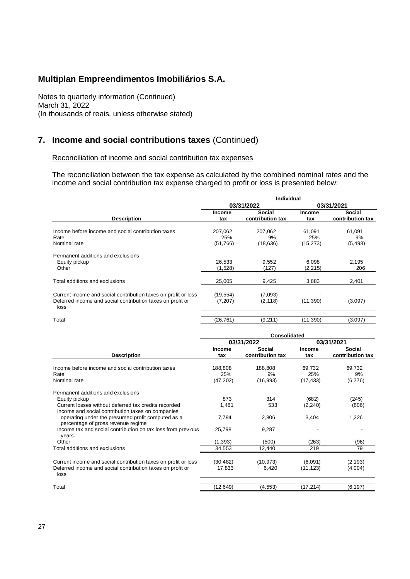Notes to quarterly information (Continued) March 31, 2022 (In thousands of reais, unless otherwise stated)

## **7. Income and social contributions taxes** (Continued)

#### Reconciliation of income and social contribution tax expenses

The reconciliation between the tax expense as calculated by the combined nominal rates and the income and social contribution tax expense charged to profit or loss is presented below:

|                                                                                                                                      |                            | Individual                        |                            |                            |  |
|--------------------------------------------------------------------------------------------------------------------------------------|----------------------------|-----------------------------------|----------------------------|----------------------------|--|
|                                                                                                                                      |                            | 03/31/2022                        |                            | 03/31/2021                 |  |
| <b>Description</b>                                                                                                                   | <b>Income</b><br>tax       | <b>Social</b><br>contribution tax | <b>Income</b><br>tax       | Social<br>contribution tax |  |
| Income before income and social contribution taxes<br>Rate<br>Nominal rate                                                           | 207,062<br>25%<br>(51,766) | 207,062<br>9%<br>(18, 636)        | 61.091<br>25%<br>(15, 273) | 61,091<br>9%<br>(5, 498)   |  |
| Permanent additions and exclusions<br>Equity pickup<br>Other                                                                         | 26,533<br>(1,528)          | 9,552<br>(127)                    | 6,098<br>(2,215)           | 2,195<br>206               |  |
| Total additions and exclusions                                                                                                       | 25,005                     | 9,425                             | 3,883                      | 2,401                      |  |
| Current income and social contribution taxes on profit or loss<br>Deferred income and social contribution taxes on profit or<br>loss | (19, 554)<br>(7, 207)      | (7,093)<br>(2, 118)               | (11, 390)                  | (3,097)                    |  |
| Total                                                                                                                                | (26, 761)                  | (9, 211)                          | (11, 390)                  | (3,097)                    |  |

|                                                                                         | Consolidated  |                  |           |                  |  |  |  |  |
|-----------------------------------------------------------------------------------------|---------------|------------------|-----------|------------------|--|--|--|--|
|                                                                                         |               | 03/31/2022       |           | 03/31/2021       |  |  |  |  |
|                                                                                         | <b>Income</b> | Social           | Income    | Social           |  |  |  |  |
| <b>Description</b>                                                                      | tax           | contribution tax | tax       | contribution tax |  |  |  |  |
| Income before income and social contribution taxes                                      | 188,808       | 188,808          | 69,732    | 69,732           |  |  |  |  |
| Rate                                                                                    | 25%           | 9%               | 25%       | 9%               |  |  |  |  |
| Nominal rate                                                                            | (47, 202)     | (16,993)         | (17, 433) | (6,276)          |  |  |  |  |
| Permanent additions and exclusions                                                      |               |                  |           |                  |  |  |  |  |
| Equity pickup                                                                           | 873           | 314              | (682)     | (245)            |  |  |  |  |
| Current losses without deferred tax credits recorded                                    | 1,481         | 533              | (2, 240)  | (806)            |  |  |  |  |
| Income and social contribution taxes on companies                                       |               |                  |           |                  |  |  |  |  |
| operating under the presumed profit computed as a<br>percentage of gross revenue regime | 7,794         | 2,806            | 3,404     | 1,226            |  |  |  |  |
| Income tax and social contribution on tax loss from previous<br>years.                  | 25,798        | 9,287            |           |                  |  |  |  |  |
| Other                                                                                   | (1, 393)      | (500)            | (263)     | (96)             |  |  |  |  |
| Total additions and exclusions                                                          | 34,553        | 12,440           | 219       | 79               |  |  |  |  |
| Current income and social contribution taxes on profit or loss                          | (30, 482)     | (10, 973)        | (6,091)   | (2, 193)         |  |  |  |  |
| Deferred income and social contribution taxes on profit or<br>loss                      | 17,833        | 6,420            | (11, 123) | (4,004)          |  |  |  |  |
| Total                                                                                   |               |                  |           |                  |  |  |  |  |
|                                                                                         | (12, 649)     | (4, 553)         | (17, 214) | (6, 197)         |  |  |  |  |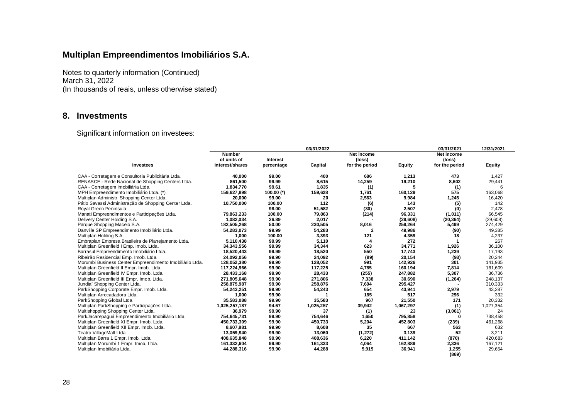Notes to quarterly information (Continued) March 31, 2022 (In thousands of reais, unless otherwise stated)

#### **8. Investments**

Significant information on investees:

|                                                          |                 |                 | 03/31/2022 |                |           | 03/31/2021     | 12/31/2021 |
|----------------------------------------------------------|-----------------|-----------------|------------|----------------|-----------|----------------|------------|
|                                                          | <b>Number</b>   |                 |            | Net income     |           | Net income     |            |
|                                                          | of units of     | <b>Interest</b> |            | (loss)         |           | (loss)         |            |
| Investees                                                | interest/shares | percentage      | Capital    | for the period | Equity    | for the period | Equity     |
| CAA - Corretagem e Consultoria Publicitária Ltda.        | 40.000          | 99.00           | 400        | 686            | 1.213     | 473            | 1,427      |
| RENASCE - Rede Nacional de Shopping Centers Ltda.        | 861.500         | 99.99           | 8.615      | 14,259         | 19,210    | 8,602          | 29,441     |
| CAA - Corretagem Imobiliária Ltda.                       | 1,834,770       | 99.61           | 1,835      | (1)            | 5         | (1)            | 6          |
| MPH Empreendimento Imobiliário Ltda. (*)                 | 159,627,898     | 100.00 $(*)$    | 159,628    | 1,761          | 160,129   | 575            | 163,068    |
| Multiplan Administr. Shopping Center Ltda.               | 20.000          | 99.00           | 20         | 2,563          | 9.984     | 1,245          | 16,420     |
| Pátio Savassi Administração de Shopping Center Ltda.     | 10,750,000      | 100.00          | 112        | (6)            | 143       | (5)            | 142        |
| Royal Green Península                                    |                 | 98.00           | 51,582     | (30)           | 2,507     | (0)            | 2,478      |
| Manati Empreendimentos e Participações Ltda.             | 79,863,233      | 100.00          | 79,863     | (214)          | 96,331    | (1,011)        | 66,545     |
| Delivery Center Holding S.A.                             | 1.082.034       | 26.89           | 2,017      |                | (29, 608) | (20, 364)      | (29,608)   |
| Parque Shopping Maceió S.A.                              | 182,505,268     | 50.00           | 230,505    | 8,016          | 259,264   | 5,499          | 274,429    |
| Danville SP Empreendimento Imobiliário Ltda.             | 54.283.073      | 99.99           | 54,283     | 2              | 49,986    | (90)           | 49,385     |
| Multiplan Holding S.A.                                   | 1,000           | 100.00          | 3,393      | 121            | 4,359     | 18             | 4,237      |
| Embraplan Empresa Brasileira de Planejamento Ltda.       | 5.110.438       | 99.99           | 5.110      |                | 272       |                | 267        |
| Multiplan Greenfield I Emp. Imob. Ltda.                  | 34,343,556      | 99.99           | 34,344     | 623            | 34,771    | 1,926          | 36,100     |
| Barrasul Empreendimento Imobiliário Ltda.                | 18,520,443      | 99.99           | 18,520     | 550            | 17,743    | 1,239          | 17,193     |
| Ribeirão Residencial Emp. Imob. Ltda.                    | 24,092,056      | 99.90           | 24,092     | (89)           | 20,154    | (93)           | 20,244     |
| Morumbi Business Center Empreendimento Imobiliário Ltda. | 128,052,380     | 99.90           | 128,052    | 991            | 142,926   | 301            | 141,935    |
| Multiplan Greenfield II Empr. Imob. Ltda.                | 117.224.966     | 99.90           | 117.225    | 4.785          | 160.194   | 7.814          | 161.609    |
| Multiplan Greenfield IV Empr. Imob. Ltda.                | 28,433,168      | 99.90           | 28,433     | (255)          | 247,882   | 5,307          | 36,736     |
| Multiplan Greenfield III Empr. Imob. Ltda.               | 271,805,648     | 99.90           | 271,806    | 7,338          | 30,690    | (1, 264)       | 248,137    |
| Jundiaí Shopping Center Ltda.                            | 258.875.987     | 99.90           | 258.876    | 7,694          | 295,427   |                | 310,333    |
| ParkShopping Corporate Empr. Imob. Ltda.                 | 54,243,251      | 99.90           | 54,243     | 654            | 43,941    | 2,979          | 43,287     |
| Multiplan Arrecadadora Ltda.                             | 1,000           | 99.90           |            | 185            | 517       | 296            | 332        |
| ParkShopping Global Ltda.                                | 35.583.088      | 99.90           | 35,583     | 967            | 21,550    | 171            | 20,332     |
| Multiplan ParkShopping e Participações Ltda.             | 1,025,257,187   | 94.67           | 1,025,257  | 39,942         | 1,067,297 | (1)            | 1,027,354  |
| Multishopping Shopping Center Ltda.                      | 36,979          | 99.90           | 37         | (1)            | 23        | (3,061)        | 24         |
| ParkJacarepaquá Empreendimento Imobiliário Ltda.         | 754,645,731     | 99.90           | 754,646    | 1.650          | 795,858   | O              | 738,458    |
| Multiplan Greenfield XI Empr. Imob. Ltda.                | 450,733,309     | 99.90           | 450,733    | 5,204          | 452,803   | (239)          | 461,268    |
| Multiplan Greenfield XII Empr. Imob. Ltda.               | 8,607,881       | 99.90           | 8,608      | 35             | 667       | 563            | 632        |
| Teatro VillageMall Ltda.                                 | 13.059.940      | 99.90           | 13,060     | (1, 272)       | 3,139     | 52             | 3,211      |
| Multiplan Barra 1 Empr. Imob. Ltda.                      | 408,635,848     | 99.90           | 408,636    | 6,220          | 411,142   | (870)          | 420,683    |
| Multiplan Morumbi 1 Empr. Imob. Ltda.                    | 161,332,604     | 99.90           | 161,333    | 4,064          | 162,889   | 2,336          | 167,121    |
| Multiplan Imobiliária Ltda.                              | 44,288,316      | 99.90           | 44.288     | 5.919          | 36,941    | 1,255<br>(869) | 29,654     |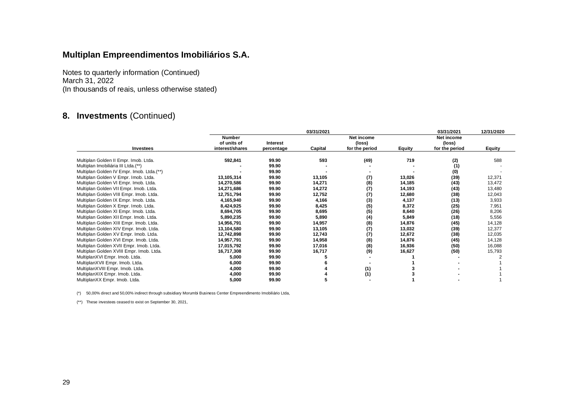Notes to quarterly information (Continued) March 31, 2022 (In thousands of reais, unless otherwise stated)

## **8. Investments** (Continued)

|                                           |                                                 | 03/31/2021      |         |                      |        |                      |               |  |  |
|-------------------------------------------|-------------------------------------------------|-----------------|---------|----------------------|--------|----------------------|---------------|--|--|
| <b>Investees</b>                          | <b>Number</b><br>of units of<br>interest/shares | <b>Interest</b> |         | Net income<br>(loss) |        | Net income<br>(loss) |               |  |  |
|                                           |                                                 | percentage      | Capital | for the period       | Equity | for the period       | <b>Equity</b> |  |  |
| Multiplan Golden II Empr. Imob. Ltda.     | 592,841                                         | 99.90           | 593     | (49)                 | 719    | (2)                  | 588           |  |  |
| Multiplan Imobiliária III Ltda.(**)       |                                                 | 99.90           |         |                      |        | (1)                  |               |  |  |
| Multiplan Golden IV Empr. Imob. Ltda.(**) |                                                 | 99.90           |         |                      |        | (0)                  |               |  |  |
| Multiplan Golden V Empr. Imob. Ltda.      | 13,105,314                                      | 99.90           | 13,105  | (7)                  | 13,026 | (39)                 | 12,371        |  |  |
| Multiplan Golden VI Empr. Imob. Ltda.     | 14,270,586                                      | 99.90           | 14,271  | (8)                  | 14,185 | (43)                 | 13,472        |  |  |
| Multiplan Golden VII Empr. Imob. Ltda.    | 14,271,686                                      | 99.90           | 14,272  | (7)                  | 14,193 | (43)                 | 13,480        |  |  |
| Multiplan Golden VIII Empr. Imob. Ltda.   | 12,751,794                                      | 99.90           | 12,752  | (7)                  | 12,680 | (38)                 | 12,043        |  |  |
| Multiplan Golden IX Empr. Imob. Ltda.     | 4,165,940                                       | 99.90           | 4,166   | (3)                  | 4,137  | (13)                 | 3,933         |  |  |
| Multiplan Golden X Empr. Imob. Ltda.      | 8,424,925                                       | 99.90           | 8,425   | (5)                  | 8,372  | (25)                 | 7,951         |  |  |
| Multiplan Golden XI Empr. Imob. Ltda.     | 8,694,705                                       | 99.90           | 8,695   | (5)                  | 8,640  | (26)                 | 8,206         |  |  |
| Multiplan Golden XII Empr. Imob. Ltda.    | 5,890,235                                       | 99.90           | 5,890   | (4)                  | 5,849  | (18)                 | 5,556         |  |  |
| Multiplan Golden XIII Empr. Imob. Ltda.   | 14,956,791                                      | 99.90           | 14,957  | (8)                  | 14,876 | (45)                 | 14,128        |  |  |
| Multiplan Golden XIV Empr. Imob. Ltda.    | 13,104,580                                      | 99.90           | 13,105  | (7)                  | 13,032 | (39)                 | 12,377        |  |  |
| Multiplan Golden XV Empr. Imob. Ltda.     | 12,742,898                                      | 99.90           | 12,743  | (7)                  | 12,672 | (38)                 | 12,035        |  |  |
| Multiplan Golden XVI Empr. Imob. Ltda.    | 14,957,791                                      | 99.90           | 14,958  | (8)                  | 14,876 | (45)                 | 14,128        |  |  |
| Multiplan Golden XVII Empr. Imob. Ltda.   | 17,015,792                                      | 99.90           | 17,016  | (8)                  | 16,936 | (50)                 | 16,088        |  |  |
| Multiplan Golden XVIII Empr. Imob. Ltda.  | 16,717,308                                      | 99.90           | 16,717  | (9)                  | 16,627 | (50)                 | 15,793        |  |  |
| MultiplanXVI Empr. Imob. Ltda.            | 5,000                                           | 99.90           |         |                      |        |                      |               |  |  |
| MultiplanXVII Empr. Imob. Ltda.           | 6,000                                           | 99.90           |         |                      |        |                      |               |  |  |
| MultiplanXVIII Empr. Imob. Ltda.          | 4,000                                           | 99.90           |         | (1)                  |        |                      |               |  |  |
| MultiplanXIX Empr. Imob. Ltda.            | 4,000                                           | 99.90           |         | (1)                  |        |                      |               |  |  |
| MultiplanXX Empr. Imob. Ltda.             | 5,000                                           | 99.90           | 5       |                      |        |                      |               |  |  |

(\*) 50,00% direct and 50,00% indirect through subsidiary Morumbi Business Center Empreendimento Imobiliário Ltda,

(\*\*) These investees ceased to exist on September 30, 2021,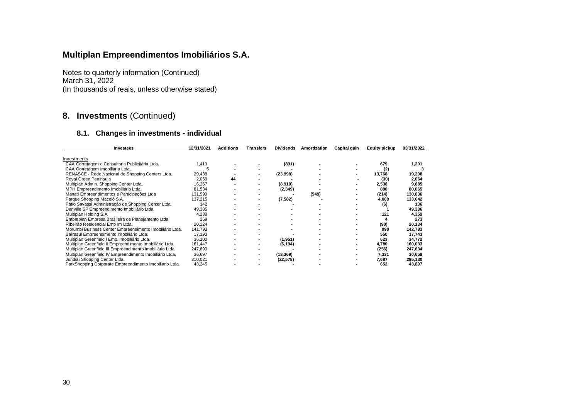Notes to quarterly information (Continued) March 31, 2022 (In thousands of reais, unless otherwise stated)

## **8. Investments** (Continued)

#### **8.1. Changes in investments - individual**

| Investees                                                 | 12/31/2021 | <b>Additions</b> | Transters | <b>Dividends</b> | Amortization | Capital gain | <b>Equity pickup</b> | 03/31/2022 |
|-----------------------------------------------------------|------------|------------------|-----------|------------------|--------------|--------------|----------------------|------------|
|                                                           |            |                  |           |                  |              |              |                      |            |
| Investments                                               |            |                  |           |                  |              |              |                      |            |
| CAA Corretagem e Consultoria Publicitária Ltda.           | 1,413      |                  |           | (891)            |              |              | 679                  | 1,201      |
| CAA Corretagem Imobiliária Ltda.                          |            |                  |           |                  |              |              | (2)                  |            |
| RENASCE - Rede Nacional de Shopping Centers Ltda.         | 29,438     |                  |           | (23,998)         |              |              | 13,768               | 19,208     |
| Royal Green Península                                     | 2,050      | 44               |           |                  |              |              | (30)                 | 2,064      |
| Multiplan Admin. Shopping Center Ltda.                    | 16,257     |                  |           | (8,910)          |              |              | 2,538                | 9,885      |
| MPH Empreendimento Imobiliário Ltda.                      | 81,534     |                  |           | (2, 349)         |              |              | 880                  | 80,065     |
| Manati Empreendimentos e Participações Ltda               | 131,599    |                  |           |                  | (549)        |              | (214)                | 130,836    |
| Parque Shopping Maceió S.A.                               | 137,215    |                  |           | (7,582)          |              |              | 4,009                | 133,642    |
| Pátio Savassi Administração de Shopping Center Ltda.      | 142        |                  |           |                  |              |              | (6)                  | 136        |
| Danville SP Empreendimento Imobiliário Ltda.              | 49,385     |                  |           |                  |              |              |                      | 49,386     |
| Multiplan Holding S.A.                                    | 4,238      |                  |           |                  |              |              | 121                  | 4,359      |
| Embraplan Empresa Brasileira de Planejamento Ltda.        | 269        |                  |           |                  |              |              |                      | 273        |
| Ribeirão Residencial Emp Im Ltda.                         | 20,224     |                  |           |                  |              |              | (90)                 | 20,134     |
| Morumbi Business Center Empreendimento Imobiliário Ltda.  | 141,793    |                  |           |                  |              |              | 990                  | 142,783    |
| Barrasul Empreendimento Imobiliário Ltda.                 | 17.193     |                  |           |                  |              |              | 550                  | 17,743     |
| Multiplan Greenfield I Emp. Imobiliário Ltda.             | 36,100     |                  |           | (1, 951)         |              |              | 623                  | 34,772     |
| Multiplan Greenfield II Empreendimento Imobiliário Ltda.  | 161,447    |                  |           | (6, 194)         |              |              | 4,780                | 160,033    |
| Multiplan Greenfield III Empreendimento Imobiliário Ltda. | 247,890    |                  |           |                  |              |              | (256)                | 247,634    |
| Multiplan Greenfield IV Empreendimento Imobiliário Ltda.  | 36,697     |                  | ۰         | (13, 369)        |              |              | 7,331                | 30,659     |
| Jundiaí Shopping Center Ltda.                             | 310,021    |                  |           | (22, 578)        |              |              | 7,687                | 295,130    |
| ParkShopping Corporate Empreendimento Imobiliário Ltda.   | 43,245     |                  |           |                  |              |              | 652                  | 43,897     |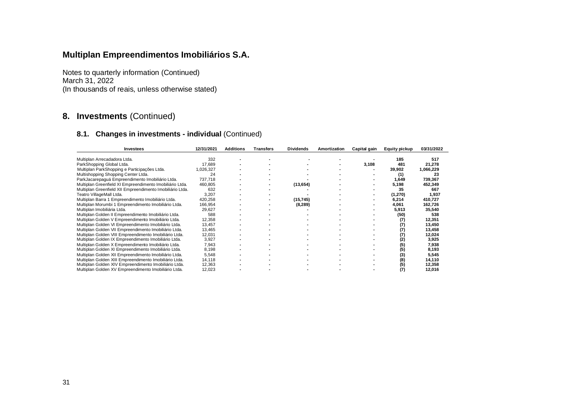Notes to quarterly information (Continued) March 31, 2022 (In thousands of reais, unless otherwise stated)

## **8. Investments** (Continued)

| <b>Investees</b>                                          | 12/31/2021 | <b>Additions</b> | <b>Transfers</b> | <b>Dividends</b> | Amortization | Capital gain | <b>Equity pickup</b> | 03/31/2022 |
|-----------------------------------------------------------|------------|------------------|------------------|------------------|--------------|--------------|----------------------|------------|
|                                                           |            |                  |                  |                  |              |              |                      |            |
| Multiplan Arrecadadora Ltda.                              | 332        |                  |                  |                  |              |              | 185                  | 517        |
| ParkShopping Global Ltda.                                 | 17.689     |                  |                  |                  |              | 3,108        | 481                  | 21,278     |
| Multiplan ParkShopping e Participações Ltda.              | 1,026,327  |                  |                  |                  |              |              | 39,902               | 1,066,229  |
| Multishopping Shopping Center Ltda.                       | 24         |                  |                  |                  |              |              | (1)                  | 23         |
| ParkJacarepaquá Empreendimento Imobiliário Ltda.          | 737,718    |                  |                  |                  |              |              | 1,649                | 739,367    |
| Multiplan Greenfield XI Empreendimento Imobiliário Ltda.  | 460,805    |                  |                  | (13, 654)        |              |              | 5,198                | 452,349    |
| Multiplan Greenfield XII Empreendimento Imobiliário Ltda. | 632        |                  |                  |                  |              |              | 35                   | 667        |
| Teatro VillageMall Ltda.                                  | 3,207      |                  |                  |                  |              |              | (1,270)              | 1,937      |
| Multiplan Barra 1 Empreendimento Imobiliário Ltda.        | 420,258    |                  |                  | (15, 745)        |              |              | 6,214                | 410,727    |
| Multiplan Morumbi 1 Empreendimento Imobiliário Ltda.      | 166,954    |                  |                  | (8, 289)         |              |              | 4,061                | 162,726    |
| Multiplan Imobiliária Ltda.                               | 29,627     |                  |                  |                  |              |              | 5,913                | 35,540     |
| Multiplan Golden II Empreendimento Imobiliário Ltda.      | 588        |                  |                  |                  |              |              | (50)                 | 538        |
| Multiplan Golden V Empreendimento Imobiliário Ltda.       | 12,358     |                  |                  |                  |              |              |                      | 12,351     |
| Multiplan Golden VI Empreendimento Imobiliário Ltda.      | 13.457     |                  |                  |                  |              |              |                      | 13,450     |
| Multiplan Golden VII Empreendimento Imobiliário Ltda.     | 13,465     |                  |                  |                  |              |              |                      | 13,458     |
| Multiplan Golden VIII Empreendimento Imobiliário Ltda.    | 12,031     |                  |                  |                  |              |              |                      | 12,024     |
| Multiplan Golden IX Empreendimento Imobiliário Ltda.      | 3,927      |                  |                  |                  |              |              | (2)                  | 3,925      |
| Multiplan Golden X Empreendimento Imobiliário Ltda.       | 7,943      |                  |                  |                  |              |              | (5)                  | 7,938      |
| Multiplan Golden XI Empreendimento Imobiliário Ltda.      | 8,198      |                  |                  |                  |              |              | (5)                  | 8,193      |
| Multiplan Golden XII Empreendimento Imobiliário Ltda.     | 5,548      |                  |                  |                  |              |              | (3)                  | 5,545      |
| Multiplan Golden XIII Empreendimento Imobiliário Ltda.    | 14,118     |                  |                  |                  |              |              | (8)                  | 14,110     |
| Multiplan Golden XIV Empreendimento Imobiliário Ltda.     | 12,363     |                  |                  |                  |              |              | (5)                  | 12,358     |
| Multiplan Golden XV Empreendimento Imobiliário Ltda.      | 12,023     |                  |                  |                  |              |              |                      | 12,016     |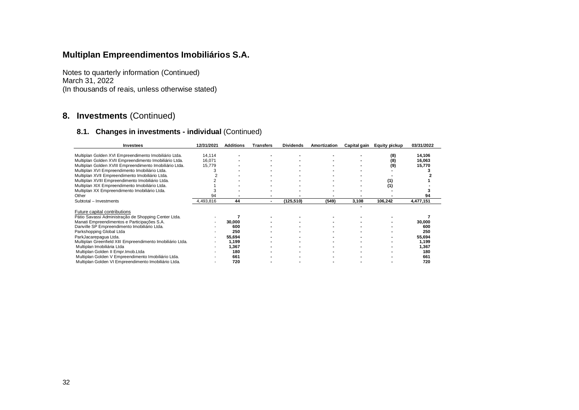Notes to quarterly information (Continued) March 31, 2022 (In thousands of reais, unless otherwise stated)

## **8. Investments** (Continued)

| <b>Investees</b>                                           | 12/31/2021 | <b>Additions</b> | Transters | <b>Dividends</b> | Amortization | Capital gain | <b>Equity pickup</b> | 03/31/2022 |
|------------------------------------------------------------|------------|------------------|-----------|------------------|--------------|--------------|----------------------|------------|
|                                                            |            |                  |           |                  |              |              |                      |            |
| Multiplan Golden XVI Empreendimento Imobiliário Ltda.      | 14,114     |                  |           |                  |              |              | (8)                  | 14,106     |
| Multiplan Golden XVII Empreendimento Imobiliário Ltda.     | 16,071     |                  |           |                  |              |              | (8)                  | 16,063     |
| Multiplan Golden XVIII Empreendimento Imobiliário Ltda.    | 15,779     |                  |           |                  |              |              | (9)                  | 15,770     |
| Multiplan XVI Empreendimento Imobiliário Ltda.             |            |                  |           |                  |              |              |                      |            |
| Multiplan XVII Empreendimento Imobiliário Ltda.            |            |                  |           |                  |              |              |                      |            |
| Multiplan XVIII Empreendimento Imobiliário Ltda.           |            |                  |           |                  |              |              |                      |            |
| Multiplan XIX Empreendimento Imobiliário Ltda.             |            |                  |           |                  |              |              | (1)                  |            |
| Multiplan XX Empreendimento Imobiliário Ltda.              |            |                  |           |                  |              |              |                      |            |
| Other                                                      | 94         |                  |           |                  |              |              |                      | 94         |
| Subtotal - Investments                                     | 4,493,816  | 44               |           | (125, 510)       | (549)        | 3,108        | 106,242              | 4,477,151  |
|                                                            |            |                  |           |                  |              |              |                      |            |
| Future capital contributions                               |            |                  |           |                  |              |              |                      |            |
| Pátio Savassi Administração de Shopping Center Ltda.       |            |                  |           |                  |              |              |                      |            |
| Manati Empreendimentos e Participações S.A.                |            | 30,000           |           |                  |              |              |                      | 30,000     |
| Danville SP Empreendimento Imobiliário Ltda.               |            | 600              |           |                  |              |              |                      | 600        |
| Parkshopping Global Ltda                                   |            | 250              |           |                  |              |              |                      | 250        |
| ParkJacarepagua Ltda.                                      |            | 55,694           |           |                  |              |              |                      | 55,694     |
| Multiplan Greenfield XIII Empreendimento Imobiliário Ltda. |            | 1,199            |           |                  |              |              |                      | 1,199      |
| Multiplan Imobiliária Ltda                                 |            | 1,367            |           |                  |              |              |                      | 1,367      |
| Multiplan Golden II Empr.Imob.Ltda                         |            | 180              |           |                  |              |              |                      | 180        |
| Multiplan Golden V Empreendimento Imobiliário Ltda.        |            | 661              |           |                  |              |              |                      | 661        |
| Multiplan Golden VI Empreendimento Imobiliário Ltda.       |            | 720              |           |                  |              |              |                      | 720        |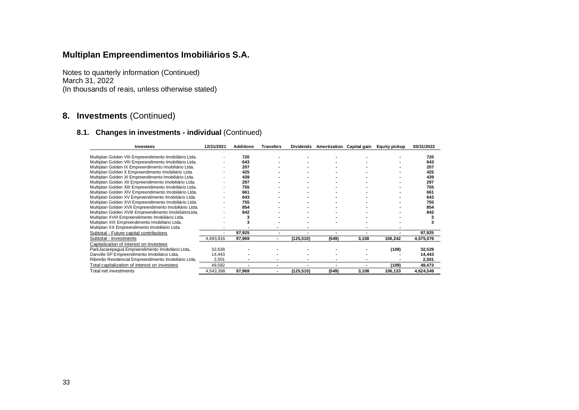Notes to quarterly information (Continued) March 31, 2022 (In thousands of reais, unless otherwise stated)

## **8. Investments** (Continued)

| <b>Investees</b>                                       | 12/31/2021 | <b>Additions</b> | <b>Transfers</b> | <b>Dividends</b> | Amortization | Capital gain | <b>Equity pickup</b> | 03/31/2022 |
|--------------------------------------------------------|------------|------------------|------------------|------------------|--------------|--------------|----------------------|------------|
|                                                        |            |                  |                  |                  |              |              |                      |            |
| Multiplan Golden VIII Empreendimento Imobiliário Ltda. |            | 720              |                  |                  |              |              |                      | 720        |
| Multiplan Golden VIII Empreendimento Imobiliário Ltda. |            | 643              |                  |                  |              |              |                      | 643        |
| Multiplan Golden IX Empreendimento Imobiliário Ltda.   |            | 207              |                  |                  |              |              |                      | 207        |
| Multiplan Golden X Empreendimento Imobiliário Ltda.    |            | 425              |                  |                  |              |              |                      | 425        |
| Multiplan Golden XI Empreendimento Imobiliário Ltda.   |            | 439              |                  |                  |              |              |                      | 439        |
| Multiplan Golden XII Empreendimento Imobiliário Ltda.  |            | 297              |                  |                  |              |              |                      | 297        |
| Multiplan Golden XIII Empreendimento Imobiliário Ltda. |            | 755              |                  |                  |              |              |                      | 755        |
| Multiplan Golden XIV Empreendimento Imobiliário Ltda.  |            | 661              |                  |                  |              |              |                      | 661        |
| Multiplan Golden XV Empreendimento Imobiliário Ltda.   |            | 643              |                  |                  |              |              |                      | 643        |
| Multiplan Golden XVI Empreendimento Imobiliário Ltda.  |            | 755              |                  |                  |              |              |                      | 755        |
| Multiplan Golden XVII Empreendimento Imobiliário Ltda. |            | 854              |                  |                  |              |              |                      | 854        |
| Multiplan Golden XVIII Empreendimento ImobiliárioLtda. |            | 842              |                  |                  |              |              |                      | 842        |
| Multiplan XVIII Empreendimento Imobiliário Ltda.       |            |                  |                  |                  |              |              |                      |            |
| Multiplan XIX Empreendimento Imobiliário Ltda.         |            |                  |                  |                  |              |              |                      |            |
| Multiplan XX Empreendimento Imobiliário Ltda.          |            |                  |                  |                  |              |              |                      |            |
| Subtotal - Future capital contributions                |            | 97,925           |                  |                  |              |              |                      | 97,925     |
| Subtotal - Investments                                 | 4,493,816  | 97,969           |                  | (125, 510)       | (549)        | 3,108        | 106,242              | 4,575,076  |
| Capitalization of interest on investees                |            |                  |                  |                  |              |              |                      |            |
| ParkJacarepaguá Empreendimento Imobiliário Ltda,       | 32,638     |                  |                  |                  |              |              | (109)                | 32,529     |
| Danville SP Empreendimento Imobiliário Ltda,           | 14,443     |                  |                  |                  |              |              |                      | 14,443     |
| Ribeirão Residencial Empreendimento Imobiliário Ltda,  | 2,501      |                  |                  |                  |              |              |                      | 2,501      |
| Total capitalization of interest on investees          | 49,582     |                  |                  |                  |              |              | (109)                | 49,473     |
| Total net investments                                  | 4,543,398  | 97,969           | ۰                | (125, 510)       | (549)        | 3,108        | 106,133              | 4,624,549  |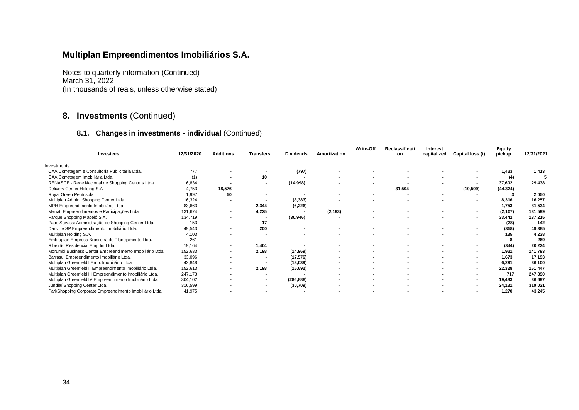Notes to quarterly information (Continued) March 31, 2022 (In thousands of reais, unless otherwise stated)

## **8. Investments** (Continued)

| <b>Investees</b>                                          | 12/31/2020 | <b>Additions</b>         | <b>Transfers</b>         | <b>Dividends</b> | Amortization | <b>Write-Off</b>         | Reclassificati | <b>Interest</b><br>capitalized | Capital loss (i) | Equity<br>pickup | 12/31/2021 |
|-----------------------------------------------------------|------------|--------------------------|--------------------------|------------------|--------------|--------------------------|----------------|--------------------------------|------------------|------------------|------------|
|                                                           |            |                          |                          |                  |              |                          | on             |                                |                  |                  |            |
| Investments                                               |            |                          |                          |                  |              |                          |                |                                |                  |                  |            |
| CAA Corretagem e Consultoria Publicitária Ltda.           | 777        |                          |                          | (797)            |              |                          |                |                                |                  | 1,433            | 1,413      |
| CAA Corretagem Imobiliária Ltda.                          | (1)        |                          | 10                       |                  |              |                          |                |                                |                  | (4)              |            |
| RENASCE - Rede Nacional de Shopping Centers Ltda.         | 6,834      |                          |                          | (14,998)         |              | $\blacksquare$           |                |                                |                  | 37,602           | 29,438     |
| Delivery Center Holding S.A.                              | 4,753      | 18,576                   |                          |                  |              | $\blacksquare$           | 31,504         | $\sim$                         | (10, 509)        | (44, 324)        |            |
| Royal Green Península                                     | 1,997      | 50                       |                          |                  |              |                          |                |                                |                  |                  | 2,050      |
| Multiplan Admin. Shopping Center Ltda.                    | 16,324     | $\overline{\phantom{a}}$ |                          | (8, 383)         |              |                          |                |                                |                  | 8,316            | 16,257     |
| MPH Empreendimento Imobiliário Ltda.                      | 83,663     | $\overline{\phantom{a}}$ | 2,344                    | (6, 226)         |              |                          |                |                                |                  | 1,753            | 81,534     |
| Manati Empreendimentos e Participações Ltda               | 131,674    | $\blacksquare$           | 4,225                    |                  | (2, 193)     |                          |                |                                |                  | (2, 107)         | 131,599    |
| Parque Shopping Maceió S.A.                               | 134,719    |                          |                          | (30, 946)        |              |                          |                |                                |                  | 33,442           | 137,215    |
| Pátio Savassi Administração de Shopping Center Ltda.      | 153        |                          | 17                       |                  |              |                          |                |                                | $\blacksquare$   | (28)             | 142        |
| Danville SP Empreendimento Imobiliário Ltda.              | 49,543     |                          | 200                      |                  |              |                          |                |                                |                  | (358)            | 49,385     |
| Multiplan Holding S.A.                                    | 4,103      |                          |                          |                  |              |                          |                |                                |                  | 135              | 4,238      |
| Embraplan Empresa Brasileira de Planejamento Ltda.        | 261        |                          |                          |                  |              |                          |                |                                |                  |                  | 269        |
| Ribeirão Residencial Emp Im Ltda.                         | 19,164     | $\overline{\phantom{a}}$ | 1,404                    |                  |              |                          |                |                                |                  | (344)            | 20,224     |
| Morumbi Business Center Empreendimento Imobiliário Ltda.  | 152,633    | $\blacksquare$           | 2,198                    | (14, 969)        |              |                          |                |                                |                  | 1,931            | 141,793    |
| Barrasul Empreendimento Imobiliário Ltda.                 | 33,096     | $\blacksquare$           |                          | (17, 576)        |              | $\overline{\phantom{a}}$ |                |                                |                  | 1,673            | 17,193     |
| Multiplan Greenfield I Emp. Imobiliário Ltda.             | 42,848     |                          |                          | (13,039)         |              |                          |                |                                |                  | 6,291            | 36,100     |
| Multiplan Greenfield II Empreendimento Imobiliário Ltda.  | 152,613    | $\blacksquare$           | 2,198                    | (15, 692)        |              |                          |                |                                |                  | 22,328           | 161,447    |
| Multiplan Greenfield III Empreendimento Imobiliário Ltda. | 247,173    |                          | $\overline{\phantom{a}}$ |                  |              | $\blacksquare$           |                |                                | $\blacksquare$   | 717              | 247,890    |
| Multiplan Greenfield IV Empreendimento Imobiliário Ltda.  | 304,102    |                          | $\overline{\phantom{a}}$ | (286, 888)       |              | $\sim$                   |                |                                | $\sim$           | 19,483           | 36,697     |
| Jundiaí Shopping Center Ltda.                             | 316,599    |                          |                          | (30, 709)        |              |                          |                |                                |                  | 24,131           | 310,021    |
| ParkShopping Corporate Empreendimento Imobiliário Ltda.   | 41,975     |                          |                          |                  |              |                          |                |                                |                  | 1,270            | 43,245     |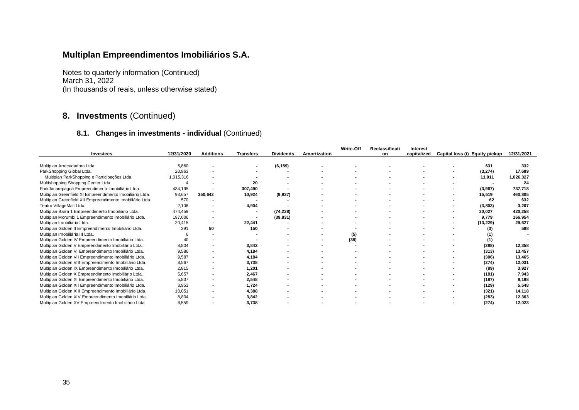Notes to quarterly information (Continued) March 31, 2022 (In thousands of reais, unless otherwise stated)

# **8. Investments** (Continued)

#### **8.1. Changes in investments - individual** (Continued)

|                                                           |            |                          |                  |                  |                     | Write-Off | Reclassificati | <b>Interest</b> |                                |                          |            |
|-----------------------------------------------------------|------------|--------------------------|------------------|------------------|---------------------|-----------|----------------|-----------------|--------------------------------|--------------------------|------------|
| Investees                                                 | 12/31/2020 | <b>Additions</b>         | <b>Transfers</b> | <b>Dividends</b> | <b>Amortization</b> |           | on             | capitalized     | Capital loss (i) Equity pickup |                          | 12/31/2021 |
|                                                           |            |                          |                  |                  |                     |           |                |                 |                                |                          |            |
| Multiplan Arrecadadora Ltda.                              | 5.860      | $\blacksquare$           |                  | (6, 159)         |                     |           |                |                 |                                | 631                      | 332        |
| ParkShopping Global Ltda.                                 | 20,963     |                          |                  |                  |                     |           |                |                 |                                | (3,274)                  | 17,689     |
| Multiplan ParkShopping e Participações Ltda.              | 1,015,316  |                          |                  |                  |                     |           |                |                 | $\blacksquare$                 | 11,011                   | 1,026,327  |
| Multishopping Shopping Center Ltda.                       |            |                          | 20               |                  |                     |           |                |                 |                                | $\overline{\phantom{a}}$ | 24         |
| ParkJacarepaguá Empreendimento Imobiliário Ltda.          | 434,195    |                          | 307,490          |                  |                     |           |                |                 |                                | (3,967)                  | 737,718    |
| Multiplan Greenfield XI Empreendimento Imobiliário Ltda.  | 93,657     | 350,642                  | 10,924           | (9,937)          |                     |           |                |                 | $\blacksquare$                 | 15,519                   | 460,805    |
| Multiplan Greenfield XII Empreendimento Imobiliário Ltda. | 570        |                          |                  |                  |                     |           |                |                 |                                | 62                       | 632        |
| Teatro VillageMall Ltda.                                  | 2,106      | $\blacksquare$           | 4,904            |                  |                     |           |                |                 |                                | (3,803)                  | 3,207      |
| Multiplan Barra 1 Empreendimento Imobiliário Ltda.        | 474,459    | $\blacksquare$           | $\blacksquare$   | (74, 228)        |                     |           |                |                 | $\blacksquare$                 | 20,027                   | 420,258    |
| Multiplan Morumbi 1 Empreendimento Imobiliário Ltda.      | 197,006    |                          |                  | (39, 831)        |                     |           |                |                 |                                | 9,779                    | 166,954    |
| Multiplan Imobiliária Ltda.                               | 20,415     | $\blacksquare$           | 22,441           |                  |                     |           |                |                 |                                | (13, 229)                | 29,627     |
| Multiplan Golden II Empreendimento Imobiliário Ltda.      | 391        | 50                       | 150              |                  |                     |           |                |                 |                                | (3)                      | 588        |
| Multiplan Imobiliária III Ltda.                           |            |                          |                  |                  |                     | (5)       |                |                 |                                |                          |            |
| Multiplan Golden IV Empreendimento Imobiliário Ltda.      | 40         |                          |                  |                  |                     | (39)      |                |                 |                                | (1)                      |            |
| Multiplan Golden V Empreendimento Imobiliário Ltda.       | 8,804      |                          | 3,842            |                  |                     |           |                |                 |                                | (288)                    | 12,358     |
| Multiplan Golden VI Empreendimento Imobiliário Ltda.      | 9,586      |                          | 4.184            |                  |                     |           |                |                 |                                | (313)                    | 13,457     |
| Multiplan Golden VII Empreendimento Imobiliário Ltda.     | 9,587      | $\sim$                   | 4,184            |                  |                     |           |                |                 |                                | (306)                    | 13,465     |
| Multiplan Golden VIII Empreendimento Imobiliário Ltda.    | 8,567      | ٠                        | 3,738            |                  |                     |           |                |                 |                                | (274)                    | 12,031     |
| Multiplan Golden IX Empreendimento Imobiliário Ltda.      | 2,815      | $\blacksquare$           | 1,201            |                  |                     |           |                |                 |                                | (89)                     | 3,927      |
| Multiplan Golden X Empreendimento Imobiliário Ltda.       | 5,657      | $\overline{\phantom{a}}$ | 2,467            |                  |                     |           |                |                 |                                | (181)                    | 7,943      |
| Multiplan Golden XI Empreendimento Imobiliário Ltda.      | 5,837      | $\blacksquare$           | 2,548            |                  |                     |           |                |                 |                                | (187)                    | 8,198      |
| Multiplan Golden XII Empreendimento Imobiliário Ltda.     | 3,953      | $\blacksquare$           | 1.724            |                  |                     |           |                |                 |                                | (129)                    | 5,548      |
| Multiplan Golden XIII Empreendimento Imobiliário Ltda.    | 10,051     | ٠                        | 4,388            |                  |                     |           |                |                 |                                | (321)                    | 14,118     |
| Multiplan Golden XIV Empreendimento Imobiliário Ltda.     | 8,804      |                          | 3,842            |                  |                     |           |                |                 |                                | (283)                    | 12,363     |
| Multiplan Golden XV Empreendimento Imobiliário Ltda.      | 8.559      |                          | 3.738            |                  |                     |           |                |                 |                                | (274)                    | 12.023     |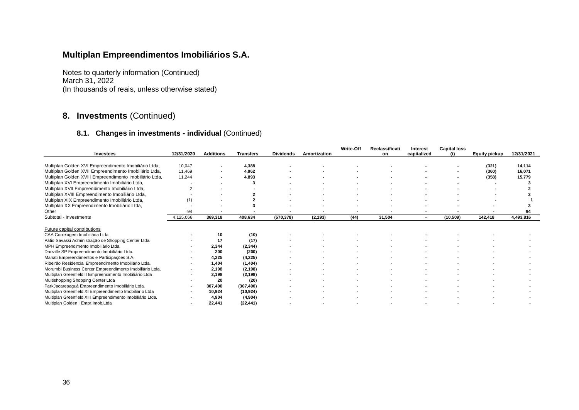Notes to quarterly information (Continued) March 31, 2022 (In thousands of reais, unless otherwise stated)

# **8. Investments** (Continued)

#### **8.1. Changes in investments - individual** (Continued)

| <b>Investees</b>                                           | 12/31/2020               | <b>Additions</b> | <b>Transfers</b> | <b>Dividends</b> | <b>Amortization</b> | Write-Off | Reclassificati<br>on | <b>Interest</b><br>capitalized | <b>Capital loss</b><br>(i) | <b>Equity pickup</b> | 12/31/2021 |
|------------------------------------------------------------|--------------------------|------------------|------------------|------------------|---------------------|-----------|----------------------|--------------------------------|----------------------------|----------------------|------------|
|                                                            |                          |                  |                  |                  |                     |           |                      |                                |                            |                      |            |
| Multiplan Golden XVI Empreendimento Imobiliário Ltda,      | 10,047                   |                  | 4,388            |                  |                     |           |                      |                                |                            | (321)                | 14.114     |
| Multiplan Golden XVII Empreendimento Imobiliário Ltda,     | 11,469                   |                  | 4,962            |                  |                     |           |                      |                                |                            | (360)                | 16,071     |
| Multiplan Golden XVIII Empreendimento Imobiliário Ltda,    | 11,244                   |                  | 4.893            |                  |                     |           |                      |                                |                            | (358)                | 15,779     |
| Multiplan XVI Empreendimento Imobiliário Ltda,             |                          |                  |                  |                  |                     |           |                      |                                |                            |                      |            |
| Multiplan XVII Empreendimento Imobiliário Ltda,            |                          |                  |                  |                  |                     |           |                      |                                |                            |                      |            |
| Multiplan XVIII Empreendimento Imobiliário Ltda,           |                          |                  |                  |                  |                     |           |                      |                                |                            |                      |            |
| Multiplan XIX Empreendimento Imobiliário Ltda,             | (1)                      |                  |                  |                  |                     |           |                      |                                |                            |                      |            |
| Multiplan XX Empreendimento Imobiliário Ltda,              |                          |                  |                  |                  |                     |           |                      |                                |                            |                      |            |
| Other                                                      | 94                       |                  |                  |                  |                     |           |                      |                                |                            |                      | 94         |
| Subtotal - Investments                                     | 4,125,066                | 369,318          | 408,634          | (570, 378)       | (2, 193)            | (44)      | 31,504               |                                | (10, 509)                  | 142,418              | 4,493,816  |
| Future capital contributions                               |                          |                  |                  |                  |                     |           |                      |                                |                            |                      |            |
| CAA Corretagem Imobiliária Ltda                            |                          | 10               | (10)             |                  |                     |           |                      |                                |                            |                      |            |
| Pátio Savassi Administração de Shopping Center Ltda.       |                          | 17               | (17)             |                  |                     |           |                      |                                |                            |                      |            |
| MPH Empreendimento Imobiliário Ltda.                       |                          | 2.344            | (2, 344)         |                  |                     |           |                      |                                |                            |                      |            |
| Danville SP Empreendimento Imobiliário Ltda.               |                          | 200              | (200)            |                  |                     |           |                      |                                |                            |                      |            |
| Manati Empreendimentos e Participações S.A.                | $\overline{\phantom{a}}$ | 4.225            | (4, 225)         |                  |                     |           |                      |                                |                            |                      |            |
| Ribeirão Residencial Empreendimento Imobiliário Ltda.      |                          | 1,404            | (1, 404)         |                  |                     |           |                      |                                |                            |                      |            |
| Morumbi Business Center Empreendimento Imobiliário Ltda.   |                          | 2,198            | (2, 198)         |                  |                     |           |                      |                                |                            |                      |            |
| Multiplan Greenfield II Empreendimento Imobiliário Ltda    | $\overline{\phantom{a}}$ | 2,198            | (2, 198)         |                  |                     |           |                      |                                |                            |                      |            |
| Multishopping Shopping Center Ltda                         |                          | 20               | (20)             |                  |                     |           |                      |                                |                            |                      |            |
| ParkJacarepaguá Empreendimento Imobiliário Ltda.           |                          | 307,490          | (307, 490)       |                  |                     |           |                      |                                |                            |                      |            |
| Multiplan Greenfield XI Empreendimento Imobiliario Ltda    | $\overline{\phantom{a}}$ | 10,924           | (10, 924)        |                  |                     |           |                      |                                |                            |                      |            |
| Multiplan Greenfield XIII Empreendimento Imobiliário Ltda. |                          | 4,904            | (4,904)          |                  |                     |           |                      |                                |                            |                      |            |
| Multiplan Golden I Empr. Imob. Ltda                        |                          | 22.441           | (22.441)         |                  |                     |           |                      |                                |                            |                      |            |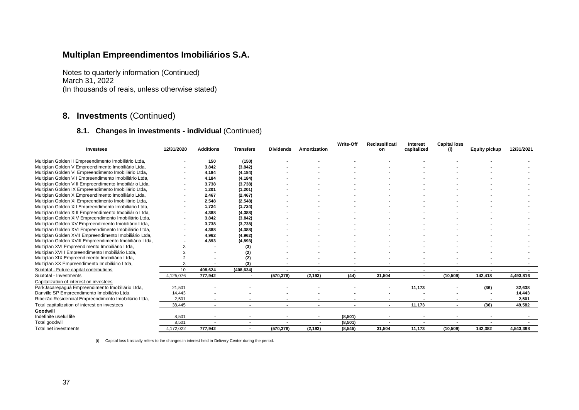Notes to quarterly information (Continued) March 31, 2022 (In thousands of reais, unless otherwise stated)

#### **8. Investments** (Continued)

#### **8.1. Changes in investments - individual** (Continued)

|                                                         |            |                  |                          |                  |                     | <b>Write-Off</b> | Reclassificati           | <b>Interest</b> | <b>Capital loss</b> |                      |            |
|---------------------------------------------------------|------------|------------------|--------------------------|------------------|---------------------|------------------|--------------------------|-----------------|---------------------|----------------------|------------|
| <b>Investees</b>                                        | 12/31/2020 | <b>Additions</b> | <b>Transfers</b>         | <b>Dividends</b> | <b>Amortization</b> |                  | on                       | capitalized     | (i)                 | <b>Equity pickup</b> | 12/31/2021 |
|                                                         |            |                  |                          |                  |                     |                  |                          |                 |                     |                      |            |
| Multiplan Golden II Empreendimento Imobiliário Ltda,    |            | 150              | (150)                    |                  |                     |                  |                          |                 |                     |                      |            |
| Multiplan Golden V Empreendimento Imobiliário Ltda,     |            | 3,842            | (3, 842)                 |                  |                     |                  |                          |                 |                     |                      |            |
| Multiplan Golden VI Empreendimento Imobiliário Ltda,    |            | 4,184            | (4, 184)                 |                  |                     |                  |                          |                 |                     |                      |            |
| Multiplan Golden VII Empreendimento Imobiliário Ltda,   |            | 4,184            | (4, 184)                 |                  |                     |                  |                          |                 |                     |                      |            |
| Multiplan Golden VIII Empreendimento Imobiliário Ltda,  |            | 3,738            | (3,738)                  |                  |                     |                  |                          |                 |                     |                      |            |
| Multiplan Golden IX Empreendimento Imobiliário Ltda,    |            | 1,201            | (1, 201)                 |                  |                     |                  |                          |                 |                     |                      |            |
| Multiplan Golden X Empreendimento Imobiliário Ltda,     |            | 2,467            | (2, 467)                 |                  |                     |                  |                          |                 |                     |                      |            |
| Multiplan Golden XI Empreendimento Imobiliário Ltda,    |            | 2,548            | (2, 548)                 |                  |                     |                  |                          |                 |                     |                      |            |
| Multiplan Golden XII Empreendimento Imobiliário Ltda,   |            | 1,724            | (1, 724)                 |                  |                     |                  |                          |                 |                     |                      |            |
| Multiplan Golden XIII Empreendimento Imobiliário Ltda,  |            | 4.388            | (4, 388)                 |                  |                     |                  |                          |                 |                     |                      |            |
| Multiplan Golden XIV Empreendimento Imobiliário Ltda,   |            | 3,842            | (3, 842)                 |                  |                     |                  |                          |                 |                     |                      |            |
| Multiplan Golden XV Empreendimento Imobiliário Ltda,    |            | 3,738            | (3,738)                  |                  |                     |                  |                          |                 |                     |                      |            |
| Multiplan Golden XVI Empreendimento Imobiliário Ltda,   |            | 4,388            | (4, 388)                 |                  |                     |                  |                          |                 |                     |                      |            |
| Multiplan Golden XVII Empreendimento Imobiliário Ltda,  |            | 4,962            | (4, 962)                 |                  |                     |                  |                          |                 |                     |                      |            |
| Multiplan Golden XVIII Empreendimento Imobiliário Ltda, |            | 4,893            | (4, 893)                 |                  |                     |                  |                          |                 |                     |                      |            |
| Multiplan XVI Empreendimento Imobiliário Ltda,          |            |                  | (3)                      |                  |                     |                  |                          |                 |                     |                      |            |
| Multiplan XVIII Empreendimento Imobiliário Ltda,        |            |                  | (2)                      |                  |                     |                  |                          |                 |                     |                      |            |
| Multiplan XIX Empreendimento Imobiliário Ltda,          |            |                  | (2)                      |                  |                     |                  |                          |                 |                     |                      |            |
| Multiplan XX Empreendimento Imobiliário Ltda,           |            |                  | (3)                      |                  |                     |                  |                          |                 |                     |                      |            |
| Subtotal - Future capital contributions                 | 10         | 408,624          | (408, 634)               |                  | $\blacksquare$      |                  |                          |                 |                     |                      |            |
| Subtotal - Investments                                  | 4,125,076  | 777,942          | $\overline{\phantom{a}}$ | (570, 378)       | (2, 193)            | (44)             | 31,504                   | $\blacksquare$  | (10, 509)           | 142,418              | 4,493,816  |
| Capitalization of interest on investees                 |            |                  |                          |                  |                     |                  |                          |                 |                     |                      |            |
| ParkJacarepaguá Empreendimento Imobiliário Ltda,        | 21,501     |                  |                          |                  |                     |                  |                          | 11,173          |                     | (36)                 | 32,638     |
| Danville SP Empreendimento Imobiliário Ltda,            | 14,443     |                  |                          |                  |                     |                  |                          |                 |                     |                      | 14,443     |
| Ribeirão Residencial Empreendimento Imobiliário Ltda,   | 2,501      |                  |                          |                  |                     |                  |                          |                 |                     |                      | 2,501      |
| Total capitalization of interest on investees           | 38.445     |                  |                          | $\blacksquare$   | $\blacksquare$      |                  | $\overline{\phantom{a}}$ | 11,173          | $\blacksquare$      | (36)                 | 49.582     |
| Goodwill                                                |            |                  |                          |                  |                     |                  |                          |                 |                     |                      |            |
| Indefinite useful life                                  | 8,501      |                  |                          |                  | $\blacksquare$      | (8, 501)         |                          |                 |                     |                      |            |
| Total goodwill                                          | 8,501      |                  |                          |                  | ٠                   | (8, 501)         |                          |                 |                     |                      |            |
| Total net investments                                   | 4,172,022  | 777,942          |                          | (570, 378)       | (2, 193)            | (8, 545)         | 31,504                   | 11,173          | (10, 509)           | 142,382              | 4,543,398  |

(i) Capital loss basically refers to the changes in interest held in Delivery Center during the period.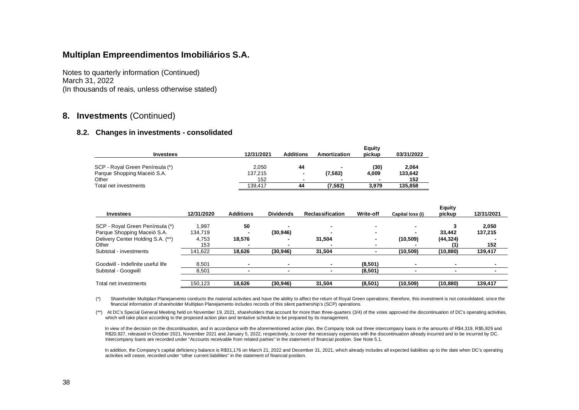Notes to quarterly information (Continued) March 31, 2022 (In thousands of reais, unless otherwise stated)

#### **8. Investments** (Continued)

#### **8.2. Changes in investments - consolidated**

|                                 |            |                  |                          | Equity                   |            |
|---------------------------------|------------|------------------|--------------------------|--------------------------|------------|
| <b>Investees</b>                | 12/31/2021 | <b>Additions</b> | Amortization             | pickup                   | 03/31/2022 |
|                                 |            |                  |                          |                          |            |
| SCP - Royal Green Península (*) | 2,050      | 44               | $\blacksquare$           | (30)                     | 2.064      |
| Parque Shopping Maceió S.A.     | 137.215    | $\sim$           | (7,582)                  | 4.009                    | 133.642    |
| Other                           | 152        |                  | $\overline{\phantom{a}}$ | $\overline{\phantom{a}}$ | 152        |
| Total net investments           | 139.417    | 44               | (7,582)                  | 3.979                    | 135.858    |

| Investees                         | 12/31/2020 | <b>Additions</b> | <b>Dividends</b>         | <b>Reclassification</b> | Write-off | Capital loss (i) | <b>Equity</b><br>pickup  | 12/31/2021 |
|-----------------------------------|------------|------------------|--------------------------|-------------------------|-----------|------------------|--------------------------|------------|
|                                   |            |                  |                          |                         |           |                  |                          |            |
| SCP - Royal Green Península (*)   | 1,997      | 50               |                          |                         |           |                  |                          | 2,050      |
| Parque Shopping Maceió S.A.       | 134,719    |                  | (30, 946)                |                         |           |                  | 33.442                   | 137,215    |
| Delivery Center Holding S.A. (**) | 4,753      | 18.576           |                          | 31.504                  |           | (10, 509)        | (44, 324)                |            |
| Other                             | 153        |                  |                          |                         |           |                  |                          | 152        |
| Subtotal - investments            | 141,622    | 18,626           | (30, 946)                | 31.504                  |           | (10, 509)        | (10, 880)                | 139,417    |
|                                   |            |                  |                          |                         |           |                  |                          |            |
| Goodwill - Indefinite useful life | 8,501      |                  | $\overline{\phantom{0}}$ |                         | (8,501)   |                  | $\overline{\phantom{0}}$ |            |
| Subtotal - Googwill               | 8,501      |                  |                          |                         | (8,501)   |                  |                          |            |
|                                   |            |                  |                          |                         |           |                  |                          |            |
| Total net investments             | 150,123    | 18.626           | (30,946)                 | 31.504                  | (8,501)   | (10, 509)        | (10, 880)                | 139,417    |

(\*) Shareholder Multiplan Planejamento conducts the material activities and have the ability to affect the return of Royal Green operations; therefore, this investment is not consolidated, since the financial information of shareholder Multiplan Planejamento includes records of this silent partnership's (SCP) operations.

(\*\*) At DC's Special General Meeting held on November 19, 2021, shareholders that account for more than three-quarters (3/4) of the votes approved the discontinuation of DC's operating activities, which will take place according to the proposed action plan and tentative schedule to be prepared by its management.

In view of the decision on the discontinuation, and in accordance with the aforementioned action plan, the Company took out three intercompany loans in the amounts of R\$4,319, R\$5,929 and R\$20,927, released in October 2021, November 2021 and January 5, 2022, respectively, to cover the necessary expenses with the discontinuation already incurred and to be incurred by DC. Intercompany loans are recorded under "Accounts receivable from related parties" in the statement of financial position. See Note 5.1.

In addition, the Company's capital deficiency balance is R\$31,176 on March 21, 2022 and December 31, 2021, which already includes all expected liabilities up to the date when DC's operating activities will cease, recorded under "other current liabilities" in the statement of financial position.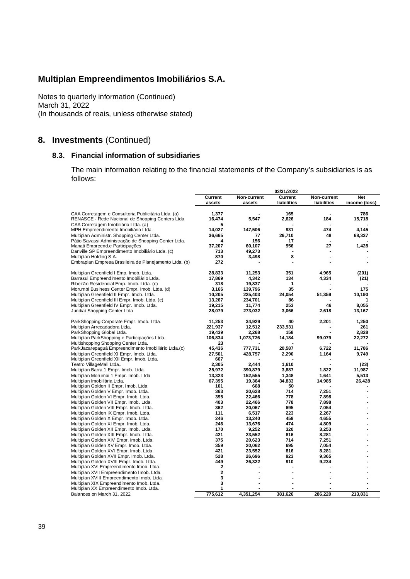Notes to quarterly information (Continued) March 31, 2022 (In thousands of reais, unless otherwise stated)

# **8. Investments** (Continued)

#### **8.3. Financial information of subsidiaries**

The main information relating to the financial statements of the Company's subsidiaries is as follows:

|                                                                                   |                   |                       | 03/31/2022             |                            |                      |
|-----------------------------------------------------------------------------------|-------------------|-----------------------|------------------------|----------------------------|----------------------|
|                                                                                   | Current<br>assets | Non-current<br>assets | Current<br>liabilities | Non-current<br>liabilities | Net<br>income (loss) |
| CAA Corretagem e Consultoria Publicitária Ltda. (a)                               | 1,377             |                       | 165                    |                            | 786                  |
| RENASCE - Rede Nacional de Shopping Centers Ltda.                                 | 16,474            | 5,547                 | 2,626                  | 184                        | 15,718               |
| CAA Corretagem Imobiliária Ltda. (a)                                              | 5                 |                       |                        |                            |                      |
| MPH Empreendimento Imobiliário Ltda.                                              | 14,027            | 147,506               | 931                    | 474                        | 4,145                |
| Multiplan Administr. Shopping Center Ltda.                                        | 36,665            | 77                    | 26,710                 | 48                         | 68,337               |
| Pátio Savassi Administração de Shopping Center Ltda.                              | 4                 | 156                   | 17                     |                            |                      |
| Manati Empreend.e Participações                                                   | 37,207            | 60,107                | 956                    | 27                         | 1,428                |
| Danville SP Empreendimento Imobiliário Ltda. (c)                                  | 713               | 49,273                |                        |                            |                      |
| Multiplan Holding S.A.                                                            | 870               | 3,498                 | 8                      | $\blacksquare$             |                      |
| Embraplan Empresa Brasileira de Planejamento Ltda. (b)                            | 272               |                       |                        |                            |                      |
| Multiplan Greenfield I Emp. Imob. Ltda.                                           | 28,833            | 11,253                | 351                    | 4,965                      | (201)                |
| Barrasul Empreendimento Imobiliário Ltda.                                         | 17,869            | 4,342                 | 134                    | 4,334                      | (21)                 |
| Ribeirão Residencial Emp. Imob. Ltda. (c)                                         | 318               | 19.837                | 1                      |                            |                      |
| Morumbi Business Center Empr. Imob. Ltda. (d)                                     | 3,166             | 139,796               | 35                     |                            | 175                  |
| Multiplan Greenfield II Empr. Imob. Ltda.                                         | 10,205            | 225,403               | 24,054                 | 51,359                     | 10,190               |
| Multiplan Greenfield III Empr. Imob. Ltda. (c)                                    | 13,267            | 234,701               | 86                     |                            | 1                    |
| Multiplan Greenfield IV Empr. Imob. Ltda.                                         | 19,215            | 11,774                | 253                    | 46                         | 8,055                |
| Jundiaí Shopping Center Ltda                                                      | 28,079            | 273,032               | 3,066                  | 2,618                      | 13,167               |
| ParkShopping Corporate Empr. Imob. Ltda.                                          | 11,253            | 34,929                | 40                     | 2,201                      | 1,250                |
| Multiplan Arrecadadora Ltda.                                                      | 221,937           | 12,512                | 233,931                |                            | 261                  |
| ParkShopping Global Ltda.                                                         | 19.439            | 2,268                 | 158                    |                            | 2,828                |
| Multiplan ParkShopping e Participações Ltda.                                      | 106,834           | 1,073,726             | 14,184                 | 99,079                     | 22,272               |
| Multishopping Shopping Center Ltda.                                               | 23                |                       |                        |                            |                      |
| ParkJacarepaguá Empreendimento Imobiliário Ltda.(c)                               | 45,436            | 777,731               | 20,587                 | 6,722                      | 11,786               |
| Multiplan Greenfield XI Empr. Imob. Ltda.                                         | 27,501            | 428,757               | 2,290                  | 1,164                      | 9,749                |
| Multiplan Greenfield XII Empr. Imob. Ltda.                                        | 667               |                       |                        |                            |                      |
| Teatro VillageMall Ltda                                                           | 2,305             | 2,444                 | 1,610                  |                            | (23)                 |
| Multiplan Barra 1 Empr. Imob. Ltda.                                               | 25,972            | 390,879               | 3,887                  | 1,822                      | 11,987               |
| Multiplan Morumbi 1 Empr. Imob. Ltda.                                             | 13,323            | 152,555               | 1,348                  | 1,641                      | 5,513                |
| Multiplan Imobiliária Ltda.                                                       | 67,395            | 19,364                | 34,833                 | 14,985                     | 26,428               |
| Multiplan Golden II Empr. Imob. Ltda                                              | 101               | 668                   | 50                     |                            |                      |
| Multiplan Golden V Empr. Imob. Ltda.                                              | 363<br>395        | 20,628                | 714<br>778             | 7,251                      |                      |
| Multiplan Golden VI Empr. Imob. Ltda.                                             | 403               | 22,466                | 778                    | 7,898<br>7,898             |                      |
| Multiplan Golden VII Empr. Imob. Ltda.<br>Multiplan Golden VIII Empr. Imob. Ltda. | 362               | 22,466<br>20,067      | 695                    | 7,054                      |                      |
| Multiplan Golden IX Empr. Imob. Ltda.                                             | 111               | 6,517                 | 223                    | 2,267                      |                      |
| Multiplan Golden X Empr. Imob. Ltda.                                              | 246               | 13,240                | 459                    | 4,655                      |                      |
| Multiplan Golden XI Empr. Imob. Ltda.                                             | 246               | 13,676                | 474                    | 4,809                      |                      |
| Multiplan Golden XII Empr. Imob. Ltda.                                            | 170               | 9,252                 | 320                    | 3,253                      |                      |
| Multiplan Golden XIII Empr. Imob. Ltda.                                           | 421               | 23,552                | 816                    | 8,281                      |                      |
| Multiplan Golden XIV Empr. Imob. Ltda.                                            | 375               | 20,623                | 714                    | 7,251                      |                      |
| Multiplan Golden XV Empr. Imob. Ltda.                                             | 359               | 20,062                | 695                    | 7,054                      |                      |
| Multiplan Golden XVI Empr. Imob. Ltda.                                            | 421               | 23,552                | 816                    | 8,281                      |                      |
| Multiplan Golden XVII Empr. Imob. Ltda.                                           | 528               | 26,696                | 923                    | 9,365                      |                      |
| Multiplan Golden XVIII Empr. Imob. Ltda.                                          | 449               | 26,322                | 910                    | 9,234                      |                      |
| Multiplan XVI Empreendimento Imob. Ltda.                                          | $\mathbf 2$       |                       |                        |                            |                      |
| Multiplan XVII Empreendimento Imob. Ltda.                                         | $\mathbf 2$       |                       |                        |                            |                      |
| Multiplan XVIII Empreendimento Imob. Ltda.                                        | 3                 |                       |                        |                            |                      |
| Multiplan XIX Empreendimento Imob. Ltda.                                          | 3                 |                       |                        |                            |                      |
| Multiplan XX Empreendimento Imob. Ltda.                                           | 1                 |                       |                        |                            |                      |
| Balances on March 31, 2022                                                        | 775,612           | 4,351,254             | 381,626                | 286,220                    | 213,831              |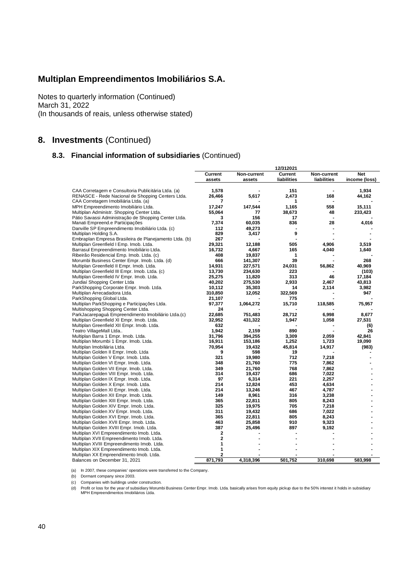Notes to quarterly information (Continued) March 31, 2022 (In thousands of reais, unless otherwise stated)

# **8. Investments** (Continued)

#### **8.3. Financial information of subsidiaries** (Continued)

|                                                                                        |                     |             | 12/312021   |             |               |
|----------------------------------------------------------------------------------------|---------------------|-------------|-------------|-------------|---------------|
|                                                                                        | Current             | Non-current | Current     | Non-current | <b>Net</b>    |
|                                                                                        | assets              | assets      | liabilities | liabilities | income (loss) |
| CAA Corretagem e Consultoria Publicitária Ltda. (a)                                    | 1,578               |             | 151         |             | 1,934         |
| RENASCE - Rede Nacional de Shopping Centers Ltda.                                      | 26,466              | 5,617       | 2,473       | 168         | 44,162        |
| CAA Corretagem Imobiliária Ltda. (a)                                                   | $\overline{7}$      |             | 1           |             |               |
| MPH Empreendimento Imobiliário Ltda.                                                   | 17,247              | 147,544     | 1,165       | 558         | 15,111        |
| Multiplan Administr. Shopping Center Ltda.                                             | 55,064              | 77          | 38,673      | 48          | 233,423       |
| Pátio Savassi Administração de Shopping Center Ltda.                                   | 3                   | 156         | 17          |             |               |
| Manati Empreend.e Participações                                                        | 7,374               | 60,035      | 836         | 28          | 4,016         |
| Danville SP Empreendimento Imobiliário Ltda. (c)                                       | 112                 | 49,273      |             |             |               |
| Multiplan Holding S.A.                                                                 | 829                 | 3,417       | 9           |             |               |
| Embraplan Empresa Brasileira de Planejamento Ltda. (b)                                 | 267                 |             |             |             |               |
| Multiplan Greenfield I Emp. Imob. Ltda.                                                | 29,321              | 12,188      | 505         | 4,906       | 3,519         |
| Barrasul Empreendimento Imobiliário Ltda.                                              | 16,732              | 4,667       | 165         | 4,040       | 1,640         |
| Ribeirão Residencial Emp. Imob. Ltda. (c)                                              | 408                 | 19,837      | 1           |             |               |
| Morumbi Business Center Empr. Imob. Ltda. (d)                                          | 666                 | 141,307     | 39          |             | 268           |
| Multiplan Greenfield II Empr. Imob. Ltda.                                              | 14,931              | 227,571     | 24,031      | 56,862      | 40.969        |
| Multiplan Greenfield III Empr. Imob. Ltda. (c)                                         | 13,730              | 234,630     | 223         |             | (103)         |
| Multiplan Greenfield IV Empr. Imob. Ltda.                                              | 25,275              | 11,820      | 313         | 46          | 17,184        |
| Jundiaí Shopping Center Ltda                                                           | 40,202              | 275,530     | 2,933       | 2,467       | 43,813        |
| ParkShopping Corporate Empr. Imob. Ltda.                                               | 10,112              | 35,303      | 14          | 2,114       | 3,982         |
| Multiplan Arrecadadora Ltda.                                                           | 310,850             | 12,052      | 322,569     |             | 947           |
| ParkShopping Global Ltda.                                                              | 21,107              |             | 775         |             |               |
| Multiplan ParkShopping e Participações Ltda.                                           | 97,377              | 1,064,272   | 15,710      | 118,585     | 75,957        |
| Multishopping Shopping Center Ltda.                                                    | 24                  |             |             |             |               |
| ParkJacarepaguá Empreendimento Imobiliário Ltda.(c)                                    | 22,685              | 751,483     | 28,712      | 6,998       | 8,677         |
| Multiplan Greenfield XI Empr. Imob. Ltda.                                              | 32,952              | 431,322     | 1,947       | 1,058       | 27,531        |
| Multiplan Greenfield XII Empr. Imob. Ltda.                                             | 632                 |             |             |             | (6)           |
| Teatro VillageMall Ltda                                                                | 1,942               | 2,159       | 890         |             | 26            |
| Multiplan Barra 1 Empr. Imob. Ltda.                                                    | 31.796              | 394,255     | 3,309       | 2,059       | 42.841        |
| Multiplan Morumbi 1 Empr. Imob. Ltda.                                                  | 16,911              | 153,186     | 1,252       | 1,723       | 19,090        |
| Multiplan Imobiliária Ltda.                                                            | 70,954              | 19,432      | 45,814      | 14,917      | (983)         |
| Multiplan Golden II Empr. Imob. Ltda                                                   | 9                   | 598         | 19          |             |               |
| Multiplan Golden V Empr. Imob. Ltda.                                                   | 321                 | 19,980      | 712         | 7,218       |               |
| Multiplan Golden VI Empr. Imob. Ltda.                                                  | 348                 | 21,760      | 775         | 7,862       |               |
| Multiplan Golden VII Empr. Imob. Ltda.                                                 | 349                 | 21,760      | 768         | 7,862       |               |
| Multiplan Golden VIII Empr. Imob. Ltda.                                                | 314                 | 19,437      | 686         | 7,022       |               |
| Multiplan Golden IX Empr. Imob. Ltda.                                                  | 97                  | 6,314       | 221         | 2,257       |               |
| Multiplan Golden X Empr. Imob. Ltda.                                                   | 214                 | 12,824      | 453         | 4,634       |               |
| Multiplan Golden XI Empr. Imob. Ltda.                                                  | 214                 | 13,246      | 467         | 4,787       |               |
| Multiplan Golden XII Empr. Imob. Ltda.                                                 | 149                 | 8,961       | 316         | 3,238       |               |
| Multiplan Golden XIII Empr. Imob. Ltda.                                                | 365                 | 22,811      | 805         | 8,243       |               |
| Multiplan Golden XIV Empr. Imob. Ltda.                                                 | 325                 | 19,975      | 705         | 7,218       |               |
| Multiplan Golden XV Empr. Imob. Ltda.                                                  | 311                 | 19,432      | 686         | 7,022       |               |
| Multiplan Golden XVI Empr. Imob. Ltda.                                                 | 365                 | 22,811      | 805         | 8,243       |               |
| Multiplan Golden XVII Empr. Imob. Ltda.                                                | 463                 | 25,858      | 910         | 9,323       |               |
| Multiplan Golden XVIII Empr. Imob. Ltda.                                               | 387<br>$\mathbf{2}$ | 25,496      | 897         | 9,192       |               |
| Multiplan XVI Empreendimento Imob. Ltda.                                               |                     |             |             |             |               |
| Multiplan XVII Empreendimento Imob. Ltda.                                              | 2<br>1              |             |             |             |               |
| Multiplan XVIII Empreendimento Imob. Ltda.<br>Multiplan XIX Empreendimento Imob. Ltda. | 1                   |             |             |             |               |
| Multiplan XX Empreendimento Imob. Ltda.                                                | $\overline{a}$      |             |             |             |               |
| Balances on December 31, 2021                                                          | 871,793             | 4,318,396   | 501,752     | 310,698     | 583,998       |
|                                                                                        |                     |             |             |             |               |

(a) In 2007, these companies' operations were transferred to the Company.

(b) Dormant company since 2003.

(c) Companies with buildings under construction.

(d) Profit or loss for the year of subsidiary Morumbi Business Center Empr. Imob. Ltda. basically arises from equity pickup due to the 50% interest it holds in subsidiary MPH Empreendimentos Imobiliários Ltda.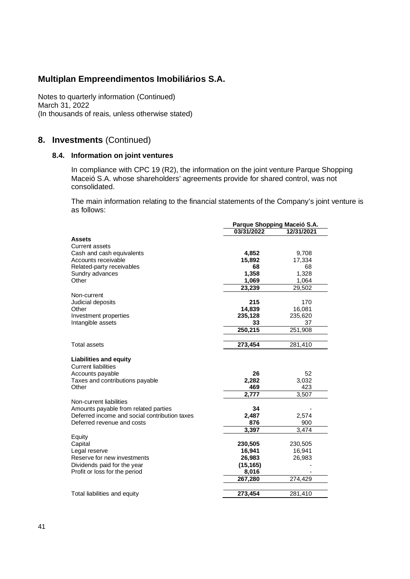Notes to quarterly information (Continued) March 31, 2022 (In thousands of reais, unless otherwise stated)

#### **8. Investments** (Continued)

#### **8.4. Information on joint ventures**

In compliance with CPC 19 (R2), the information on the joint venture Parque Shopping Maceió S.A. whose shareholders' agreements provide for shared control, was not consolidated.

The main information relating to the financial statements of the Company's joint venture is as follows:

|                                                             |            | Parque Shopping Maceió S.A. |
|-------------------------------------------------------------|------------|-----------------------------|
|                                                             | 03/31/2022 | 12/31/2021                  |
| <b>Assets</b>                                               |            |                             |
| <b>Current assets</b>                                       |            |                             |
| Cash and cash equivalents                                   | 4,852      | 9,708                       |
| Accounts receivable                                         | 15,892     | 17,334                      |
| Related-party receivables                                   | 68         | 68                          |
| Sundry advances                                             | 1,358      | 1,328                       |
| Other                                                       | 1,069      | 1,064                       |
|                                                             | 23,239     | 29,502                      |
| Non-current                                                 |            |                             |
| Judicial deposits                                           | 215        | 170                         |
| Other                                                       | 14,839     | 16,081                      |
| Investment properties                                       | 235,128    | 235,620                     |
| Intangible assets                                           | 33         | 37                          |
|                                                             | 250,215    | 251,908                     |
|                                                             |            |                             |
| <b>Total assets</b>                                         | 273,454    | 281,410                     |
| <b>Liabilities and equity</b><br><b>Current liabilities</b> |            |                             |
| Accounts payable                                            | 26         | 52                          |
| Taxes and contributions payable                             | 2,282      | 3,032                       |
| Other                                                       | 469        | 423                         |
|                                                             | 2.777      | 3.507                       |
| Non-current liabilities                                     |            |                             |
| Amounts payable from related parties                        | 34         |                             |
| Deferred income and social contribution taxes               | 2,487      | 2,574                       |
| Deferred revenue and costs                                  | 876        | 900                         |
|                                                             | 3,397      | 3,474                       |
| Equity                                                      |            |                             |
| Capital                                                     | 230,505    | 230,505                     |
| Legal reserve                                               | 16,941     | 16,941                      |
| Reserve for new investments                                 | 26,983     | 26,983                      |
| Dividends paid for the year                                 | (15, 165)  |                             |
| Profit or loss for the period                               | 8,016      |                             |
|                                                             | 267,280    | 274,429                     |
| Total liabilities and equity                                | 273,454    | 281,410                     |
|                                                             |            |                             |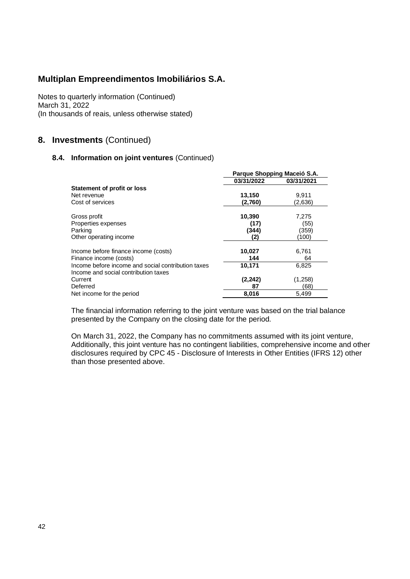Notes to quarterly information (Continued) March 31, 2022 (In thousands of reais, unless otherwise stated)

#### **8. Investments** (Continued)

#### **8.4. Information on joint ventures** (Continued)

|                                                                                            |            | Parque Shopping Maceió S.A. |
|--------------------------------------------------------------------------------------------|------------|-----------------------------|
|                                                                                            | 03/31/2022 | 03/31/2021                  |
| Statement of profit or loss                                                                |            |                             |
| Net revenue                                                                                | 13,150     | 9.911                       |
| Cost of services                                                                           | (2,760)    | (2.636)                     |
| Gross profit                                                                               | 10,390     | 7,275                       |
| Properties expenses                                                                        | (17)       | (55)                        |
| Parking                                                                                    | (344)      | (359)                       |
| Other operating income                                                                     | (2)        | (100)                       |
| Income before finance income (costs)                                                       | 10,027     | 6,761                       |
| Finance income (costs)                                                                     | 144        | 64                          |
| Income before income and social contribution taxes<br>Income and social contribution taxes | 10,171     | 6,825                       |
| Current                                                                                    | (2, 242)   | (1,258)                     |
| Deferred                                                                                   | 87         | (68)                        |
| Net income for the period                                                                  | 8,016      | 5.499                       |

The financial information referring to the joint venture was based on the trial balance presented by the Company on the closing date for the period.

On March 31, 2022, the Company has no commitments assumed with its joint venture, Additionally, this joint venture has no contingent liabilities, comprehensive income and other disclosures required by CPC 45 - Disclosure of Interests in Other Entities (IFRS 12) other than those presented above.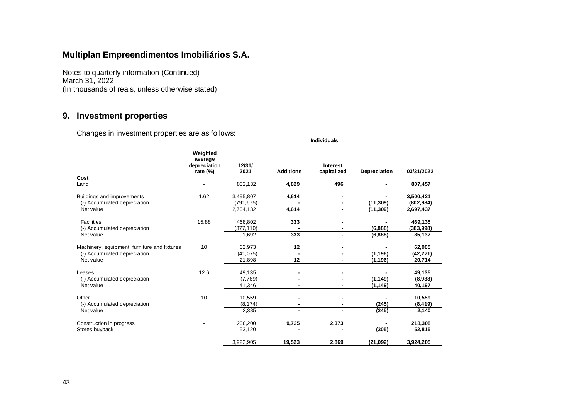Notes to quarterly information (Continued) March 31, 2022 (In thousands of reais, unless otherwise stated)

# **9. Investment properties**

Changes in investment properties are as follows:

| Cost                                                                         | Weighted<br>average<br>depreciation<br>rate $(\%)$ | 12/31/<br>2021          | <b>Additions</b> | Interest<br>capitalized | Depreciation | 03/31/2022              |
|------------------------------------------------------------------------------|----------------------------------------------------|-------------------------|------------------|-------------------------|--------------|-------------------------|
| Land                                                                         |                                                    | 802,132                 | 4,829            | 496                     |              | 807,457                 |
| Buildings and improvements<br>(-) Accumulated depreciation                   | 1.62                                               | 3,495,807<br>(791, 675) | 4,614            | ۰                       | (11, 309)    | 3,500,421<br>(802, 984) |
| Net value                                                                    |                                                    | 2,704,132               | 4,614            | $\blacksquare$          | (11, 309)    | 2,697,437               |
| <b>Facilities</b><br>(-) Accumulated depreciation<br>Net value               | 15.88                                              | 468,802<br>(377, 110)   | 333              |                         | (6,888)      | 469,135<br>(383,998)    |
|                                                                              |                                                    | 91.692                  | 333              | $\blacksquare$          | (6,888)      | 85,137                  |
| Machinery, equipment, furniture and fixtures<br>(-) Accumulated depreciation | 10                                                 | 62,973<br>(41, 075)     | 12               | $\blacksquare$          | (1, 196)     | 62,985<br>(42, 271)     |
| Net value                                                                    |                                                    | 21,898                  | 12               | $\blacksquare$          | (1, 196)     | 20,714                  |
| Leases<br>(-) Accumulated depreciation                                       | 12.6                                               | 49,135<br>(7,789)       |                  |                         | (1, 149)     | 49,135<br>(8,938)       |
| Net value                                                                    |                                                    | 41,346                  | $\blacksquare$   | $\blacksquare$          | (1, 149)     | 40,197                  |
| Other<br>(-) Accumulated depreciation                                        | 10                                                 | 10,559<br>(8, 174)      |                  |                         | (245)        | 10,559<br>(8, 419)      |
| Net value                                                                    |                                                    | 2,385                   | $\blacksquare$   | $\blacksquare$          | (245)        | 2,140                   |
| Construction in progress<br>Stores buyback                                   |                                                    | 206,200<br>53,120       | 9,735            | 2,373                   | (305)        | 218,308<br>52,815       |
|                                                                              |                                                    | 3,922,905               | 19,523           | 2,869                   | (21, 092)    | 3,924,205               |

 **Individuals**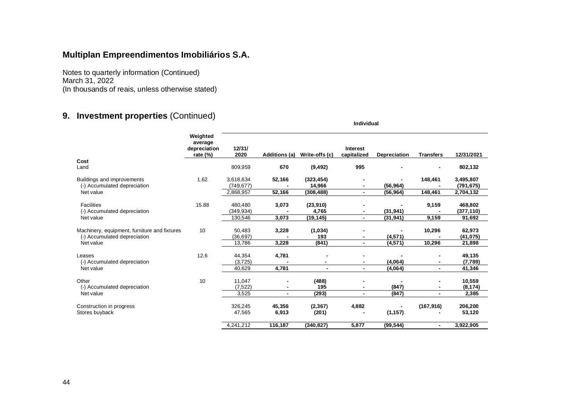Notes to quarterly information (Continued) March 31, 2022 (In thousands of reais, unless otherwise stated)

# **9. Investment properties** (Continued)

|                                                                                           |                                                    | Individual                   |                 |                         |                         |                      |                  |                               |  |  |  |
|-------------------------------------------------------------------------------------------|----------------------------------------------------|------------------------------|-----------------|-------------------------|-------------------------|----------------------|------------------|-------------------------------|--|--|--|
|                                                                                           | Weighted<br>average<br>depreciation<br>rate $(\%)$ | 12/31/<br>2020               | Additions (a)   | Write-offs (c)          | Interest<br>capitalized | Depreciation         | <b>Transfers</b> | 12/31/2021                    |  |  |  |
| Cost<br>Land                                                                              |                                                    | 809,959                      | 670             | (9, 492)                | 995                     |                      | $\blacksquare$   | 802,132                       |  |  |  |
| Buildings and improvements<br>(-) Accumulated depreciation                                | 1.62                                               | 3,618,634<br>(749, 677)      | 52,166          | (323, 454)<br>14,966    |                         | (56, 964)            | 148,461          | 3,495,807<br>(791, 675)       |  |  |  |
| Net value                                                                                 |                                                    | 2,868,957                    | 52,166          | (308, 488)              | $\blacksquare$          | (56, 964)            | 148,461          | 2,704,132                     |  |  |  |
| <b>Facilities</b><br>(-) Accumulated depreciation                                         | 15.88                                              | 480,480<br>(349, 934)        | 3,073           | (23, 910)<br>4,765      | $\blacksquare$          | (31, 941)            | 9,159            | 468,802<br>(377, 110)         |  |  |  |
| Net value                                                                                 |                                                    | 130,546                      | 3,073           | (19, 145)               | $\blacksquare$          | (31, 941)            | 9,159            | 91,692                        |  |  |  |
| Machinery, equipment, furniture and fixtures<br>(-) Accumulated depreciation<br>Net value | 10                                                 | 50,483<br>(36.697)<br>13,786 | 3,228<br>3,228  | (1,034)<br>193<br>(841) | $\blacksquare$          | (4, 571)<br>(4, 571) | 10,296<br>10,296 | 62,973<br>(41, 075)<br>21,898 |  |  |  |
|                                                                                           |                                                    |                              |                 |                         |                         |                      |                  |                               |  |  |  |
| Leases<br>(-) Accumulated depreciation<br>Net value                                       | 12.6                                               | 44.354<br>(3, 725)           | 4,781           | $\blacksquare$          | $\blacksquare$          | (4,064)              | Ξ.               | 49,135<br>(7,789)             |  |  |  |
|                                                                                           |                                                    | 40,629                       | 4,781           |                         | $\blacksquare$          | (4,064)              | $\blacksquare$   | 41,346                        |  |  |  |
| Other<br>(-) Accumulated depreciation                                                     | 10                                                 | 11,047<br>(7, 522)           | $\blacksquare$  | (488)<br>195            | $\blacksquare$          | (847)                | ٠                | 10,559<br>(8, 174)            |  |  |  |
| Net value                                                                                 |                                                    | 3,525                        | $\blacksquare$  | (293)                   | $\blacksquare$          | (847)                | $\blacksquare$   | 2,385                         |  |  |  |
| Construction in progress<br>Stores buyback                                                |                                                    | 326,245<br>47,565            | 45,356<br>6,913 | (2, 367)<br>(201)       | 4,882                   | (1, 157)             | (167, 916)       | 206,200<br>53,120             |  |  |  |
|                                                                                           |                                                    | 4.241.212                    | 116,187         | (340, 827)              | 5.877                   | (99, 544)            | $\blacksquare$   | 3,922,905                     |  |  |  |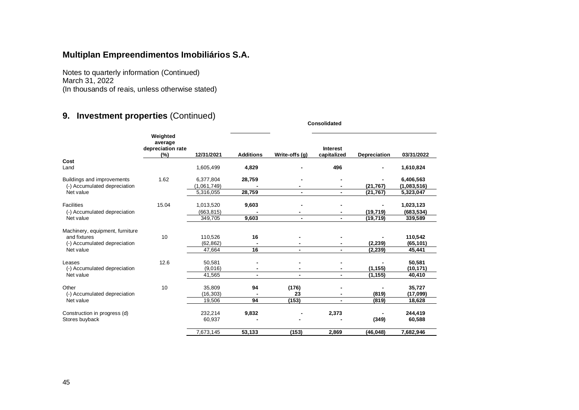Notes to quarterly information (Continued) March 31, 2022 (In thousands of reais, unless otherwise stated)

# **9. Investment properties** (Continued)

|                                                                                              |                                                 |                                       |                  |                                  | Consolidated                   |                        |                                       |
|----------------------------------------------------------------------------------------------|-------------------------------------------------|---------------------------------------|------------------|----------------------------------|--------------------------------|------------------------|---------------------------------------|
|                                                                                              | Weighted<br>average<br>depreciation rate<br>(%) | 12/31/2021                            | <b>Additions</b> | Write-offs (q)                   | <b>Interest</b><br>capitalized | Depreciation           | 03/31/2022                            |
| Cost<br>Land                                                                                 |                                                 | 1,605,499                             | 4,829            |                                  | 496                            |                        | 1,610,824                             |
| Buildings and improvements<br>(-) Accumulated depreciation<br>Net value                      | 1.62                                            | 6,377,804<br>(1,061,749)<br>5,316,055 | 28,759<br>28,759 | $\blacksquare$                   | $\blacksquare$                 | (21, 767)<br>(21, 767) | 6,406,563<br>(1,083,516)<br>5,323,047 |
| <b>Facilities</b><br>(-) Accumulated depreciation<br>Net value                               | 15.04                                           | 1,013,520<br>(663, 815)<br>349,705    | 9,603<br>9,603   | $\blacksquare$<br>$\blacksquare$ | $\blacksquare$                 | (19, 719)<br>(19, 719) | 1,023,123<br>(683, 534)<br>339,589    |
| Machinery, equipment, furniture<br>and fixtures<br>(-) Accumulated depreciation<br>Net value | 10                                              | 110,526<br>(62, 862)<br>47,664        | 16<br>16         | $\blacksquare$                   | $\blacksquare$                 | (2, 239)<br>(2, 239)   | 110,542<br>(65, 101)<br>45,441        |
| Leases<br>(-) Accumulated depreciation<br>Net value                                          | 12.6                                            | 50,581<br>(9,016)<br>41,565           | $\blacksquare$   | $\blacksquare$                   | $\sim$                         | (1, 155)<br>(1, 155)   | 50,581<br>(10, 171)<br>40,410         |
| Other<br>(-) Accumulated depreciation<br>Net value                                           | 10                                              | 35,809<br>(16, 303)<br>19,506         | 94<br>94         | (176)<br>23<br>(153)             | $\blacksquare$                 | (819)<br>(819)         | 35,727<br>(17,099)<br>18,628          |
| Construction in progress (d)<br>Stores buyback                                               |                                                 | 232,214<br>60,937                     | 9,832            |                                  | 2,373                          | (349)                  | 244,419<br>60,588                     |
|                                                                                              |                                                 | 7,673,145                             | 53,133           | (153)                            | 2,869                          | (46, 048)              | 7,682,946                             |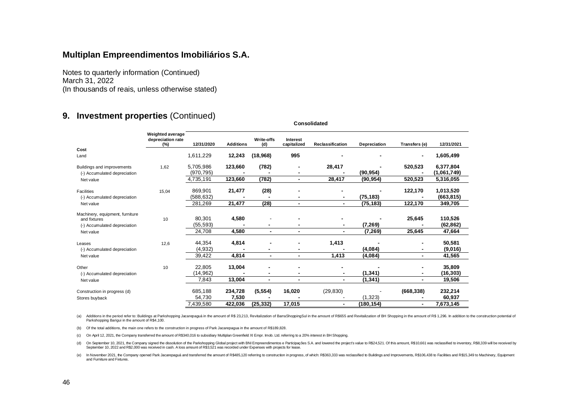Notes to quarterly information (Continued) March 31, 2022 (In thousands of reais, unless otherwise stated)

#### **9. Investment properties** (Continued)

|                                 | Weighted average<br>depreciation rate<br>$(\%)$ | 12/31/2020 | <b>Additions</b> | Write-offs<br>(d) | Interest<br>capitalized | Reclassification | Depreciation | Transfers (e)  | 12/31/2021  |
|---------------------------------|-------------------------------------------------|------------|------------------|-------------------|-------------------------|------------------|--------------|----------------|-------------|
| Cost                            |                                                 |            |                  |                   |                         |                  |              |                |             |
| Land                            |                                                 | 1,611,229  | 12,243           | (18,968)          | 995                     |                  |              |                | 1,605,499   |
| Buildings and improvements      | 1,62                                            | 5,705,986  | 123,660          | (782)             |                         | 28,417           |              | 520,523        | 6,377,804   |
| (-) Accumulated depreciation    |                                                 | (970, 795) |                  |                   |                         |                  | (90, 954)    |                | (1,061,749) |
| Net value                       |                                                 | 4,735,191  | 123,660          | (782)             | $\blacksquare$          | 28,417           | (90, 954)    | 520,523        | 5,316,055   |
| Facilities                      | 15,04                                           | 869,901    | 21,477           | (28)              |                         |                  |              | 122,170        | 1,013,520   |
| (-) Accumulated depreciation    |                                                 | (588, 632) |                  |                   |                         | $\blacksquare$   | (75, 183)    |                | (663, 815)  |
| Net value                       |                                                 | 281,269    | 21,477           | (28)              | $\blacksquare$          |                  | (75, 183)    | 122,170        | 349,705     |
| Machinery, equipment, furniture |                                                 |            |                  |                   |                         |                  |              |                |             |
| and fixtures                    | 10                                              | 80,301     | 4,580            |                   |                         |                  |              | 25,645         | 110,526     |
| (-) Accumulated depreciation    |                                                 | (55,593)   |                  |                   |                         |                  | (7, 269)     |                | (62, 862)   |
| Net value                       |                                                 | 24,708     | 4,580            | $\blacksquare$    | $\blacksquare$          |                  | (7, 269)     | 25,645         | 47,664      |
| Leases                          | 12.6                                            | 44,354     | 4,814            |                   |                         | 1,413            |              |                | 50,581      |
| (-) Accumulated depreciation    |                                                 | (4,932)    |                  |                   |                         |                  | (4,084)      |                | (9,016)     |
| Net value                       |                                                 | 39,422     | 4,814            | $\blacksquare$    | $\blacksquare$          | 1,413            | (4,084)      | $\blacksquare$ | 41,565      |
| Other                           | 10                                              | 22,805     | 13,004           |                   |                         | $\blacksquare$   |              |                | 35,809      |
| (-) Accumulated depreciation    |                                                 | (14,962)   |                  |                   |                         |                  | (1, 341)     |                | (16,303)    |
| Net value                       |                                                 | 7,843      | 13,004           | $\blacksquare$    | $\blacksquare$          |                  | (1, 341)     | ۰              | 19,506      |
| Construction in progress (d)    |                                                 | 685,188    | 234,728          | (5, 554)          | 16,020                  | (29, 830)        |              | (668, 338)     | 232,214     |
| Stores buyback                  |                                                 | 54,730     | 7,530            |                   |                         |                  | (1, 323)     |                | 60,937      |
|                                 |                                                 | 7,439,580  | 422.036          | (25, 332)         | 17,015                  |                  | (180, 154)   | $\blacksquare$ | 7,673,145   |

(a) Additions in the period refer to: Buildings at Parkshopping Jacarepaguá in the amount of R\$ 23,213, Revitalization of BarraShoppingSul in the amount of R\$655 and Revitalization of BH Shopping in the amount of R\$ 1,296. Parkshopping Barigui in the amount of R\$4,100.

 **Consolidated**

(b) Of the total additions, the main one refers to the construction in progress of Park Jacarepagua in the amount of R\$189,828.

(c) On April 12, 2021, the Company transferred the amount of R\$340,016 to subsidiary Multiplan Greenfield XI Empr. Imob. Ltd. referring to a 20% interest in BH Shopping.

(d) On September 10, 2021, the Company signed the dissolution of the Parkshopping Global project with BNI Empreendimentos e Participações S.A. and lowered the project's value to R\$24,521. Of this amount, R\$10,661 was recla

(e) In November 2021, the Company opened Park Jacarepaguá and transferred the amount of R\$485,120 referring to construction in progress, of which: R\$363,333 was reclassified to Buildings and Improvements, R\$106,438 to Faci and Furniture and Fixtures.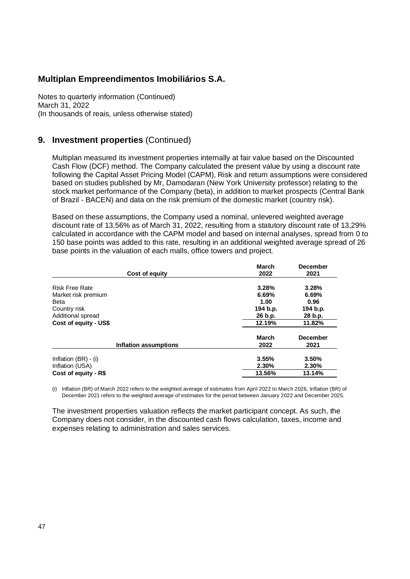Notes to quarterly information (Continued) March 31, 2022 (In thousands of reais, unless otherwise stated)

#### **9. Investment properties** (Continued)

Multiplan measured its investment properties internally at fair value based on the Discounted Cash Flow (DCF) method. The Company calculated the present value by using a discount rate following the Capital Asset Pricing Model (CAPM), Risk and return assumptions were considered based on studies published by Mr, Damodaran (New York University professor) relating to the stock market performance of the Company (beta), in addition to market prospects (Central Bank of Brazil - BACEN) and data on the risk premium of the domestic market (country risk).

Based on these assumptions, the Company used a nominal, unlevered weighted average discount rate of 13,56% as of March 31, 2022, resulting from a statutory discount rate of 13,29% calculated in accordance with the CAPM model and based on internal analyses, spread from 0 to 150 base points was added to this rate, resulting in an additional weighted average spread of 26 base points in the valuation of each malls, office towers and project.

| March<br>2022 | <b>December</b><br>2021 |
|---------------|-------------------------|
| 3.28%         | 3.28%                   |
| 6.69%         | 6.69%                   |
| 1.00          | 0.96                    |
| 194 b.p.      | 194 b.p.                |
| 26 b.p.       | 28 b.p.                 |
| 12.19%        | 11.82%                  |
| March         | <b>December</b>         |
| 2022          | 2021                    |
| 3.55%         | 3.50%                   |
| 2.30%         | 2.30%                   |
| 13.56%        | 13.14%                  |
|               |                         |

(i) Inflation (BR) of March 2022 refers to the weighted average of estimates from April 2022 to March 2026, Inflation (BR) of December 2021 refers to the weighted average of estimates for the period between January 2022 and December 2025.

The investment properties valuation reflects the market participant concept. As such, the Company does not consider, in the discounted cash flows calculation, taxes, income and expenses relating to administration and sales services.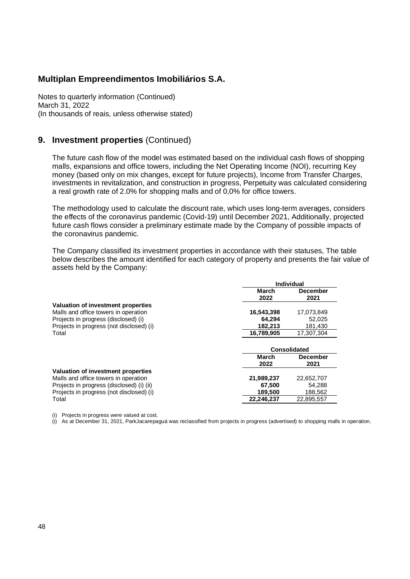Notes to quarterly information (Continued) March 31, 2022 (In thousands of reais, unless otherwise stated)

#### **9. Investment properties** (Continued)

The future cash flow of the model was estimated based on the individual cash flows of shopping malls, expansions and office towers, including the Net Operating Income (NOI), recurring Key money (based only on mix changes, except for future projects), Income from Transfer Charges, investments in revitalization, and construction in progress, Perpetuity was calculated considering a real growth rate of 2.0% for shopping malls and of 0,0% for office towers.

The methodology used to calculate the discount rate, which uses long-term averages, considers the effects of the coronavirus pandemic (Covid-19) until December 2021, Additionally, projected future cash flows consider a preliminary estimate made by the Company of possible impacts of the coronavirus pandemic.

The Company classified its investment properties in accordance with their statuses, The table below describes the amount identified for each category of property and presents the fair value of assets held by the Company:

|                                           | <b>Individual</b> |                     |  |
|-------------------------------------------|-------------------|---------------------|--|
|                                           | March             | <b>December</b>     |  |
|                                           | 2022              | 2021                |  |
| Valuation of investment properties        |                   |                     |  |
| Malls and office towers in operation      | 16,543,398        | 17,073,849          |  |
| Projects in progress (disclosed) (i)      | 64.294            | 52,025              |  |
| Projects in progress (not disclosed) (i)  | 182,213           | 181,430             |  |
| Total                                     | 16,789,905        | 17.307.304          |  |
|                                           |                   | <b>Consolidated</b> |  |
|                                           | March             | December            |  |
|                                           | 2022              | 2021                |  |
| Valuation of investment properties        |                   |                     |  |
| Malls and office towers in operation      | 21,989,237        | 22,652,707          |  |
| Projects in progress (disclosed) (i) (ii) | 67,500            | 54,288              |  |
| Projects in progress (not disclosed) (i)  | 189,500           | 188,562             |  |
| Total                                     | 22,246,237        | 22,895,557          |  |

(i) Projects in progress were valued at cost.

(i) As at December 31, 2021, ParkJacarepaguá was reclassified from projects in progress (advertised) to shopping malls in operation.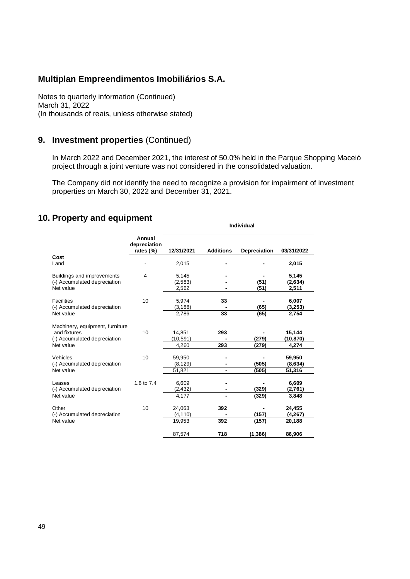Notes to quarterly information (Continued) March 31, 2022 (In thousands of reais, unless otherwise stated)

#### **9. Investment properties** (Continued)

In March 2022 and December 2021, the interest of 50.0% held in the Parque Shopping Maceió project through a joint venture was not considered in the consolidated valuation.

The Company did not identify the need to recognize a provision for impairment of investment properties on March 30, 2022 and December 31, 2021.

# **10. Property and equipment**

|                                                                                              |                                     | <b>Individual</b>            |                  |                |                              |  |  |  |
|----------------------------------------------------------------------------------------------|-------------------------------------|------------------------------|------------------|----------------|------------------------------|--|--|--|
|                                                                                              | Annual<br>depreciation<br>rates (%) | 12/31/2021                   | <b>Additions</b> | Depreciation   | 03/31/2022                   |  |  |  |
| Cost<br>Land                                                                                 |                                     | 2,015                        |                  |                | 2,015                        |  |  |  |
| Buildings and improvements<br>(-) Accumulated depreciation<br>Net value                      | 4                                   | 5,145<br>(2,583)             |                  | (51)<br>(51)   | 5,145<br>(2,634)             |  |  |  |
| <b>Facilities</b><br>(-) Accumulated depreciation                                            | 10                                  | 2,562<br>5,974<br>(3, 188)   | 33               | (65)           | 2,511<br>6,007<br>(3,253)    |  |  |  |
| Net value                                                                                    |                                     | 2,786                        | 33               | (65)           | 2,754                        |  |  |  |
| Machinery, equipment, furniture<br>and fixtures<br>(-) Accumulated depreciation<br>Net value | 10                                  | 14,851<br>(10, 591)<br>4,260 | 293<br>293       | (279)<br>(279) | 15,144<br>(10,870)<br>4,274  |  |  |  |
| Vehicles<br>(-) Accumulated depreciation<br>Net value                                        | 10                                  | 59,950<br>(8, 129)<br>51,821 |                  | (505)<br>(505) | 59,950<br>(8,634)<br>51,316  |  |  |  |
| Leases<br>(-) Accumulated depreciation<br>Net value                                          | 1.6 to 7.4                          | 6,609<br>(2, 432)<br>4,177   |                  | (329)<br>(329) | 6,609<br>(2,761)<br>3,848    |  |  |  |
| Other<br>(-) Accumulated depreciation<br>Net value                                           | 10                                  | 24,063<br>(4, 110)<br>19,953 | 392<br>392       | (157)<br>(157) | 24,455<br>(4, 267)<br>20,188 |  |  |  |
|                                                                                              |                                     | 87,574                       | 718              | (1, 386)       | 86,906                       |  |  |  |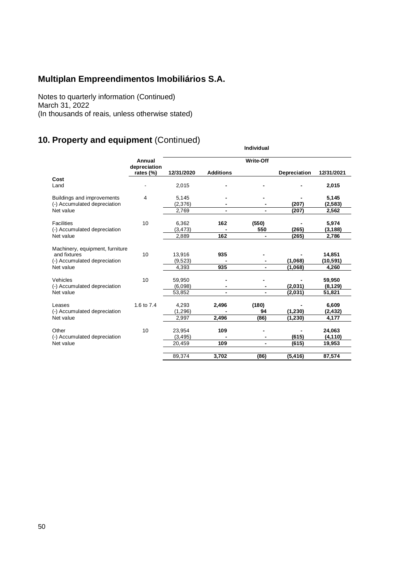Notes to quarterly information (Continued) March 31, 2022 (In thousands of reais, unless otherwise stated)

# **10. Property and equipment** (Continued)

|                                                                                              | Annual<br>depreciation |                              |                  | <b>Write-Off</b>    |                      |                              |
|----------------------------------------------------------------------------------------------|------------------------|------------------------------|------------------|---------------------|----------------------|------------------------------|
|                                                                                              | rates (%)              | 12/31/2020                   | <b>Additions</b> |                     | Depreciation         | 12/31/2021                   |
| Cost<br>Land                                                                                 |                        | 2,015                        |                  |                     |                      | 2,015                        |
| Buildings and improvements<br>(-) Accumulated depreciation                                   | 4                      | 5,145<br>(2,376)             |                  |                     | (207)                | 5,145<br>(2, 583)            |
| Net value                                                                                    |                        | 2,769                        |                  | ٠                   | (207)                | 2,562                        |
| <b>Facilities</b><br>(-) Accumulated depreciation                                            | 10                     | 6,362<br>(3, 473)            | 162              | (550)<br>550        | (265)                | 5,974<br>(3, 188)            |
| Net value                                                                                    |                        | 2,889                        | 162              | ۰                   | (265)                | 2,786                        |
| Machinery, equipment, furniture<br>and fixtures<br>(-) Accumulated depreciation<br>Net value | 10                     | 13,916<br>(9,523)<br>4,393   | 935<br>935       | ٠<br>$\blacksquare$ | (1,068)<br>(1,068)   | 14,851<br>(10,591)<br>4,260  |
| Vehicles<br>(-) Accumulated depreciation<br>Net value                                        | 10                     | 59.950<br>(6.098)<br>53,852  |                  | ٠                   | (2,031)<br>(2,031)   | 59,950<br>(8, 129)<br>51,821 |
| Leases<br>(-) Accumulated depreciation<br>Net value                                          | 1.6 to 7.4             | 4,293<br>(1, 296)<br>2,997   | 2,496<br>2,496   | (180)<br>94<br>(86) | (1, 230)<br>(1, 230) | 6,609<br>(2,432)<br>4,177    |
| Other<br>(-) Accumulated depreciation<br>Net value                                           | 10                     | 23,954<br>(3, 495)<br>20,459 | 109<br>109       | $\blacksquare$      | (615)<br>(615)       | 24,063<br>(4, 110)<br>19,953 |
|                                                                                              |                        | 89,374                       | 3.702            | (86)                | (5, 416)             | 87,574                       |

 **Individual**

50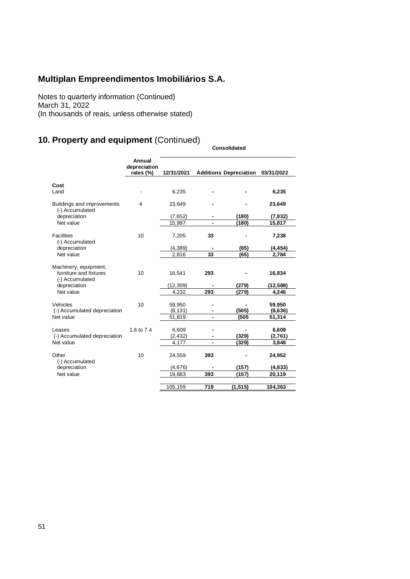Notes to quarterly information (Continued) March 31, 2022 (In thousands of reais, unless otherwise stated)

# **10. Property and equipment** (Continued)

|                                                                                                 |                                     |                              |            | <b>Consolidated</b>           |                              |
|-------------------------------------------------------------------------------------------------|-------------------------------------|------------------------------|------------|-------------------------------|------------------------------|
|                                                                                                 | Annual<br>depreciation<br>rates (%) | 12/31/2021                   |            | <b>Additions Depreciation</b> | 03/31/2022                   |
| Cost<br>Land                                                                                    |                                     | 6,235                        |            |                               | 6,235                        |
| Buildings and improvements<br>(-) Accumulated                                                   | 4                                   | 23,649                       |            |                               | 23,649                       |
| depreciation                                                                                    |                                     | (7,652)                      |            | (180)                         | (7, 832)                     |
| Net value                                                                                       |                                     | 15,997                       |            | (180)                         | 15,817                       |
| <b>Facilities</b><br>(-) Accumulated                                                            | 10                                  | 7,205                        | 33         |                               | 7,238                        |
| depreciation                                                                                    |                                     | (4, 389)                     |            | (65)                          | (4, 454)                     |
| Net value                                                                                       |                                     | 2,816                        | 33         | (65)                          | 2,784                        |
| Machinery, equipment,<br>furniture and fixtures<br>(-) Accumulated<br>depreciation<br>Net value | 10                                  | 16,541<br>(12, 309)<br>4,232 | 293<br>293 | (279)<br>(279)                | 16,834<br>(12, 588)<br>4,246 |
|                                                                                                 |                                     |                              |            |                               |                              |
| Vehicles<br>(-) Accumulated depreciation<br>Net value                                           | 10                                  | 59,950<br>(8, 131)<br>51,819 |            | (505)<br>(505)                | 59,950<br>(8,636)<br>51,314  |
| Leases                                                                                          | 1.6 to 7.4                          | 6,609                        |            |                               | 6,609                        |
| (-) Accumulated depreciation                                                                    |                                     | (2, 432)                     |            | (329)                         | (2,761)                      |
| Net value                                                                                       |                                     | 4,177                        |            | (329)                         | 3,848                        |
| Other<br>(-) Accumulated                                                                        | 10                                  | 24,559                       | 393        |                               | 24,952                       |
| depreciation                                                                                    |                                     | (4,676)                      |            | (157)                         | (4,833)                      |
| Net value                                                                                       |                                     | 19,883                       | 393        | (157)                         | 20,119                       |
|                                                                                                 |                                     | 105,159                      | 719        | (1, 515)                      | 104,363                      |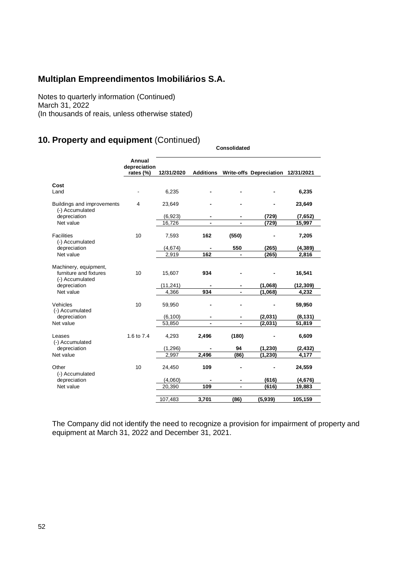Notes to quarterly information (Continued) March 31, 2022 (In thousands of reais, unless otherwise stated)

# **10. Property and equipment** (Continued)

|                                                                    | Annual<br>depreciation |            |       |                |                                              |           |
|--------------------------------------------------------------------|------------------------|------------|-------|----------------|----------------------------------------------|-----------|
|                                                                    | rates (%)              | 12/31/2020 |       |                | Additions Write-offs Depreciation 12/31/2021 |           |
|                                                                    |                        |            |       |                |                                              |           |
| Cost                                                               |                        |            |       |                |                                              |           |
| Land                                                               |                        | 6,235      |       |                |                                              | 6,235     |
| Buildings and improvements<br>(-) Accumulated                      | 4                      | 23,649     |       |                |                                              | 23,649    |
| depreciation                                                       |                        | (6,923)    |       |                | (729)                                        | (7,652)   |
| Net value                                                          |                        | 16,726     |       |                | (729)                                        | 15,997    |
| <b>Facilities</b><br>(-) Accumulated                               | 10                     | 7,593      | 162   | (550)          |                                              | 7,205     |
| depreciation                                                       |                        | (4,674)    |       | 550            | (265)                                        | (4, 389)  |
| Net value                                                          |                        | 2,919      | 162   | $\blacksquare$ | (265)                                        | 2,816     |
|                                                                    |                        |            |       |                |                                              |           |
| Machinery, equipment,<br>furniture and fixtures<br>(-) Accumulated | 10                     | 15,607     | 934   |                |                                              | 16,541    |
| depreciation                                                       |                        | (11, 241)  |       |                | (1,068)                                      | (12, 309) |
| Net value                                                          |                        | 4.366      | 934   |                | (1,068)                                      | 4,232     |
| Vehicles<br>(-) Accumulated                                        | 10                     | 59,950     |       |                |                                              | 59,950    |
| depreciation                                                       |                        | (6, 100)   |       |                | (2,031)                                      | (8, 131)  |
| Net value                                                          |                        | 53,850     |       |                | (2,031)                                      | 51,819    |
| Leases<br>(-) Accumulated                                          | 1.6 to 7.4             | 4,293      | 2,496 | (180)          |                                              | 6,609     |
| depreciation                                                       |                        | (1,296)    |       | 94             | (1, 230)                                     | (2, 432)  |
| Net value                                                          |                        | 2,997      | 2,496 | (86)           | (1, 230)                                     | 4,177     |
| Other<br>(-) Accumulated                                           | 10                     | 24,450     | 109   |                |                                              | 24,559    |
| depreciation                                                       |                        | (4,060)    |       |                | (616)                                        | (4,676)   |
| Net value                                                          |                        | 20,390     | 109   | ä,             | (616)                                        | 19,883    |
|                                                                    |                        | 107,483    | 3,701 | (86)           | (5,939)                                      | 105,159   |

**Consolidated**

The Company did not identify the need to recognize a provision for impairment of property and equipment at March 31, 2022 and December 31, 2021.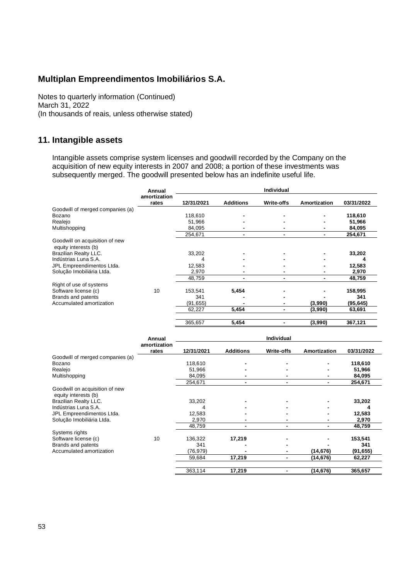Notes to quarterly information (Continued) March 31, 2022 (In thousands of reais, unless otherwise stated)

#### **11. Intangible assets**

Intangible assets comprise system licenses and goodwill recorded by the Company on the acquisition of new equity interests in 2007 and 2008; a portion of these investments was subsequently merged. The goodwill presented below has an indefinite useful life.

|                                        | Annual       |            |                  | Individual               |                |            |
|----------------------------------------|--------------|------------|------------------|--------------------------|----------------|------------|
|                                        | amortization |            |                  |                          |                |            |
|                                        | rates        | 12/31/2021 | <b>Additions</b> | Write-offs               | Amortization   | 03/31/2022 |
| Goodwill of merged companies (a)       |              |            |                  |                          |                |            |
| Bozano                                 |              | 118,610    |                  |                          |                | 118,610    |
| Realejo                                |              | 51,966     |                  |                          |                | 51,966     |
| Multishopping                          |              | 84,095     |                  | $\blacksquare$           | $\blacksquare$ | 84,095     |
|                                        |              | 254,671    |                  | $\blacksquare$           | $\blacksquare$ | 254,671    |
| Goodwill on acquisition of new         |              |            |                  |                          |                |            |
| equity interests (b)                   |              |            |                  |                          |                |            |
| <b>Brazilian Realty LLC.</b>           |              | 33,202     |                  |                          |                | 33,202     |
| Indústrias Luna S.A.                   |              | 4          |                  |                          |                | 4          |
| JPL Empreendimentos Ltda.              |              | 12,583     |                  |                          |                | 12,583     |
| Solução Imobiliária Ltda.              |              | 2,970      |                  |                          |                | 2,970      |
|                                        |              | 48,759     | $\blacksquare$   | $\blacksquare$           | $\frac{1}{2}$  | 48,759     |
| Right of use of systems                |              |            |                  |                          |                |            |
| Software license (c)                   | 10           | 153,541    | 5,454            |                          |                | 158,995    |
| Brands and patents                     |              | 341        |                  |                          |                | 341        |
| Accumulated amortization               |              | (91, 655)  |                  |                          | (3,990)        | (95, 645)  |
|                                        |              |            | 5,454            |                          |                |            |
|                                        |              | 62,227     |                  | $\blacksquare$           | (3,990)        | 63,691     |
|                                        |              | 365,657    | 5,454            | $\blacksquare$           | (3,990)        | 367,121    |
|                                        |              |            |                  |                          |                |            |
|                                        | Annual       |            |                  | Individual               |                |            |
|                                        | amortization |            |                  |                          |                |            |
|                                        | rates        | 12/31/2021 | <b>Additions</b> | Write-offs               | Amortization   | 03/31/2022 |
| Goodwill of merged companies (a)       |              |            |                  |                          |                |            |
| Bozano                                 |              | 118,610    |                  |                          |                | 118,610    |
| Realejo                                |              | 51,966     |                  |                          |                | 51,966     |
| Multishopping                          |              | 84,095     |                  |                          |                | 84,095     |
|                                        |              | 254,671    | $\blacksquare$   | ÷,                       |                | 254,671    |
| Goodwill on acquisition of new         |              |            |                  |                          |                |            |
| equity interests (b)                   |              |            |                  |                          |                |            |
| <b>Brazilian Realty LLC.</b>           |              | 33,202     |                  |                          |                | 33,202     |
| Indústrias Luna S.A.                   |              | 4          |                  |                          |                |            |
| JPL Empreendimentos Ltda.              |              | 12,583     |                  |                          |                | 12,583     |
| Solução Imobiliária Ltda.              |              | 2,970      |                  | $\blacksquare$           | $\blacksquare$ | 2,970      |
|                                        |              | 48,759     | $\blacksquare$   | $\overline{\phantom{0}}$ | $\blacksquare$ | 48,759     |
|                                        |              |            |                  |                          |                |            |
| Systems rights<br>Software license (c) | 10           |            | 17,219           |                          |                |            |
|                                        |              | 136,322    |                  |                          |                | 153,541    |
| Brands and patents                     |              | 341        |                  |                          |                | 341        |
| Accumulated amortization               |              | (76, 979)  |                  | $\blacksquare$           | (14, 676)      | (91, 655)  |
|                                        |              | 59,684     | 17,219           | $\blacksquare$           | (14, 676)      | 62,227     |
|                                        |              | 363,114    | 17,219           | $\blacksquare$           | (14, 676)      | 365,657    |
|                                        |              |            |                  |                          |                |            |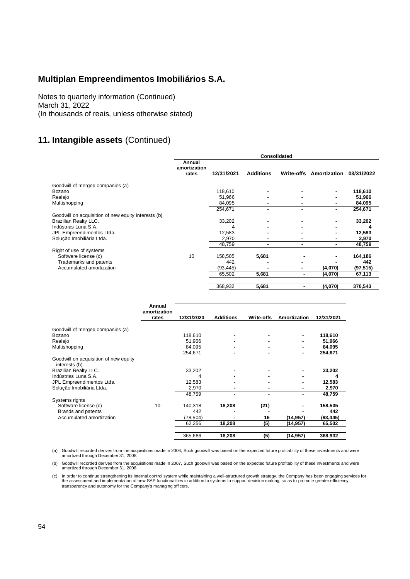Notes to quarterly information (Continued) March 31, 2022 (In thousands of reais, unless otherwise stated)

# **11. Intangible assets** (Continued)

|                                                     |              |                                 |                       |                   | Consolidated   |                                    |                  |  |
|-----------------------------------------------------|--------------|---------------------------------|-----------------------|-------------------|----------------|------------------------------------|------------------|--|
|                                                     |              | Annual<br>amortization<br>rates | 12/31/2021            | <b>Additions</b>  |                | Write-offs Amortization 03/31/2022 |                  |  |
|                                                     |              |                                 |                       |                   |                |                                    |                  |  |
| Goodwill of merged companies (a)<br>Bozano          |              |                                 | 118,610               |                   |                |                                    | 118,610          |  |
| Realejo                                             |              |                                 | 51,966                |                   |                |                                    | 51,966           |  |
| Multishopping                                       |              |                                 | 84,095                |                   |                |                                    | 84,095           |  |
|                                                     |              |                                 | 254,671               | ٠                 | ٠              | ٠                                  | 254,671          |  |
| Goodwill on acquisition of new equity interests (b) |              |                                 |                       |                   |                |                                    |                  |  |
| <b>Brazilian Realty LLC.</b>                        |              |                                 | 33,202                |                   |                |                                    | 33,202           |  |
| Indústrias Luna S.A.                                |              |                                 | 4                     |                   |                |                                    | 4                |  |
| JPL Empreendimentos Ltda.                           |              |                                 | 12,583                |                   |                |                                    | 12,583           |  |
| Solução Imobiliária Ltda.                           |              |                                 | 2,970                 |                   |                | ٠                                  | 2,970            |  |
|                                                     |              |                                 | 48,759                | ä,                | ٠              |                                    | 48,759           |  |
| Right of use of systems                             |              |                                 |                       |                   |                |                                    |                  |  |
| Software license (c)                                |              | 10                              | 158,505               | 5,681             |                |                                    | 164,186          |  |
| Trademarks and patents<br>Accumulated amortization  |              |                                 | 442<br>(93, 445)      |                   | ۰              | (4,070)                            | 442<br>(97, 515) |  |
|                                                     |              |                                 | 65,502                | 5,681             | $\blacksquare$ | (4,070)                            | 67,113           |  |
|                                                     |              |                                 |                       |                   |                |                                    |                  |  |
|                                                     |              |                                 | 368,932               | 5,681             | $\blacksquare$ | (4,070)                            | 370,543          |  |
|                                                     |              |                                 |                       |                   |                |                                    |                  |  |
|                                                     |              |                                 |                       |                   |                |                                    |                  |  |
|                                                     | Annual       |                                 |                       |                   |                |                                    |                  |  |
|                                                     | amortization |                                 |                       |                   |                |                                    |                  |  |
|                                                     | rates        | 12/31/2020                      | <b>Additions</b>      | <b>Write-offs</b> | Amortization   | 12/31/2021                         |                  |  |
|                                                     |              |                                 |                       |                   |                |                                    |                  |  |
| Goodwill of merged companies (a)                    |              | 118,610                         |                       |                   |                | 118,610                            |                  |  |
| Bozano<br>Realejo                                   |              | 51,966                          |                       |                   | ä,             | 51,966                             |                  |  |
| Multishopping                                       |              | 84,095                          | ۰                     |                   |                | 84,095                             |                  |  |
|                                                     |              | 254,671                         | $\tilde{\phantom{a}}$ | $\blacksquare$    | $\blacksquare$ | 254,671                            |                  |  |
| Goodwill on acquisition of new equity               |              |                                 |                       |                   |                |                                    |                  |  |
| interests (b)                                       |              |                                 |                       |                   |                |                                    |                  |  |
| <b>Brazilian Realty LLC.</b>                        |              | 33,202                          |                       |                   |                | 33,202                             |                  |  |
| Indústrias Luna S.A.                                |              | 4                               |                       |                   |                | 4                                  |                  |  |
| JPL Empreendimentos Ltda.                           |              | 12,583                          |                       |                   |                | 12,583                             |                  |  |
| Solução Imobiliária Ltda.                           |              | 2,970                           |                       |                   |                | 2,970                              |                  |  |
|                                                     |              | 48,759                          | $\blacksquare$        | $\blacksquare$    | ٠              | 48,759                             |                  |  |
| Systems rights                                      |              |                                 |                       |                   |                |                                    |                  |  |
| Software license (c)                                | 10           | 140,318                         | 18,208                | (21)              |                | 158,505                            |                  |  |
| Brands and patents                                  |              | 442                             |                       |                   |                | 442                                |                  |  |
| Accumulated amortization                            |              | (78, 504)                       |                       | 16                | (14, 957)      | (93, 445)                          |                  |  |

(a) Goodwill recorded derives from the acquisitions made in 2006, Such goodwill was based on the expected future profitability of these investments and were amortized through December 31, 2008.

62,256 **18,208 (5) (14,957) 65,502** 365,686 **18,208 (5) (14,957) 368,932**

(b) Goodwill recorded derives from the acquisitions made in 2007, Such goodwill was based on the expected future profitability of these investments and were amortized through December 31, 2008.

c) In order to continue strengthening its internal control system while maintaining a well-structured growth strategy, the Company has been engaging services for<br>the assessment and implementation of new SAP functionalities transparency and autonomy for the Company's managing officers.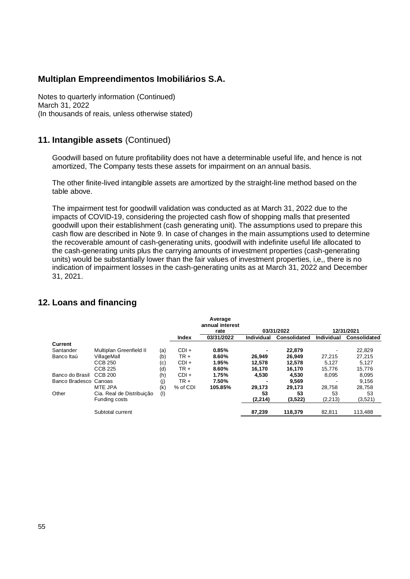Notes to quarterly information (Continued) March 31, 2022 (In thousands of reais, unless otherwise stated)

#### **11. Intangible assets** (Continued)

Goodwill based on future profitability does not have a determinable useful life, and hence is not amortized, The Company tests these assets for impairment on an annual basis.

The other finite-lived intangible assets are amortized by the straight-line method based on the table above.

The impairment test for goodwill validation was conducted as at March 31, 2022 due to the impacts of COVID-19, considering the projected cash flow of shopping malls that presented goodwill upon their establishment (cash generating unit). The assumptions used to prepare this cash flow are described in Note 9. In case of changes in the main assumptions used to determine the recoverable amount of cash-generating units, goodwill with indefinite useful life allocated to the cash-generating units plus the carrying amounts of investment properties (cash-generating units) would be substantially lower than the fair values of investment properties, i,e,, there is no indication of impairment losses in the cash-generating units as at March 31, 2022 and December 31, 2021.

### **12. Loans and financing**

|                       |                           |     |              | Average<br>annual interest |            |              |                   |              |
|-----------------------|---------------------------|-----|--------------|----------------------------|------------|--------------|-------------------|--------------|
|                       |                           |     |              | rate                       |            | 03/31/2022   |                   | 12/31/2021   |
|                       |                           |     | <b>Index</b> | 03/31/2022                 | Individual | Consolidated | <b>Individual</b> | Consolidated |
| Current               |                           |     |              |                            |            |              |                   |              |
| Santander             | Multiplan Greenfield II   | (a) | $CDI +$      | 0.85%                      |            | 22,879       | -                 | 22,829       |
| Banco Itaú            | VillageMall               | (b) | $TR +$       | 8.60%                      | 26.949     | 26.949       | 27.215            | 27.215       |
|                       | CCB 250                   | (c) | $CDI +$      | 1.95%                      | 12,578     | 12,578       | 5,127             | 5,127        |
|                       | <b>CCB 225</b>            | (d) | $TR +$       | 8.60%                      | 16,170     | 16,170       | 15.776            | 15,776       |
| Banco do Brasil       | CCB 200                   | (h) | $CDI +$      | 1.75%                      | 4,530      | 4,530        | 8,095             | 8,095        |
| Banco Bradesco Canoas |                           | (i) | TR+          | 7.50%                      |            | 9,569        |                   | 9,156        |
|                       | MTE JPA                   | (k) | % of CDI     | 105.85%                    | 29,173     | 29,173       | 28.758            | 28,758       |
| Other                 | Cia. Real de Distribuição | (1) |              |                            | 53         | 53           | 53                | 53           |
|                       | Funding costs             |     |              |                            | (2,214)    | (3,522)      | (2, 213)          | (3,521)      |
|                       | Subtotal current          |     |              |                            | 87,239     | 118,379      | 82,811            | 113,488      |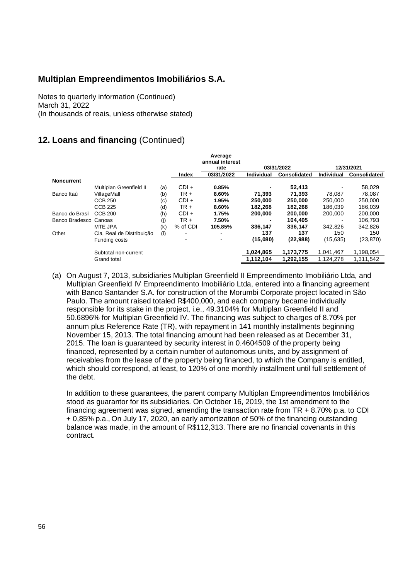Notes to quarterly information (Continued) March 31, 2022 (In thousands of reais, unless otherwise stated)

### **12. Loans and financing** (Continued)

|                       |                           |     |          | Average<br>annual interest |            |              |            |                     |
|-----------------------|---------------------------|-----|----------|----------------------------|------------|--------------|------------|---------------------|
|                       |                           |     |          | rate                       |            | 03/31/2022   |            | 12/31/2021          |
|                       |                           |     | Index    | 03/31/2022                 | Individual | Consolidated | Individual | <b>Consolidated</b> |
| <b>Noncurrent</b>     |                           |     |          |                            |            |              |            |                     |
|                       | Multiplan Greenfield II   | (a) | $CDI +$  | 0.85%                      |            | 52,413       |            | 58,029              |
| Banco Itaú            | VillageMall               | (b) | $TR +$   | 8.60%                      | 71,393     | 71,393       | 78,087     | 78,087              |
|                       | <b>CCB 250</b>            | (c) | $CDI +$  | 1.95%                      | 250,000    | 250.000      | 250,000    | 250.000             |
|                       | <b>CCB 225</b>            | (d) | $TR +$   | 8.60%                      | 182.268    | 182.268      | 186.039    | 186.039             |
| Banco do Brasil       | CCB 200                   | (h) | $CDI +$  | 1.75%                      | 200,000    | 200,000      | 200,000    | 200,000             |
| Banco Bradesco Canoas |                           | (i) | TR +     | 7.50%                      |            | 104,405      |            | 106.793             |
|                       | <b>MTE JPA</b>            | (k) | % of CDI | 105.85%                    | 336,147    | 336,147      | 342.826    | 342.826             |
| Other                 | Cia, Real de Distribuição | (1) | -        |                            | 137        | 137          | 150        | 150                 |
|                       | Funding costs             |     |          |                            | (15,080)   | (22, 988)    | (15, 635)  | (23,870)            |
|                       |                           |     |          |                            |            |              |            |                     |
|                       | Subtotal non-current      |     |          |                            | 1,024,865  | 1,173,775    | 1,041,467  | 1,198,054           |
|                       | Grand total               |     |          |                            | 1.112.104  | 1.292.155    | 1.124.278  | 1.311.542           |

(a) On August 7, 2013, subsidiaries Multiplan Greenfield II Empreendimento Imobiliário Ltda, and Multiplan Greenfield IV Empreendimento Imobiliário Ltda, entered into a financing agreement with Banco Santander S.A. for construction of the Morumbi Corporate project located in São Paulo. The amount raised totaled R\$400,000, and each company became individually responsible for its stake in the project, i.e., 49.3104% for Multiplan Greenfield II and 50.6896% for Multiplan Greenfield IV. The financing was subject to charges of 8.70% per annum plus Reference Rate (TR), with repayment in 141 monthly installments beginning November 15, 2013. The total financing amount had been released as at December 31, 2015. The loan is guaranteed by security interest in 0.4604509 of the property being financed, represented by a certain number of autonomous units, and by assignment of receivables from the lease of the property being financed, to which the Company is entitled, which should correspond, at least, to 120% of one monthly installment until full settlement of the debt.

In addition to these guarantees, the parent company Multiplan Empreendimentos Imobiliários stood as guarantor for its subsidiaries. On October 16, 2019, the 1st amendment to the financing agreement was signed, amending the transaction rate from TR + 8.70% p.a. to CDI + 0,85% p.a., On July 17, 2020, an early amortization of 50% of the financing outstanding balance was made, in the amount of R\$112,313. There are no financial covenants in this contract.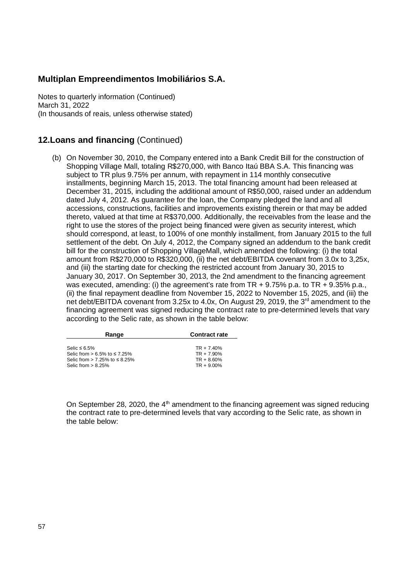Notes to quarterly information (Continued) March 31, 2022 (In thousands of reais, unless otherwise stated)

#### **12.Loans and financing** (Continued)

(b) On November 30, 2010, the Company entered into a Bank Credit Bill for the construction of Shopping Village Mall, totaling R\$270,000, with Banco Itaú BBA S.A. This financing was subject to TR plus 9.75% per annum, with repayment in 114 monthly consecutive installments, beginning March 15, 2013. The total financing amount had been released at December 31, 2015, including the additional amount of R\$50,000, raised under an addendum dated July 4, 2012. As guarantee for the loan, the Company pledged the land and all accessions, constructions, facilities and improvements existing therein or that may be added thereto, valued at that time at R\$370,000. Additionally, the receivables from the lease and the right to use the stores of the project being financed were given as security interest, which should correspond, at least, to 100% of one monthly installment, from January 2015 to the full settlement of the debt. On July 4, 2012, the Company signed an addendum to the bank credit bill for the construction of Shopping VillageMall, which amended the following: (i) the total amount from R\$270,000 to R\$320,000, (ii) the net debt/EBITDA covenant from 3.0x to 3,25x, and (iii) the starting date for checking the restricted account from January 30, 2015 to January 30, 2017. On September 30, 2013, the 2nd amendment to the financing agreement was executed, amending: (i) the agreement's rate from TR + 9.75% p.a. to TR + 9.35% p.a., (ii) the final repayment deadline from November 15, 2022 to November 15, 2025, and (iii) the net debt/EBITDA covenant from 3.25x to 4.0x, On August 29, 2019, the 3<sup>rd</sup> amendment to the financing agreement was signed reducing the contract rate to pre-determined levels that vary according to the Selic rate, as shown in the table below:

| Range                         | <b>Contract rate</b> |
|-------------------------------|----------------------|
|                               |                      |
| Selic ≤ 6.5%                  | $TR + 7.40%$         |
| Selic from > 6.5% to ≤ 7.25%  | $TR + 7.90\%$        |
| Selic from > 7.25% to ≤ 8.25% | $TR + 8.60%$         |
| Selic from > 8.25%            | $TR + 9.00\%$        |

On September 28, 2020, the  $4<sup>th</sup>$  amendment to the financing agreement was signed reducing the contract rate to pre-determined levels that vary according to the Selic rate, as shown in the table below: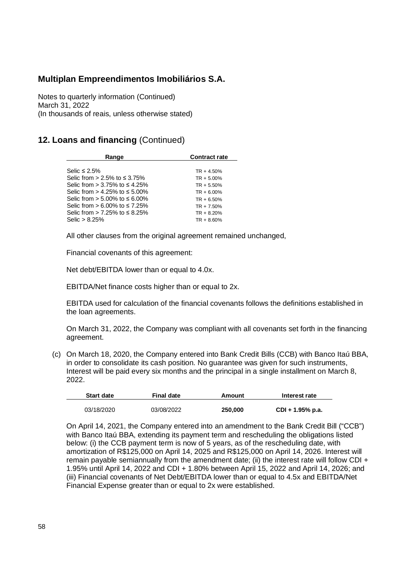Notes to quarterly information (Continued) March 31, 2022 (In thousands of reais, unless otherwise stated)

#### **12. Loans and financing** (Continued)

| Range                                  | <b>Contract rate</b> |
|----------------------------------------|----------------------|
| Selic $\leq 2.5\%$                     | $TR + 4.50%$         |
| Selic from > 2.5% to ≤ 3.75%           | $TR + 5.00\%$        |
| Selic from > 3.75% to ≤ 4.25%          | $TR + 5.50%$         |
| Selic from $> 4.25\%$ to $\leq 5.00\%$ | $TR + 6.00\%$        |
| Selic from > 5.00% to ≤ 6.00%          | $TR + 6.50%$         |
| Selic from > 6.00% to ≤ 7.25%          | $TR + 7.50\%$        |
| Selic from > 7.25% to ≤ 8.25%          | $TR + 8.20%$         |
| Selic $> 8.25\%$                       | $TR + 8.60\%$        |

All other clauses from the original agreement remained unchanged,

Financial covenants of this agreement:

Net debt/EBITDA lower than or equal to 4.0x.

EBITDA/Net finance costs higher than or equal to 2x.

EBITDA used for calculation of the financial covenants follows the definitions established in the loan agreements.

On March 31, 2022, the Company was compliant with all covenants set forth in the financing agreement.

(c) On March 18, 2020, the Company entered into Bank Credit Bills (CCB) with Banco Itaú BBA, in order to consolidate its cash position. No guarantee was given for such instruments, Interest will be paid every six months and the principal in a single installment on March 8, 2022.

| <b>Start date</b> | Final date | Amount  | Interest rate    |
|-------------------|------------|---------|------------------|
|                   |            |         |                  |
| 03/18/2020        | 03/08/2022 | 250,000 | CDI + 1.95% p.a. |

On April 14, 2021, the Company entered into an amendment to the Bank Credit Bill ("CCB") with Banco Itaú BBA, extending its payment term and rescheduling the obligations listed below: (i) the CCB payment term is now of 5 years, as of the rescheduling date, with amortization of R\$125,000 on April 14, 2025 and R\$125,000 on April 14, 2026. Interest will remain payable semiannually from the amendment date; (ii) the interest rate will follow CDI + 1.95% until April 14, 2022 and CDI + 1.80% between April 15, 2022 and April 14, 2026; and (iii) Financial covenants of Net Debt/EBITDA lower than or equal to 4.5x and EBITDA/Net Financial Expense greater than or equal to 2x were established.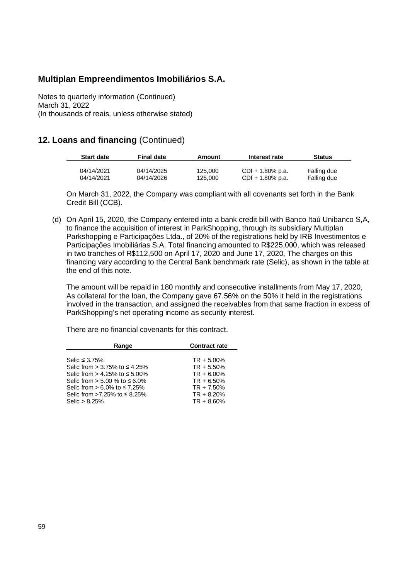Notes to quarterly information (Continued) March 31, 2022 (In thousands of reais, unless otherwise stated)

#### **12. Loans and financing** (Continued)

| <b>Start date</b>        | <b>Final date</b>        | Amount             | Interest rate                           | <b>Status</b>              |  |
|--------------------------|--------------------------|--------------------|-----------------------------------------|----------------------------|--|
| 04/14/2021<br>04/14/2021 | 04/14/2025<br>04/14/2026 | 125.000<br>125.000 | $CDI + 1.80\%$ p.a.<br>CDI + 1.80% p.a. | Falling due<br>Falling due |  |

On March 31, 2022, the Company was compliant with all covenants set forth in the Bank Credit Bill (CCB).

(d) On April 15, 2020, the Company entered into a bank credit bill with Banco Itaú Unibanco S,A, to finance the acquisition of interest in ParkShopping, through its subsidiary Multiplan Parkshopping e Participações Ltda., of 20% of the registrations held by IRB Investimentos e Participações Imobiliárias S.A. Total financing amounted to R\$225,000, which was released in two tranches of R\$112,500 on April 17, 2020 and June 17, 2020, The charges on this financing vary according to the Central Bank benchmark rate (Selic), as shown in the table at the end of this note.

The amount will be repaid in 180 monthly and consecutive installments from May 17, 2020, As collateral for the loan, the Company gave 67.56% on the 50% it held in the registrations involved in the transaction, and assigned the receivables from that same fraction in excess of ParkShopping's net operating income as security interest.

There are no financial covenants for this contract.

| Range                         | <b>Contract rate</b> |
|-------------------------------|----------------------|
|                               |                      |
| Selic $\leq$ 3.75%            | $TR + 5.00\%$        |
| Selic from > 3.75% to ≤ 4.25% | $TR + 5.50%$         |
| Selic from > 4.25% to ≤ 5.00% | $TR + 6.00\%$        |
| Selic from > 5.00 % to ≤ 6.0% | $TR + 6.50%$         |
| Selic from > 6.0% to ≤7.25%   | $TR + 7.50\%$        |
| Selic from >7.25% to ≤ 8.25%  | $TR + 8.20%$         |
| Selic $> 8.25%$               | $TR + 8.60\%$        |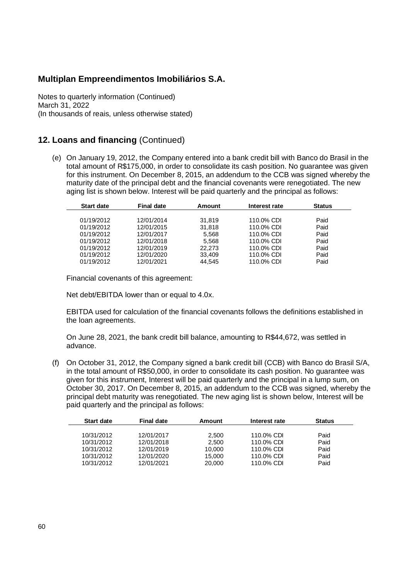Notes to quarterly information (Continued) March 31, 2022 (In thousands of reais, unless otherwise stated)

### **12. Loans and financing** (Continued)

(e) On January 19, 2012, the Company entered into a bank credit bill with Banco do Brasil in the total amount of R\$175,000, in order to consolidate its cash position. No guarantee was given for this instrument. On December 8, 2015, an addendum to the CCB was signed whereby the maturity date of the principal debt and the financial covenants were renegotiated. The new aging list is shown below. Interest will be paid quarterly and the principal as follows:

| <b>Start date</b> | <b>Final date</b> | Amount | Interest rate | <b>Status</b> |
|-------------------|-------------------|--------|---------------|---------------|
|                   |                   |        |               |               |
| 01/19/2012        | 12/01/2014        | 31.819 | 110.0% CDI    | Paid          |
| 01/19/2012        | 12/01/2015        | 31.818 | 110.0% CDI    | Paid          |
| 01/19/2012        | 12/01/2017        | 5.568  | 110.0% CDI    | Paid          |
| 01/19/2012        | 12/01/2018        | 5.568  | 110.0% CDI    | Paid          |
| 01/19/2012        | 12/01/2019        | 22,273 | 110.0% CDI    | Paid          |
| 01/19/2012        | 12/01/2020        | 33,409 | 110.0% CDI    | Paid          |
| 01/19/2012        | 12/01/2021        | 44.545 | 110.0% CDI    | Paid          |

Financial covenants of this agreement:

Net debt/EBITDA lower than or equal to 4.0x.

EBITDA used for calculation of the financial covenants follows the definitions established in the loan agreements.

On June 28, 2021, the bank credit bill balance, amounting to R\$44,672, was settled in advance.

(f) On October 31, 2012, the Company signed a bank credit bill (CCB) with Banco do Brasil S/A, in the total amount of R\$50,000, in order to consolidate its cash position. No guarantee was given for this instrument, Interest will be paid quarterly and the principal in a lump sum, on October 30, 2017. On December 8, 2015, an addendum to the CCB was signed, whereby the principal debt maturity was renegotiated. The new aging list is shown below, Interest will be paid quarterly and the principal as follows:

| <b>Start date</b> | <b>Final date</b> | Amount | Interest rate | <b>Status</b> |
|-------------------|-------------------|--------|---------------|---------------|
|                   |                   |        |               |               |
| 10/31/2012        | 12/01/2017        | 2.500  | 110.0% CDI    | Paid          |
| 10/31/2012        | 12/01/2018        | 2,500  | 110.0% CDI    | Paid          |
| 10/31/2012        | 12/01/2019        | 10.000 | 110.0% CDI    | Paid          |
| 10/31/2012        | 12/01/2020        | 15.000 | 110.0% CDI    | Paid          |
| 10/31/2012        | 12/01/2021        | 20,000 | 110.0% CDI    | Paid          |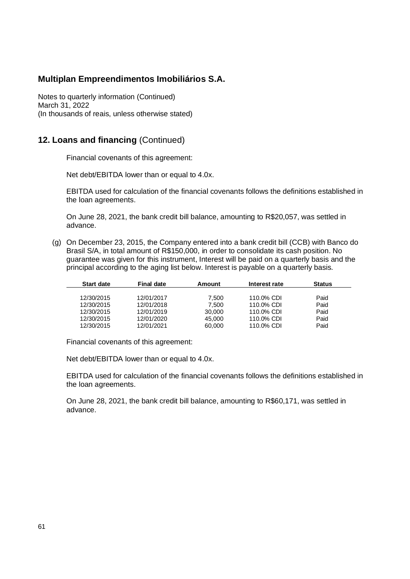Notes to quarterly information (Continued) March 31, 2022 (In thousands of reais, unless otherwise stated)

#### **12. Loans and financing** (Continued)

Financial covenants of this agreement:

Net debt/EBITDA lower than or equal to 4.0x.

EBITDA used for calculation of the financial covenants follows the definitions established in the loan agreements.

On June 28, 2021, the bank credit bill balance, amounting to R\$20,057, was settled in advance.

(g) On December 23, 2015, the Company entered into a bank credit bill (CCB) with Banco do Brasil S/A, in total amount of R\$150,000, in order to consolidate its cash position. No guarantee was given for this instrument, Interest will be paid on a quarterly basis and the principal according to the aging list below. Interest is payable on a quarterly basis.

| <b>Start date</b> | <b>Final date</b> | Amount | Interest rate | <b>Status</b> |  |
|-------------------|-------------------|--------|---------------|---------------|--|
|                   |                   |        |               |               |  |
| 12/30/2015        | 12/01/2017        | 7.500  | 110.0% CDI    | Paid          |  |
| 12/30/2015        | 12/01/2018        | 7.500  | 110.0% CDI    | Paid          |  |
| 12/30/2015        | 12/01/2019        | 30,000 | 110.0% CDI    | Paid          |  |
| 12/30/2015        | 12/01/2020        | 45.000 | 110.0% CDI    | Paid          |  |
| 12/30/2015        | 12/01/2021        | 60,000 | 110.0% CDI    | Paid          |  |
|                   |                   |        |               |               |  |

Financial covenants of this agreement:

Net debt/EBITDA lower than or equal to 4.0x.

EBITDA used for calculation of the financial covenants follows the definitions established in the loan agreements.

On June 28, 2021, the bank credit bill balance, amounting to R\$60,171, was settled in advance.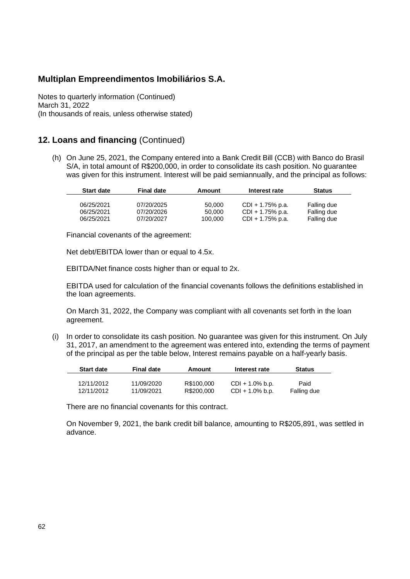Notes to quarterly information (Continued) March 31, 2022 (In thousands of reais, unless otherwise stated)

#### **12. Loans and financing** (Continued)

(h) On June 25, 2021, the Company entered into a Bank Credit Bill (CCB) with Banco do Brasil S/A, in total amount of R\$200,000, in order to consolidate its cash position. No guarantee was given for this instrument. Interest will be paid semiannually, and the principal as follows:

| <b>Start date</b> | <b>Final date</b> | Amount           | Interest rate                              | <b>Status</b>              |
|-------------------|-------------------|------------------|--------------------------------------------|----------------------------|
| 06/25/2021        | 07/20/2025        |                  |                                            |                            |
| 06/25/2021        | 07/20/2026        | 50,000<br>50.000 | $CDI + 1.75\%$ p.a.<br>$CDI + 1.75\%$ p.a. | Falling due<br>Falling due |
| 06/25/2021        | 07/20/2027        | 100.000          | CDI + 1.75% p.a.                           | Falling due                |

Financial covenants of the agreement:

Net debt/EBITDA lower than or equal to 4.5x.

EBITDA/Net finance costs higher than or equal to 2x.

EBITDA used for calculation of the financial covenants follows the definitions established in the loan agreements.

On March 31, 2022, the Company was compliant with all covenants set forth in the loan agreement.

(i) In order to consolidate its cash position. No guarantee was given for this instrument. On July 31, 2017, an amendment to the agreement was entered into, extending the terms of payment of the principal as per the table below, Interest remains payable on a half-yearly basis.

| <b>Start date</b> | <b>Final date</b> | Amount     | Interest rate      | <b>Status</b> |
|-------------------|-------------------|------------|--------------------|---------------|
|                   |                   |            |                    |               |
| 12/11/2012        | 11/09/2020        | R\$100,000 | $CDI + 1.0\%$ b.p. | Paid          |
| 12/11/2012        | 11/09/2021        | R\$200,000 | $CDI + 1.0\%$ b.p. | Falling due   |

There are no financial covenants for this contract.

On November 9, 2021, the bank credit bill balance, amounting to R\$205,891, was settled in advance.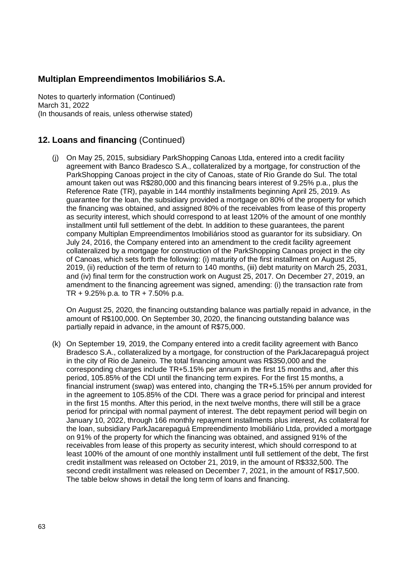Notes to quarterly information (Continued) March 31, 2022 (In thousands of reais, unless otherwise stated)

# **12. Loans and financing** (Continued)

(j) On May 25, 2015, subsidiary ParkShopping Canoas Ltda, entered into a credit facility agreement with Banco Bradesco S.A., collateralized by a mortgage, for construction of the ParkShopping Canoas project in the city of Canoas, state of Rio Grande do Sul. The total amount taken out was R\$280,000 and this financing bears interest of 9.25% p.a., plus the Reference Rate (TR), payable in 144 monthly installments beginning April 25, 2019. As guarantee for the loan, the subsidiary provided a mortgage on 80% of the property for which the financing was obtained, and assigned 80% of the receivables from lease of this property as security interest, which should correspond to at least 120% of the amount of one monthly installment until full settlement of the debt. In addition to these guarantees, the parent company Multiplan Empreendimentos Imobiliários stood as guarantor for its subsidiary. On July 24, 2016, the Company entered into an amendment to the credit facility agreement collateralized by a mortgage for construction of the ParkShopping Canoas project in the city of Canoas, which sets forth the following: (i) maturity of the first installment on August 25, 2019, (ii) reduction of the term of return to 140 months, (iii) debt maturity on March 25, 2031, and (iv) final term for the construction work on August 25, 2017. On December 27, 2019, an amendment to the financing agreement was signed, amending: (i) the transaction rate from TR + 9.25% p.a. to TR + 7.50% p.a.

On August 25, 2020, the financing outstanding balance was partially repaid in advance, in the amount of R\$100,000. On September 30, 2020, the financing outstanding balance was partially repaid in advance, in the amount of R\$75,000.

(k) On September 19, 2019, the Company entered into a credit facility agreement with Banco Bradesco S.A., collateralized by a mortgage, for construction of the ParkJacarepaguá project in the city of Rio de Janeiro. The total financing amount was R\$350,000 and the corresponding charges include TR+5.15% per annum in the first 15 months and, after this period, 105.85% of the CDI until the financing term expires. For the first 15 months, a financial instrument (swap) was entered into, changing the TR+5.15% per annum provided for in the agreement to 105.85% of the CDI. There was a grace period for principal and interest in the first 15 months. After this period, in the next twelve months, there will still be a grace period for principal with normal payment of interest. The debt repayment period will begin on January 10, 2022, through 166 monthly repayment installments plus interest, As collateral for the loan, subsidiary ParkJacarepaguá Empreendimento Imobiliário Ltda, provided a mortgage on 91% of the property for which the financing was obtained, and assigned 91% of the receivables from lease of this property as security interest, which should correspond to at least 100% of the amount of one monthly installment until full settlement of the debt, The first credit installment was released on October 21, 2019, in the amount of R\$332,500. The second credit installment was released on December 7, 2021, in the amount of R\$17,500. The table below shows in detail the long term of loans and financing.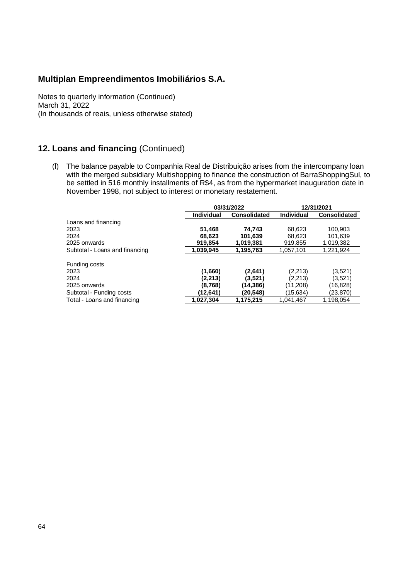Notes to quarterly information (Continued) March 31, 2022 (In thousands of reais, unless otherwise stated)

# **12. Loans and financing** (Continued)

(l) The balance payable to Companhia Real de Distribuição arises from the intercompany loan with the merged subsidiary Multishopping to finance the construction of BarraShoppingSul, to be settled in 516 monthly installments of R\$4, as from the hypermarket inauguration date in November 1998, not subject to interest or monetary restatement.

|                                | 03/31/2022        |                     | 12/31/2021        |                     |
|--------------------------------|-------------------|---------------------|-------------------|---------------------|
|                                | <b>Individual</b> | <b>Consolidated</b> | <b>Individual</b> | <b>Consolidated</b> |
| Loans and financing            |                   |                     |                   |                     |
| 2023                           | 51,468            | 74,743              | 68.623            | 100.903             |
| 2024                           | 68.623            | 101.639             | 68.623            | 101,639             |
| 2025 onwards                   | 919.854           | 1,019,381           | 919,855           | 1,019,382           |
| Subtotal - Loans and financing | 1,039,945         | 1,195,763           | 1,057,101         | 1,221,924           |
| Funding costs                  |                   |                     |                   |                     |
| 2023                           | (1,660)           | (2,641)             | (2,213)           | (3,521)             |
| 2024                           | (2.213)           | (3,521)             | (2,213)           | (3,521)             |
| 2025 onwards                   | (8,768)           | (14,386)            | (11.208)          | (16,828)            |
| Subtotal - Funding costs       | (12.641)          | (20,548)            | (15.634)          | (23,870)            |
| Total - Loans and financing    | 1,027,304         | 1.175.215           | 1.041.467         | 1.198.054           |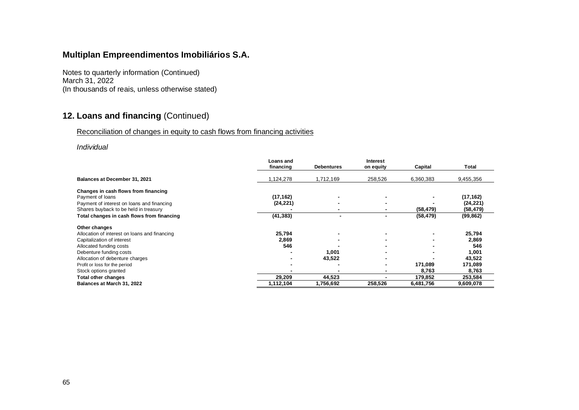Notes to quarterly information (Continued) March 31, 2022 (In thousands of reais, unless otherwise stated)

# **12. Loans and financing** (Continued)

#### Reconciliation of changes in equity to cash flows from financing activities

#### *Individual*

|                                               | Loans and |                   | <b>Interest</b> |           |           |
|-----------------------------------------------|-----------|-------------------|-----------------|-----------|-----------|
|                                               | financing | <b>Debentures</b> | on equity       | Capital   | Total     |
| Balances at December 31, 2021                 | 1,124,278 | 1,712,169         | 258,526         | 6,360,383 | 9,455,356 |
| Changes in cash flows from financing          |           |                   |                 |           |           |
| Payment of loans                              | (17, 162) |                   |                 |           | (17, 162) |
| Payment of interest on loans and financing    | (24, 221) |                   |                 |           | (24, 221) |
| Shares buyback to be held in treasury         |           |                   |                 | (58, 479) | (58, 479) |
| Total changes in cash flows from financing    | (41, 383) |                   |                 | (58, 479) | (99, 862) |
| Other changes                                 |           |                   |                 |           |           |
| Allocation of interest on loans and financing | 25,794    |                   |                 |           | 25,794    |
| Capitalization of interest                    | 2,869     |                   |                 |           | 2,869     |
| Allocated funding costs                       | 546       |                   |                 |           | 546       |
| Debenture funding costs                       |           | 1,001             |                 |           | 1,001     |
| Allocation of debenture charges               |           | 43,522            |                 |           | 43,522    |
| Profit or loss for the period                 |           |                   |                 | 171,089   | 171,089   |
| Stock options granted                         |           |                   |                 | 8,763     | 8,763     |
| Total other changes                           | 29,209    | 44,523            |                 | 179,852   | 253,584   |
| Balances at March 31, 2022                    | 1,112,104 | 1,756,692         | 258,526         | 6,481,756 | 9,609,078 |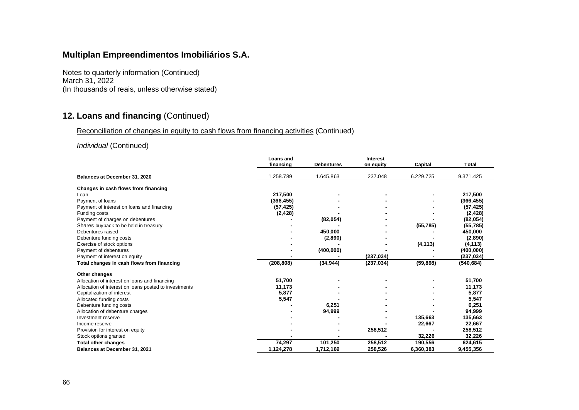Notes to quarterly information (Continued) March 31, 2022 (In thousands of reais, unless otherwise stated)

# **12. Loans and financing** (Continued)

#### Reconciliation of changes in equity to cash flows from financing activities (Continued)

#### *Individual* (Continued)

|                                                       | <b>Loans</b> and |                   | <b>Interest</b> |           |              |
|-------------------------------------------------------|------------------|-------------------|-----------------|-----------|--------------|
|                                                       | financing        | <b>Debentures</b> | on equity       | Capital   | <b>Total</b> |
| Balances at December 31, 2020                         | .258.789         | 1.645.863         | 237.048         | 6.229.725 | 9.371.425    |
| Changes in cash flows from financing                  |                  |                   |                 |           |              |
| Loan                                                  | 217,500          |                   |                 |           | 217,500      |
| Payment of loans                                      | (366, 455)       |                   |                 |           | (366, 455)   |
| Payment of interest on loans and financing            | (57, 425)        |                   |                 |           | (57, 425)    |
| Funding costs                                         | (2, 428)         |                   |                 |           | (2, 428)     |
| Payment of charges on debentures                      |                  | (82, 054)         |                 |           | (82, 054)    |
| Shares buyback to be held in treasury                 |                  |                   |                 | (55, 785) | (55, 785)    |
| Debentures raised                                     |                  | 450,000           |                 |           | 450,000      |
| Debenture funding costs                               |                  | (2,890)           |                 |           | (2,890)      |
| Exercise of stock options                             |                  |                   |                 | (4, 113)  | (4, 113)     |
| Payment of debentures                                 |                  | (400,000)         |                 |           | (400,000)    |
| Payment of interest on equity                         |                  |                   | (237, 034)      |           | (237, 034)   |
| Total changes in cash flows from financing            | (208, 808)       | (34, 944)         | (237, 034)      | (59, 898) | (540, 684)   |
| Other changes                                         |                  |                   |                 |           |              |
| Allocation of interest on loans and financing         | 51,700           |                   |                 |           | 51,700       |
| Allocation of interest on loans posted to investments | 11,173           |                   |                 |           | 11,173       |
| Capitalization of interest                            | 5,877            |                   |                 |           | 5,877        |
| Allocated funding costs                               | 5,547            |                   |                 |           | 5,547        |
| Debenture funding costs                               |                  | 6,251             |                 |           | 6,251        |
| Allocation of debenture charges                       |                  | 94,999            |                 |           | 94,999       |
| Investment reserve                                    |                  |                   |                 | 135,663   | 135,663      |
| Income reserve                                        |                  |                   |                 | 22,667    | 22,667       |
| Provision for interest on equity                      |                  |                   | 258,512         |           | 258,512      |
| Stock options granted                                 |                  |                   |                 | 32,226    | 32,226       |
| <b>Total other changes</b>                            | 74,297           | 101,250           | 258,512         | 190,556   | 624,615      |
| Balances at December 31, 2021                         | 1,124,278        | 1,712,169         | 258,526         | 6,360,383 | 9,455,356    |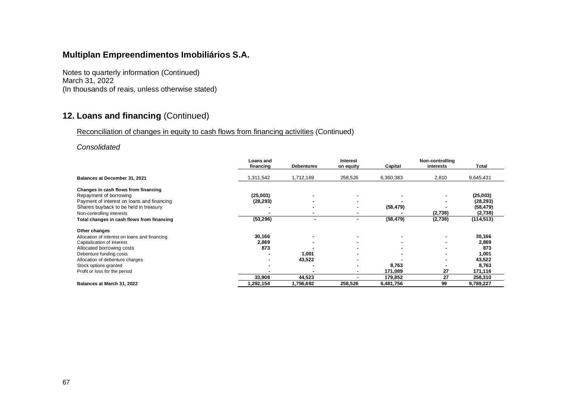Notes to quarterly information (Continued) March 31, 2022 (In thousands of reais, unless otherwise stated)

# **12. Loans and financing** (Continued)

#### Reconciliation of changes in equity to cash flows from financing activities (Continued)

#### *Consolidated*

|                                               | Loans and<br>financing | <b>Debentures</b> | <b>Interest</b><br>on equity | Capital   | Non-controlling<br>interests | Total      |
|-----------------------------------------------|------------------------|-------------------|------------------------------|-----------|------------------------------|------------|
| Balances at December 31, 2021                 | 311,542                | 1,712,169         | 258,526                      | 6,360,383 | 2,810                        | 9,645,431  |
| Changes in cash flows from financing          |                        |                   |                              |           |                              |            |
| Repayment of borrowing                        | (25,003)               |                   |                              |           |                              | (25,003)   |
| Payment of interest on loans and financing    | (28, 293)              |                   |                              |           |                              | (28, 293)  |
| Shares buyback to be held in treasury         |                        |                   | $\overline{\phantom{a}}$     | (58, 479) |                              | (58, 479)  |
| Non-controlling interests                     |                        |                   |                              |           | (2,738)                      | (2,738)    |
| Total changes in cash flows from financing    | (53, 296)              | ۰.                |                              | (58, 479) | (2,738)                      | (114, 513) |
| Other changes                                 |                        |                   |                              |           |                              |            |
| Allocation of interest on loans and financing | 30,166                 |                   | $\overline{\phantom{a}}$     |           |                              | 30,166     |
| Capitalization of interest                    | 2,869                  |                   |                              |           |                              | 2,869      |
| Allocated borrowing costs                     | 873                    |                   |                              |           |                              | 873        |
| Debenture funding costs                       |                        | 1,001             |                              |           |                              | 1,001      |
| Allocation of debenture charges               |                        | 43,522            |                              |           |                              | 43,522     |
| Stock options granted                         |                        |                   |                              | 8,763     |                              | 8,763      |
| Profit or loss for the period                 |                        |                   |                              | 171,089   | 27                           | 171,116    |
|                                               | 33,908                 | 44,523            |                              | 179,852   | 27                           | 258,310    |
| Balances at March 31, 2022                    | 1,292,154              | 1,756,692         | 258,526                      | 6,481,756 | 99                           | 9,789,227  |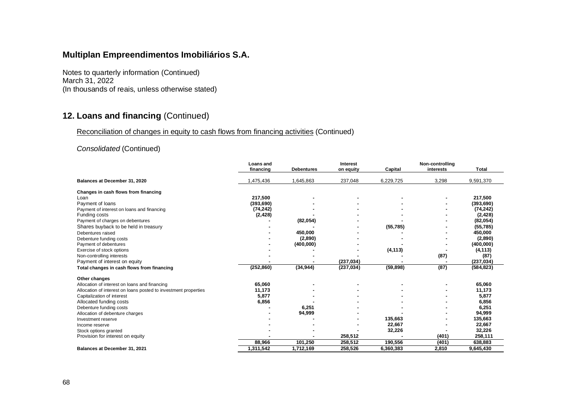Notes to quarterly information (Continued) March 31, 2022 (In thousands of reais, unless otherwise stated)

# **12. Loans and financing** (Continued)

#### Reconciliation of changes in equity to cash flows from financing activities (Continued)

#### *Consolidated* (Continued)

|                                                                 | <b>Loans and</b><br>financing | <b>Debentures</b> | <b>Interest</b><br>on equity | Capital   | Non-controlling<br>interests | <b>Total</b> |
|-----------------------------------------------------------------|-------------------------------|-------------------|------------------------------|-----------|------------------------------|--------------|
| Balances at December 31, 2020                                   | ,475,436                      | 1,645,863         | 237,048                      | 6,229,725 | 3,298                        | 9,591,370    |
| Changes in cash flows from financing                            |                               |                   |                              |           |                              |              |
| Loan                                                            | 217.500                       |                   |                              |           |                              | 217,500      |
| Payment of loans                                                | (393, 690)                    |                   |                              |           |                              | (393, 690)   |
| Payment of interest on loans and financing                      | (74, 242)                     |                   |                              |           |                              | (74, 242)    |
| Funding costs                                                   | (2, 428)                      |                   |                              |           |                              | (2, 428)     |
| Payment of charges on debentures                                |                               | (82, 054)         |                              |           |                              | (82,054)     |
| Shares buyback to be held in treasury                           |                               |                   |                              | (55, 785) |                              | (55, 785)    |
| Debentures raised                                               |                               | 450,000           |                              |           |                              | 450,000      |
| Debenture funding costs                                         |                               | (2,890)           |                              |           |                              | (2,890)      |
| Payment of debentures                                           |                               | (400,000)         |                              |           |                              | (400,000)    |
| Exercise of stock options                                       |                               |                   |                              | (4, 113)  |                              | (4, 113)     |
| Non-controlling interests                                       |                               |                   |                              |           | (87)                         | (87)         |
| Payment of interest on equity                                   |                               |                   | (237, 034)                   |           |                              | (237, 034)   |
| Total changes in cash flows from financing                      | (252, 860)                    | (34, 944)         | (237, 034)                   | (59, 898) | (87)                         | (584, 823)   |
| Other changes                                                   |                               |                   |                              |           |                              |              |
| Allocation of interest on loans and financing                   | 65,060                        |                   |                              |           |                              | 65,060       |
| Allocation of interest on loans posted to investment properties | 11,173                        |                   |                              |           |                              | 11,173       |
| Capitalization of interest                                      | 5,877                         |                   |                              |           |                              | 5,877        |
| Allocated funding costs                                         | 6,856                         |                   |                              |           |                              | 6,856        |
| Debenture funding costs                                         |                               | 6,251             |                              |           |                              | 6,251        |
| Allocation of debenture charges                                 |                               | 94,999            |                              |           |                              | 94,999       |
| Investment reserve                                              |                               |                   |                              | 135.663   |                              | 135,663      |
| Income reserve                                                  |                               |                   |                              | 22,667    |                              | 22,667       |
| Stock options granted                                           |                               |                   |                              | 32,226    |                              | 32,226       |
| Provision for interest on equity                                |                               |                   | 258,512                      |           | (401)                        | 258,111      |
|                                                                 | 88,966                        | 101,250           | 258,512                      | 190,556   | (401)                        | 638,883      |
| Balances at December 31, 2021                                   | 1,311,542                     | 1,712,169         | 258,526                      | 6,360,383 | 2,810                        | 9,645,430    |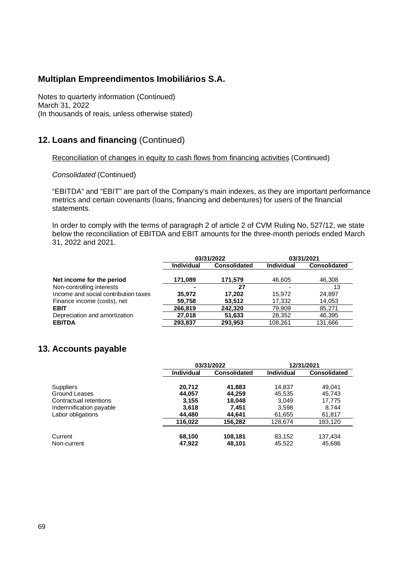Notes to quarterly information (Continued) March 31, 2022 (In thousands of reais, unless otherwise stated)

#### **12. Loans and financing** (Continued)

#### Reconciliation of changes in equity to cash flows from financing activities (Continued)

*Consolidated* (Continued)

"EBITDA" and "EBIT" are part of the Company's main indexes, as they are important performance metrics and certain covenants (loans, financing and debentures) for users of the financial statements.

In order to comply with the terms of paragraph 2 of article 2 of CVM Ruling No, 527/12, we state below the reconciliation of EBITDA and EBIT amounts for the three-month periods ended March 31, 2022 and 2021.

|                                      | 03/31/2022 |                     |            | 03/31/2021   |
|--------------------------------------|------------|---------------------|------------|--------------|
|                                      | Individual | <b>Consolidated</b> | Individual | Consolidated |
| Net income for the period            | 171,089    | 171,579             | 46,605     | 46,308       |
| Non-controlling interests            | -          | 27                  |            | 13           |
| Income and social contribution taxes | 35.972     | 17.202              | 15.972     | 24,897       |
| Finance income (costs), net          | 59,758     | 53,512              | 17,332     | 14,053       |
| <b>EBIT</b>                          | 266,819    | 242.320             | 79,909     | 85,271       |
| Depreciation and amortization        | 27,018     | 51,633              | 28,352     | 46,395       |
| <b>EBITDA</b>                        | 293,837    | 293,953             | 108,261    | 131,666      |

### **13. Accounts payable**

|                         |                   | 03/31/2022          |                   | 12/31/2021          |
|-------------------------|-------------------|---------------------|-------------------|---------------------|
|                         | <b>Individual</b> | <b>Consolidated</b> | <b>Individual</b> | <b>Consolidated</b> |
| <b>Suppliers</b>        | 20.712            | 41,883              | 14,837            | 49.041              |
| Ground Leases           | 44,057            | 44,259              | 45,535            | 45,743              |
| Contractual retentions  | 3,155             | 18,048              | 3,049             | 17,775              |
| Indemnification payable | 3,618             | 7.451               | 3,598             | 8.744               |
| Labor obligations       | 44.480            | 44.641              | 61,655            | 61,817              |
|                         | 116.022           | 156.282             | 128.674           | 183,120             |
| Current                 | 68,100            | 108,181             | 83,152            | 137,434             |
| Non-current             | 47,922            | 48,101              | 45,522            | 45,686              |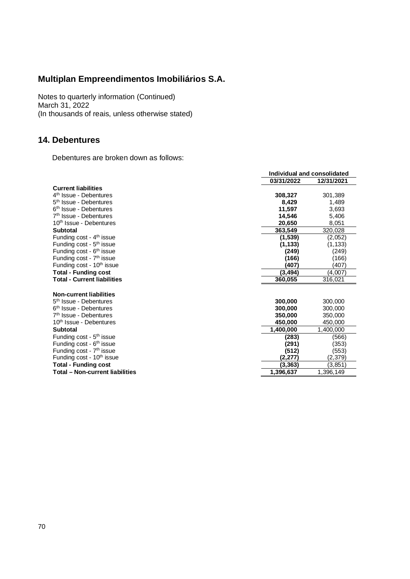Notes to quarterly information (Continued) March 31, 2022 (In thousands of reais, unless otherwise stated)

#### **14. Debentures**

Debentures are broken down as follows:

|                                        | Individual and consolidated |            |  |
|----------------------------------------|-----------------------------|------------|--|
|                                        | 03/31/2022                  | 12/31/2021 |  |
| <b>Current liabilities</b>             |                             |            |  |
| 4 <sup>th</sup> Issue - Debentures     | 308,327                     | 301,389    |  |
| 5 <sup>th</sup> Issue - Debentures     | 8,429                       | 1,489      |  |
| 6 <sup>th</sup> Issue - Debentures     | 11.597                      | 3,693      |  |
| 7 <sup>th</sup> Issue - Debentures     | 14,546                      | 5,406      |  |
| 10 <sup>th</sup> Issue - Debentures    | 20,650                      | 8,051      |  |
| <b>Subtotal</b>                        | 363,549                     | 320,028    |  |
| Funding cost - 4 <sup>th</sup> issue   | (1,539)                     | (2.052)    |  |
| Funding cost - 5 <sup>th</sup> issue   | (1, 133)                    | (1, 133)   |  |
| Funding cost - 6 <sup>th</sup> issue   | (249)                       | (249)      |  |
| Funding cost - 7 <sup>th</sup> issue   | (166)                       | (166)      |  |
| Funding cost - 10 <sup>th</sup> issue  | (407)                       | (407)      |  |
| <b>Total - Funding cost</b>            | (3, 494)                    | (4,007)    |  |
| <b>Total - Current liabilities</b>     | 360,055                     | 316,021    |  |
|                                        |                             |            |  |
| <b>Non-current liabilities</b>         |                             |            |  |
| 5 <sup>th</sup> Issue - Debentures     | 300,000                     | 300,000    |  |
| 6 <sup>th</sup> Issue - Debentures     | 300.000                     | 300,000    |  |
| 7 <sup>th</sup> Issue - Debentures     | 350,000                     | 350,000    |  |
| 10 <sup>th</sup> Issue - Debentures    | 450.000                     | 450,000    |  |
| <b>Subtotal</b>                        | 1,400,000                   | 1,400,000  |  |
| Funding cost - 5 <sup>th</sup> issue   | (283)                       | (566)      |  |
| Funding cost - 6 <sup>th</sup> issue   | (291)                       | (353)      |  |
| Funding cost - 7 <sup>th</sup> issue   | (512)                       | (553)      |  |
| Funding cost - 10 <sup>th</sup> issue  | (2,277)                     | (2,379)    |  |
| <b>Total - Funding cost</b>            | (3, 363)                    | (3,851)    |  |
| <b>Total - Non-current liabilities</b> | 1,396,637                   | 1,396,149  |  |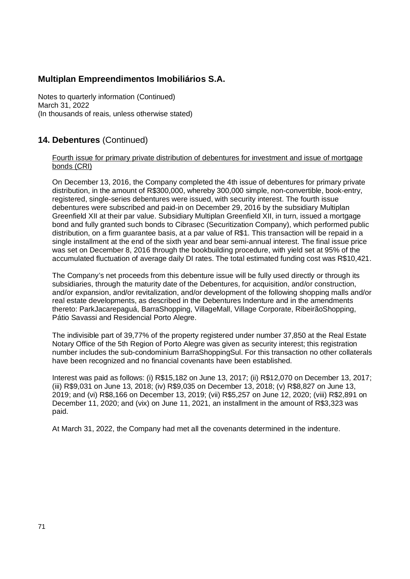Notes to quarterly information (Continued) March 31, 2022 (In thousands of reais, unless otherwise stated)

## **14. Debentures** (Continued)

### Fourth issue for primary private distribution of debentures for investment and issue of mortgage bonds (CRI)

On December 13, 2016, the Company completed the 4th issue of debentures for primary private distribution, in the amount of R\$300,000, whereby 300,000 simple, non-convertible, book-entry, registered, single-series debentures were issued, with security interest. The fourth issue debentures were subscribed and paid-in on December 29, 2016 by the subsidiary Multiplan Greenfield XII at their par value. Subsidiary Multiplan Greenfield XII, in turn, issued a mortgage bond and fully granted such bonds to Cibrasec (Securitization Company), which performed public distribution, on a firm guarantee basis, at a par value of R\$1. This transaction will be repaid in a single installment at the end of the sixth year and bear semi-annual interest. The final issue price was set on December 8, 2016 through the bookbuilding procedure, with yield set at 95% of the accumulated fluctuation of average daily DI rates. The total estimated funding cost was R\$10,421.

The Company's net proceeds from this debenture issue will be fully used directly or through its subsidiaries, through the maturity date of the Debentures, for acquisition, and/or construction, and/or expansion, and/or revitalization, and/or development of the following shopping malls and/or real estate developments, as described in the Debentures Indenture and in the amendments thereto: ParkJacarepaguá, BarraShopping, VillageMall, Village Corporate, RibeirãoShopping, Pátio Savassi and Residencial Porto Alegre.

The indivisible part of 39,77% of the property registered under number 37,850 at the Real Estate Notary Office of the 5th Region of Porto Alegre was given as security interest; this registration number includes the sub-condominium BarraShoppingSul. For this transaction no other collaterals have been recognized and no financial covenants have been established.

Interest was paid as follows: (i) R\$15,182 on June 13, 2017; (ii) R\$12,070 on December 13, 2017; (iii) R\$9,031 on June 13, 2018; (iv) R\$9,035 on December 13, 2018; (v) R\$8,827 on June 13, 2019; and (vi) R\$8,166 on December 13, 2019; (vii) R\$5,257 on June 12, 2020; (viii) R\$2,891 on December 11, 2020; and (vix) on June 11, 2021, an installment in the amount of R\$3,323 was paid.

At March 31, 2022, the Company had met all the covenants determined in the indenture.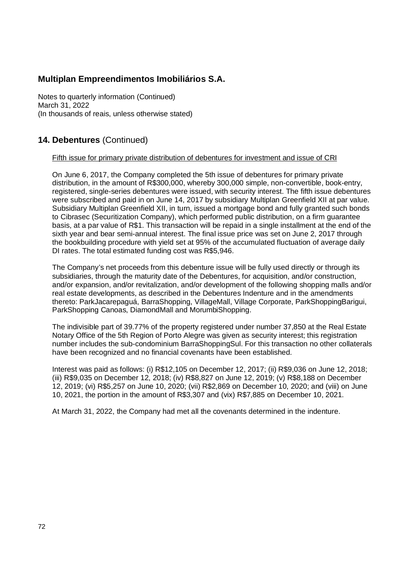Notes to quarterly information (Continued) March 31, 2022 (In thousands of reais, unless otherwise stated)

## **14. Debentures** (Continued)

### Fifth issue for primary private distribution of debentures for investment and issue of CRI

On June 6, 2017, the Company completed the 5th issue of debentures for primary private distribution, in the amount of R\$300,000, whereby 300,000 simple, non-convertible, book-entry, registered, single-series debentures were issued, with security interest. The fifth issue debentures were subscribed and paid in on June 14, 2017 by subsidiary Multiplan Greenfield XII at par value. Subsidiary Multiplan Greenfield XII, in turn, issued a mortgage bond and fully granted such bonds to Cibrasec (Securitization Company), which performed public distribution, on a firm guarantee basis, at a par value of R\$1. This transaction will be repaid in a single installment at the end of the sixth year and bear semi-annual interest. The final issue price was set on June 2, 2017 through the bookbuilding procedure with yield set at 95% of the accumulated fluctuation of average daily DI rates. The total estimated funding cost was R\$5,946.

The Company's net proceeds from this debenture issue will be fully used directly or through its subsidiaries, through the maturity date of the Debentures, for acquisition, and/or construction, and/or expansion, and/or revitalization, and/or development of the following shopping malls and/or real estate developments, as described in the Debentures Indenture and in the amendments thereto: ParkJacarepaguá, BarraShopping, VillageMall, Village Corporate, ParkShoppingBarigui, ParkShopping Canoas, DiamondMall and MorumbiShopping.

The indivisible part of 39.77% of the property registered under number 37,850 at the Real Estate Notary Office of the 5th Region of Porto Alegre was given as security interest; this registration number includes the sub-condominium BarraShoppingSul. For this transaction no other collaterals have been recognized and no financial covenants have been established.

Interest was paid as follows: (i) R\$12,105 on December 12, 2017; (ii) R\$9,036 on June 12, 2018; (iii) R\$9,035 on December 12, 2018; (iv) R\$8,827 on June 12, 2019; (v) R\$8,188 on December 12, 2019; (vi) R\$5,257 on June 10, 2020; (vii) R\$2,869 on December 10, 2020; and (viii) on June 10, 2021, the portion in the amount of R\$3,307 and (vix) R\$7,885 on December 10, 2021.

At March 31, 2022, the Company had met all the covenants determined in the indenture.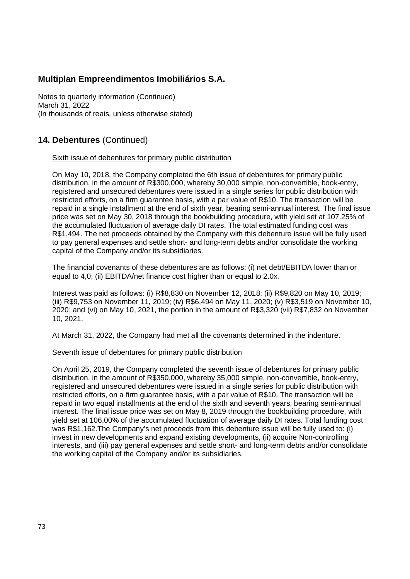Notes to quarterly information (Continued) March 31, 2022 (In thousands of reais, unless otherwise stated)

### **14. Debentures** (Continued)

#### Sixth issue of debentures for primary public distribution

On May 10, 2018, the Company completed the 6th issue of debentures for primary public distribution, in the amount of R\$300,000, whereby 30,000 simple, non-convertible, book-entry, registered and unsecured debentures were issued in a single series for public distribution with restricted efforts, on a firm guarantee basis, with a par value of R\$10. The transaction will be repaid in a single installment at the end of sixth year, bearing semi-annual interest, The final issue price was set on May 30, 2018 through the bookbuilding procedure, with yield set at 107.25% of the accumulated fluctuation of average daily DI rates. The total estimated funding cost was R\$1,494. The net proceeds obtained by the Company with this debenture issue will be fully used to pay general expenses and settle short- and long-term debts and/or consolidate the working capital of the Company and/or its subsidiaries.

The financial covenants of these debentures are as follows: (i) net debt/EBITDA lower than or equal to 4,0; (ii) EBITDA/net finance cost higher than or equal to 2.0x.

Interest was paid as follows: (i) R\$8,830 on November 12, 2018; (ii) R\$9,820 on May 10, 2019; (iii) R\$9,753 on November 11, 2019; (iv) R\$6,494 on May 11, 2020; (v) R\$3,519 on November 10, 2020; and (vi) on May 10, 2021, the portion in the amount of R\$3,320 (vii) R\$7,832 on November 10, 2021.

At March 31, 2022, the Company had met all the covenants determined in the indenture.

#### Seventh issue of debentures for primary public distribution

On April 25, 2019, the Company completed the seventh issue of debentures for primary public distribution, in the amount of R\$350,000, whereby 35,000 simple, non-convertible, book-entry, registered and unsecured debentures were issued in a single series for public distribution with restricted efforts, on a firm guarantee basis, with a par value of R\$10. The transaction will be repaid in two equal installments at the end of the sixth and seventh years, bearing semi-annual interest. The final issue price was set on May 8, 2019 through the bookbuilding procedure, with yield set at 106,00% of the accumulated fluctuation of average daily DI rates. Total funding cost was R\$1,162.The Company's net proceeds from this debenture issue will be fully used to: (i) invest in new developments and expand existing developments, (ii) acquire Non-controlling interests, and (iii) pay general expenses and settle short- and long-term debts and/or consolidate the working capital of the Company and/or its subsidiaries.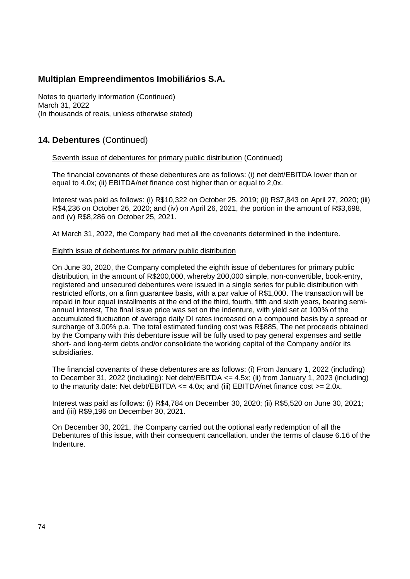Notes to quarterly information (Continued) March 31, 2022 (In thousands of reais, unless otherwise stated)

## **14. Debentures** (Continued)

### Seventh issue of debentures for primary public distribution (Continued)

The financial covenants of these debentures are as follows: (i) net debt/EBITDA lower than or equal to 4.0x; (ii) EBITDA/net finance cost higher than or equal to 2,0x.

Interest was paid as follows: (i) R\$10,322 on October 25, 2019; (ii) R\$7,843 on April 27, 2020; (iii) R\$4,236 on October 26, 2020; and (iv) on April 26, 2021, the portion in the amount of R\$3,698, and (v) R\$8,286 on October 25, 2021.

At March 31, 2022, the Company had met all the covenants determined in the indenture.

### Eighth issue of debentures for primary public distribution

On June 30, 2020, the Company completed the eighth issue of debentures for primary public distribution, in the amount of R\$200,000, whereby 200,000 simple, non-convertible, book-entry, registered and unsecured debentures were issued in a single series for public distribution with restricted efforts, on a firm guarantee basis, with a par value of R\$1,000. The transaction will be repaid in four equal installments at the end of the third, fourth, fifth and sixth years, bearing semiannual interest, The final issue price was set on the indenture, with yield set at 100% of the accumulated fluctuation of average daily DI rates increased on a compound basis by a spread or surcharge of 3.00% p.a. The total estimated funding cost was R\$885, The net proceeds obtained by the Company with this debenture issue will be fully used to pay general expenses and settle short- and long-term debts and/or consolidate the working capital of the Company and/or its subsidiaries.

The financial covenants of these debentures are as follows: (i) From January 1, 2022 (including) to December 31, 2022 (including): Net debt/EBITDA <= 4.5x; (ii) from January 1, 2023 (including) to the maturity date: Net debt/EBITDA  $\leq$  4.0x; and (iii) EBITDA/net finance cost  $\geq$  2.0x.

Interest was paid as follows: (i) R\$4,784 on December 30, 2020; (ii) R\$5,520 on June 30, 2021; and (iii) R\$9,196 on December 30, 2021.

On December 30, 2021, the Company carried out the optional early redemption of all the Debentures of this issue, with their consequent cancellation, under the terms of clause 6.16 of the Indenture.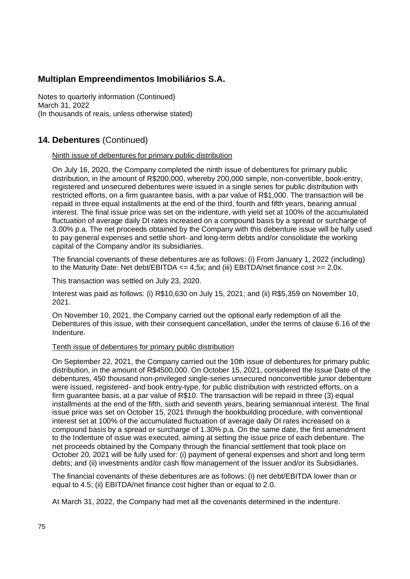Notes to quarterly information (Continued) March 31, 2022 (In thousands of reais, unless otherwise stated)

## **14. Debentures** (Continued)

### Ninth issue of debentures for primary public distribution

On July 16, 2020, the Company completed the ninth issue of debentures for primary public distribution, in the amount of R\$200,000, whereby 200,000 simple, non-convertible, book-entry, registered and unsecured debentures were issued in a single series for public distribution with restricted efforts, on a firm guarantee basis, with a par value of R\$1,000. The transaction will be repaid in three equal installments at the end of the third, fourth and fifth years, bearing annual interest. The final issue price was set on the indenture, with yield set at 100% of the accumulated fluctuation of average daily DI rates increased on a compound basis by a spread or surcharge of 3.00% p.a. The net proceeds obtained by the Company with this debenture issue will be fully used to pay general expenses and settle short- and long-term debts and/or consolidate the working capital of the Company and/or its subsidiaries.

The financial covenants of these debentures are as follows: (i) From January 1, 2022 (including) to the Maturity Date: Net debt/EBITDA  $\leq$  4,5x; and (iii) EBITDA/net finance cost  $\geq$  2.0x.

This transaction was settled on July 23, 2020.

Interest was paid as follows: (i) R\$10,630 on July 15, 2021; and (ii) R\$5,359 on November 10, 2021.

On November 10, 2021, the Company carried out the optional early redemption of all the Debentures of this issue, with their consequent cancellation, under the terms of clause 6.16 of the Indenture.

### Tenth issue of debentures for primary public distribution

On September 22, 2021, the Company carried out the 10th issue of debentures for primary public distribution, in the amount of R\$4500,000. On October 15, 2021, considered the Issue Date of the debentures, 450 thousand non-privileged single-series unsecured nonconvertible junior debenture were issued, registered- and book entry-type, for public distribution with restricted efforts, on a firm guarantee basis, at a par value of R\$10. The transaction will be repaid in three (3) equal installments at the end of the fifth, sixth and seventh years, bearing semiannual interest. The final issue price was set on October 15, 2021 through the bookbuilding procedure, with conventional interest set at 100% of the accumulated fluctuation of average daily DI rates increased on a compound basis by a spread or surcharge of 1.30% p.a. On the same date, the first amendment to the Indenture of issue was executed, aiming at setting the issue price of each debenture. The net proceeds obtained by the Company through the financial settlement that took place on October 20, 2021 will be fully used for: (i) payment of general expenses and short and long term debts; and (ii) investments and/or cash flow management of the Issuer and/or its Subsidiaries.

The financial covenants of these debentures are as follows: (i) net debt/EBITDA lower than or equal to 4.5; (ii) EBITDA/net finance cost higher than or equal to 2.0.

At March 31, 2022, the Company had met all the covenants determined in the indenture.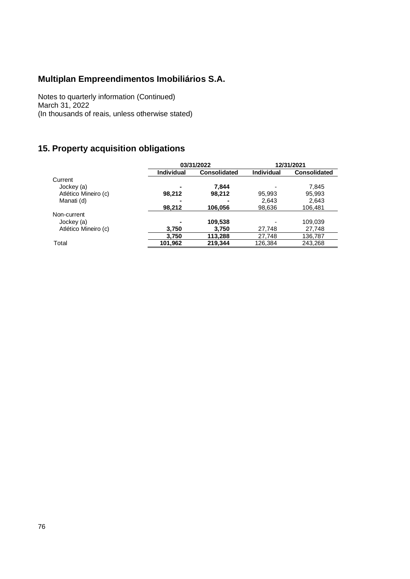Notes to quarterly information (Continued) March 31, 2022 (In thousands of reais, unless otherwise stated)

# **15. Property acquisition obligations**

|                      |                   | 03/31/2022          | 12/31/2021        |                     |  |
|----------------------|-------------------|---------------------|-------------------|---------------------|--|
|                      | <b>Individual</b> | <b>Consolidated</b> | <b>Individual</b> | <b>Consolidated</b> |  |
| Current              |                   |                     |                   |                     |  |
| Jockey (a)           |                   | 7.844               |                   | 7,845               |  |
| Atlético Mineiro (c) | 98,212            | 98,212              | 95,993            | 95,993              |  |
| Manati (d)           |                   |                     | 2.643             | 2,643               |  |
|                      | 98,212            | 106.056             | 98,636            | 106.481             |  |
| Non-current          |                   |                     |                   |                     |  |
| Jockey (a)           |                   | 109,538             |                   | 109,039             |  |
| Atlético Mineiro (c) | 3.750             | 3.750               | 27,748            | 27,748              |  |
|                      | 3,750             | 113,288             | 27,748            | 136,787             |  |
| Total                | 101,962           | 219,344             | 126,384           | 243,268             |  |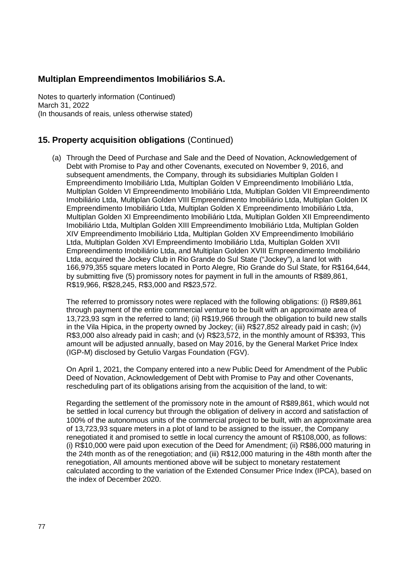Notes to quarterly information (Continued) March 31, 2022 (In thousands of reais, unless otherwise stated)

## **15. Property acquisition obligations** (Continued)

(a) Through the Deed of Purchase and Sale and the Deed of Novation, Acknowledgement of Debt with Promise to Pay and other Covenants, executed on November 9, 2016, and subsequent amendments, the Company, through its subsidiaries Multiplan Golden I Empreendimento Imobiliário Ltda, Multiplan Golden V Empreendimento Imobiliário Ltda, Multiplan Golden VI Empreendimento Imobiliário Ltda, Multiplan Golden VII Empreendimento Imobiliário Ltda, Multiplan Golden VIII Empreendimento Imobiliário Ltda, Multiplan Golden IX Empreendimento Imobiliário Ltda, Multiplan Golden X Empreendimento Imobiliário Ltda, Multiplan Golden XI Empreendimento Imobiliário Ltda, Multiplan Golden XII Empreendimento Imobiliário Ltda, Multiplan Golden XIII Empreendimento Imobiliário Ltda, Multiplan Golden XIV Empreendimento Imobiliário Ltda, Multiplan Golden XV Empreendimento Imobiliário Ltda, Multiplan Golden XVI Empreendimento Imobiliário Ltda, Multiplan Golden XVII Empreendimento Imobiliário Ltda, and Multiplan Golden XVIII Empreendimento Imobiliário Ltda, acquired the Jockey Club in Rio Grande do Sul State ("Jockey"), a land lot with 166,979,355 square meters located in Porto Alegre, Rio Grande do Sul State, for R\$164,644, by submitting five (5) promissory notes for payment in full in the amounts of R\$89,861, R\$19,966, R\$28,245, R\$3,000 and R\$23,572.

The referred to promissory notes were replaced with the following obligations: (i) R\$89,861 through payment of the entire commercial venture to be built with an approximate area of 13,723,93 sqm in the referred to land; (ii) R\$19,966 through the obligation to build new stalls in the Vila Hipica, in the property owned by Jockey; (iii) R\$27,852 already paid in cash; (iv) R\$3,000 also already paid in cash; and (v) R\$23,572, in the monthly amount of R\$393, This amount will be adjusted annually, based on May 2016, by the General Market Price Index (IGP-M) disclosed by Getulio Vargas Foundation (FGV).

On April 1, 2021, the Company entered into a new Public Deed for Amendment of the Public Deed of Novation, Acknowledgement of Debt with Promise to Pay and other Covenants, rescheduling part of its obligations arising from the acquisition of the land, to wit:

Regarding the settlement of the promissory note in the amount of R\$89,861, which would not be settled in local currency but through the obligation of delivery in accord and satisfaction of 100% of the autonomous units of the commercial project to be built, with an approximate area of 13,723,93 square meters in a plot of land to be assigned to the issuer, the Company renegotiated it and promised to settle in local currency the amount of R\$108,000, as follows: (i) R\$10,000 were paid upon execution of the Deed for Amendment; (ii) R\$86,000 maturing in the 24th month as of the renegotiation; and (iii) R\$12,000 maturing in the 48th month after the renegotiation, All amounts mentioned above will be subject to monetary restatement calculated according to the variation of the Extended Consumer Price Index (IPCA), based on the index of December 2020.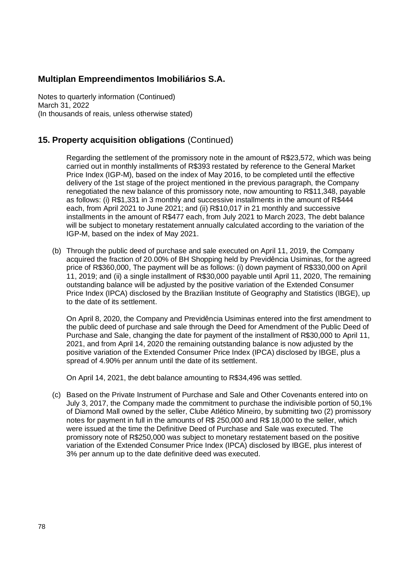Notes to quarterly information (Continued) March 31, 2022 (In thousands of reais, unless otherwise stated)

## **15. Property acquisition obligations** (Continued)

Regarding the settlement of the promissory note in the amount of R\$23,572, which was being carried out in monthly installments of R\$393 restated by reference to the General Market Price Index (IGP-M), based on the index of May 2016, to be completed until the effective delivery of the 1st stage of the project mentioned in the previous paragraph, the Company renegotiated the new balance of this promissory note, now amounting to R\$11,348, payable as follows: (i) R\$1,331 in 3 monthly and successive installments in the amount of R\$444 each, from April 2021 to June 2021; and (ii) R\$10,017 in 21 monthly and successive installments in the amount of R\$477 each, from July 2021 to March 2023, The debt balance will be subject to monetary restatement annually calculated according to the variation of the IGP-M, based on the index of May 2021.

(b) Through the public deed of purchase and sale executed on April 11, 2019, the Company acquired the fraction of 20.00% of BH Shopping held by Previdência Usiminas, for the agreed price of R\$360,000, The payment will be as follows: (i) down payment of R\$330,000 on April 11, 2019; and (ii) a single installment of R\$30,000 payable until April 11, 2020, The remaining outstanding balance will be adjusted by the positive variation of the Extended Consumer Price Index (IPCA) disclosed by the Brazilian Institute of Geography and Statistics (IBGE), up to the date of its settlement.

On April 8, 2020, the Company and Previdência Usiminas entered into the first amendment to the public deed of purchase and sale through the Deed for Amendment of the Public Deed of Purchase and Sale, changing the date for payment of the installment of R\$30,000 to April 11, 2021, and from April 14, 2020 the remaining outstanding balance is now adjusted by the positive variation of the Extended Consumer Price Index (IPCA) disclosed by IBGE, plus a spread of 4.90% per annum until the date of its settlement.

On April 14, 2021, the debt balance amounting to R\$34,496 was settled.

(c) Based on the Private Instrument of Purchase and Sale and Other Covenants entered into on July 3, 2017, the Company made the commitment to purchase the indivisible portion of 50,1% of Diamond Mall owned by the seller, Clube Atlético Mineiro, by submitting two (2) promissory notes for payment in full in the amounts of R\$ 250,000 and R\$ 18,000 to the seller, which were issued at the time the Definitive Deed of Purchase and Sale was executed. The promissory note of R\$250,000 was subject to monetary restatement based on the positive variation of the Extended Consumer Price Index (IPCA) disclosed by IBGE, plus interest of 3% per annum up to the date definitive deed was executed.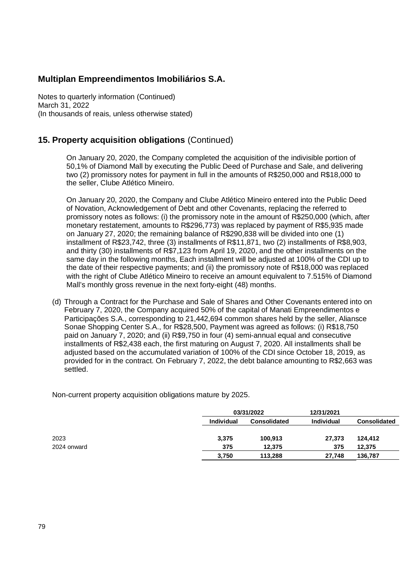Notes to quarterly information (Continued) March 31, 2022 (In thousands of reais, unless otherwise stated)

## **15. Property acquisition obligations** (Continued)

On January 20, 2020, the Company completed the acquisition of the indivisible portion of 50,1% of Diamond Mall by executing the Public Deed of Purchase and Sale, and delivering two (2) promissory notes for payment in full in the amounts of R\$250,000 and R\$18,000 to the seller, Clube Atlético Mineiro.

On January 20, 2020, the Company and Clube Atlético Mineiro entered into the Public Deed of Novation, Acknowledgement of Debt and other Covenants, replacing the referred to promissory notes as follows: (i) the promissory note in the amount of R\$250,000 (which, after monetary restatement, amounts to R\$296,773) was replaced by payment of R\$5,935 made on January 27, 2020; the remaining balance of R\$290,838 will be divided into one (1) installment of R\$23,742, three (3) installments of R\$11,871, two (2) installments of R\$8,903, and thirty (30) installments of R\$7,123 from April 19, 2020, and the other installments on the same day in the following months, Each installment will be adjusted at 100% of the CDI up to the date of their respective payments; and (ii) the promissory note of R\$18,000 was replaced with the right of Clube Atlético Mineiro to receive an amount equivalent to 7.515% of Diamond Mall's monthly gross revenue in the next forty-eight (48) months.

(d) Through a Contract for the Purchase and Sale of Shares and Other Covenants entered into on February 7, 2020, the Company acquired 50% of the capital of Manati Empreendimentos e Participações S.A., corresponding to 21,442,694 common shares held by the seller, Aliansce Sonae Shopping Center S.A., for R\$28,500, Payment was agreed as follows: (i) R\$18,750 paid on January 7, 2020; and (ii) R\$9,750 in four (4) semi-annual equal and consecutive installments of R\$2,438 each, the first maturing on August 7, 2020. All installments shall be adjusted based on the accumulated variation of 100% of the CDI since October 18, 2019, as provided for in the contract. On February 7, 2022, the debt balance amounting to R\$2,663 was settled.

Non-current property acquisition obligations mature by 2025.

|             |                   | 03/31/2022          |                   |                     |  |
|-------------|-------------------|---------------------|-------------------|---------------------|--|
|             | <b>Individual</b> | <b>Consolidated</b> | <b>Individual</b> | <b>Consolidated</b> |  |
| 2023        | 3,375             | 100.913             | 27,373            | 124,412             |  |
| 2024 onward | 375               | 12.375              | 375               | 12.375              |  |
|             | 3,750             | 113.288             | 27.748            | 136,787             |  |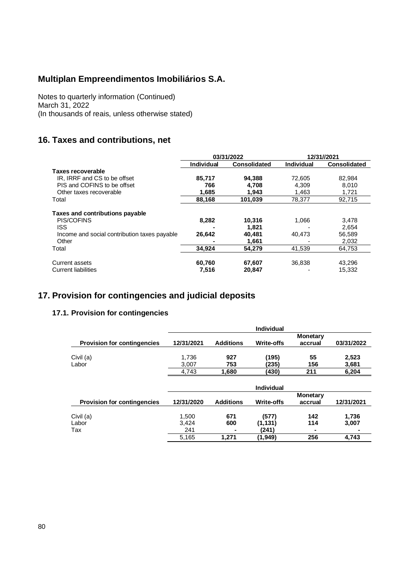Notes to quarterly information (Continued) March 31, 2022 (In thousands of reais, unless otherwise stated)

## **16. Taxes and contributions, net**

|                                              | 03/31/2022        |              |                   | 12/31//2021         |
|----------------------------------------------|-------------------|--------------|-------------------|---------------------|
|                                              | <b>Individual</b> | Consolidated | <b>Individual</b> | <b>Consolidated</b> |
| <b>Taxes recoverable</b>                     |                   |              |                   |                     |
| IR, IRRF and CS to be offset                 | 85.717            | 94,388       | 72.605            | 82,984              |
| PIS and COFINS to be offset                  | 766               | 4.708        | 4.309             | 8.010               |
| Other taxes recoverable                      | 1,685             | 1,943        | 1.463             | 1,721               |
| Total                                        | 88,168            | 101,039      | 78,377            | 92,715              |
| Taxes and contributions payable              |                   |              |                   |                     |
| <b>PIS/COFINS</b>                            | 8,282             | 10,316       | 1,066             | 3,478               |
| <b>ISS</b>                                   |                   | 1.821        |                   | 2.654               |
| Income and social contribution taxes payable | 26,642            | 40,481       | 40.473            | 56,589              |
| Other                                        |                   | 1,661        |                   | 2,032               |
| Total                                        | 34,924            | 54,279       | 41,539            | 64,753              |
| Current assets                               | 60,760            | 67,607       | 36,838            | 43,296              |
| <b>Current liabilities</b>                   | 7,516             | 20,847       |                   | 15,332              |

## **17. Provision for contingencies and judicial deposits**

### **17.1. Provision for contingencies**

|                                    |            |                  | Individual        |                     |            |
|------------------------------------|------------|------------------|-------------------|---------------------|------------|
| <b>Provision for contingencies</b> | 12/31/2021 | <b>Additions</b> | <b>Write-offs</b> | Monetary<br>accrual | 03/31/2022 |
| Civil (a)                          | 1,736      | 927              | (195)             | 55                  | 2,523      |
| Labor                              | 3,007      | 753              | (235)             | 156                 | 3,681      |
|                                    | 4,743      | 1.680            | (430)             | 211                 | 6,204      |
|                                    |            |                  | <b>Individual</b> |                     |            |
| <b>Provision for contingencies</b> | 12/31/2020 | <b>Additions</b> | <b>Write-offs</b> | Monetary<br>accrual | 12/31/2021 |
| Civil (a)                          | 1,500      | 671              | (577)             | 142                 | 1,736      |
| Labor                              | 3,424      | 600              | (1,131)           | 114                 | 3,007      |
| Tax                                | 241        |                  | (241)             |                     |            |

5,165 **1,271 (1,949) 256 4,743**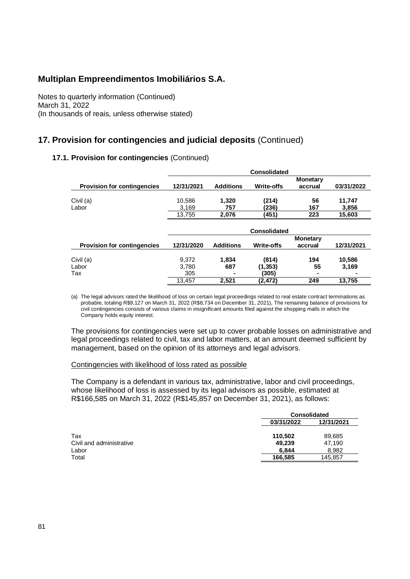Notes to quarterly information (Continued) March 31, 2022 (In thousands of reais, unless otherwise stated)

## **17. Provision for contingencies and judicial deposits** (Continued)

### **17.1. Provision for contingencies** (Continued)

|                                    | <b>Consolidated</b> |                  |                     |                            |                 |  |  |
|------------------------------------|---------------------|------------------|---------------------|----------------------------|-----------------|--|--|
| <b>Provision for contingencies</b> | 12/31/2021          | <b>Additions</b> | <b>Write-offs</b>   | <b>Monetary</b><br>accrual | 03/31/2022      |  |  |
| Civil (a)<br>Labor                 | 10,586<br>3,169     | 1,320<br>757     | (214)<br>(236)      | 56<br>167                  | 11,747<br>3,856 |  |  |
|                                    | 13,755              | 2,076            | (451)               | 223                        | 15,603          |  |  |
|                                    |                     |                  | <b>Consolidated</b> |                            |                 |  |  |
| <b>Provision for contingencies</b> | 12/31/2020          | <b>Additions</b> | <b>Write-offs</b>   | <b>Monetary</b><br>accrual | 12/31/2021      |  |  |
| Civil (a)                          | 9.372               | 1,834            | (814)               | 194                        | 10,586          |  |  |
| Labor                              | 3,780               | 687              | (1, 353)            | 55                         | 3,169           |  |  |
| Tax                                | 305<br>13.457       | 2.521            | (305)               | 249                        | 13,755          |  |  |
|                                    |                     |                  | (2, 472)            |                            |                 |  |  |

(a) The legal advisors rated the likelihood of loss on certain legal proceedings related to real estate contract terminations as probable, totaling R\$9,127 on March 31, 2022 (R\$8,734 on December 31, 2021), The remaining balance of provisions for civil contingencies consists of various claims in insignificant amounts filed against the shopping malls in which the Company holds equity interest.

The provisions for contingencies were set up to cover probable losses on administrative and legal proceedings related to civil, tax and labor matters, at an amount deemed sufficient by management, based on the opinion of its attorneys and legal advisors.

### Contingencies with likelihood of loss rated as possible

The Company is a defendant in various tax, administrative, labor and civil proceedings, whose likelihood of loss is assessed by its legal advisors as possible, estimated at R\$166,585 on March 31, 2022 (R\$145,857 on December 31, 2021), as follows:

|                          | <b>Consolidated</b> |            |  |
|--------------------------|---------------------|------------|--|
|                          | 03/31/2022          | 12/31/2021 |  |
| Tax                      | 110,502             | 89,685     |  |
| Civil and administrative | 49,239              | 47.190     |  |
| Labor                    | 6.844               | 8.982      |  |
| Total                    | 166,585             | 145,857    |  |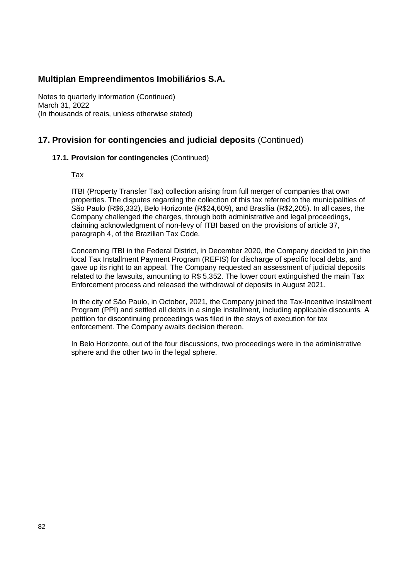Notes to quarterly information (Continued) March 31, 2022 (In thousands of reais, unless otherwise stated)

## **17. Provision for contingencies and judicial deposits** (Continued)

### **17.1. Provision for contingencies** (Continued)

Tax

ITBI (Property Transfer Tax) collection arising from full merger of companies that own properties. The disputes regarding the collection of this tax referred to the municipalities of São Paulo (R\$6,332), Belo Horizonte (R\$24,609), and Brasília (R\$2,205). In all cases, the Company challenged the charges, through both administrative and legal proceedings, claiming acknowledgment of non-levy of ITBI based on the provisions of article 37, paragraph 4, of the Brazilian Tax Code.

Concerning ITBI in the Federal District, in December 2020, the Company decided to join the local Tax Installment Payment Program (REFIS) for discharge of specific local debts, and gave up its right to an appeal. The Company requested an assessment of judicial deposits related to the lawsuits, amounting to R\$ 5,352. The lower court extinguished the main Tax Enforcement process and released the withdrawal of deposits in August 2021.

In the city of São Paulo, in October, 2021, the Company joined the Tax-Incentive Installment Program (PPI) and settled all debts in a single installment, including applicable discounts. A petition for discontinuing proceedings was filed in the stays of execution for tax enforcement. The Company awaits decision thereon.

In Belo Horizonte, out of the four discussions, two proceedings were in the administrative sphere and the other two in the legal sphere.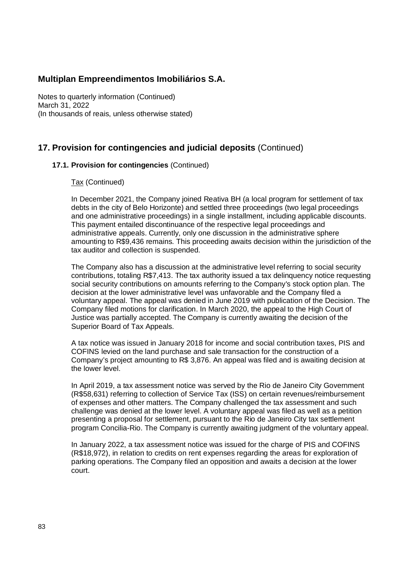Notes to quarterly information (Continued) March 31, 2022 (In thousands of reais, unless otherwise stated)

## **17. Provision for contingencies and judicial deposits** (Continued)

### **17.1. Provision for contingencies** (Continued)

### Tax (Continued)

In December 2021, the Company joined Reativa BH (a local program for settlement of tax debts in the city of Belo Horizonte) and settled three proceedings (two legal proceedings and one administrative proceedings) in a single installment, including applicable discounts. This payment entailed discontinuance of the respective legal proceedings and administrative appeals. Currently, only one discussion in the administrative sphere amounting to R\$9,436 remains. This proceeding awaits decision within the jurisdiction of the tax auditor and collection is suspended.

The Company also has a discussion at the administrative level referring to social security contributions, totaling R\$7,413. The tax authority issued a tax delinquency notice requesting social security contributions on amounts referring to the Company's stock option plan. The decision at the lower administrative level was unfavorable and the Company filed a voluntary appeal. The appeal was denied in June 2019 with publication of the Decision. The Company filed motions for clarification. In March 2020, the appeal to the High Court of Justice was partially accepted. The Company is currently awaiting the decision of the Superior Board of Tax Appeals.

A tax notice was issued in January 2018 for income and social contribution taxes, PIS and COFINS levied on the land purchase and sale transaction for the construction of a Company's project amounting to R\$ 3,876. An appeal was filed and is awaiting decision at the lower level.

In April 2019, a tax assessment notice was served by the Rio de Janeiro City Government (R\$58,631) referring to collection of Service Tax (ISS) on certain revenues/reimbursement of expenses and other matters. The Company challenged the tax assessment and such challenge was denied at the lower level. A voluntary appeal was filed as well as a petition presenting a proposal for settlement, pursuant to the Rio de Janeiro City tax settlement program Concilia-Rio. The Company is currently awaiting judgment of the voluntary appeal.

In January 2022, a tax assessment notice was issued for the charge of PIS and COFINS (R\$18,972), in relation to credits on rent expenses regarding the areas for exploration of parking operations. The Company filed an opposition and awaits a decision at the lower court.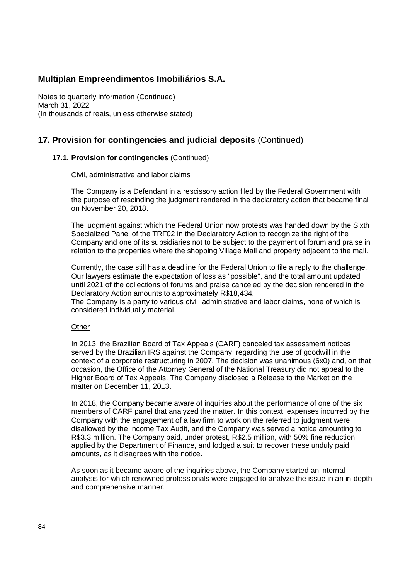Notes to quarterly information (Continued) March 31, 2022 (In thousands of reais, unless otherwise stated)

## **17. Provision for contingencies and judicial deposits** (Continued)

### **17.1. Provision for contingencies** (Continued)

#### Civil, administrative and labor claims

The Company is a Defendant in a rescissory action filed by the Federal Government with the purpose of rescinding the judgment rendered in the declaratory action that became final on November 20, 2018.

The judgment against which the Federal Union now protests was handed down by the Sixth Specialized Panel of the TRF02 in the Declaratory Action to recognize the right of the Company and one of its subsidiaries not to be subject to the payment of forum and praise in relation to the properties where the shopping Village Mall and property adjacent to the mall.

Currently, the case still has a deadline for the Federal Union to file a reply to the challenge. Our lawyers estimate the expectation of loss as "possible", and the total amount updated until 2021 of the collections of forums and praise canceled by the decision rendered in the Declaratory Action amounts to approximately R\$18,434.

The Company is a party to various civil, administrative and labor claims, none of which is considered individually material.

### **Other**

In 2013, the Brazilian Board of Tax Appeals (CARF) canceled tax assessment notices served by the Brazilian IRS against the Company, regarding the use of goodwill in the context of a corporate restructuring in 2007. The decision was unanimous (6x0) and, on that occasion, the Office of the Attorney General of the National Treasury did not appeal to the Higher Board of Tax Appeals. The Company disclosed a Release to the Market on the matter on December 11, 2013.

In 2018, the Company became aware of inquiries about the performance of one of the six members of CARF panel that analyzed the matter. In this context, expenses incurred by the Company with the engagement of a law firm to work on the referred to judgment were disallowed by the Income Tax Audit, and the Company was served a notice amounting to R\$3.3 million. The Company paid, under protest, R\$2.5 million, with 50% fine reduction applied by the Department of Finance, and lodged a suit to recover these unduly paid amounts, as it disagrees with the notice.

As soon as it became aware of the inquiries above, the Company started an internal analysis for which renowned professionals were engaged to analyze the issue in an in-depth and comprehensive manner.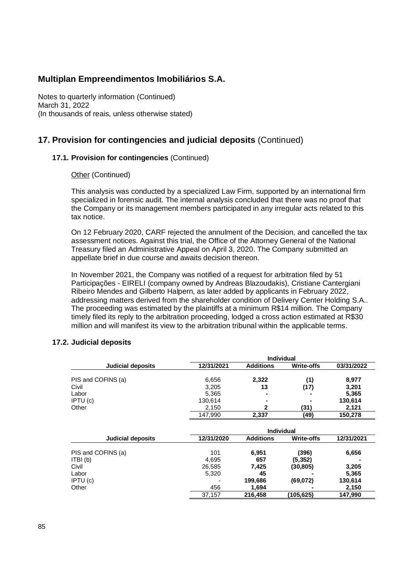Notes to quarterly information (Continued) March 31, 2022 (In thousands of reais, unless otherwise stated)

## **17. Provision for contingencies and judicial deposits** (Continued)

### **17.1. Provision for contingencies** (Continued)

**Other (Continued)** 

This analysis was conducted by a specialized Law Firm, supported by an international firm specialized in forensic audit. The internal analysis concluded that there was no proof that the Company or its management members participated in any irregular acts related to this tax notice.

On 12 February 2020, CARF rejected the annulment of the Decision, and cancelled the tax assessment notices. Against this trial, the Office of the Attorney General of the National Treasury filed an Administrative Appeal on April 3, 2020. The Company submitted an appellate brief in due course and awaits decision thereon.

In November 2021, the Company was notified of a request for arbitration filed by 51 Participações - EIRELI (company owned by Andreas Blazoudakis), Cristiane Cantergiani Ribeiro Mendes and Gilberto Halpern, as later added by applicants in February 2022, addressing matters derived from the shareholder condition of Delivery Center Holding S.A.. The proceeding was estimated by the plaintiffs at a minimum R\$14 million. The Company timely filed its reply to the arbitration proceeding, lodged a cross action estimated at R\$30 million and will manifest its view to the arbitration tribunal within the applicable terms.

**Individual**

| <b>Judicial deposits</b> | 12/31/2021 | <b>Additions</b> | <b>Write-offs</b> | 03/31/2022 |
|--------------------------|------------|------------------|-------------------|------------|
| PIS and COFINS (a)       | 6,656      | 2,322            | (1)               | 8,977      |
| Civil                    | 3,205      | 13               |                   | 3,201      |
|                          |            |                  | (17)              |            |
| Labor                    | 5,365      |                  |                   | 5,365      |
| IPTU(c)                  | 130,614    |                  |                   | 130,614    |
| Other                    | 2,150      | 2                | (31)              | 2,121      |
|                          | 147,990    | 2,337            | (49)              | 150,278    |
|                          |            |                  |                   |            |
|                          |            |                  | <b>Individual</b> |            |
| <b>Judicial deposits</b> | 12/31/2020 | <b>Additions</b> | <b>Write-offs</b> | 12/31/2021 |
| PIS and COFINS (a)       | 101        | 6,951            | (396)             | 6,656      |
| ITBI(b)                  | 4,695      | 657              | (5, 352)          |            |
| Civil                    | 26,585     | 7,425            | (30, 805)         | 3,205      |
| Labor                    | 5,320      | 45               |                   | 5,365      |
| IPTU(c)                  |            | 199,686          | (69,072)          | 130,614    |
| Other                    | 456        | 1,694            |                   | 2,150      |
|                          | 37,157     | 216,458          | (105.625)         | 147,990    |

### **17.2. Judicial deposits**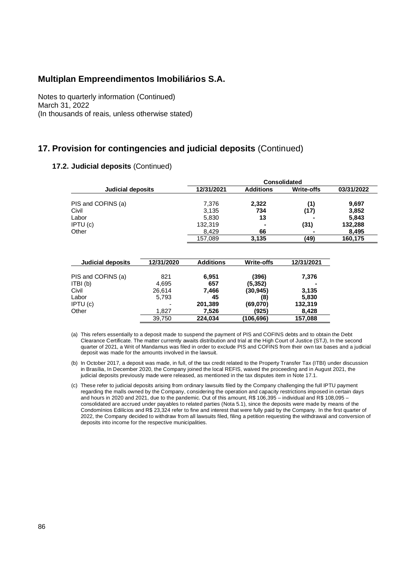Notes to quarterly information (Continued) March 31, 2022 (In thousands of reais, unless otherwise stated)

### **17. Provision for contingencies and judicial deposits** (Continued)

### **17.2. Judicial deposits** (Continued)

|                    | <b>Consolidated</b> |                  |                   |            |  |  |
|--------------------|---------------------|------------------|-------------------|------------|--|--|
| Judicial deposits  | 12/31/2021          | <b>Additions</b> | <b>Write-offs</b> | 03/31/2022 |  |  |
| PIS and COFINS (a) | 7,376               | 2,322            | (1)               | 9,697      |  |  |
| Civil              | 3,135               | 734              | (17)              | 3,852      |  |  |
| Labor              | 5,830               | 13               | $\blacksquare$    | 5,843      |  |  |
| IPTU (c)           | 132.319             | $\blacksquare$   | (31)              | 132,288    |  |  |
| Other              | 8.429               | 66               |                   | 8,495      |  |  |
|                    | 157,089             | 3,135            | (49)              | 160,175    |  |  |
|                    |                     |                  |                   |            |  |  |

| Judicial deposits  | 12/31/2020 | <b>Additions</b> | <b>Write-offs</b> | 12/31/2021     |
|--------------------|------------|------------------|-------------------|----------------|
| PIS and COFINS (a) | 821        | 6,951            | (396)             | 7,376          |
| ITBI (b)           | 4.695      | 657              | (5,352)           | $\blacksquare$ |
| Civil              | 26,614     | 7,466            | (30, 945)         | 3,135          |
| Labor              | 5,793      | 45               | (8)               | 5,830          |
| IPTU (c)           | ٠          | 201,389          | (69,070)          | 132,319        |
| Other              | 1.827      | 7,526            | (925)             | 8,428          |
|                    | 39,750     | 224.034          | (106,696)         | 157,088        |

(a) This refers essentially to a deposit made to suspend the payment of PIS and COFINS debts and to obtain the Debt Clearance Certificate. The matter currently awaits distribution and trial at the High Court of Justice (STJ), In the second quarter of 2021, a Writ of Mandamus was filed in order to exclude PIS and COFINS from their own tax bases and a judicial deposit was made for the amounts involved in the lawsuit.

(b) In October 2017, a deposit was made, in full, of the tax credit related to the Property Transfer Tax (ITBI) under discussion in Brasília, In December 2020, the Company joined the local REFIS, waived the proceeding and in August 2021, the judicial deposits previously made were released, as mentioned in the tax disputes item in Note 17.1.

(c) These refer to judicial deposits arising from ordinary lawsuits filed by the Company challenging the full IPTU payment regarding the malls owned by the Company, considering the operation and capacity restrictions imposed in certain days and hours in 2020 and 2021, due to the pandemic. Out of this amount, R\$ 106,395 – individual and R\$ 108,095 – consolidated are accrued under payables to related parties (Nota 5.1), since the deposits were made by means of the Condomínios Edilícios and R\$ 23,324 refer to fine and interest that were fully paid by the Company. In the first quarter of 2022, the Company decided to withdraw from all lawsuits filed, filing a petition requesting the withdrawal and conversion of deposits into income for the respective municipalities.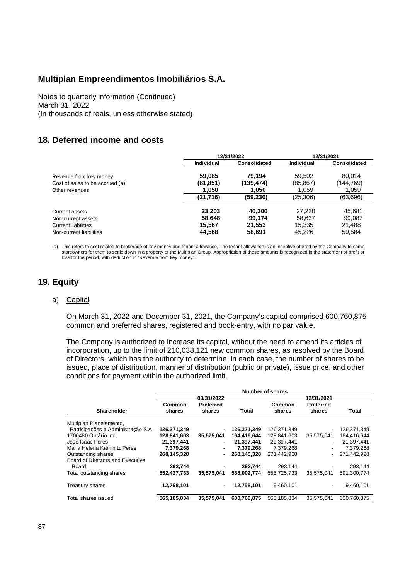Notes to quarterly information (Continued) March 31, 2022 (In thousands of reais, unless otherwise stated)

## **18. Deferred income and costs**

|                                 |            | 12/31/2022          | 12/31/2021        |                     |  |
|---------------------------------|------------|---------------------|-------------------|---------------------|--|
|                                 | Individual | <b>Consolidated</b> | <b>Individual</b> | <b>Consolidated</b> |  |
| Revenue from key money          | 59,085     | 79.194              | 59.502            | 80.014              |  |
| Cost of sales to be accrued (a) | (81, 851)  | (139.474)           | (85, 867)         | (144,769)<br>1,059  |  |
| Other revenues                  | 1,050      | 1.050               | 1,059             |                     |  |
|                                 | (21, 716)  | (59,230)            | (25, 306)         | (63,696)            |  |
| Current assets                  | 23.203     | 40.300              | 27.230            | 45,681              |  |
| Non-current assets              | 58.648     | 99.174              | 58.637            | 99.087              |  |
| <b>Current liabilities</b>      | 15.567     | 21,553              | 15.335            | 21.488              |  |
| Non-current liabilities         | 44,568     | 58,691              | 45,226            | 59,584              |  |

(a) This refers to cost related to brokerage of key money and tenant allowance, The tenant allowance is an incentive offered by the Company to some storeowners for them to settle down in a property of the Multiplan Group, Appropriation of these amounts is recognized in the statement of profit or loss for the period, with deduction in "Revenue from key money".

## **19. Equity**

### a) Capital

On March 31, 2022 and December 31, 2021, the Company's capital comprised 600,760,875 common and preferred shares, registered and book-entry, with no par value.

The Company is authorized to increase its capital, without the need to amend its articles of incorporation, up to the limit of 210,038,121 new common shares, as resolved by the Board of Directors, which has the authority to determine, in each case, the number of shares to be issued, place of distribution, manner of distribution (public or private), issue price, and other conditions for payment within the authorized limit.

|                                    | <b>Number of shares</b> |                            |             |                  |                     |             |
|------------------------------------|-------------------------|----------------------------|-------------|------------------|---------------------|-------------|
|                                    |                         | 03/31/2022                 |             |                  | 12/31/2021          |             |
| <b>Shareholder</b>                 | Common<br>shares        | <b>Preferred</b><br>shares | Total       | Common<br>shares | Preferred<br>shares | Total       |
| Multiplan Planejamento,            |                         |                            |             |                  |                     |             |
| Participações e Administração S.A. | 126,371,349             | $\blacksquare$             | 126,371,349 | 126.371.349      |                     | 126.371.349 |
| 1700480 Ontário Inc.               | 128,841,603             | 35,575,041                 | 164,416,644 | 128,841,603      | 35,575,041          | 164,416,644 |
| José Isaac Peres                   | 21,397,441              | $\blacksquare$             | 21,397,441  | 21.397.441       |                     | 21,397,441  |
| Maria Helena Kaminitz Peres        | 7,379,268               | $\blacksquare$             | 7,379,268   | 7,379,268        |                     | 7,379,268   |
| Outstanding shares                 | 268,145,328             | $\blacksquare$             | 268.145.328 | 271.442.928      |                     | 271.442.928 |
| Board of Directors and Executive   |                         |                            |             |                  |                     |             |
| Board                              | 292.744                 | $\blacksquare$             | 292.744     | 293.144          |                     | 293.144     |
| Total outstanding shares           | 552,427,733             | 35.575.041                 | 588.002.774 | 555.725.733      | 35.575.041          | 591.300.774 |
| Treasury shares                    | 12,758,101              | $\blacksquare$             | 12,758,101  | 9.460.101        |                     | 9,460,101   |
| Total shares issued                | 565,185,834             | 35,575,041                 | 600,760,875 | 565,185,834      | 35,575,041          | 600,760,875 |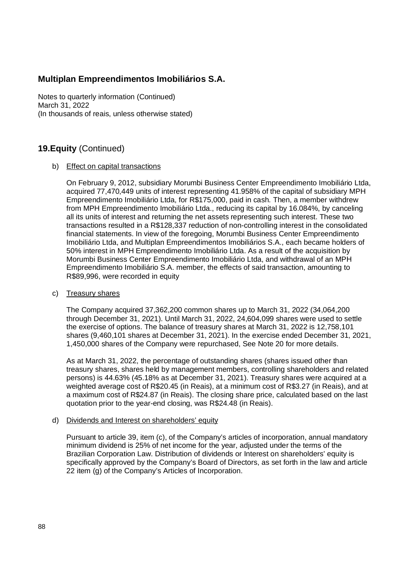Notes to quarterly information (Continued) March 31, 2022 (In thousands of reais, unless otherwise stated)

## **19.Equity** (Continued)

### b) Effect on capital transactions

On February 9, 2012, subsidiary Morumbi Business Center Empreendimento Imobiliário Ltda, acquired 77,470,449 units of interest representing 41.958% of the capital of subsidiary MPH Empreendimento Imobiliário Ltda, for R\$175,000, paid in cash. Then, a member withdrew from MPH Empreendimento Imobiliário Ltda., reducing its capital by 16.084%, by canceling all its units of interest and returning the net assets representing such interest. These two transactions resulted in a R\$128,337 reduction of non-controlling interest in the consolidated financial statements. In view of the foregoing, Morumbi Business Center Empreendimento Imobiliário Ltda, and Multiplan Empreendimentos Imobiliários S.A., each became holders of 50% interest in MPH Empreendimento Imobiliário Ltda. As a result of the acquisition by Morumbi Business Center Empreendimento Imobiliário Ltda, and withdrawal of an MPH Empreendimento Imobiliário S.A. member, the effects of said transaction, amounting to R\$89,996, were recorded in equity

### c) Treasury shares

The Company acquired 37,362,200 common shares up to March 31, 2022 (34,064,200 through December 31, 2021). Until March 31, 2022, 24,604,099 shares were used to settle the exercise of options. The balance of treasury shares at March 31, 2022 is 12,758,101 shares (9,460,101 shares at December 31, 2021). In the exercise ended December 31, 2021, 1,450,000 shares of the Company were repurchased, See Note 20 for more details.

As at March 31, 2022, the percentage of outstanding shares (shares issued other than treasury shares, shares held by management members, controlling shareholders and related persons) is 44.63% (45.18% as at December 31, 2021). Treasury shares were acquired at a weighted average cost of R\$20.45 (in Reais), at a minimum cost of R\$3.27 (in Reais), and at a maximum cost of R\$24.87 (in Reais). The closing share price, calculated based on the last quotation prior to the year-end closing, was R\$24.48 (in Reais).

#### d) Dividends and Interest on shareholders' equity

Pursuant to article 39, item (c), of the Company's articles of incorporation, annual mandatory minimum dividend is 25% of net income for the year, adjusted under the terms of the Brazilian Corporation Law. Distribution of dividends or Interest on shareholders' equity is specifically approved by the Company's Board of Directors, as set forth in the law and article 22 item (g) of the Company's Articles of Incorporation.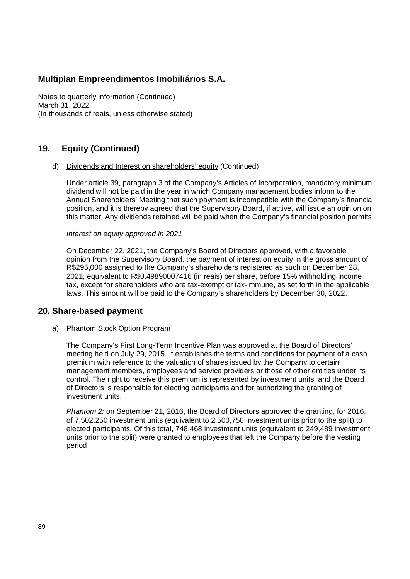Notes to quarterly information (Continued) March 31, 2022 (In thousands of reais, unless otherwise stated)

### **19. Equity (Continued)**

#### d) Dividends and Interest on shareholders' equity (Continued)

Under article 39, paragraph 3 of the Company's Articles of Incorporation, mandatory minimum dividend will not be paid in the year in which Company management bodies inform to the Annual Shareholders' Meeting that such payment is incompatible with the Company's financial position, and it is thereby agreed that the Supervisory Board, if active, will issue an opinion on this matter. Any dividends retained will be paid when the Company's financial position permits.

*Interest on equity approved in 2021*

On December 22, 2021, the Company's Board of Directors approved, with a favorable opinion from the Supervisory Board, the payment of interest on equity in the gross amount of R\$295,000 assigned to the Company's shareholders registered as such on December 28, 2021, equivalent to R\$0.49890007416 (in reais) per share, before 15% withholding income tax, except for shareholders who are tax-exempt or tax-immune, as set forth in the applicable laws. This amount will be paid to the Company's shareholders by December 30, 2022.

### **20. Share-based payment**

### a) Phantom Stock Option Program

The Company's First Long-Term Incentive Plan was approved at the Board of Directors' meeting held on July 29, 2015. It establishes the terms and conditions for payment of a cash premium with reference to the valuation of shares issued by the Company to certain management members, employees and service providers or those of other entities under its control. The right to receive this premium is represented by investment units, and the Board of Directors is responsible for electing participants and for authorizing the granting of investment units.

*Phantom 2:* on September 21, 2016, the Board of Directors approved the granting, for 2016, of 7,502,250 investment units (equivalent to 2,500,750 investment units prior to the split) to elected participants*.* Of this total, 748,468 investment units (equivalent to 249,489 investment units prior to the split) were granted to employees that left the Company before the vesting period.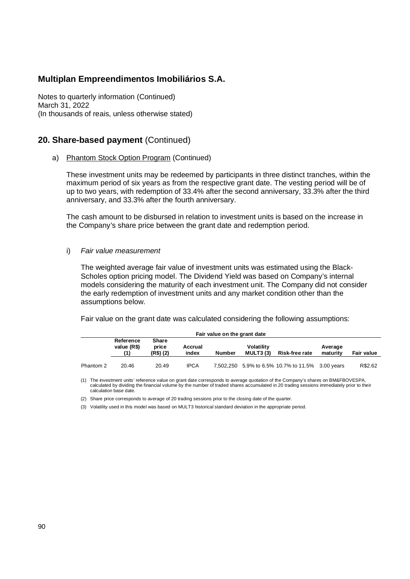Notes to quarterly information (Continued) March 31, 2022 (In thousands of reais, unless otherwise stated)

### **20. Share-based payment** (Continued)

a) Phantom Stock Option Program (Continued)

These investment units may be redeemed by participants in three distinct tranches, within the maximum period of six years as from the respective grant date. The vesting period will be of up to two years, with redemption of 33.4% after the second anniversary, 33.3% after the third anniversary, and 33.3% after the fourth anniversary.

The cash amount to be disbursed in relation to investment units is based on the increase in the Company's share price between the grant date and redemption period.

i) *Fair value measurement*

The weighted average fair value of investment units was estimated using the Black-Scholes option pricing model. The Dividend Yield was based on Company's internal models considering the maturity of each investment unit. The Company did not consider the early redemption of investment units and any market condition other than the assumptions below.

Fair value on the grant date was calculated considering the following assumptions:

| Fair value on the grant date |                          |                             |                  |        |                               |                                                  |                     |                   |
|------------------------------|--------------------------|-----------------------------|------------------|--------|-------------------------------|--------------------------------------------------|---------------------|-------------------|
|                              | Reference<br>value (R\$) | Share<br>price<br>(R\$) (2) | Accrual<br>index | Number | <b>Volatility</b><br>MULT3(3) | <b>Risk-free rate</b>                            | Average<br>maturity | <b>Fair value</b> |
| Phantom 2                    | 20.46                    | 20.49                       | <b>IPCA</b>      |        |                               | 7,502,250 5.9% to 6.5% 10.7% to 11.5% 3.00 years |                     | R\$2.62           |

(1) The investment units' reference value on grant date corresponds to average quotation of the Company's shares on BM&FBOVESPA, calculated by dividing the financial volume by the number of traded shares accumulated in 20 trading sessions immediately prior to their calculation base date.

(2) Share price corresponds to average of 20 trading sessions prior to the closing date of the quarter.

(3) Volatility used in this model was based on MULT3 historical standard deviation in the appropriate period.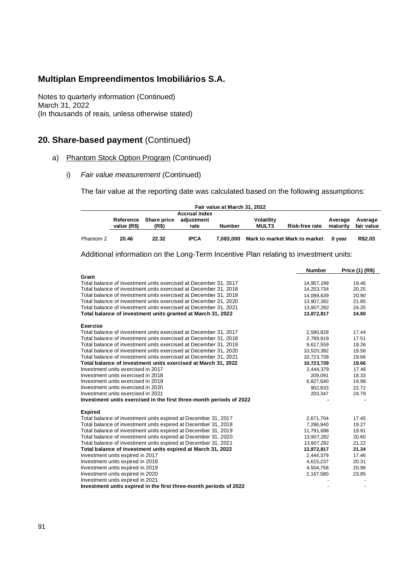Notes to quarterly information (Continued) March 31, 2022 (In thousands of reais, unless otherwise stated)

## **20. Share-based payment** (Continued)

- a) Phantom Stock Option Program (Continued)
	- i) *Fair value measurement* (Continued)

The fair value at the reporting date was calculated based on the following assumptions:

| Fair value at March 31, 2022 |             |                                |                    |           |                                   |                               |                     |                       |
|------------------------------|-------------|--------------------------------|--------------------|-----------|-----------------------------------|-------------------------------|---------------------|-----------------------|
| <b>Accrual index</b>         |             |                                |                    |           |                                   |                               |                     |                       |
|                              | value (R\$) | Reference Share price<br>(R\$) | adiustment<br>rate | Number    | <b>Volatility</b><br><b>MULT3</b> | Risk-free rate                | Average<br>maturity | Average<br>fair value |
| Phantom 2                    | 20.46       | 22.32                          | <b>IPCA</b>        | 7.083.000 |                                   | Mark to market Mark to market | 0 vear              | R\$2.03               |

Additional information on the Long-Term Incentive Plan relating to investment units:

|                                                                     | <b>Number</b> | Price (1) (R\$)          |
|---------------------------------------------------------------------|---------------|--------------------------|
| Grant                                                               |               |                          |
| Total balance of investment units exercised at December 31, 2017    | 14,957,199    | 19.46                    |
| Total balance of investment units exercised at December 31, 2018    | 14,253,734    | 20.25                    |
| Total balance of investment units exercised at December 31, 2019    | 14,098,639    | 20.90                    |
| Total balance of investment units exercised at December 31, 2020    | 13,907,282    | 21.85                    |
| Total balance of investment units exercised at December 31, 2021    | 13,907,282    | 24.25                    |
| Total balance of investment units granted at March 31, 2022         | 13,872,817    | 24.80                    |
| Exercise                                                            |               |                          |
| Total balance of investment units exercised at December 31, 2017    | 2,580,828     | 17.44                    |
| Total balance of investment units exercised at December 31, 2018    | 2,789,919     | 17.51                    |
| Total balance of investment units exercised at December 31, 2019    | 9,617,559     | 19.26                    |
| Total balance of investment units exercised at December 31, 2020    | 10,520,392    | 19.56                    |
| Total balance of investment units exercised at December 31, 2021    | 10,723,739    | 19.66                    |
| Total balance of investment units exercised at March 31, 2022       | 10,723,739    | 19.66                    |
| Investment units exercised in 2017                                  | 2,444,379     | 17.46                    |
| Investment units exercised in 2018                                  | 209,091       | 18.33                    |
| Investment units exercised in 2019                                  | 6,827,640     | 19.98                    |
| Investment units exercised in 2020                                  | 902.833       | 22.72                    |
| Investment units exercised in 2021                                  | 203,347       | 24.79                    |
| Investment units exercised in the first three-month periods of 2022 |               |                          |
| <b>Expired</b>                                                      |               |                          |
| Total balance of investment units expired at December 31, 2017      | 2,671,704     | 17.45                    |
| Total balance of investment units expired at December 31, 2018      | 7,286,940     | 19.27                    |
| Total balance of investment units expired at December 31, 2019      | 11,791,698    | 19.91                    |
| Total balance of investment units expired at December 31, 2020      | 13,907,282    | 20.60                    |
| Total balance of investment units expired at December 31, 2021      | 13,907,282    | 21.22                    |
| Total balance of investment units expired at March 31, 2022         | 13,872,817    | 21.34                    |
| Investment units expired in 2017                                    | 2,444,379     | 17.46                    |
| Investment units expired in 2018                                    | 4,615,237     | 20.31                    |
| Investment units expired in 2019                                    | 4,504,758     | 20.96                    |
| Investment units expired in 2020                                    | 2,167,580     | 23.85                    |
| Investment units expired in 2021                                    |               |                          |
| Investment units expired in the first three-month periods of 2022   |               | $\overline{\phantom{a}}$ |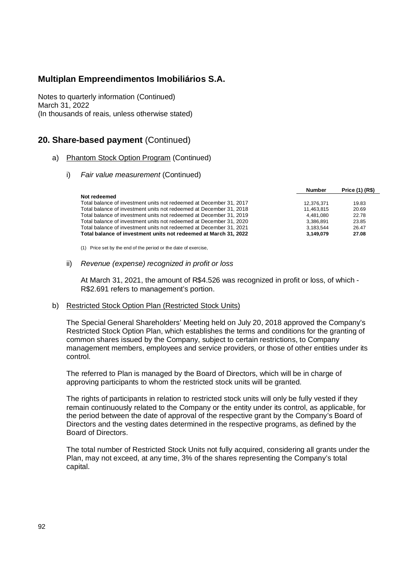Notes to quarterly information (Continued) March 31, 2022 (In thousands of reais, unless otherwise stated)

### **20. Share-based payment** (Continued)

### a) Phantom Stock Option Program (Continued)

i) *Fair value measurement* (Continued)

|                                                                     | <b>Number</b> | Price (1) (R\$) |
|---------------------------------------------------------------------|---------------|-----------------|
| Not redeemed                                                        |               |                 |
| Total balance of investment units not redeemed at December 31, 2017 | 12.376.371    | 19.83           |
| Total balance of investment units not redeemed at December 31, 2018 | 11,463,815    | 20.69           |
| Total balance of investment units not redeemed at December 31, 2019 | 4.481.080     | 22.78           |
| Total balance of investment units not redeemed at December 31, 2020 | 3.386.891     | 23.85           |
| Total balance of investment units not redeemed at December 31, 2021 | 3.183.544     | 26.47           |
| Total balance of investment units not redeemed at March 31, 2022    | 3.149.079     | 27.08           |

(1) Price set by the end of the period or the date of exercise,

### ii) *Revenue (expense) recognized in profit or loss*

At March 31, 2021, the amount of R\$4.526 was recognized in profit or loss, of which - R\$2.691 refers to management's portion.

### b) Restricted Stock Option Plan (Restricted Stock Units)

The Special General Shareholders' Meeting held on July 20, 2018 approved the Company's Restricted Stock Option Plan, which establishes the terms and conditions for the granting of common shares issued by the Company, subject to certain restrictions, to Company management members, employees and service providers, or those of other entities under its control.

The referred to Plan is managed by the Board of Directors, which will be in charge of approving participants to whom the restricted stock units will be granted.

The rights of participants in relation to restricted stock units will only be fully vested if they remain continuously related to the Company or the entity under its control, as applicable, for the period between the date of approval of the respective grant by the Company's Board of Directors and the vesting dates determined in the respective programs, as defined by the Board of Directors.

The total number of Restricted Stock Units not fully acquired, considering all grants under the Plan, may not exceed, at any time, 3% of the shares representing the Company's total capital.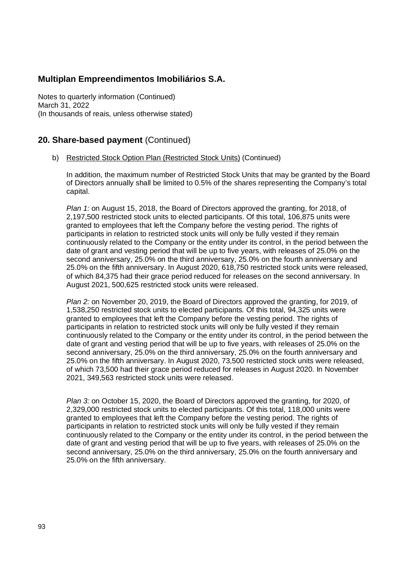Notes to quarterly information (Continued) March 31, 2022 (In thousands of reais, unless otherwise stated)

## **20. Share-based payment** (Continued)

b) Restricted Stock Option Plan (Restricted Stock Units) (Continued)

In addition, the maximum number of Restricted Stock Units that may be granted by the Board of Directors annually shall be limited to 0.5% of the shares representing the Company's total capital.

*Plan 1:* on August 15, 2018, the Board of Directors approved the granting, for 2018, of 2,197,500 restricted stock units to elected participants. Of this total, 106,875 units were granted to employees that left the Company before the vesting period. The rights of participants in relation to restricted stock units will only be fully vested if they remain continuously related to the Company or the entity under its control, in the period between the date of grant and vesting period that will be up to five years, with releases of 25.0% on the second anniversary, 25.0% on the third anniversary, 25.0% on the fourth anniversary and 25.0% on the fifth anniversary. In August 2020, 618,750 restricted stock units were released, of which 84,375 had their grace period reduced for releases on the second anniversary. In August 2021, 500,625 restricted stock units were released.

*Plan 2:* on November 20, 2019, the Board of Directors approved the granting, for 2019, of 1,538,250 restricted stock units to elected participants*.* Of this total, 94,325 units were granted to employees that left the Company before the vesting period. The rights of participants in relation to restricted stock units will only be fully vested if they remain continuously related to the Company or the entity under its control, in the period between the date of grant and vesting period that will be up to five years, with releases of 25.0% on the second anniversary, 25.0% on the third anniversary, 25.0% on the fourth anniversary and 25.0% on the fifth anniversary. In August 2020, 73,500 restricted stock units were released, of which 73,500 had their grace period reduced for releases in August 2020. In November 2021, 349,563 restricted stock units were released.

*Plan 3:* on October 15, 2020, the Board of Directors approved the granting, for 2020, of 2,329,000 restricted stock units to elected participants. Of this total, 118,000 units were granted to employees that left the Company before the vesting period. The rights of participants in relation to restricted stock units will only be fully vested if they remain continuously related to the Company or the entity under its control, in the period between the date of grant and vesting period that will be up to five years, with releases of 25.0% on the second anniversary, 25.0% on the third anniversary, 25.0% on the fourth anniversary and 25.0% on the fifth anniversary.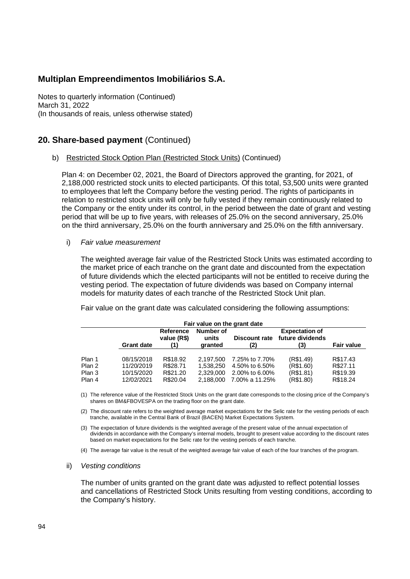Notes to quarterly information (Continued) March 31, 2022 (In thousands of reais, unless otherwise stated)

### **20. Share-based payment** (Continued)

b) Restricted Stock Option Plan (Restricted Stock Units) (Continued)

Plan 4: on December 02, 2021, the Board of Directors approved the granting, for 2021, of 2,188,000 restricted stock units to elected participants. Of this total, 53,500 units were granted to employees that left the Company before the vesting period. The rights of participants in relation to restricted stock units will only be fully vested if they remain continuously related to the Company or the entity under its control, in the period between the date of grant and vesting period that will be up to five years, with releases of 25.0% on the second anniversary, 25.0% on the third anniversary, 25.0% on the fourth anniversary and 25.0% on the fifth anniversary.

i) *Fair value measurement*

The weighted average fair value of the Restricted Stock Units was estimated according to the market price of each tranche on the grant date and discounted from the expectation of future dividends which the elected participants will not be entitled to receive during the vesting period. The expectation of future dividends was based on Company internal models for maturity dates of each tranche of the Restricted Stock Unit plan.

Fair value on the grant date was calculated considering the following assumptions:

| Fair value on the grant date         |                                                                                                                                                                                        |                                              |                                                  |                                                                      |                                                  |                                              |  |  |
|--------------------------------------|----------------------------------------------------------------------------------------------------------------------------------------------------------------------------------------|----------------------------------------------|--------------------------------------------------|----------------------------------------------------------------------|--------------------------------------------------|----------------------------------------------|--|--|
|                                      | Number of<br><b>Expectation of</b><br>Reference<br>future dividends<br>value (R\$)<br><b>Discount rate</b><br>units<br><b>Fair value</b><br><b>Grant date</b><br>(2)<br>granted<br>(3) |                                              |                                                  |                                                                      |                                                  |                                              |  |  |
| Plan 1<br>Plan 2<br>Plan 3<br>Plan 4 | 08/15/2018<br>11/20/2019<br>10/15/2020<br>12/02/2021                                                                                                                                   | R\$18.92<br>R\$28.71<br>R\$21.20<br>R\$20.04 | 2.197.500<br>1.538.250<br>2,329,000<br>2.188.000 | 7.25% to 7.70%<br>4.50% to 6.50%<br>2.00% to 6.00%<br>7.00% a 11.25% | (R\$1.49)<br>(R\$1.60)<br>(R\$1.81)<br>(R\$1.80) | R\$17.43<br>R\$27.11<br>R\$19.39<br>R\$18.24 |  |  |

(1) The reference value of the Restricted Stock Units on the grant date corresponds to the closing price of the Company's shares on BM&FBOVESPA on the trading floor on the grant date.

(2) The discount rate refers to the weighted average market expectations for the Selic rate for the vesting periods of each tranche, available in the Central Bank of Brazil (BACEN) Market Expectations System.

- (3) The expectation of future dividends is the weighted average of the present value of the annual expectation of dividends in accordance with the Company's internal models, brought to present value according to the discount rates based on market expectations for the Selic rate for the vesting periods of each tranche.
- (4) The average fair value is the result of the weighted average fair value of each of the four tranches of the program.

#### ii) *Vesting conditions*

The number of units granted on the grant date was adjusted to reflect potential losses and cancellations of Restricted Stock Units resulting from vesting conditions, according to the Company's history.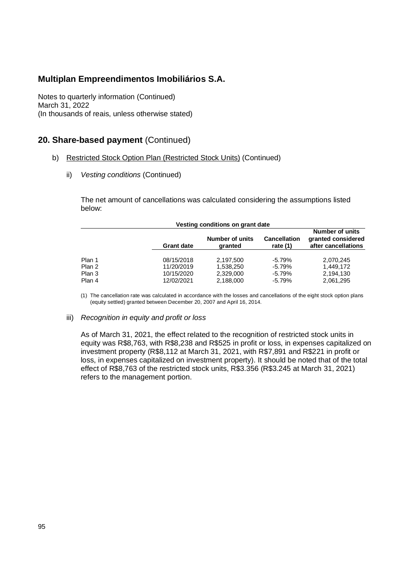Notes to quarterly information (Continued) March 31, 2022 (In thousands of reais, unless otherwise stated)

## **20. Share-based payment** (Continued)

- b) Restricted Stock Option Plan (Restricted Stock Units) (Continued)
	- ii) *Vesting conditions* (Continued)

The net amount of cancellations was calculated considering the assumptions listed below:

| Vesting conditions on grant date |                   |                            |                                   |                                                                     |  |  |
|----------------------------------|-------------------|----------------------------|-----------------------------------|---------------------------------------------------------------------|--|--|
|                                  | <b>Grant date</b> | Number of units<br>granted | <b>Cancellation</b><br>rate $(1)$ | <b>Number of units</b><br>granted considered<br>after cancellations |  |  |
| Plan 1                           | 08/15/2018        | 2.197.500                  | $-5.79\%$                         | 2.070.245                                                           |  |  |
| Plan 2                           | 11/20/2019        | 1.538.250                  | $-5.79%$                          | 1.449.172                                                           |  |  |
| Plan 3                           | 10/15/2020        | 2.329.000                  | $-5.79%$                          | 2,194,130                                                           |  |  |
| Plan 4                           | 12/02/2021        | 2,188,000                  | $-5.79%$                          | 2,061,295                                                           |  |  |

(1) The cancellation rate was calculated in accordance with the losses and cancellations of the eight stock option plans (equity settled) granted between December 20, 2007 and April 16, 2014.

#### iii) *Recognition in equity and profit or loss*

As of March 31, 2021, the effect related to the recognition of restricted stock units in equity was R\$8,763, with R\$8,238 and R\$525 in profit or loss, in expenses capitalized on investment property (R\$8,112 at March 31, 2021, with R\$7,891 and R\$221 in profit or loss, in expenses capitalized on investment property). It should be noted that of the total effect of R\$8,763 of the restricted stock units, R\$3.356 (R\$3.245 at March 31, 2021) refers to the management portion.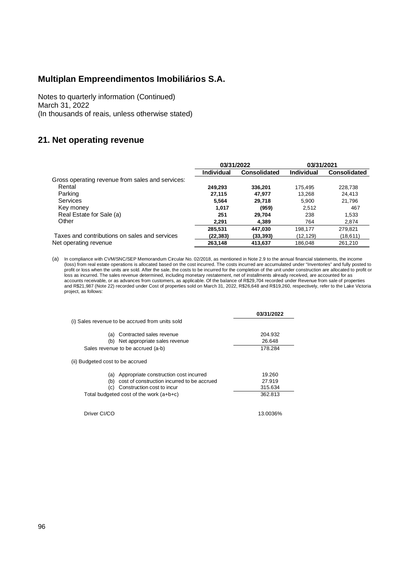Notes to quarterly information (Continued) March 31, 2022 (In thousands of reais, unless otherwise stated)

## **21. Net operating revenue**

|                                                  | 03/31/2022 |                     | 03/31/2021 |                     |
|--------------------------------------------------|------------|---------------------|------------|---------------------|
|                                                  | Individual | <b>Consolidated</b> | Individual | <b>Consolidated</b> |
| Gross operating revenue from sales and services: |            |                     |            |                     |
| Rental                                           | 249.293    | 336.201             | 175,495    | 228,738             |
| Parking                                          | 27.115     | 47.977              | 13.268     | 24.413              |
| <b>Services</b>                                  | 5.564      | 29,718              | 5.900      | 21,796              |
| Key money                                        | 1.017      | (959)               | 2.512      | 467                 |
| Real Estate for Sale (a)                         | 251        | 29.704              | 238        | 1.533               |
| Other                                            | 2.291      | 4,389               | 764        | 2,874               |
|                                                  | 285,531    | 447,030             | 198,177    | 279,821             |
| Taxes and contributions on sales and services    | (22, 383)  | (33, 393)           | (12,129)   | (18, 611)           |
| Net operating revenue                            | 263,148    | 413,637             | 186.048    | 261,210             |

(a) In compliance with CVM/SNC/SEP Memorandum Circular No. 02/2018, as mentioned in Note 2.9 to the annual financial statements, the income (loss) from real estate operations is allocated based on the cost incurred. The costs incurred are accumulated under "Inventories" and fully posted to profit or loss when the units are sold. After the sale, the costs to be incurred for the completion of the unit under construction are allocated to profit or<br>loss as incurred. The sales revenue determined, including moneta accounts receivable, or as advances from customers, as applicable. Of the balance of R\$29,704 recorded under Revenue from sale of properties<br>and R\$21,987 (Note 22) recorded under Cost of properties sold on March 31, 2022, project, as follows:

|                                                    | 03/31/2022 |
|----------------------------------------------------|------------|
| (i) Sales revenue to be accrued from units sold    |            |
| Contracted sales revenue<br>(a)                    | 204.932    |
| Net appropriate sales revenue<br>(b)               | 26.648     |
| Sales revenue to be accrued (a-b)                  | 178.284    |
| (ii) Budgeted cost to be accrued                   |            |
| Appropriate construction cost incurred<br>(a)      | 19.260     |
| cost of construction incurred to be accrued<br>(b) | 27.919     |
| Construction cost to incur<br>(C)                  | 315.634    |
| Total budgeted cost of the work $(a+b+c)$          | 362.813    |
| Driver CI/CO                                       | 13.0036%   |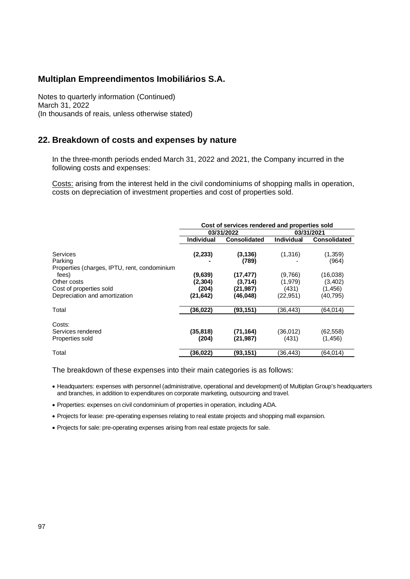Notes to quarterly information (Continued) March 31, 2022 (In thousands of reais, unless otherwise stated)

### **22. Breakdown of costs and expenses by nature**

In the three-month periods ended March 31, 2022 and 2021, the Company incurred in the following costs and expenses:

Costs: arising from the interest held in the civil condominiums of shopping malls in operation, costs on depreciation of investment properties and cost of properties sold.

|                                                                                  | Cost of services rendered and properties sold |                                                |                                          |                                              |
|----------------------------------------------------------------------------------|-----------------------------------------------|------------------------------------------------|------------------------------------------|----------------------------------------------|
|                                                                                  |                                               | 03/31/2022                                     |                                          | 03/31/2021                                   |
|                                                                                  | <b>Individual</b>                             | <b>Consolidated</b>                            | Individual                               | <b>Consolidated</b>                          |
| <b>Services</b><br>Parking<br>Properties (charges, IPTU, rent, condominium       | (2, 233)                                      | (3, 136)<br>(789)                              | (1,316)                                  | (1,359)<br>(964)                             |
| fees)<br>Other costs<br>Cost of properties sold<br>Depreciation and amortization | (9,639)<br>(2, 304)<br>(204)<br>(21, 642)     | (17, 477)<br>(3,714)<br>(21, 987)<br>(46, 048) | (9,766)<br>(1,979)<br>(431)<br>(22, 951) | (16,038)<br>(3,402)<br>(1, 456)<br>(40, 795) |
| Total                                                                            | (36, 022)                                     | (93, 151)                                      | (36,443)                                 | (64,014)                                     |
| Costs:<br>Services rendered<br>Properties sold                                   | (35, 818)<br>(204)                            | (71, 164)<br>(21, 987)                         | (36,012)<br>(431)                        | (62, 558)<br>(1, 456)                        |
| Total                                                                            | (36, 022)                                     | (93,151)                                       | (36,443)                                 | (64,014)                                     |

The breakdown of these expenses into their main categories is as follows:

 Headquarters: expenses with personnel (administrative, operational and development) of Multiplan Group's headquarters and branches, in addition to expenditures on corporate marketing, outsourcing and travel.

Properties: expenses on civil condominium of properties in operation, including ADA.

Projects for lease: pre-operating expenses relating to real estate projects and shopping mall expansion.

Projects for sale: pre-operating expenses arising from real estate projects for sale.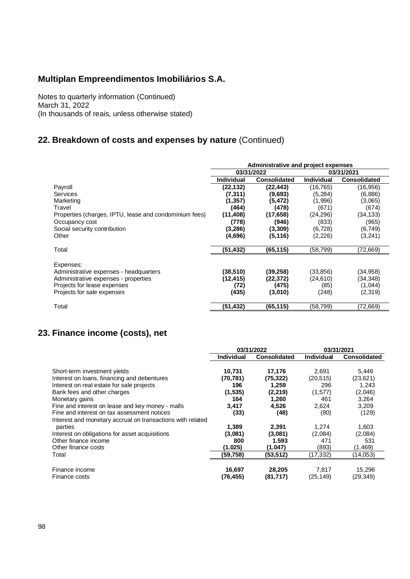Notes to quarterly information (Continued) March 31, 2022 (In thousands of reais, unless otherwise stated)

## **22. Breakdown of costs and expenses by nature** (Continued)

|                                                        | Administrative and project expenses |                     |                   |                     |
|--------------------------------------------------------|-------------------------------------|---------------------|-------------------|---------------------|
|                                                        |                                     | 03/31/2022          |                   | 03/31/2021          |
|                                                        | <b>Individual</b>                   | <b>Consolidated</b> | <b>Individual</b> | <b>Consolidated</b> |
| Payroll                                                | (22, 132)                           | (22, 443)           | (16, 765)         | (16, 956)           |
| <b>Services</b>                                        | (7, 311)                            | (9,693)             | (5.284)           | (6,886)             |
| Marketing                                              | (1, 357)                            | (5,472)             | (1,996)           | (3,065)             |
| Travel                                                 | (464)                               | (478)               | (671)             | (674)               |
| Properties (charges, IPTU, lease and condominium fees) | (11,408)                            | (17, 658)           | (24, 296)         | (34, 133)           |
| Occupancy cost                                         | (778)                               | (946)               | (833)             | (965)               |
| Social security contribution                           | (3,286)                             | (3, 309)            | (6, 728)          | (6,749)             |
| Other                                                  | (4,696)                             | (5, 116)            | (2,226)           | (3,241)             |
| Total                                                  | (51,432)                            | (65,115)            | (58, 799)         | (72,669)            |
| Expenses:                                              |                                     |                     |                   |                     |
| Administrative expenses - headquarters                 | (38,510)                            | (39,258)            | (33, 856)         | (34, 958)           |
| Administrative expenses - properties                   | (12,415)                            | (22,372)            | (24, 610)         | (34, 348)           |
| Projects for lease expenses                            | (72)                                | (475)               | (85)              | (1,044)             |
| Projects for sale expenses                             | (435)                               | (3,010)             | (248)             | (2,319)             |
| Total                                                  | (51,432)                            | (65,115)            | (58, 799)         | (72,669)            |

## **23. Finance income (costs), net**

|                                                            | 03/31/2022        |                     | 03/31/2021        |                     |
|------------------------------------------------------------|-------------------|---------------------|-------------------|---------------------|
|                                                            | <b>Individual</b> | <b>Consolidated</b> | <b>Individual</b> | <b>Consolidated</b> |
|                                                            |                   |                     |                   |                     |
| Short-term investment yields                               | 10,731            | 17,176              | 2.691             | 5,446               |
| Interest on Ioans, financing and debentures                | (70, 781)         | (75, 322)           | (20,515)          | (23,621)            |
| Interest on real estate for sale projects                  | 196               | 1,259               | 296               | 1,243               |
| Bank fees and other charges                                | (1,535)           | (2,219)             | (1,577)           | (2,046)             |
| Monetary gains                                             | 164               | 1,260               | 461               | 3,264               |
| Fine and interest on lease and key money - malls           | 3,417             | 4,526               | 2.624             | 3.209               |
| Fine and interest on tax assessment notices                | (33)              | (48)                | (80)              | (129)               |
| Interest and monetary accrual on transactions with related |                   |                     |                   |                     |
| parties                                                    | 1,389             | 2,391               | 1,274             | 1,603               |
| Interest on obligations for asset acquisitions             | (3,081)           | (3,081)             | (2,084)           | (2,084)             |
| Other finance income                                       | 800               | 1.593               | 471               | 531                 |
| Other finance costs                                        | (1.025)           | (1.047)             | (893)             | (1.469)             |
| Total                                                      | (59,758)          | (53,512)            | (17, 332)         | (14, 053)           |
|                                                            |                   |                     |                   |                     |
| Finance income                                             | 16,697            | 28,205              | 7,817             | 15,296              |
| Finance costs                                              | (76,455)          | (81, 717)           | (25, 149)         | (29,349)            |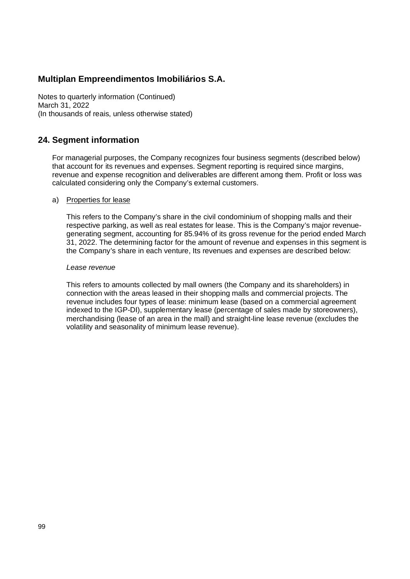Notes to quarterly information (Continued) March 31, 2022 (In thousands of reais, unless otherwise stated)

### **24. Segment information**

For managerial purposes, the Company recognizes four business segments (described below) that account for its revenues and expenses. Segment reporting is required since margins, revenue and expense recognition and deliverables are different among them. Profit or loss was calculated considering only the Company's external customers.

#### a) Properties for lease

This refers to the Company's share in the civil condominium of shopping malls and their respective parking, as well as real estates for lease. This is the Company's major revenuegenerating segment, accounting for 85.94% of its gross revenue for the period ended March 31, 2022. The determining factor for the amount of revenue and expenses in this segment is the Company's share in each venture, Its revenues and expenses are described below:

#### *Lease revenue*

This refers to amounts collected by mall owners (the Company and its shareholders) in connection with the areas leased in their shopping malls and commercial projects. The revenue includes four types of lease: minimum lease (based on a commercial agreement indexed to the IGP-DI), supplementary lease (percentage of sales made by storeowners), merchandising (lease of an area in the mall) and straight-line lease revenue (excludes the volatility and seasonality of minimum lease revenue).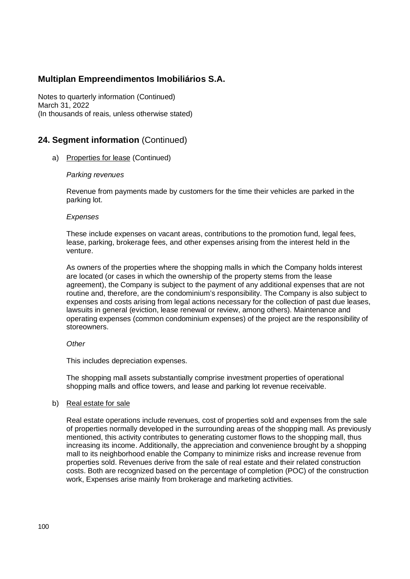Notes to quarterly information (Continued) March 31, 2022 (In thousands of reais, unless otherwise stated)

## **24. Segment information** (Continued)

a) Properties for lease (Continued)

### *Parking revenues*

Revenue from payments made by customers for the time their vehicles are parked in the parking lot.

#### *Expenses*

These include expenses on vacant areas, contributions to the promotion fund, legal fees, lease, parking, brokerage fees, and other expenses arising from the interest held in the venture.

As owners of the properties where the shopping malls in which the Company holds interest are located (or cases in which the ownership of the property stems from the lease agreement), the Company is subject to the payment of any additional expenses that are not routine and, therefore, are the condominium's responsibility. The Company is also subject to expenses and costs arising from legal actions necessary for the collection of past due leases, lawsuits in general (eviction, lease renewal or review, among others). Maintenance and operating expenses (common condominium expenses) of the project are the responsibility of storeowners.

### *Other*

This includes depreciation expenses.

The shopping mall assets substantially comprise investment properties of operational shopping malls and office towers, and lease and parking lot revenue receivable.

### b) Real estate for sale

Real estate operations include revenues, cost of properties sold and expenses from the sale of properties normally developed in the surrounding areas of the shopping mall. As previously mentioned, this activity contributes to generating customer flows to the shopping mall, thus increasing its income. Additionally, the appreciation and convenience brought by a shopping mall to its neighborhood enable the Company to minimize risks and increase revenue from properties sold. Revenues derive from the sale of real estate and their related construction costs. Both are recognized based on the percentage of completion (POC) of the construction work, Expenses arise mainly from brokerage and marketing activities.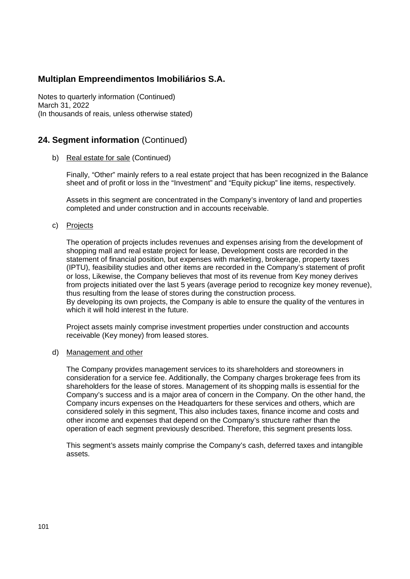Notes to quarterly information (Continued) March 31, 2022 (In thousands of reais, unless otherwise stated)

## **24. Segment information** (Continued)

b) Real estate for sale (Continued)

Finally, "Other" mainly refers to a real estate project that has been recognized in the Balance sheet and of profit or loss in the "Investment" and "Equity pickup" line items, respectively.

Assets in this segment are concentrated in the Company's inventory of land and properties completed and under construction and in accounts receivable.

c) Projects

The operation of projects includes revenues and expenses arising from the development of shopping mall and real estate project for lease, Development costs are recorded in the statement of financial position, but expenses with marketing, brokerage, property taxes (IPTU), feasibility studies and other items are recorded in the Company's statement of profit or loss, Likewise, the Company believes that most of its revenue from Key money derives from projects initiated over the last 5 years (average period to recognize key money revenue), thus resulting from the lease of stores during the construction process. By developing its own projects, the Company is able to ensure the quality of the ventures in which it will hold interest in the future.

Project assets mainly comprise investment properties under construction and accounts receivable (Key money) from leased stores.

d) Management and other

The Company provides management services to its shareholders and storeowners in consideration for a service fee. Additionally, the Company charges brokerage fees from its shareholders for the lease of stores. Management of its shopping malls is essential for the Company's success and is a major area of concern in the Company. On the other hand, the Company incurs expenses on the Headquarters for these services and others, which are considered solely in this segment, This also includes taxes, finance income and costs and other income and expenses that depend on the Company's structure rather than the operation of each segment previously described. Therefore, this segment presents loss.

This segment's assets mainly comprise the Company's cash, deferred taxes and intangible assets.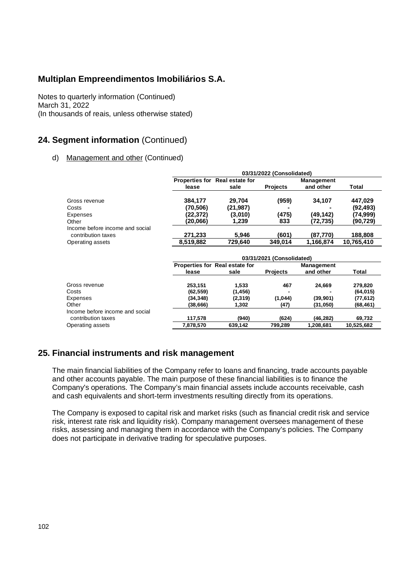Notes to quarterly information (Continued) March 31, 2022 (In thousands of reais, unless otherwise stated)

## **24. Segment information** (Continued)

### d) Management and other (Continued)

|                                                       |                           |                                | 03/31/2022 (Consolidated) |                                       |              |  |
|-------------------------------------------------------|---------------------------|--------------------------------|---------------------------|---------------------------------------|--------------|--|
|                                                       |                           | Properties for Real estate for |                           | <b>Management</b>                     |              |  |
|                                                       | lease                     | sale                           | <b>Projects</b>           | and other                             | <b>Total</b> |  |
| Gross revenue                                         | 384.177                   | 29.704                         | (959)                     | 34,107                                | 447,029      |  |
| Costs                                                 | (70, 506)                 | (21, 987)                      |                           |                                       | (92, 493)    |  |
| Expenses                                              | (22,372)                  | (3,010)                        | (475)                     | (49,142)                              | (74,999)     |  |
| Other                                                 | (20,066)                  | 1,239                          | 833                       | (72, 735)                             | (90,729)     |  |
| Income before income and social<br>contribution taxes | 271,233                   | 5.946                          | (601)                     | (87.770)                              | 188,808      |  |
| Operating assets                                      | 8,519,882                 | 729,640                        | 349.014                   | 1,166,874                             | 10,765,410   |  |
|                                                       | 03/31/2021 (Consolidated) |                                |                           |                                       |              |  |
|                                                       |                           | Properties for Real estate for | <b>Business</b>           | <b>Management</b><br>المتحافظ المحاجب | — <b>.</b>   |  |

|                                 | Properties for Real estate for |          | Management      |           |            |
|---------------------------------|--------------------------------|----------|-----------------|-----------|------------|
|                                 | lease                          | sale     | <b>Projects</b> | and other | Total      |
| Gross revenue                   | 253.151                        | 1.533    | 467             | 24.669    | 279.820    |
| Costs                           | (62, 559)                      | (1, 456) |                 |           | (64, 015)  |
| Expenses                        | (34, 348)                      | (2,319)  | (1,044)         | (39, 901) | (77, 612)  |
| Other                           | (38,666)                       | 1.302    | (47)            | (31,050)  | (68, 461)  |
| Income before income and social |                                |          |                 |           |            |
| contribution taxes              | 117.578                        | (940)    | (624)           | (46, 282) | 69,732     |
| Operating assets                | 7,878,570                      | 639.142  | 799.289         | 1,208,681 | 10.525.682 |

### **25. Financial instruments and risk management**

The main financial liabilities of the Company refer to loans and financing, trade accounts payable and other accounts payable. The main purpose of these financial liabilities is to finance the Company's operations. The Company's main financial assets include accounts receivable, cash and cash equivalents and short-term investments resulting directly from its operations.

The Company is exposed to capital risk and market risks (such as financial credit risk and service risk, interest rate risk and liquidity risk). Company management oversees management of these risks, assessing and managing them in accordance with the Company's policies. The Company does not participate in derivative trading for speculative purposes.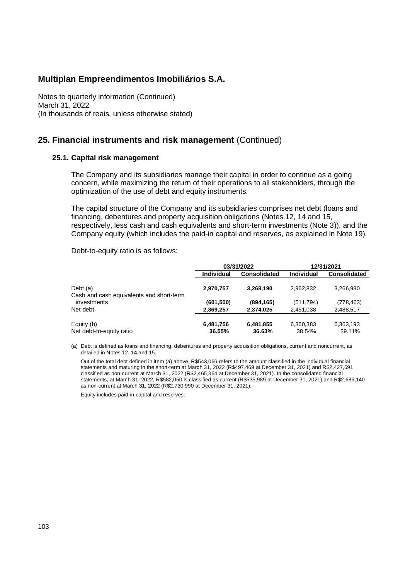Notes to quarterly information (Continued) March 31, 2022 (In thousands of reais, unless otherwise stated)

### **25. Financial instruments and risk management** (Continued)

#### **25.1. Capital risk management**

The Company and its subsidiaries manage their capital in order to continue as a going concern, while maximizing the return of their operations to all stakeholders, through the optimization of the use of debt and equity instruments.

The capital structure of the Company and its subsidiaries comprises net debt (loans and financing, debentures and property acquisition obligations (Notes 12, 14 and 15, respectively, less cash and cash equivalents and short-term investments (Note 3)), and the Company equity (which includes the paid-in capital and reserves, as explained in Note 19).

Debt-to-equity ratio is as follows:

|                                                      |                     | 03/31/2022          | 12/31/2021          |                     |  |
|------------------------------------------------------|---------------------|---------------------|---------------------|---------------------|--|
|                                                      | <b>Individual</b>   | <b>Consolidated</b> | <b>Individual</b>   | <b>Consolidated</b> |  |
| Debt (a)<br>Cash and cash equivalents and short-term | 2,970,757           | 3,268,190           | 2.962.832           | 3.266.980           |  |
| investments                                          | (601, 500)          | (894, 165)          | (511.794)           | (778,463)           |  |
| Net debt                                             | 2,369,257           | 2,374,025           | 2,451,038           | 2,488,517           |  |
| Equity (b)<br>Net debt-to-equity ratio               | 6,481,756<br>36.55% | 6,481,855<br>36.63% | 6,360,383<br>38.54% | 6,363,193<br>39.11% |  |

(a) Debt is defined as loans and financing, debentures and property acquisition obligations, current and noncurrent, as detailed in Notes 12, 14 and 15.

Out of the total debt defined in item (a) above, R\$543,066 refers to the amount classified in the individual financial statements and maturing in the short-term at March 31, 2022 (R\$497,469 at December 31, 2021) and R\$2,427,691 classified as non-current at March 31, 2022 (R\$2,465,364 at December 31, 2021). In the consolidated financial statements, at March 31, 2022, R\$582,050 is classified as current (R\$535,989 at December 31, 2021) and R\$2,686,140 as non-current at March 31, 2022 (R\$2,730,990 at December 31, 2021).

Equity includes paid-in capital and reserves.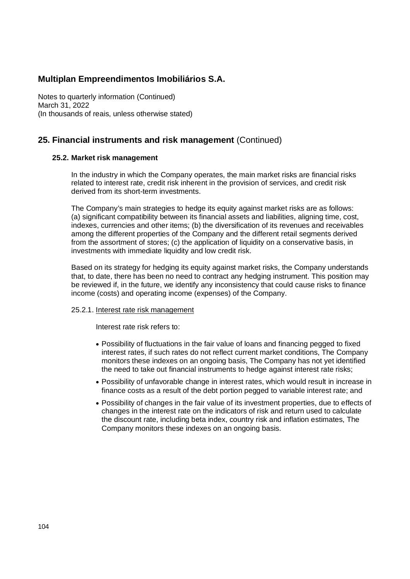Notes to quarterly information (Continued) March 31, 2022 (In thousands of reais, unless otherwise stated)

## **25. Financial instruments and risk management** (Continued)

### **25.2. Market risk management**

In the industry in which the Company operates, the main market risks are financial risks related to interest rate, credit risk inherent in the provision of services, and credit risk derived from its short-term investments.

The Company's main strategies to hedge its equity against market risks are as follows: (a) significant compatibility between its financial assets and liabilities, aligning time, cost, indexes, currencies and other items; (b) the diversification of its revenues and receivables among the different properties of the Company and the different retail segments derived from the assortment of stores; (c) the application of liquidity on a conservative basis, in investments with immediate liquidity and low credit risk.

Based on its strategy for hedging its equity against market risks, the Company understands that, to date, there has been no need to contract any hedging instrument. This position may be reviewed if, in the future, we identify any inconsistency that could cause risks to finance income (costs) and operating income (expenses) of the Company.

### 25.2.1. Interest rate risk management

Interest rate risk refers to:

- Possibility of fluctuations in the fair value of loans and financing pegged to fixed interest rates, if such rates do not reflect current market conditions, The Company monitors these indexes on an ongoing basis, The Company has not yet identified the need to take out financial instruments to hedge against interest rate risks;
- Possibility of unfavorable change in interest rates, which would result in increase in finance costs as a result of the debt portion pegged to variable interest rate; and
- Possibility of changes in the fair value of its investment properties, due to effects of changes in the interest rate on the indicators of risk and return used to calculate the discount rate, including beta index, country risk and inflation estimates, The Company monitors these indexes on an ongoing basis.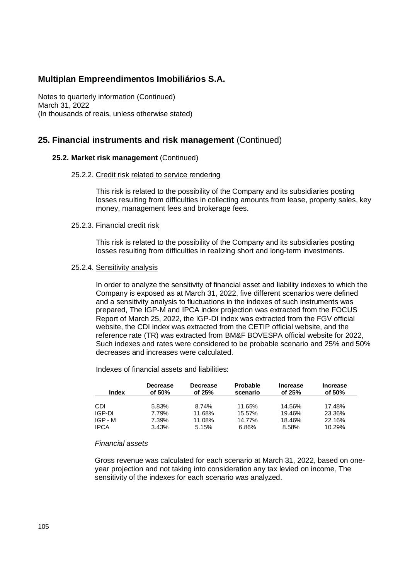Notes to quarterly information (Continued) March 31, 2022 (In thousands of reais, unless otherwise stated)

### **25. Financial instruments and risk management** (Continued)

### **25.2. Market risk management** (Continued)

#### 25.2.2. Credit risk related to service rendering

This risk is related to the possibility of the Company and its subsidiaries posting losses resulting from difficulties in collecting amounts from lease, property sales, key money, management fees and brokerage fees.

#### 25.2.3. Financial credit risk

This risk is related to the possibility of the Company and its subsidiaries posting losses resulting from difficulties in realizing short and long-term investments.

#### 25.2.4. Sensitivity analysis

In order to analyze the sensitivity of financial asset and liability indexes to which the Company is exposed as at March 31, 2022, five different scenarios were defined and a sensitivity analysis to fluctuations in the indexes of such instruments was prepared, The IGP-M and IPCA index projection was extracted from the FOCUS Report of March 25, 2022, the IGP-DI index was extracted from the FGV official website, the CDI index was extracted from the CETIP official website, and the reference rate (TR) was extracted from BM&F BOVESPA official website for 2022, Such indexes and rates were considered to be probable scenario and 25% and 50% decreases and increases were calculated.

Indexes of financial assets and liabilities:

| Index       | <b>Decrease</b> | <b>Decrease</b> | <b>Probable</b> | Increase | <b>Increase</b> |
|-------------|-----------------|-----------------|-----------------|----------|-----------------|
|             | of 50%          | of $25%$        | scenario        | of 25%   | of 50%          |
| CDI         | 5.83%           | 8.74%           | 11.65%          | 14.56%   | 17.48%          |
| IGP-DI      | 7.79%           | 11.68%          | 15.57%          | 19.46%   | 23.36%          |
| IGP - M     | 7.39%           | 11.08%          | 14.77%          | 18.46%   | 22.16%          |
| <b>IPCA</b> | 3.43%           | 5.15%           | 6.86%           | 8.58%    | 10.29%          |

#### *Financial assets*

Gross revenue was calculated for each scenario at March 31, 2022, based on oneyear projection and not taking into consideration any tax levied on income, The sensitivity of the indexes for each scenario was analyzed.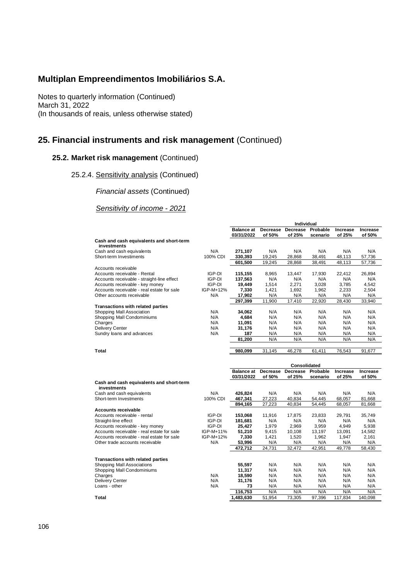Notes to quarterly information (Continued) March 31, 2022 (In thousands of reais, unless otherwise stated)

## **25. Financial instruments and risk management** (Continued)

### **25.2. Market risk management** (Continued)

25.2.4. Sensitivity analysis (Continued)

*Financial assets* (Continued)

*Sensitivity of income - 2021*

|                                                         |           | <b>Balance at</b><br>03/31/2022 | of 50%             | Decrease Decrease<br>of 25% | Probable<br>scenario | <b>Increase</b><br>of 25% | Increase<br>of 50% |
|---------------------------------------------------------|-----------|---------------------------------|--------------------|-----------------------------|----------------------|---------------------------|--------------------|
| Cash and cash equivalents and short-term<br>investments |           |                                 |                    |                             |                      |                           |                    |
| Cash and cash equivalents                               | N/A       | 271,107                         | N/A                | N/A                         | N/A                  | N/A                       | N/A                |
| Short-term Investiments                                 | 100% CDI  | 330,393                         | 19,245             | 28,868                      | 38,491               | 48,113                    | 57,736             |
|                                                         |           | 601,500                         | 19,245             | 28,868                      | 38,491               | 48,113                    | 57,736             |
| Accounts receivable                                     |           |                                 |                    |                             |                      |                           |                    |
| Accounts receivable - Rental                            | IGP-DI    | 115,155                         | 8,965              | 13,447                      | 17,930               | 22,412                    | 26,894             |
| Accounts receivable - straight-line effect              | IGP-DI    | 137,563                         | N/A                | N/A                         | N/A                  | N/A                       | N/A                |
| Accounts receivable - key money                         | IGP-DI    | 19,449                          | 1,514              | 2,271                       | 3,028                | 3,785                     | 4,542              |
| Accounts receivable - real estate for sale              | IGP-M+12% | 7,330                           | 1,421              | 1,692                       | 1,962                | 2,233                     | 2,504              |
| Other accounts receivable                               | N/A       | 17,902                          | N/A                | N/A                         | N/A                  | N/A                       | N/A                |
|                                                         |           | 297,399                         | 11,900             | 17,410                      | 22,920               | 28,430                    | 33,940             |
| <b>Transactions with related parties</b>                |           |                                 |                    |                             |                      |                           |                    |
| Shopping Mall Association                               | N/A       | 34,062                          | N/A                | N/A                         | N/A                  | N/A                       | N/A                |
| Shopping Mall Condominiums                              | N/A       | 4,684                           | N/A                | N/A                         | N/A                  | N/A                       | N/A                |
| Charges                                                 | N/A       | 11,091                          | N/A                | N/A                         | N/A                  | N/A                       | N/A                |
| Delivery Center                                         | N/A       | 31,176                          | N/A                | N/A                         | N/A                  | N/A                       | N/A                |
| Sundry loans and advances                               | N/A       | 187                             | N/A                | N/A                         | N/A                  | N/A                       | N/A                |
|                                                         |           | 81,200                          | N/A                | N/A                         | N/A                  | N/A                       | N/A                |
|                                                         |           |                                 |                    |                             |                      |                           |                    |
| Total                                                   |           | 980,099                         | 31,145             | 46,278                      | 61,411               | 76,543                    | 91,677             |
|                                                         |           |                                 |                    |                             |                      |                           |                    |
|                                                         |           | <b>Balance at</b>               | Consolidated       |                             |                      |                           | Increase           |
|                                                         |           | 03/31/2022                      | Decrease<br>of 50% | Decrease<br>of 25%          | Probable<br>scenario | Increase<br>of 25%        | of 50%             |
| Cash and cash equivalents and short-term                |           |                                 |                    |                             |                      |                           |                    |
| investments                                             |           |                                 |                    |                             |                      |                           |                    |
| Cash and cash equivalents                               | N/A       | 426,824                         | N/A                | N/A                         | N/A                  | N/A                       | N/A                |
| Short-term Investments                                  | 100% CDI  | 467,341                         | 27,223             | 40,834                      | 54,445               | 68,057                    | 81,668             |
|                                                         |           | 894,165                         | 27,223             | 40.834                      | 54.445               | 68,057                    | 81.668             |
| Accounts receivable                                     |           |                                 |                    |                             |                      |                           |                    |
| Accounts receivable - rental                            | IGP-DI    | 153,068                         | 11,916             | 17,875                      | 23,833               | 29,791                    | 35,749             |
| Straight-line effect                                    | IGP-DI    | 181,681                         | N/A                | N/A                         | N/A                  | N/A                       | N/A                |
| Accounts receivable - key money                         | IGP-DI    | 25,427                          | 1,979              | 2,969                       | 3,959                | 4,949                     | 5,938              |
| Accounts receivable - real estate for sale              | IGP-M+11% | 51,210                          | 9,415              | 10,108                      | 13,197               | 13,091                    | 14,582             |
| Accounts receivable - real estate for sale              | IGP-M+12% | 7,330                           | 1,421              | 1,520                       | 1,962                | 1,947                     | 2,161              |
| Other trade accounts receivable                         | N/A       | 53,996                          | N/A                | N/A                         | N/A                  | N/A                       | N/A                |
|                                                         |           | 472.712                         | 24,731             | 32,472                      | 42.951               | 49.778                    | 58,430             |
|                                                         |           |                                 |                    |                             |                      |                           |                    |
| <b>Transactions with related parties</b>                |           |                                 |                    |                             |                      |                           |                    |
| Shopping Mall Associations                              |           | 55,597                          | N/A                | N/A                         | N/A                  | N/A                       | N/A                |
| Shopping Mall Condominiums                              |           | 11,317                          | N/A                | N/A                         | N/A                  | N/A                       | N/A                |
| Charges                                                 | N/A       | 18,590                          | N/A                | N/A                         | N/A                  | N/A                       | N/A                |
| Delivery Center                                         | N/A       | 31,176                          | N/A                | N/A                         | N/A                  | N/A                       | N/A                |
| Loans - other                                           | N/A       | 73                              | N/A                | N/A                         | N/A                  | N/A                       | N/A                |
|                                                         |           | 116,753                         | N/A                | N/A                         | N/A                  | N/A                       | N/A                |
| Total                                                   |           | 1,483,630                       | 51,954             | 73,305                      | 97,396               | 117,834                   | 140,098            |

**Individual**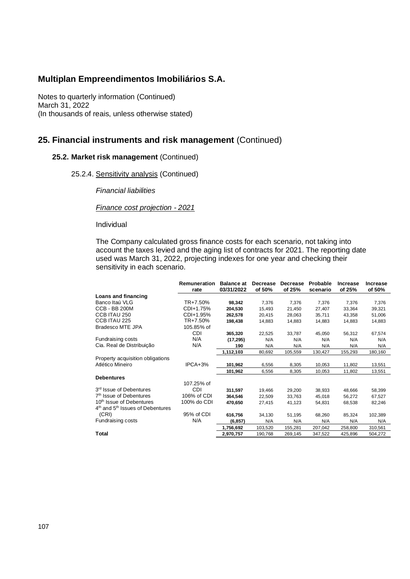Notes to quarterly information (Continued) March 31, 2022 (In thousands of reais, unless otherwise stated)

## **25. Financial instruments and risk management** (Continued)

### **25.2. Market risk management** (Continued)

25.2.4. Sensitivity analysis (Continued)

*Financial liabilities*

*Finance cost projection - 2021*

Individual

The Company calculated gross finance costs for each scenario, not taking into account the taxes levied and the aging list of contracts for 2021. The reporting date used was March 31, 2022, projecting indexes for one year and checking their sensitivity in each scenario.

|                                                          | Remuneration<br>rate | <b>Balance at</b><br>03/31/2022 | Decrease<br>of 50% | Decrease<br>of 25% | Probable<br>scenario | Increase<br>of 25% | <b>Increase</b><br>of 50% |
|----------------------------------------------------------|----------------------|---------------------------------|--------------------|--------------------|----------------------|--------------------|---------------------------|
| Loans and financing                                      |                      |                                 |                    |                    |                      |                    |                           |
| Banco Itaú VLG                                           | TR+7.50%             | 98,342                          | 7,376              | 7,376              | 7,376                | 7,376              | 7,376                     |
| <b>CCB - BB 200M</b>                                     | CDI+1.75%            | 204,530                         | 15,493             | 21,450             | 27,407               | 33,364             | 39,321                    |
| CCB ITAU 250                                             | CDI+1.95%            | 262,578                         | 20,415             | 28,063             | 35,711               | 43,358             | 51,006                    |
| CCB ITAU 225                                             | TR+7.50%             | 198,438                         | 14.883             | 14,883             | 14,883               | 14,883             | 14.883                    |
| <b>Bradesco MTE JPA</b>                                  | 105.85% of           |                                 |                    |                    |                      |                    |                           |
|                                                          | <b>CDI</b>           | 365,320                         | 22,525             | 33,787             | 45,050               | 56,312             | 67,574                    |
| Fundraising costs                                        | N/A                  | (17, 295)                       | N/A                | N/A                | N/A                  | N/A                | N/A                       |
| Cia. Real de Distribuição                                | N/A                  | 190                             | N/A                | N/A                | N/A                  | N/A                | N/A                       |
|                                                          |                      | 1,112,103                       | 80,692             | 105,559            | 130,427              | 155,293            | 180,160                   |
| Property acquisition obligations                         |                      |                                 |                    |                    |                      |                    |                           |
| Atlético Mineiro                                         | IPCA+3%              | 101.962                         | 6,556              | 8,305              | 10,053               | 11,802             | 13,551                    |
|                                                          |                      | 101,962                         | 6,556              | 8,305              | 10,053               | 11,802             | 13,551                    |
| <b>Debentures</b>                                        |                      |                                 |                    |                    |                      |                    |                           |
|                                                          | 107.25% of           |                                 |                    |                    |                      |                    |                           |
| 3rd Issue of Debentures                                  | CDI                  | 311,597                         | 19.466             | 29,200             | 38,933               | 48,666             | 58,399                    |
| 7 <sup>th</sup> Issue of Debentures                      | 106% of CDI          | 364,546                         | 22,509             | 33,763             | 45,018               | 56,272             | 67,527                    |
| 10 <sup>th</sup> Issue of Debentures                     | 100% do CDI          | 470.650                         | 27,415             | 41,123             | 54,831               | 68,538             | 82,246                    |
| 4 <sup>th</sup> and 5 <sup>th</sup> Issues of Debentures |                      |                                 |                    |                    |                      |                    |                           |
| (CRI)                                                    | 95% of CDI           | 616,756                         | 34,130             | 51,195             | 68,260               | 85,324             | 102,389                   |
| Fundraising costs                                        | N/A                  | (6, 857)                        | N/A                | N/A                | N/A                  | N/A                | N/A                       |
|                                                          |                      | 1,756,692                       | 103,520            | 155,281            | 207,042              | 258,800            | 310,561                   |
| Total                                                    |                      | 2.970.757                       | 190,768            | 269,145            | 347,522              | 425,896            | 504,272                   |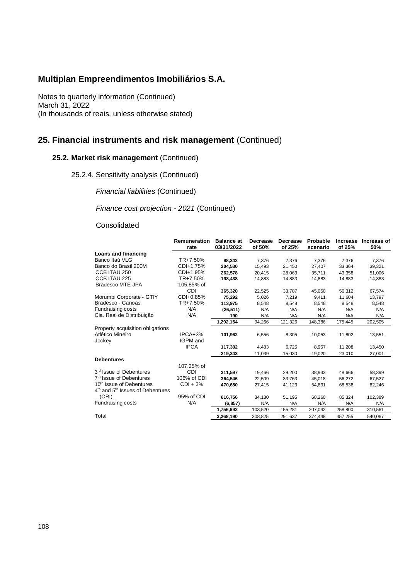Notes to quarterly information (Continued) March 31, 2022 (In thousands of reais, unless otherwise stated)

# **25. Financial instruments and risk management** (Continued)

## **25.2. Market risk management** (Continued)

25.2.4. Sensitivity analysis (Continued)

*Financial liabilities* (Continued)

## *Finance cost projection - 2021* (Continued)

### Consolidated

|                                                          | Remuneration | <b>Balance</b> at | Decrease | Decrease | Probable | <b>Increase</b> | Increase of |
|----------------------------------------------------------|--------------|-------------------|----------|----------|----------|-----------------|-------------|
|                                                          | rate         | 03/31/2022        | of 50%   | of 25%   | scenario | of 25%          | 50%         |
| Loans and financing                                      |              |                   |          |          |          |                 |             |
| Banco Itaú VLG                                           | TR+7.50%     | 98,342            | 7,376    | 7,376    | 7,376    | 7,376           | 7,376       |
| Banco do Brasil 200M                                     | CDI+1.75%    | 204,530           | 15,493   | 21,450   | 27,407   | 33,364          | 39,321      |
| CCB ITAU 250                                             | CDI+1.95%    | 262.578           | 20.415   | 28.063   | 35.711   | 43.358          | 51,006      |
| CCB ITAU 225                                             | TR+7.50%     | 198,438           | 14,883   | 14,883   | 14,883   | 14,883          | 14,883      |
| <b>Bradesco MTE JPA</b>                                  | 105.85% of   |                   |          |          |          |                 |             |
|                                                          | <b>CDI</b>   | 365,320           | 22,525   | 33,787   | 45,050   | 56,312          | 67,574      |
| Morumbi Corporate - GTIY                                 | CDI+0.85%    | 75,292            | 5,026    | 7,219    | 9,411    | 11,604          | 13,797      |
| Bradesco - Canoas                                        | TR+7.50%     | 113,975           | 8,548    | 8,548    | 8,548    | 8,548           | 8,548       |
| Fundraising costs                                        | N/A          | (26, 511)         | N/A      | N/A      | N/A      | N/A             | N/A         |
| Cia. Real de Distribuição                                | N/A          | 190               | N/A      | N/A      | N/A      | N/A             | N/A         |
|                                                          |              | 1,292,154         | 94,266   | 121,326  | 148,386  | 175,445         | 202,505     |
| Property acquisition obligations                         |              |                   |          |          |          |                 |             |
| Atlético Mineiro                                         | IPCA+3%      | 101,962           | 6,556    | 8,305    | 10,053   | 11,802          | 13,551      |
| Jockey                                                   | IGPM and     |                   |          |          |          |                 |             |
|                                                          | <b>IPCA</b>  | 117,382           | 4,483    | 6,725    | 8,967    | 11,208          | 13,450      |
|                                                          |              | 219,343           | 11,039   | 15,030   | 19,020   | 23,010          | 27,001      |
| <b>Debentures</b>                                        |              |                   |          |          |          |                 |             |
|                                                          | 107.25% of   |                   |          |          |          |                 |             |
| 3 <sup>rd</sup> Issue of Debentures                      | CDI          | 311,597           | 19,466   | 29,200   | 38.933   | 48,666          | 58,399      |
| 7 <sup>th</sup> Issue of Debentures                      | 106% of CDI  | 364.546           | 22,509   | 33,763   | 45,018   | 56,272          | 67,527      |
| 10 <sup>th</sup> Issue of Debentures                     | $CDI + 3%$   | 470.650           | 27,415   | 41,123   | 54,831   | 68,538          | 82,246      |
| 4 <sup>th</sup> and 5 <sup>th</sup> Issues of Debentures |              |                   |          |          |          |                 |             |
| (CRI)                                                    | 95% of CDI   | 616,756           | 34,130   | 51,195   | 68,260   | 85,324          | 102,389     |
| Fundraising costs                                        | N/A          | (6, 857)          | N/A      | N/A      | N/A      | N/A             | N/A         |
|                                                          |              | 1,756,692         | 103,520  | 155,281  | 207,042  | 258,800         | 310,561     |
| Total                                                    |              | 3,268,190         | 208,825  | 291,637  | 374,448  | 457,255         | 540,067     |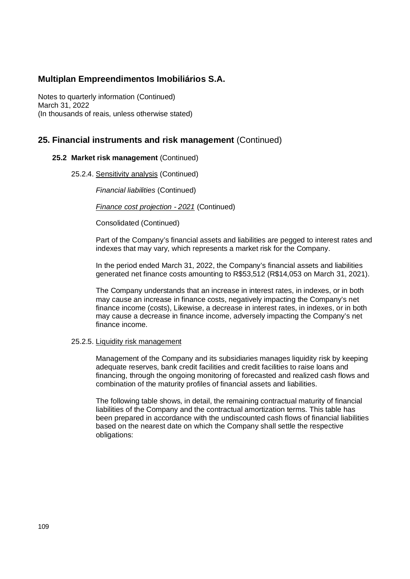Notes to quarterly information (Continued) March 31, 2022 (In thousands of reais, unless otherwise stated)

## **25. Financial instruments and risk management** (Continued)

## **25.2 Market risk management** (Continued)

25.2.4. Sensitivity analysis (Continued)

*Financial liabilities* (Continued)

*Finance cost projection - 2021* (Continued)

Consolidated (Continued)

Part of the Company's financial assets and liabilities are pegged to interest rates and indexes that may vary, which represents a market risk for the Company.

In the period ended March 31, 2022, the Company's financial assets and liabilities generated net finance costs amounting to R\$53,512 (R\$14,053 on March 31, 2021).

The Company understands that an increase in interest rates, in indexes, or in both may cause an increase in finance costs, negatively impacting the Company's net finance income (costs), Likewise, a decrease in interest rates, in indexes, or in both may cause a decrease in finance income, adversely impacting the Company's net finance income.

### 25.2.5. Liquidity risk management

Management of the Company and its subsidiaries manages liquidity risk by keeping adequate reserves, bank credit facilities and credit facilities to raise loans and financing, through the ongoing monitoring of forecasted and realized cash flows and combination of the maturity profiles of financial assets and liabilities.

The following table shows, in detail, the remaining contractual maturity of financial liabilities of the Company and the contractual amortization terms. This table has been prepared in accordance with the undiscounted cash flows of financial liabilities based on the nearest date on which the Company shall settle the respective obligations: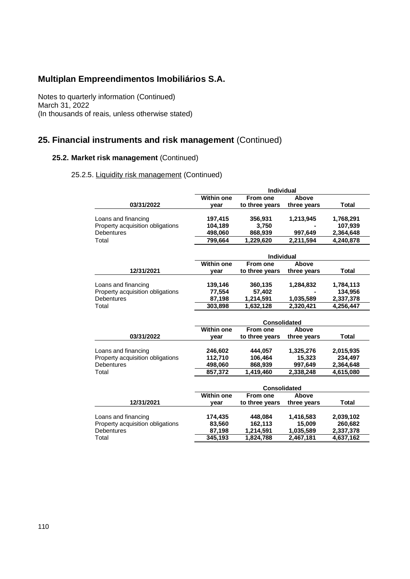Notes to quarterly information (Continued) March 31, 2022 (In thousands of reais, unless otherwise stated)

# **25. Financial instruments and risk management** (Continued)

## **25.2. Market risk management** (Continued)

## 25.2.5. Liquidity risk management (Continued)

|                                  | <b>Individual</b>   |                     |             |              |  |  |
|----------------------------------|---------------------|---------------------|-------------|--------------|--|--|
|                                  | <b>Within one</b>   | <b>From one</b>     | Above       |              |  |  |
| 03/31/2022                       | vear                | to three years      | three years | Total        |  |  |
| Loans and financing              | 197,415             | 356,931             | 1,213,945   | 1,768,291    |  |  |
| Property acquisition obligations | 104,189             | 3,750               |             | 107,939      |  |  |
| <b>Debentures</b>                | 498,060             | 868,939             | 997,649     | 2,364,648    |  |  |
| Total                            | 799,664             | 1,229,620           | 2.211.594   | 4,240,878    |  |  |
|                                  |                     |                     |             |              |  |  |
|                                  |                     | <b>Individual</b>   |             |              |  |  |
|                                  | <b>Within one</b>   | From one            | Above       |              |  |  |
| 12/31/2021                       | vear                | to three years      | three years | Total        |  |  |
|                                  |                     |                     |             |              |  |  |
| Loans and financing              | 139,146             | 360,135             | 1,284,832   | 1,784,113    |  |  |
| Property acquisition obligations | 77,554              | 57,402              |             | 134,956      |  |  |
| <b>Debentures</b>                | 87,198              | 1,214,591           | 1,035,589   | 2,337,378    |  |  |
| Total                            | 303,898             | 1,632,128           | 2,320,421   | 4,256,447    |  |  |
|                                  |                     | <b>Consolidated</b> |             |              |  |  |
|                                  | <b>Within one</b>   | From one            | Above       |              |  |  |
| 03/31/2022                       | year                | to three years      | three years | <b>Total</b> |  |  |
|                                  |                     |                     |             |              |  |  |
| Loans and financing              | 246,602             | 444,057             | 1,325,276   | 2,015,935    |  |  |
| Property acquisition obligations | 112,710             | 106,464             | 15,323      | 234,497      |  |  |
| Debentures                       | 498,060             | 868,939             | 997,649     | 2,364,648    |  |  |
| Total                            | 857,372             | 1,419,460           | 2,338,248   | 4,615,080    |  |  |
|                                  |                     |                     |             |              |  |  |
|                                  | <b>Consolidated</b> |                     |             |              |  |  |
|                                  | <b>Within one</b>   | From one            | Above       |              |  |  |
| 12/31/2021                       | year                | to three years      | three years | Total        |  |  |
|                                  |                     |                     |             |              |  |  |
| Loans and financing              | 174,435             | 448,084             | 1,416,583   | 2,039,102    |  |  |
| Property acquisition obligations | 83,560              | 162,113             | 15,009      | 260,682      |  |  |
| Debentures                       | 87,198              | 1,214,591           | 1,035,589   | 2,337,378    |  |  |
| Total                            | 345,193             | 1,824,788           | 2,467,181   | 4,637,162    |  |  |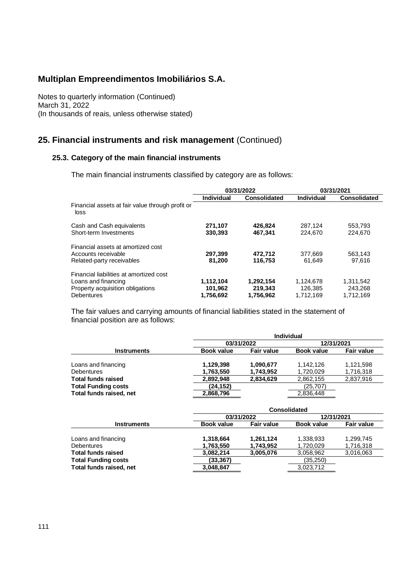Notes to quarterly information (Continued) March 31, 2022 (In thousands of reais, unless otherwise stated)

# **25. Financial instruments and risk management** (Continued)

## **25.3. Category of the main financial instruments**

The main financial instruments classified by category are as follows:

|                                                          | 03/31/2022 |              |            | 03/31/2021          |
|----------------------------------------------------------|------------|--------------|------------|---------------------|
|                                                          | Individual | Consolidated | Individual | <b>Consolidated</b> |
| Financial assets at fair value through profit or<br>loss |            |              |            |                     |
| Cash and Cash equivalents                                | 271,107    | 426,824      | 287.124    | 553,793             |
| Short-term Investments                                   | 330.393    | 467.341      | 224.670    | 224,670             |
| Financial assets at amortized cost                       |            |              |            |                     |
| Accounts receivable                                      | 297,399    | 472,712      | 377.669    | 563,143             |
| Related-party receivables                                | 81.200     | 116.753      | 61.649     | 97.616              |
| Financial liabilities at amortized cost                  |            |              |            |                     |
| Loans and financing                                      | 1,112,104  | 1,292,154    | 1.124.678  | 1,311,542           |
| Property acquisition obligations                         | 101,962    | 219,343      | 126.385    | 243.268             |
| <b>Debentures</b>                                        | 1,756,692  | 1,756,962    | 1,712,169  | 1,712,169           |

The fair values and carrying amounts of financial liabilities stated in the statement of financial position are as follows:

|                            | Individual        |                   |                   |                   |  |
|----------------------------|-------------------|-------------------|-------------------|-------------------|--|
|                            |                   | 03/31/2022        | 12/31/2021        |                   |  |
| <b>Instruments</b>         | <b>Book value</b> | <b>Fair value</b> | <b>Book value</b> | <b>Fair value</b> |  |
|                            |                   |                   |                   |                   |  |
| Loans and financing        | 1,129,398         | 1,090,677         | 1.142.126         | 1,121,598         |  |
| <b>Debentures</b>          | 1,763,550         | 1,743,952         | 1,720,029         | 1,716,318         |  |
| <b>Total funds raised</b>  | 2,892,948         | 2,834,629         | 2,862,155         | 2,837,916         |  |
| <b>Total Funding costs</b> | (24,152)          |                   | (25,707)          |                   |  |
| Total funds raised, net    | 2,868,796         |                   | 2,836,448         |                   |  |
|                            |                   |                   |                   |                   |  |

|                            |                   | <b>Consolidated</b> |                   |                   |  |  |  |
|----------------------------|-------------------|---------------------|-------------------|-------------------|--|--|--|
|                            | 03/31/2022        |                     | 12/31/2021        |                   |  |  |  |
| <b>Instruments</b>         | <b>Book value</b> | <b>Fair value</b>   | <b>Book value</b> | <b>Fair value</b> |  |  |  |
| Loans and financing        | 1,318,664         | 1,261,124           | 1,338,933         | 1,299,745         |  |  |  |
| <b>Debentures</b>          | 1,763,550         | 1,743,952           | 1,720,029         | 1,716,318         |  |  |  |
| <b>Total funds raised</b>  | 3,082,214         | 3,005,076           | 3,058,962         | 3,016,063         |  |  |  |
| <b>Total Funding costs</b> | (33,367)          |                     | (35,250)          |                   |  |  |  |
| Total funds raised, net    | 3,048,847         |                     | 3,023,712         |                   |  |  |  |
|                            |                   |                     |                   |                   |  |  |  |